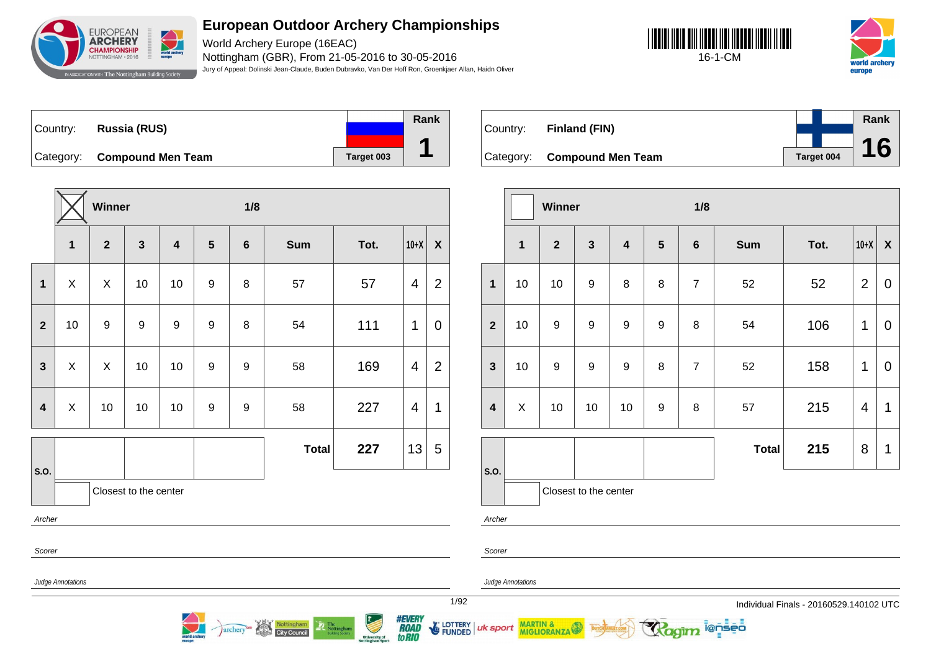

World Archery Europe (16EAC) Nottingham (GBR), From 21-05-2016 to 30-05-2016 Jury of Appeal: Dolinski Jean-Claude, Buden Dubravko, Van Der Hoff Ron, Groenkjaer Allan, Haidn Oliver





Country: **Russia (RUS)** Category: **Compound Men Team Target 003 Rank 1**

**Winner 1/8 1 2 3 4 5 6 Sum Tot. 10+X X 1** X X 10 10 9 8 57 57 4 2 **2** | 10 | 9 | 9 | 9 | 9 | 8 | 54 | 111 |1 | 0 **3**  $\mid$  X  $\mid$  X  $\mid$  10  $\mid$  10  $\mid$  9  $\mid$  9  $\mid$  58  $\mid$  169  $\mid$  4  $\mid$  2 **4**  $\mid$  X  $\mid$  10  $\mid$  10  $\mid$  9  $\mid$  9  $\mid$  58  $\mid$  227  $\mid$  4  $\mid$  1 **S.O. Total 227**  $|13| 5$ Closest to the center Archer Scorer

Nottingham

**City Council** 

archery

| Country: | Finland (FIN)               |            | Rank |
|----------|-----------------------------|------------|------|
|          |                             |            | 16   |
|          | Category: Compound Men Team | Target 004 |      |

|                         |              | <b>Winner</b>  |                       |                         |                  | 1/8            |              |      |                |                           |  |
|-------------------------|--------------|----------------|-----------------------|-------------------------|------------------|----------------|--------------|------|----------------|---------------------------|--|
|                         | $\mathbf{1}$ | $\overline{2}$ | $\mathbf{3}$          | $\overline{\mathbf{4}}$ | $5\phantom{.}$   | $\bf 6$        | <b>Sum</b>   | Tot. | $10+X$         | $\boldsymbol{\mathsf{X}}$ |  |
| $\mathbf{1}$            | 10           | 10             | 9                     | 8                       | 8                | $\overline{7}$ | 52           | 52   | $\overline{2}$ | $\mathbf 0$               |  |
| $\overline{2}$          | 10           | 9              | 9                     | $\boldsymbol{9}$        | 9                | 8              | 54           | 106  | 1              | $\mathbf 0$               |  |
| $\mathbf{3}$            | 10           | 9              | 9                     | $\boldsymbol{9}$        | 8                | $\overline{7}$ | 52           | 158  | 1              | $\mathbf 0$               |  |
| $\overline{\mathbf{4}}$ | X            | 10             | 10                    | 10                      | $\boldsymbol{9}$ | 8              | 57           | 215  | 4              | 1                         |  |
|                         |              |                |                       |                         |                  |                | <b>Total</b> | 215  | 8              | 1                         |  |
| S.O.                    |              |                | Closest to the center |                         |                  |                |              |      |                |                           |  |

i@nseo

Judge Annotations

Archer

Scorer

Judge Annotations

MARTIN & MIGLIORANZA

1/92 Individual Finals - 20160529.140102 UTC



**E LOTTERY** uk sport **FUNDED**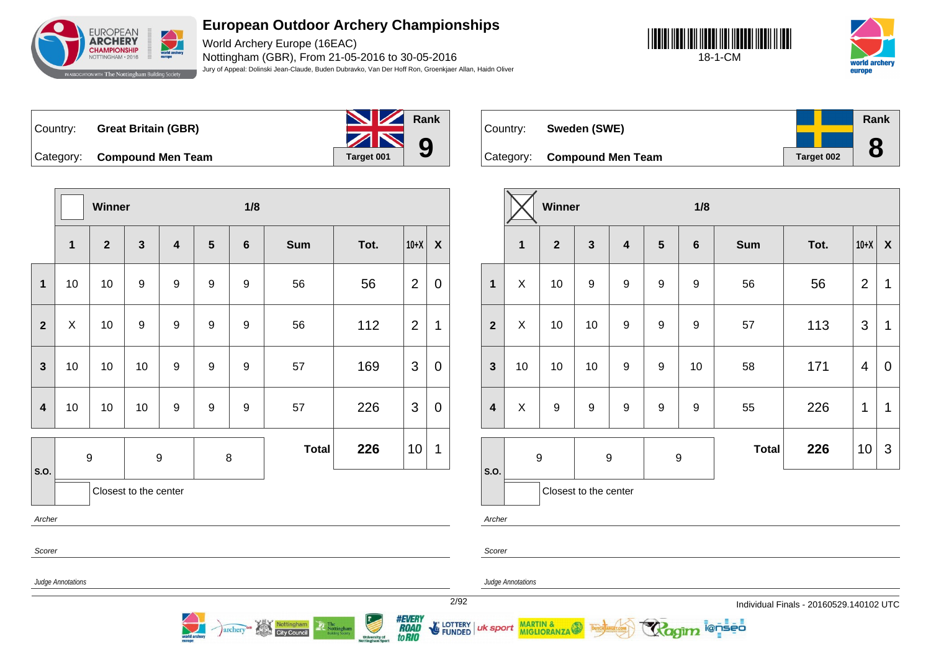

World Archery Europe (16EAC) Nottingham (GBR), From 21-05-2016 to 30-05-2016 Jury of Appeal: Dolinski Jean-Claude, Buden Dubravko, Van Der Hoff Ron, Groenkjaer Allan, Haidn Oliver





Country: **Great Britain (GBR)**



Country: **Sweden (SWE)**

**Category: Compound Men Team** 

|  |  |            | Rank |
|--|--|------------|------|
|  |  |            | 9.   |
|  |  | Target 002 |      |

|                         |              | <b>Winner</b>           |                       |                         |                  | 1/8              |              |      |                |                    |
|-------------------------|--------------|-------------------------|-----------------------|-------------------------|------------------|------------------|--------------|------|----------------|--------------------|
|                         | $\mathbf{1}$ | $\overline{\mathbf{2}}$ | $\mathbf{3}$          | $\overline{\mathbf{4}}$ | 5                | $6\phantom{1}6$  | <b>Sum</b>   | Tot. | $10+X$         | $\pmb{\mathsf{X}}$ |
| 1                       | 10           | 10                      | $\boldsymbol{9}$      | $\boldsymbol{9}$        | 9                | $\boldsymbol{9}$ | 56           | 56   | $\overline{2}$ | 0                  |
| $\overline{2}$          | $\mathsf X$  | 10                      | $9$                   | $\boldsymbol{9}$        | $\boldsymbol{9}$ | $\boldsymbol{9}$ | 56           | 112  | $\overline{2}$ | 1                  |
| $\overline{\mathbf{3}}$ | 10           | 10                      | 10                    | 9                       | $\boldsymbol{9}$ | 9                | 57           | 169  | 3              | $\mathbf 0$        |
| $\overline{4}$          | 10           | 10                      | 10                    | $\boldsymbol{9}$        | $\boldsymbol{9}$ | 9                | 57           | 226  | 3              | 0                  |
| S.O.                    |              | $\boldsymbol{9}$        | $\boldsymbol{9}$      |                         | $\bf 8$          |                  | <b>Total</b> | 226  | 10             | 1                  |
|                         |              |                         | Closest to the center |                         |                  |                  |              |      |                |                    |
| Archer                  |              |                         |                       |                         |                  |                  |              |      |                |                    |
| Scorer                  |              |                         |                       |                         |                  |                  |              |      |                |                    |

archer

**City Council** 

|                         |                  | Winner         |                       |                         |                  | 1/8              |              |      |                |                           |
|-------------------------|------------------|----------------|-----------------------|-------------------------|------------------|------------------|--------------|------|----------------|---------------------------|
|                         | $\mathbf{1}$     | $\overline{2}$ | $\mathbf{3}$          | $\overline{\mathbf{4}}$ | $5\phantom{1}$   | $\bf 6$          | <b>Sum</b>   | Tot. | $10+X$         | $\boldsymbol{\mathsf{X}}$ |
| $\mathbf{1}$            | $\mathsf X$      | 10             | 9                     | $\boldsymbol{9}$        | 9                | 9                | 56           | 56   | $\overline{2}$ | 1                         |
| $\overline{2}$          | Χ                | 10             | 10                    | 9                       | $\boldsymbol{9}$ | $\boldsymbol{9}$ | 57           | 113  | 3              | 1                         |
| $\mathbf{3}$            | 10               | 10             | 10                    | 9                       | $\boldsymbol{9}$ | 10               | 58           | 171  | 4              | $\mathbf 0$               |
| $\overline{\mathbf{4}}$ | X                | 9              | 9                     | 9                       | 9                | 9                | 55           | 226  | 1              | 1                         |
|                         | $\boldsymbol{9}$ |                | $\boldsymbol{9}$      |                         | $\boldsymbol{9}$ |                  | <b>Total</b> | 226  | 10             | 3                         |
| S.O.                    |                  |                | Closest to the center |                         |                  |                  |              |      |                |                           |

@nseo

Judge Annotations

Archer

Scorer

uk sport

Judge Annotations

MARTIN &

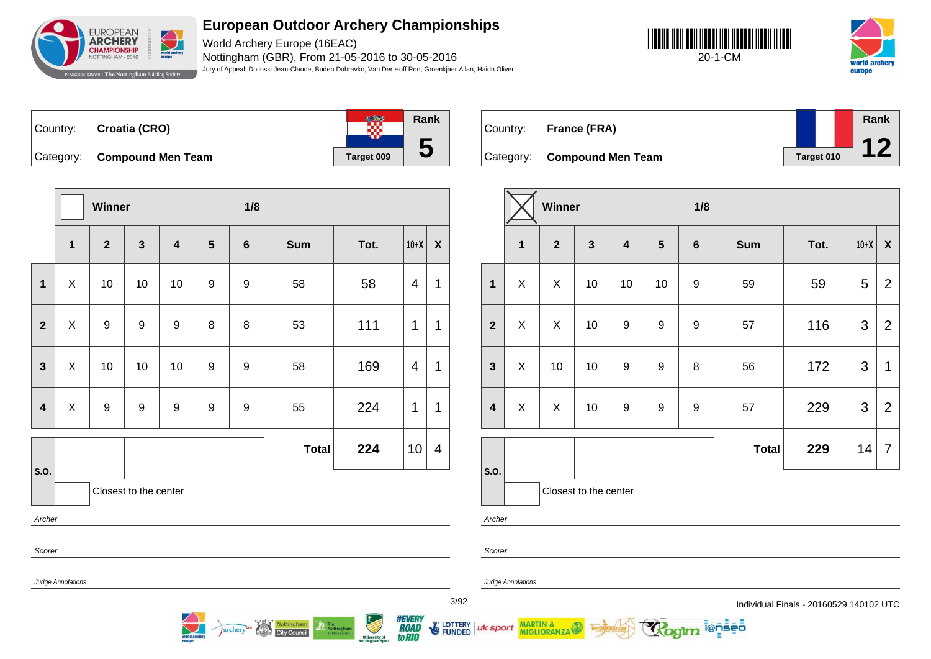

World Archery Europe (16EAC) Nottingham (GBR), From 21-05-2016 to 30-05-2016 Jury of Appeal: Dolinski Jean-Claude, Buden Dubravko, Van Der Hoff Ron, Groenkjaer Allan, Haidn Oliver





 $\frac{1}{100}$ Country: **Croatia (CRO)** Category: **Compound Men Team Target 009** 



Country: **France (FRA)**

Category: **Compound Men Team Target 010 Rank 12**

|                         |             | Winner           |                       |                         |                  | 1/8              |              |      |                |                  |  |
|-------------------------|-------------|------------------|-----------------------|-------------------------|------------------|------------------|--------------|------|----------------|------------------|--|
|                         | $\mathbf 1$ | $\overline{2}$   | $\mathbf{3}$          | $\overline{\mathbf{4}}$ | $5\phantom{1}$   | $6\phantom{1}$   | <b>Sum</b>   | Tot. | $10+X$         | $\boldsymbol{X}$ |  |
| $\mathbf{1}$            | X           | 10               | 10                    | 10                      | 9                | 9                | 58           | 58   | $\overline{4}$ | 1                |  |
| $\overline{2}$          | X           | $\boldsymbol{9}$ | $\boldsymbol{9}$      | 9                       | 8                | 8                | 53           | 111  | 1              | 1                |  |
| $\overline{\mathbf{3}}$ | X           | 10               | 10                    | 10                      | 9                | 9                | 58           | 169  | 4              | 1                |  |
| $\overline{\mathbf{4}}$ | X           | $\boldsymbol{9}$ | $\boldsymbol{9}$      | $\boldsymbol{9}$        | $\boldsymbol{9}$ | $\boldsymbol{9}$ | 55           | 224  | 1              | 1                |  |
|                         |             |                  |                       |                         |                  |                  | <b>Total</b> | 224  | 10             | 4                |  |
| S.O.                    |             |                  | Closest to the center |                         |                  |                  |              |      |                |                  |  |
| Archer                  |             |                  |                       |                         |                  |                  |              |      |                |                  |  |
| Scorer                  |             |                  |                       |                         |                  |                  |              |      |                |                  |  |
| Judge Annotations       |             |                  |                       |                         |                  |                  |              |      |                |                  |  |

Nottingham

archery

|                         |              | Winner         |                       |                         |                  | 1/8              |              |      |                |                |  |
|-------------------------|--------------|----------------|-----------------------|-------------------------|------------------|------------------|--------------|------|----------------|----------------|--|
|                         | $\mathbf{1}$ | $\overline{2}$ | $\mathbf{3}$          | $\overline{\mathbf{4}}$ | $5\phantom{1}$   | $\bf 6$          | <b>Sum</b>   | Tot. | $10+X$         | X              |  |
| $\mathbf{1}$            | X            | X              | 10                    | 10                      | 10               | $\boldsymbol{9}$ | 59           | 59   | 5              | $\overline{2}$ |  |
| $\overline{2}$          | X            | X              | 10                    | 9                       | 9                | $\boldsymbol{9}$ | 57           | 116  | 3              | $\overline{2}$ |  |
| $\mathbf{3}$            | X            | 10             | 10                    | $\boldsymbol{9}$        | 9                | 8                | 56           | 172  | 3              | 1              |  |
| $\overline{\mathbf{4}}$ | X            | X              | 10                    | $\boldsymbol{9}$        | $\boldsymbol{9}$ | 9                | 57           | 229  | $\mathfrak{S}$ | $\overline{2}$ |  |
|                         |              |                |                       |                         |                  |                  | <b>Total</b> | 229  | 14             | $\overline{7}$ |  |
| S.O.                    |              |                | Closest to the center |                         |                  |                  |              |      |                |                |  |

ionseo

Archer

Scorer

uk sport

Judge Annotations

MARTIN &

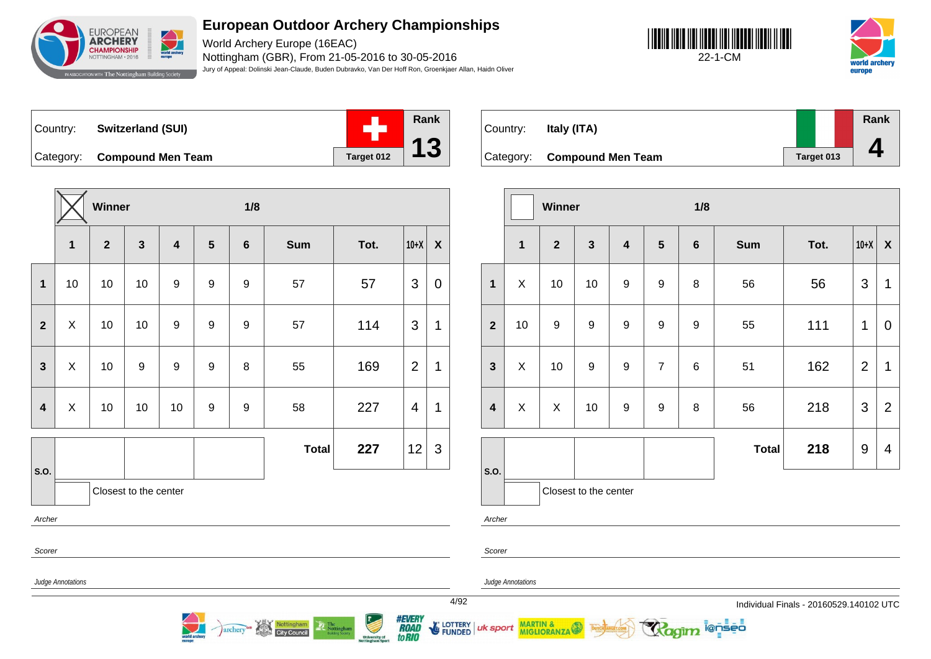

World Archery Europe (16EAC) Nottingham (GBR), From 21-05-2016 to 30-05-2016 Jury of Appeal: Dolinski Jean-Claude, Buden Dubravko, Van Der Hoff Ron, Groenkjaer Allan, Haidn Oliver





Country: **Switzerland (SUI)** Category: **Compound Men Team Target 012** 



|                         |              | Winner         |                         |                         |                  | 1/8              |              |      |                |                           |
|-------------------------|--------------|----------------|-------------------------|-------------------------|------------------|------------------|--------------|------|----------------|---------------------------|
|                         | $\mathbf{1}$ | $\overline{2}$ | $\overline{\mathbf{3}}$ | $\overline{\mathbf{4}}$ | $5\phantom{1}$   | $\bf 6$          | <b>Sum</b>   | Tot. | $10+X$         | $\boldsymbol{\mathsf{X}}$ |
| $\mathbf{1}$            | 10           | 10             | 10                      | 9                       | 9                | $\boldsymbol{9}$ | 57           | 57   | 3              | $\pmb{0}$                 |
| $\overline{2}$          | X            | 10             | 10                      | $\boldsymbol{9}$        | $\boldsymbol{9}$ | 9                | 57           | 114  | 3              | $\mathbf 1$               |
| $\mathbf{3}$            | X            | 10             | $\boldsymbol{9}$        | $\boldsymbol{9}$        | 9                | 8                | 55           | 169  | $\overline{2}$ | 1                         |
| $\overline{\mathbf{4}}$ | X            | 10             | 10                      | 10                      | 9                | 9                | 58           | 227  | 4              | 1                         |
|                         |              |                |                         |                         |                  |                  | <b>Total</b> | 227  | 12             | 3                         |
| S.O.                    |              |                | Closest to the center   |                         |                  |                  |              |      |                |                           |
| Archer                  |              |                |                         |                         |                  |                  |              |      |                |                           |
| Scorer                  |              |                |                         |                         |                  |                  |              |      |                |                           |

archery

**City Council** 

| Country:  | Italy (ITA)              |            | Rank |
|-----------|--------------------------|------------|------|
| Category: | <b>Compound Men Team</b> | Target 013 |      |

|                         |    | Winner           |                       |                         |                  | 1/8     |              |      |                |                  |  |  |
|-------------------------|----|------------------|-----------------------|-------------------------|------------------|---------|--------------|------|----------------|------------------|--|--|
|                         | 1  | $\overline{2}$   | $\mathbf{3}$          | $\overline{\mathbf{4}}$ | $5\phantom{1}$   | $\bf 6$ | <b>Sum</b>   | Tot. | $10+X$         | $\boldsymbol{X}$ |  |  |
| $\mathbf{1}$            | X  | 10               | 10                    | $\boldsymbol{9}$        | $\boldsymbol{9}$ | 8       | 56           | 56   | 3              | 1                |  |  |
| $\overline{2}$          | 10 | $\boldsymbol{9}$ | 9                     | $\boldsymbol{9}$        | $\boldsymbol{9}$ | 9       | 55           | 111  | 1              | $\overline{0}$   |  |  |
| $\mathbf{3}$            | X  | 10               | $\boldsymbol{9}$      | $\boldsymbol{9}$        | $\overline{7}$   | 6       | 51           | 162  | $\overline{2}$ | 1                |  |  |
| $\overline{\mathbf{4}}$ | X  | X                | 10                    | 9                       | 9                | 8       | 56           | 218  | 3              | $\overline{2}$   |  |  |
|                         |    |                  |                       |                         |                  |         | <b>Total</b> | 218  | $9\,$          | 4                |  |  |
| S.O.                    |    |                  | Closest to the center |                         |                  |         |              |      |                |                  |  |  |

ionseo

Archer

Scorer

Scorer

Judge Annotations

Judge Annotations

uk sport

MARTIN & MIGLIORANZA

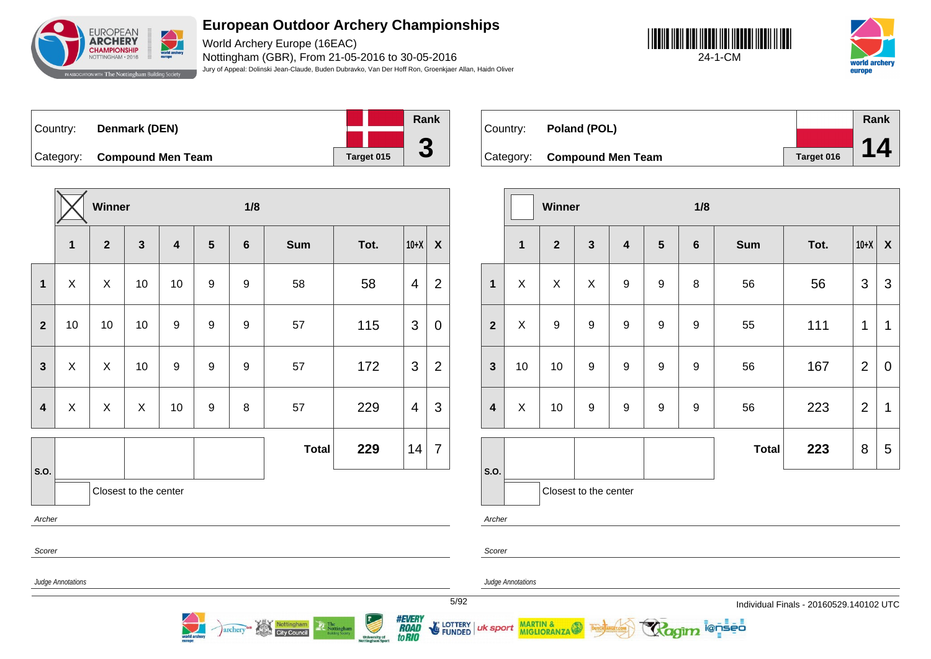

World Archery Europe (16EAC) Nottingham (GBR), From 21-05-2016 to 30-05-2016 Jury of Appeal: Dolinski Jean-Claude, Buden Dubravko, Van Der Hoff Ron, Groenkjaer Allan, Haidn Oliver





| Country: | Denmark (DEN)               |            | Rank |
|----------|-----------------------------|------------|------|
|          |                             |            |      |
|          | Category: Compound Men Team | Target 015 |      |

**Winner 1/8 1 2 3 4 5 6 Sum Tot. 10+X X 1** X X 10 10 9 9 58 58 4 2 **2** | 10 | 10 | 10 | 9 | 9 | 9 | 57 | 115 | 3 | 0 **3**  $\mid$  X  $\mid$  X  $\mid$  10  $\mid$  9  $\mid$  9  $\mid$  9  $\mid$  57  $\mid$  172  $\mid$  3  $\mid$  2 **4**  $\mid$  X  $\mid$  X  $\mid$  X  $\mid$  10  $\mid$  9  $\mid$  8  $\mid$  57  $\mid$  229  $\mid$  4  $\mid$  3 **S.O. Total 229** 14 7 Closest to the center Archer Scorer

archery<sup>on</sup> Nottingham

| Country: | Poland (POL)                |            | Rank |
|----------|-----------------------------|------------|------|
|          |                             |            |      |
|          | Category: Compound Men Team | Target 016 |      |

|                         |              | <b>Winner</b>  |                       |                         |                  | 1/8              |              |      |                |                           |
|-------------------------|--------------|----------------|-----------------------|-------------------------|------------------|------------------|--------------|------|----------------|---------------------------|
|                         | $\mathbf{1}$ | $\overline{2}$ | $\mathbf{3}$          | $\overline{\mathbf{4}}$ | $5\phantom{1}$   | $\bf 6$          | <b>Sum</b>   | Tot. | $10+X$         | $\boldsymbol{\mathsf{X}}$ |
| $\mathbf{1}$            | X            | X              | X                     | $\boldsymbol{9}$        | 9                | 8                | 56           | 56   | 3              | $\mathfrak{S}$            |
| $\overline{2}$          | X            | 9              | $\boldsymbol{9}$      | $\boldsymbol{9}$        | $\boldsymbol{9}$ | $\boldsymbol{9}$ | 55           | 111  | 1              | 1                         |
| $\mathbf{3}$            | 10           | 10             | 9                     | $\boldsymbol{9}$        | 9                | 9                | 56           | 167  | $\overline{2}$ | $\mathbf 0$               |
| $\overline{\mathbf{4}}$ | X            | 10             | $\boldsymbol{9}$      | $\boldsymbol{9}$        | 9                | 9                | 56           | 223  | $\overline{2}$ | 1                         |
|                         |              |                |                       |                         |                  |                  | <b>Total</b> | 223  | 8              | 5                         |
| S.O.                    |              |                | Closest to the center |                         |                  |                  |              |      |                |                           |

i@nseo

Judge Annotations

Judge Annotations

MARTIN & MIGLIORANZA

Archer

Scorer

uk sport

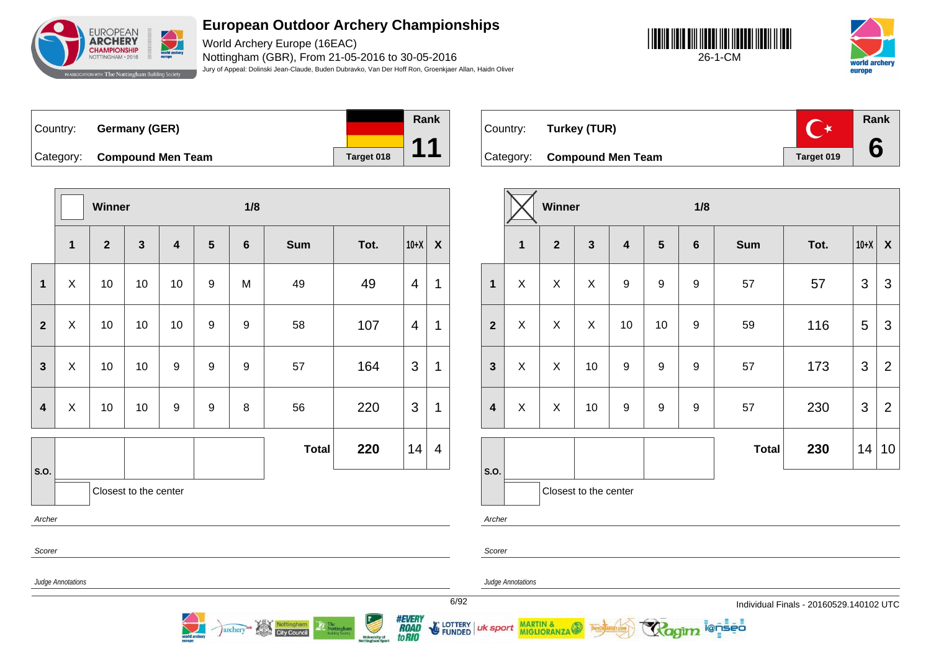

World Archery Europe (16EAC) Nottingham (GBR), From 21-05-2016 to 30-05-2016 Jury of Appeal: Dolinski Jean-Claude, Buden Dubravko, Van Der Hoff Ron, Groenkjaer Allan, Haidn Oliver

**Rank**

**11**





Country: **Germany (GER)** Category: **Compound Men Team Target 018** 

|                         |                | <b>Winner</b> |                       |                  |                | 1/8              |              |      |        |                  |
|-------------------------|----------------|---------------|-----------------------|------------------|----------------|------------------|--------------|------|--------|------------------|
|                         | $\mathbf{1}$   | $\mathbf{2}$  | $\mathbf{3}$          | 4                | $5\phantom{1}$ | $6\phantom{1}6$  | <b>Sum</b>   | Tot. | $10+X$ | $\boldsymbol{X}$ |
| $\mathbf 1$             | X              | 10            | 10                    | 10               | 9              | M                | 49           | 49   | 4      | 1                |
| $\mathbf{2}$            | $\mathsf X$    | 10            | 10                    | 10               | 9              | $\boldsymbol{9}$ | 58           | 107  | 4      | 1                |
| $\mathbf{3}$            | X              | 10            | 10                    | 9                | 9              | 9                | 57           | 164  | 3      | 1                |
| $\overline{\mathbf{4}}$ | $\pmb{\times}$ | 10            | 10                    | $\boldsymbol{9}$ | 9              | 8                | 56           | 220  | 3      | 1                |
| S.O.                    |                |               |                       |                  |                |                  | <b>Total</b> | 220  | 14     | $\overline{4}$   |
|                         |                |               | Closest to the center |                  |                |                  |              |      |        |                  |
| Archer                  |                |               |                       |                  |                |                  |              |      |        |                  |
| Scorer                  |                |               |                       |                  |                |                  |              |      |        |                  |

**Rank**  $\overline{C^*}$ Country: **Turkey (TUR) 6** Category: **Compound Men Team Target 019** 

|                         |              | Winner         |                       |                         |                  | 1/8              |              |      |                |                    |
|-------------------------|--------------|----------------|-----------------------|-------------------------|------------------|------------------|--------------|------|----------------|--------------------|
|                         | $\mathbf{1}$ | $\overline{2}$ | $\mathbf{3}$          | $\overline{\mathbf{4}}$ | $5\phantom{1}$   | $\bf 6$          | Sum          | Tot. | $10+X$         | $\pmb{\mathsf{X}}$ |
| $\mathbf{1}$            | X            | X              | X                     | $\boldsymbol{9}$        | 9                | 9                | 57           | 57   | $\mathfrak{S}$ | 3                  |
| $\overline{2}$          | X            | X              | $\pmb{\times}$        | 10                      | 10               | $\boldsymbol{9}$ | 59           | 116  | 5              | 3                  |
| $\mathbf{3}$            | X            | X              | 10                    | $\boldsymbol{9}$        | 9                | 9                | 57           | 173  | $\mathfrak{S}$ | $\overline{2}$     |
| $\overline{\mathbf{4}}$ | X            | X              | 10                    | $\boldsymbol{9}$        | $\boldsymbol{9}$ | $\boldsymbol{9}$ | 57           | 230  | 3              | $\overline{2}$     |
|                         |              |                |                       |                         |                  |                  | <b>Total</b> | 230  | 14             | 10                 |
| S.O.                    |              |                | Closest to the center |                         |                  |                  |              |      |                |                    |
| Archer                  |              |                |                       |                         |                  |                  |              |      |                |                    |

i@nseo

Judge Annotations

Scorer

Judge Annotations

MARTIN &

6/92 Individual Finals - 20160529.140102 UTC



LOTTERY<br>FUNDED

uk sport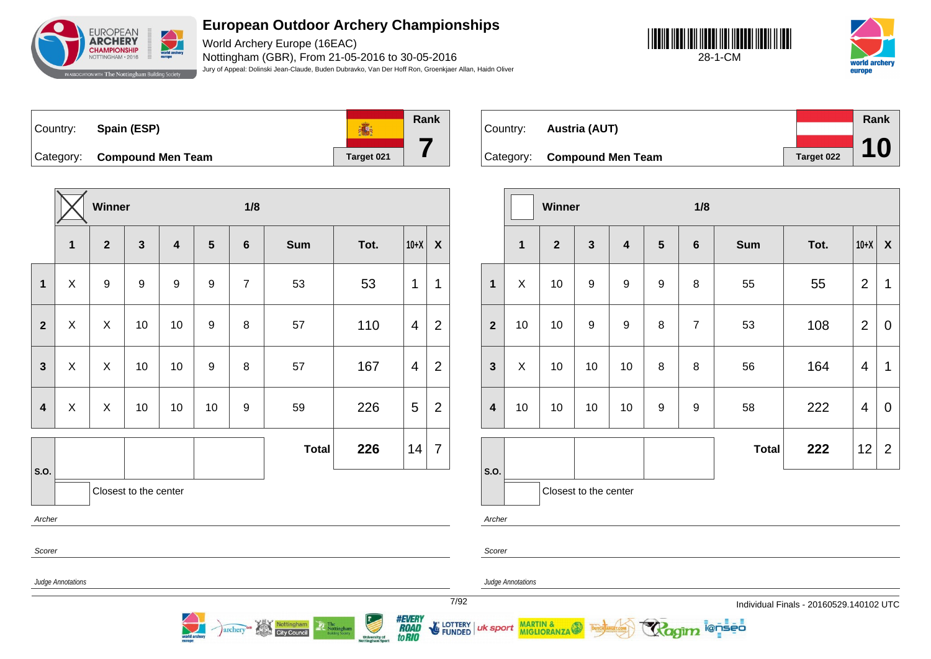

World Archery Europe (16EAC) Nottingham (GBR), From 21-05-2016 to 30-05-2016 Jury of Appeal: Dolinski Jean-Claude, Buden Dubravko, Van Der Hoff Ron, Groenkjaer Allan, Haidn Oliver





| Country: | Spain (ESP)                 |            | Rank |
|----------|-----------------------------|------------|------|
|          | Category: Compound Men Team | Target 021 |      |

**Winner 1/8 1 2 3 4 5 6 Sum Tot. 10+X X 1** X 9 9 9 9 7 53 53 1 1 **2**  $\mid$  X  $\mid$  X  $\mid$  10  $\mid$  10  $\mid$  9  $\mid$  8  $\mid$  57  $\mid$  110  $\mid$  4  $\mid$  2 **3**  $\mid$  X  $\mid$  X  $\mid$  10  $\mid$  10  $\mid$  9  $\mid$  8  $\mid$  57  $\mid$  167  $\mid$  4  $\mid$  2 **4**  $\mid$  X  $\mid$  X  $\mid$  10  $\mid$  10  $\mid$  10  $\mid$  9  $\mid$  59  $\mid$  226  $\mid$  5  $\mid$  2 **S.O. Total 226** 14 7 Closest to the center Archer Scorer Judge Annotations

archery<sup>ce</sup> Nottingham

| Country: | <b>Austria (AUT)</b>        |            | Rank      |
|----------|-----------------------------|------------|-----------|
|          |                             |            |           |
|          | Category: Compound Men Team | Target 022 | <b>10</b> |

|                  |              | Winner         |                       |                         |                | 1/8            |              |      |                |                           |
|------------------|--------------|----------------|-----------------------|-------------------------|----------------|----------------|--------------|------|----------------|---------------------------|
|                  | $\mathbf{1}$ | $\overline{2}$ | $\mathbf{3}$          | $\overline{\mathbf{4}}$ | $5\phantom{1}$ | $\bf 6$        | <b>Sum</b>   | Tot. | $10+X$         | $\boldsymbol{\mathsf{X}}$ |
| $\mathbf{1}$     | X            | 10             | $\boldsymbol{9}$      | 9                       | 9              | 8              | 55           | 55   | $\overline{2}$ | 1                         |
| $\overline{2}$   | 10           | 10             | $\boldsymbol{9}$      | $\boldsymbol{9}$        | 8              | $\overline{7}$ | 53           | 108  | $\overline{2}$ | $\mathbf 0$               |
| $\mathbf{3}$     | X            | 10             | 10                    | 10                      | 8              | 8              | 56           | 164  | 4              | 1                         |
| $\boldsymbol{4}$ | 10           | 10             | 10                    | 10                      | 9              | 9              | 58           | 222  | 4              | $\mathbf 0$               |
|                  |              |                |                       |                         |                |                | <b>Total</b> | 222  | 12             | $\overline{2}$            |
| S.O.             |              |                | Closest to the center |                         |                |                |              |      |                |                           |

i@nseo

Archer

Scorer

Judge Annotations

MARTIN & MIGLIORANZA

7/92 Individual Finals - 20160529.140102 UTC



**E** LOTTERY **FUNDED** 

uk sport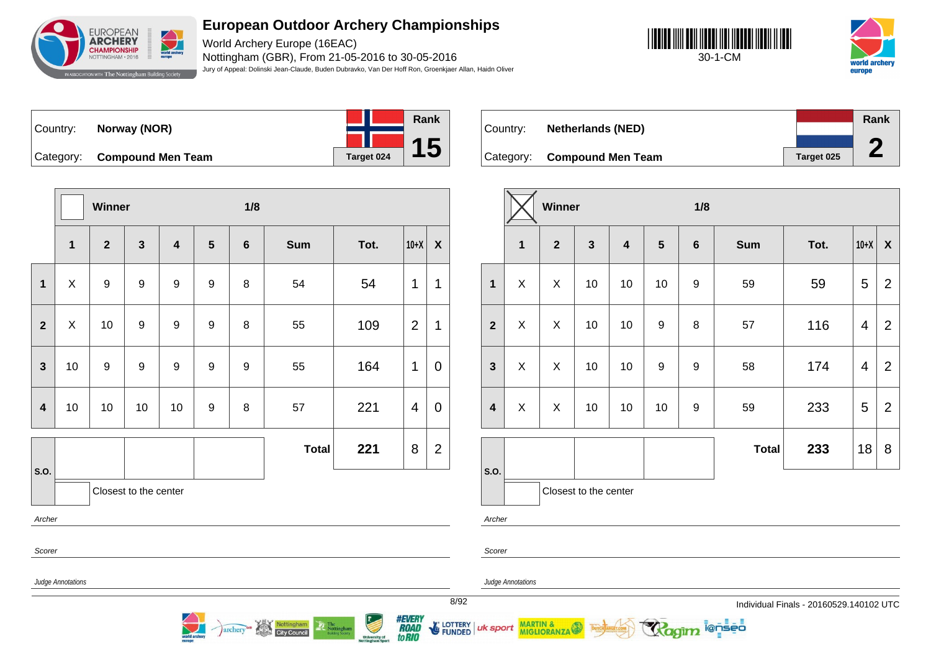

World Archery Europe (16EAC) Nottingham (GBR), From 21-05-2016 to 30-05-2016 Jury of Appeal: Dolinski Jean-Claude, Buden Dubravko, Van Der Hoff Ron, Groenkjaer Allan, Haidn Oliver





Country: **Norway (NOR)** Category: **Compound Men Team Tanget 024** 



Country: **Netherlands (NED)** Category: **Compound Men Team Target 025 Rank 2**

|                         |                   | Winner           |                       |                         |                  | 1/8              |              |      |                |                  |
|-------------------------|-------------------|------------------|-----------------------|-------------------------|------------------|------------------|--------------|------|----------------|------------------|
|                         | $\mathbf 1$       | $\mathbf{2}$     | $\mathbf{3}$          | $\overline{\mathbf{4}}$ | $5\phantom{.0}$  | $\bf 6$          | <b>Sum</b>   | Tot. | $10+X$         | $\boldsymbol{X}$ |
| $\mathbf{1}$            | X                 | $\boldsymbol{9}$ | $\boldsymbol{9}$      | 9                       | 9                | $\bf 8$          | 54           | 54   | 1              | 1                |
| $\overline{2}$          | $\mathsf{X}$      | 10               | $\boldsymbol{9}$      | 9                       | $\boldsymbol{9}$ | 8                | 55           | 109  | $\overline{2}$ | 1                |
| $\mathbf{3}$            | 10                | 9                | $\boldsymbol{9}$      | 9                       | $\boldsymbol{9}$ | $\boldsymbol{9}$ | 55           | 164  | 1              | $\mathbf 0$      |
| $\overline{\mathbf{4}}$ | 10                | $10$             | $10$                  | 10                      | 9                | $\bf 8$          | 57           | 221  | $\overline{4}$ | $\mathbf 0$      |
|                         |                   |                  |                       |                         |                  |                  | <b>Total</b> | 221  | 8              | $\overline{2}$   |
| S.O.                    |                   |                  | Closest to the center |                         |                  |                  |              |      |                |                  |
| Archer                  |                   |                  |                       |                         |                  |                  |              |      |                |                  |
| Scorer                  |                   |                  |                       |                         |                  |                  |              |      |                |                  |
|                         | Judge Annotations |                  |                       |                         |                  |                  |              |      |                |                  |

archery<sup>on</sup> Nottingham

|                         |             | Winner                  |                       |                         |                  | 1/8              |              |      |        |                |
|-------------------------|-------------|-------------------------|-----------------------|-------------------------|------------------|------------------|--------------|------|--------|----------------|
|                         | $\mathbf 1$ | $\overline{\mathbf{2}}$ | $\mathbf{3}$          | $\overline{\mathbf{4}}$ | $5\phantom{1}$   | $\bf 6$          | <b>Sum</b>   | Tot. | $10+X$ | $\pmb{\chi}$   |
| $\mathbf{1}$            | X           | X                       | 10                    | 10                      | 10               | 9                | 59           | 59   | 5      | $\overline{2}$ |
| $\overline{2}$          | X           | X                       | 10                    | 10                      | $\boldsymbol{9}$ | 8                | 57           | 116  | 4      | $\overline{2}$ |
| $\mathbf{3}$            | X           | X                       | 10                    | 10                      | $\boldsymbol{9}$ | $\boldsymbol{9}$ | 58           | 174  | 4      | $\overline{2}$ |
| $\overline{\mathbf{4}}$ | X           | X                       | 10                    | 10                      | 10               | 9                | 59           | 233  | 5      | $\overline{2}$ |
|                         |             |                         |                       |                         |                  |                  | <b>Total</b> | 233  | 18     | 8              |
| S.O.                    |             |                         | Closest to the center |                         |                  |                  |              |      |        |                |

i@nseo

her:

de Annotations

uk sport

MARTIN &<br>MIGLIORANZA



**FUNDED**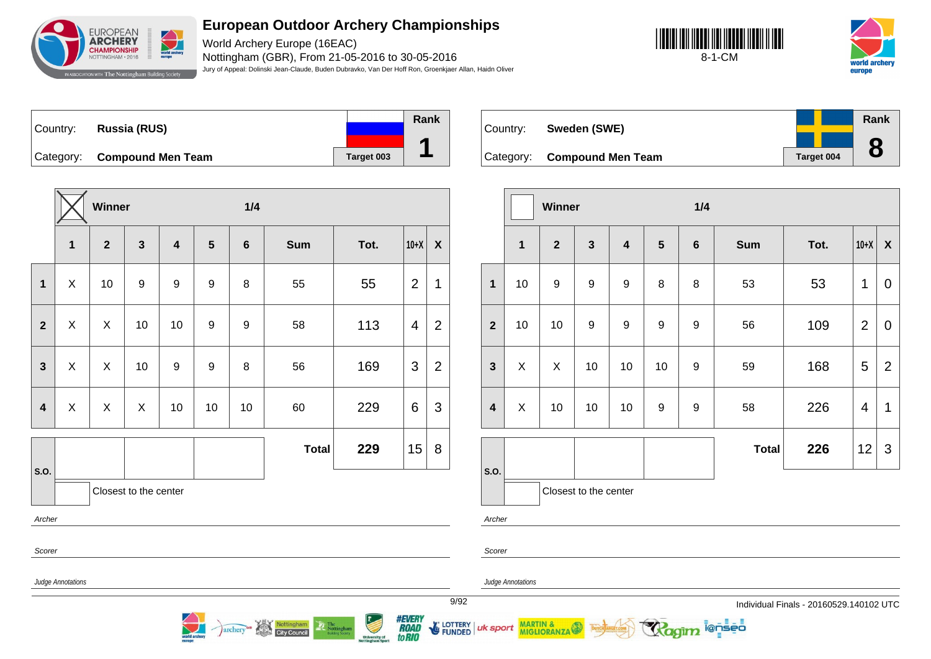

World Archery Europe (16EAC) Nottingham (GBR), From 21-05-2016 to 30-05-2016 Jury of Appeal: Dolinski Jean-Claude, Buden Dubravko, Van Der Hoff Ron, Groenkjaer Allan, Haidn Oliver





| ∣Country: ⊥ | Russia (RUS)                |            | Rank |
|-------------|-----------------------------|------------|------|
|             | Category: Compound Men Team | Target 003 |      |
|             |                             |            |      |

**Winner 1/4 1 2 3 4 5 6 Sum Tot. 10+X X 1**  $\begin{array}{|c|c|c|c|c|c|}\n1 & X & 10 & 9 & 9 & 9 & 8 & 55 & 55 & 21\n\end{array}$ **2**  $\mid$  X  $\mid$  X  $\mid$  10  $\mid$  10  $\mid$  9  $\mid$  9  $\mid$  58  $\mid$  113  $\mid$  4  $\mid$  2 **3**  $\mid$  X  $\mid$  X  $\mid$  10  $\mid$  9  $\mid$  9  $\mid$  8  $\mid$  56  $\mid$  169  $\mid$  3  $\mid$  2 **4**  $\mid$  X  $\mid$  X  $\mid$  X  $\mid$  10  $\mid$  10  $\mid$  10  $\mid$  60  $\mid$  229  $\mid$  6  $\mid$  3 **S.O. Total 229** 15 8 Closest to the center Archer Scorer

archery<sup>on</sup> Nottingham

| Country: | Sweden (SWE)                |                   | Rank |
|----------|-----------------------------|-------------------|------|
|          |                             |                   | O    |
|          | Category: Compound Men Team | <b>Target 004</b> | O    |

|                         |    | <b>Winner</b>  |                       |                         |                  | 1/4     |              |      |                |                    |
|-------------------------|----|----------------|-----------------------|-------------------------|------------------|---------|--------------|------|----------------|--------------------|
|                         | 1  | $\overline{2}$ | $\mathbf{3}$          | $\overline{\mathbf{4}}$ | $5\phantom{1}$   | $\bf 6$ | <b>Sum</b>   | Tot. | $10+X$         | $\pmb{\mathsf{X}}$ |
| $\mathbf{1}$            | 10 | 9              | 9                     | 9                       | 8                | 8       | 53           | 53   | 1              | $\mathbf 0$        |
| $\overline{2}$          | 10 | 10             | 9                     | $\boldsymbol{9}$        | 9                | 9       | 56           | 109  | $\overline{2}$ | $\mathbf 0$        |
| $\mathbf{3}$            | X  | X              | 10                    | 10                      | 10               | 9       | 59           | 168  | 5              | $\overline{2}$     |
| $\overline{\mathbf{4}}$ | X  | 10             | 10                    | 10                      | $\boldsymbol{9}$ | 9       | 58           | 226  | 4              | 1                  |
|                         |    |                |                       |                         |                  |         | <b>Total</b> | 226  | 12             | 3                  |
| S.O.                    |    |                | Closest to the center |                         |                  |         |              |      |                |                    |

i@nseo

Archer

Scorer

uk sport

Judge Annotations

Judge Annotations

MARTIN & MIGLIORANZA

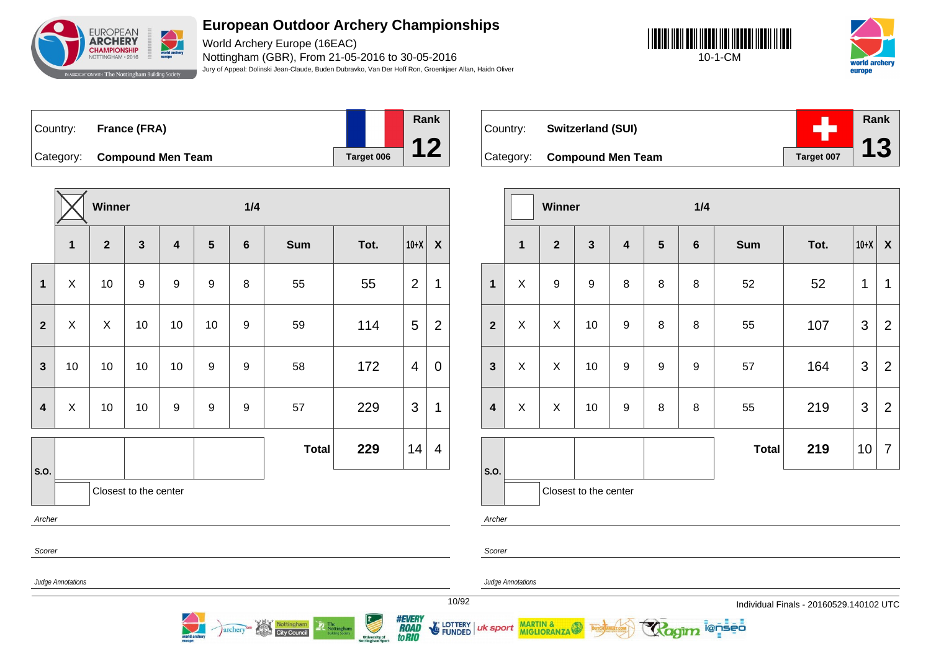

World Archery Europe (16EAC) Nottingham (GBR), From 21-05-2016 to 30-05-2016 Jury of Appeal: Dolinski Jean-Claude, Buden Dubravko, Van Der Hoff Ron, Groenkjaer Allan, Haidn Oliver





Country: **France (FRA)** Category: **Compound Men Team Target 006 Rank 12**

|                         |              | Winner         |                       |                         |                         | 1/4              |              |      |                |                    |
|-------------------------|--------------|----------------|-----------------------|-------------------------|-------------------------|------------------|--------------|------|----------------|--------------------|
|                         | $\mathbf{1}$ | $\overline{2}$ | $\mathbf{3}$          | $\overline{\mathbf{4}}$ | $\overline{\mathbf{5}}$ | $\bf 6$          | <b>Sum</b>   | Tot. | $10+X$         | $\pmb{\mathsf{X}}$ |
| $\mathbf 1$             | X            | 10             | $\boldsymbol{9}$      | $\boldsymbol{9}$        | $\boldsymbol{9}$        | 8                | 55           | 55   | $\overline{2}$ | 1                  |
| $\boldsymbol{2}$        | X            | X              | 10                    | 10                      | 10                      | 9                | 59           | 114  | 5              | $\overline{2}$     |
| $\mathbf{3}$            | 10           | 10             | $10$                  | 10                      | 9                       | $\boldsymbol{9}$ | 58           | 172  | $\overline{4}$ | $\boldsymbol{0}$   |
| $\overline{\mathbf{4}}$ | X            | 10             | 10                    | $\boldsymbol{9}$        | 9                       | $\boldsymbol{9}$ | 57           | 229  | 3              | $\mathbf 1$        |
|                         |              |                |                       |                         |                         |                  | <b>Total</b> | 229  | 14             | 4                  |
| S.O.                    |              |                | Closest to the center |                         |                         |                  |              |      |                |                    |
| Archer                  |              |                |                       |                         |                         |                  |              |      |                |                    |
| 0.11                    |              |                |                       |                         |                         |                  |              |      |                |                    |

Nottingham<br>City Council

archery

| Country: | <b>Switzerland (SUI)</b>    |            | Rank |
|----------|-----------------------------|------------|------|
|          | Category: Compound Men Team | Target 007 | 13   |

|                         |              | Winner           |                       |                         |                  | 1/4              |              |      |                |                |  |
|-------------------------|--------------|------------------|-----------------------|-------------------------|------------------|------------------|--------------|------|----------------|----------------|--|
|                         | $\mathbf{1}$ | $\overline{2}$   | $\mathbf{3}$          | $\overline{\mathbf{4}}$ | $5\phantom{1}$   | $\boldsymbol{6}$ | <b>Sum</b>   | Tot. | $10+X$         | X              |  |
| $\mathbf{1}$            | X            | $\boldsymbol{9}$ | 9                     | 8                       | 8                | 8                | 52           | 52   | $\mathbf 1$    | 1              |  |
| $\overline{2}$          | X            | X                | 10                    | $\boldsymbol{9}$        | 8                | 8                | 55           | 107  | $\mathfrak{S}$ | $\overline{2}$ |  |
| $\mathbf{3}$            | X            | X                | 10                    | $\boldsymbol{9}$        | $\boldsymbol{9}$ | 9                | 57           | 164  | 3              | $\overline{2}$ |  |
| $\overline{\mathbf{4}}$ | X            | X                | 10                    | 9                       | 8                | $\bf 8$          | 55           | 219  | 3              | $\overline{2}$ |  |
|                         |              |                  |                       |                         |                  |                  | <b>Total</b> | 219  | 10             | $\overline{7}$ |  |
| S.O.                    |              |                  | Closest to the center |                         |                  |                  |              |      |                |                |  |

**ienseo** 

Archer

Scorer

Scorer

Judge Annotations

Judge Annotations

MARTIN & MIGLIORANZA

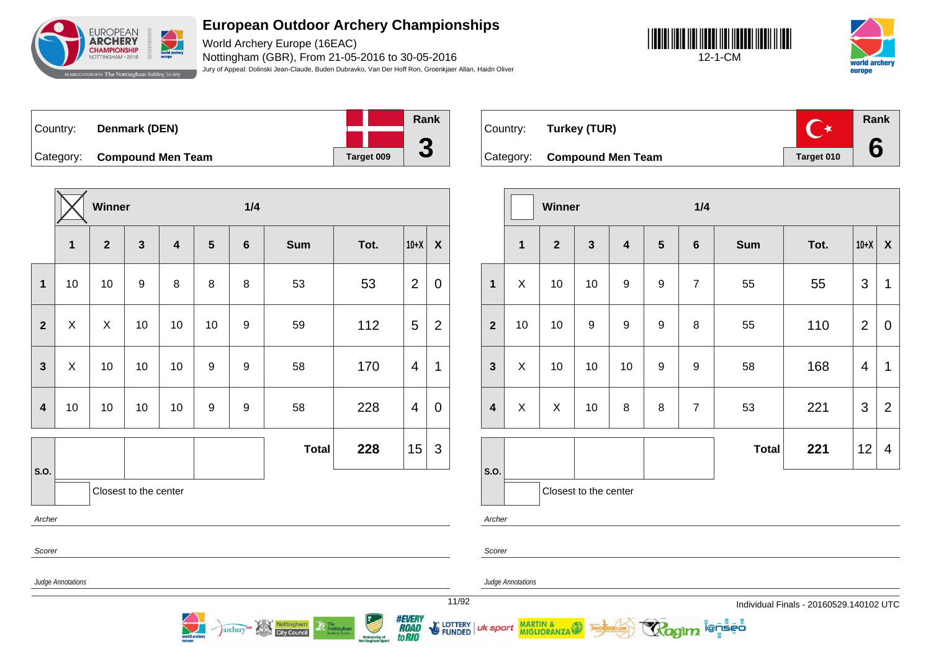

World Archery Europe (16EAC) Nottingham (GBR), From 21-05-2016 to 30-05-2016 Jury of Appeal: Dolinski Jean-Claude, Buden Dubravko, Van Der Hoff Ron, Groenkjaer Allan, Haidn Oliver





| ∣Country: l | Denmark (DEN)               |  |                   | Rank                     |
|-------------|-----------------------------|--|-------------------|--------------------------|
|             |                             |  |                   |                          |
|             | Category: Compound Men Team |  | <b>Target 009</b> | $\overline{\phantom{a}}$ |

**Winner 1/4 1 2 3 4 5 6 Sum Tot. 10+X X 1** | 10 | 10 | 9 | 8 | 8 | 8 | 53 | 53 | 2 | 0 **2**  $\mid$  X  $\mid$  X  $\mid$  10  $\mid$  10  $\mid$  10  $\mid$  9  $\mid$  59  $\mid$  112  $\mid$  5  $\mid$  2 **3**  $\mid$  X  $\mid$  10  $\mid$  10  $\mid$  9  $\mid$  9  $\mid$  58  $\mid$  170  $\mid$  4  $\mid$  1 **4** | 10 | 10 | 10 | 10 | 9 | 9 | 58 | 228 | 4 | 0 **S.O. Total 228**  $|15|$  3 Closest to the center Archer Scorer

**City Council** 

archery



|                         |    | Winner         |                       |                         |                  | 1/4            |              |      |                |                         |  |  |
|-------------------------|----|----------------|-----------------------|-------------------------|------------------|----------------|--------------|------|----------------|-------------------------|--|--|
|                         | 1  | $\overline{2}$ | $\mathbf{3}$          | $\overline{\mathbf{4}}$ | $5\phantom{1}$   | $\bf 6$        | <b>Sum</b>   | Tot. | $10+X$         | X                       |  |  |
| $\mathbf{1}$            | X  | 10             | 10                    | $\boldsymbol{9}$        | 9                | $\overline{7}$ | 55           | 55   | $\mathfrak{B}$ | 1                       |  |  |
| $\overline{2}$          | 10 | 10             | $\boldsymbol{9}$      | $\boldsymbol{9}$        | $\boldsymbol{9}$ | 8              | 55           | 110  | $\overline{2}$ | $\mathbf 0$             |  |  |
| $\mathbf{3}$            | X  | 10             | 10                    | 10                      | $\boldsymbol{9}$ | 9              | 58           | 168  | 4              | 1                       |  |  |
| $\overline{\mathbf{4}}$ | X  | X              | 10                    | 8                       | 8                | $\overline{7}$ | 53           | 221  | $\mathfrak{B}$ | $\overline{2}$          |  |  |
|                         |    |                |                       |                         |                  |                | <b>Total</b> | 221  | 12             | $\overline{\mathbf{4}}$ |  |  |
| S.O.                    |    |                | Closest to the center |                         |                  |                |              |      |                |                         |  |  |

i@nseo

Judge Annotations

Judge Annotations

uk sport

MARTIN & MIGLIORANZA

Archer

Scorer



**FUNDED**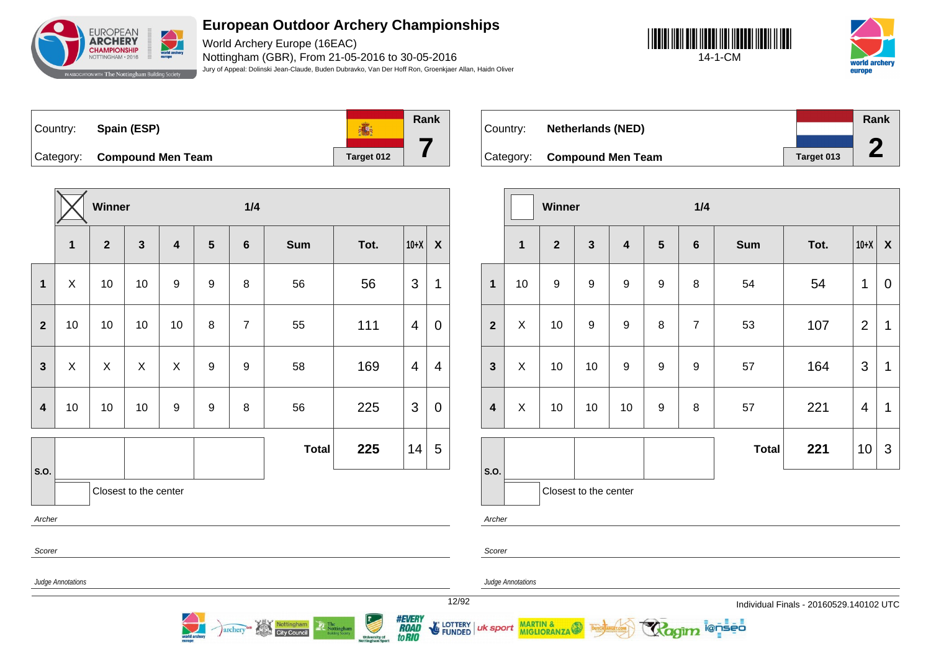

World Archery Europe (16EAC) Nottingham (GBR), From 21-05-2016 to 30-05-2016 Jury of Appeal: Dolinski Jean-Claude, Buden Dubravko, Van Der Hoff Ron, Groenkjaer Allan, Haidn Oliver





**Rank** 高 Country: **Spain (ESP) 7** Category: **Compound Men Team Target 012** 

|                         |              | Winner         |                       |                         |                  | 1/4              |              |      |                |                    |
|-------------------------|--------------|----------------|-----------------------|-------------------------|------------------|------------------|--------------|------|----------------|--------------------|
|                         | $\mathbf{1}$ | $\overline{2}$ | $\mathbf{3}$          | $\overline{\mathbf{4}}$ | $5\phantom{1}$   | $6\phantom{1}$   | <b>Sum</b>   | Tot. | $10+X$         | $\pmb{\mathsf{X}}$ |
| $\mathbf{1}$            | X            | 10             | 10                    | $\boldsymbol{9}$        | $\boldsymbol{9}$ | 8                | 56           | 56   | 3              | 1                  |
| $\mathbf{2}$            | 10           | 10             | 10                    | 10                      | 8                | $\overline{7}$   | 55           | 111  | $\overline{4}$ | $\pmb{0}$          |
| $\overline{\mathbf{3}}$ | $\mathsf{X}$ | $\mathsf{X}$   | $\mathsf{X}$          | $\mathsf{X}$            | $\boldsymbol{9}$ | $\boldsymbol{9}$ | 58           | 169  | 4              | $\overline{4}$     |
| $\boldsymbol{4}$        | 10           | 10             | 10                    | $\boldsymbol{9}$        | 9                | 8                | 56           | 225  | 3              | $\mathbf 0$        |
|                         |              |                |                       |                         |                  |                  | <b>Total</b> | 225  | 14             | 5                  |
| S.O.                    |              |                | Closest to the center |                         |                  |                  |              |      |                |                    |
| Archer                  |              |                |                       |                         |                  |                  |              |      |                |                    |
| Scorer                  |              |                |                       |                         |                  |                  |              |      |                |                    |

Nottingham

archery

|           |                          |            | Rank |
|-----------|--------------------------|------------|------|
| Country:  | <b>Netherlands (NED)</b> |            |      |
|           |                          |            | £    |
| Category: | <b>Compound Men Team</b> | Target 013 |      |

|                         |    | <b>Winner</b>  |                       |                         |                  | 1/4            |              |      |                |                           |  |
|-------------------------|----|----------------|-----------------------|-------------------------|------------------|----------------|--------------|------|----------------|---------------------------|--|
|                         | 1  | $\overline{2}$ | $\mathbf{3}$          | $\overline{\mathbf{4}}$ | $5\phantom{1}$   | $\bf 6$        | <b>Sum</b>   | Tot. | $10+X$         | $\boldsymbol{\mathsf{X}}$ |  |
| $\mathbf{1}$            | 10 | 9              | $\boldsymbol{9}$      | $\boldsymbol{9}$        | 9                | 8              | 54           | 54   | 1              | $\mathbf 0$               |  |
| $\overline{2}$          | X  | 10             | 9                     | 9                       | 8                | $\overline{7}$ | 53           | 107  | $\overline{2}$ | 1                         |  |
| $\mathbf{3}$            | X  | 10             | 10                    | $\boldsymbol{9}$        | 9                | 9              | 57           | 164  | 3              | 1                         |  |
| $\overline{\mathbf{4}}$ | X  | 10             | 10                    | 10                      | $\boldsymbol{9}$ | 8              | 57           | 221  | 4              | 1                         |  |
|                         |    |                |                       |                         |                  |                | <b>Total</b> | 221  | 10             | 3                         |  |
| S.O.                    |    |                | Closest to the center |                         |                  |                |              |      |                |                           |  |

**ienseo** 

Archer

Scorer

uk sport

Judge Annotations

Judge Annotations

MARTIN & MIGLIORANZA

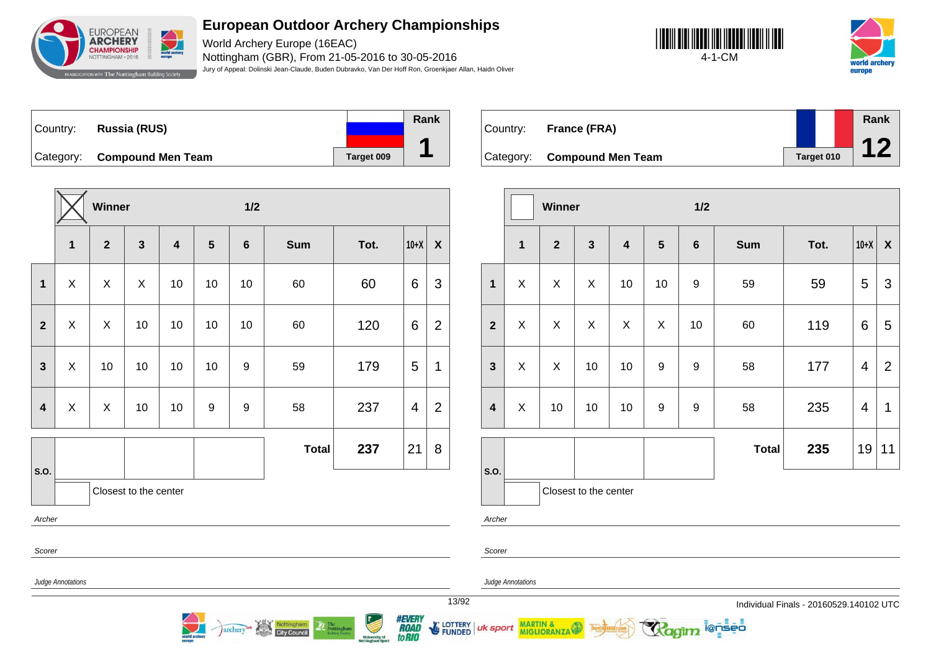

World Archery Europe (16EAC) Nottingham (GBR), From 21-05-2016 to 30-05-2016 Jury of Appeal: Dolinski Jean-Claude, Buden Dubravko, Van Der Hoff Ron, Groenkjaer Allan, Haidn Oliver





| Country: | Russia (RUS)                |            | Rank |
|----------|-----------------------------|------------|------|
|          | Category: Compound Men Team | Target 009 |      |

|                |                   | Winner       |                       |                         |                | 1/2            |              |      |        |                    |
|----------------|-------------------|--------------|-----------------------|-------------------------|----------------|----------------|--------------|------|--------|--------------------|
|                | $\mathbf{1}$      | $\mathbf{2}$ | $\mathbf{3}$          | $\overline{\mathbf{4}}$ | $5\phantom{1}$ | $6\phantom{1}$ | <b>Sum</b>   | Tot. | $10+X$ | $\pmb{\mathsf{X}}$ |
| $\mathbf 1$    | X                 | X            | X                     | 10                      | 10             | 10             | 60           | 60   | 6      | 3                  |
| $\overline{2}$ | X                 | X            | 10                    | 10                      | $10$           | 10             | 60           | 120  | 6      | $\overline{2}$     |
| $\mathbf{3}$   | X                 | 10           | 10                    | 10                      | 10             | 9              | 59           | 179  | 5      | 1                  |
| $\overline{4}$ | X                 | X            | 10                    | 10                      | 9              | 9              | 58           | 237  | 4      | $\overline{2}$     |
|                |                   |              |                       |                         |                |                | <b>Total</b> | 237  | 21     | 8                  |
| S.O.           |                   |              | Closest to the center |                         |                |                |              |      |        |                    |
| Archer         |                   |              |                       |                         |                |                |              |      |        |                    |
| Scorer         |                   |              |                       |                         |                |                |              |      |        |                    |
|                | Judge Annotations |              |                       |                         |                |                |              |      |        |                    |

Nottingham

**City Council** 

archery

| Country: | France (FRA)                |            | Rank<br>10 |
|----------|-----------------------------|------------|------------|
|          | Category: Compound Men Team | Target 010 |            |

|                         |              | Winner         |                         |                         |                 | 1/2              |              |      |                         |                |  |
|-------------------------|--------------|----------------|-------------------------|-------------------------|-----------------|------------------|--------------|------|-------------------------|----------------|--|
|                         | $\mathbf{1}$ | $\overline{2}$ | $\overline{\mathbf{3}}$ | $\overline{\mathbf{4}}$ | $5\phantom{.0}$ | $6\phantom{1}$   | <b>Sum</b>   | Tot. | $10+X$                  | X              |  |
| $\mathbf{1}$            | X            | X              | $\pmb{\times}$          | 10                      | 10              | $\boldsymbol{9}$ | 59           | 59   | 5                       | $\mathfrak{S}$ |  |
| $\overline{2}$          | X            | X.             | X                       | X                       | X               | 10               | 60           | 119  | 6                       | 5              |  |
| $\mathbf{3}$            | X            | X              | 10                      | 10                      | 9               | 9                | 58           | 177  | $\overline{\mathbf{4}}$ | $\overline{2}$ |  |
| $\overline{\mathbf{4}}$ | X            | 10             | 10                      | 10                      | 9               | 9                | 58           | 235  | 4                       | $\mathbf 1$    |  |
|                         |              |                |                         |                         |                 |                  | <b>Total</b> | 235  | 19                      | 11             |  |
| S.O.                    |              |                | Closest to the center   |                         |                 |                  |              |      |                         |                |  |

ionseo

Archer

Scorer

Judge Annotations

Judge Annotations

MARTIN & MIGLIORANZA

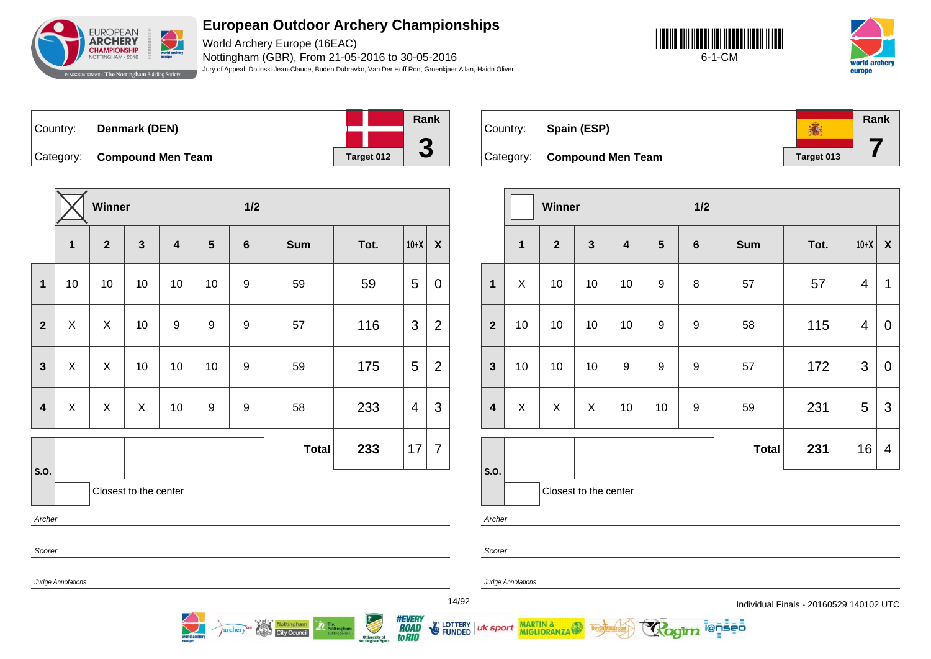

World Archery Europe (16EAC) Nottingham (GBR), From 21-05-2016 to 30-05-2016 Jury of Appeal: Dolinski Jean-Claude, Buden Dubravko, Van Der Hoff Ron, Groenkjaer Allan, Haidn Oliver





| Country: | Denmark (DEN)               |            | Rank |
|----------|-----------------------------|------------|------|
|          |                             |            |      |
|          | Category: Compound Men Team | Target 012 | J    |

**Winner 1/2 1 2 3 4 5 6 Sum Tot. 10+X X 1** | 10 | 10 | 10 | 10 | 9 | 59 | 59 | 5 | 0 **2**  $\mid$  X  $\mid$  X  $\mid$  10  $\mid$  9  $\mid$  9  $\mid$  9  $\mid$  57  $\mid$  116  $\mid$  3  $\mid$  2 **3**  $\mid$  X  $\mid$  X  $\mid$  10  $\mid$  10  $\mid$  10  $\mid$  9  $\mid$  59  $\mid$  175  $\mid$  5  $\mid$  2 **4** X X X 10 9 9 58 233 4 3 **S.O. Total 233** 17 7 Closest to the center Archer Scorer

archery<sup>on</sup> Nottingham

| Country: | Spain (ESP)                 |            | Rank |
|----------|-----------------------------|------------|------|
|          | Category: Compound Men Team | Target 013 |      |

|                  |              | Winner         |                       |                         |                  | 1/2            |              |      |                |             |  |
|------------------|--------------|----------------|-----------------------|-------------------------|------------------|----------------|--------------|------|----------------|-------------|--|
|                  | $\mathbf{1}$ | $\overline{2}$ | $\mathbf{3}$          | $\overline{\mathbf{4}}$ | $5\phantom{1}$   | $6\phantom{1}$ | <b>Sum</b>   | Tot. | $10+X$         | X           |  |
| $\mathbf{1}$     | X            | 10             | 10                    | 10                      | $\boldsymbol{9}$ | 8              | 57           | 57   | $\overline{4}$ | 1           |  |
| $\overline{2}$   | 10           | 10             | 10                    | 10                      | 9                | 9              | 58           | 115  | $\overline{4}$ | $\mathbf 0$ |  |
| $\mathbf{3}$     | 10           | 10             | 10                    | $\boldsymbol{9}$        | $\boldsymbol{9}$ | 9              | 57           | 172  | $\mathfrak{S}$ | $\pmb{0}$   |  |
| $\boldsymbol{4}$ | X            | X              | X                     | 10                      | 10               | 9              | 59           | 231  | 5              | 3           |  |
|                  |              |                |                       |                         |                  |                | <b>Total</b> | 231  | 16             | 4           |  |
| S.O.             |              |                | Closest to the center |                         |                  |                |              |      |                |             |  |

i@nseo

Judge Annotations

Judge Annotations

MARTIN & MIGLIORANZA

Archer

Scorer

uk sport

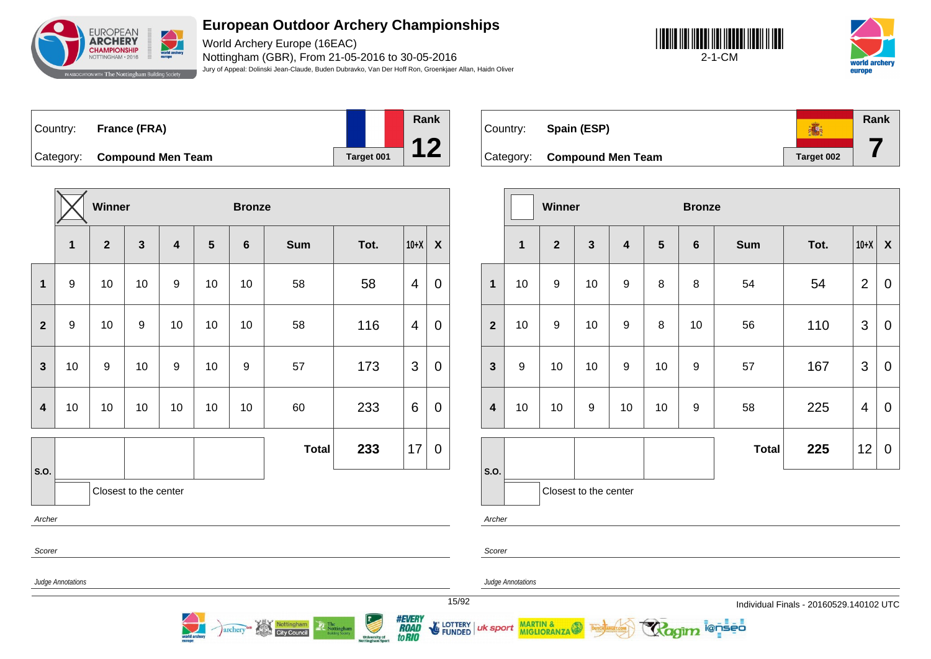

World Archery Europe (16EAC) Nottingham (GBR), From 21-05-2016 to 30-05-2016 Jury of Appeal: Dolinski Jean-Claude, Buden Dubravko, Van Der Hoff Ron, Groenkjaer Allan, Haidn Oliver





| ∣Country: | <b>France (FRA)</b>         |            | Rank |
|-----------|-----------------------------|------------|------|
|           | Category: Compound Men Team | Target 001 |      |

|                         |                  | Winner         |                       |                         |    | <b>Bronze</b>  |              |      |        |                  |  |
|-------------------------|------------------|----------------|-----------------------|-------------------------|----|----------------|--------------|------|--------|------------------|--|
|                         | 1                | $\overline{2}$ | $\mathbf{3}$          | $\overline{\mathbf{4}}$ | 5  | $6\phantom{a}$ | <b>Sum</b>   | Tot. | $10+X$ | $\boldsymbol{X}$ |  |
| $\mathbf 1$             | $\boldsymbol{9}$ | 10             | 10                    | 9                       | 10 | 10             | 58           | 58   | 4      | 0                |  |
| $\overline{2}$          | $\boldsymbol{9}$ | 10             | $\boldsymbol{9}$      | 10                      | 10 | 10             | 58           | 116  | 4      | 0                |  |
| $\mathbf{3}$            | 10               | 9              | 10                    | 9                       | 10 | 9              | 57           | 173  | 3      | $\pmb{0}$        |  |
| $\overline{\mathbf{4}}$ | 10               | 10             | 10                    | 10                      | 10 | 10             | 60           | 233  | 6      | $\pmb{0}$        |  |
|                         |                  |                |                       |                         |    |                | <b>Total</b> | 233  | 17     | $\pmb{0}$        |  |
| S.O.                    |                  |                | Closest to the center |                         |    |                |              |      |        |                  |  |
| Archer                  |                  |                |                       |                         |    |                |              |      |        |                  |  |
| Scorer                  |                  |                |                       |                         |    |                |              |      |        |                  |  |

Nottingham

**City Council** 

archery

| Country:  | Spain (ESP)              |            | Rank |
|-----------|--------------------------|------------|------|
| Category: | <b>Compound Men Team</b> | Target 002 |      |

|                         |                  | Winner           |                       |                         |                | <b>Bronze</b>  |              |      |                |                           |  |
|-------------------------|------------------|------------------|-----------------------|-------------------------|----------------|----------------|--------------|------|----------------|---------------------------|--|
|                         | $\mathbf{1}$     | $\overline{2}$   | $\mathbf{3}$          | $\overline{\mathbf{4}}$ | $5\phantom{1}$ | $6\phantom{1}$ | <b>Sum</b>   | Tot. | $10+X$         | $\boldsymbol{\mathsf{X}}$ |  |
| $\mathbf{1}$            | 10               | 9                | 10                    | $\boldsymbol{9}$        | 8              | 8              | 54           | 54   | $\overline{2}$ | $\mathbf 0$               |  |
| $\overline{2}$          | 10               | $\boldsymbol{9}$ | 10                    | $\boldsymbol{9}$        | 8              | 10             | 56           | 110  | 3              | $\mathbf 0$               |  |
| $\mathbf{3}$            | $\boldsymbol{9}$ | 10               | 10                    | $\boldsymbol{9}$        | 10             | 9              | 57           | 167  | $\mathfrak{S}$ | $\mathbf 0$               |  |
| $\overline{\mathbf{4}}$ | 10               | 10               | $\boldsymbol{9}$      | 10                      | 10             | 9              | 58           | 225  | 4              | $\mathbf 0$               |  |
|                         |                  |                  |                       |                         |                |                | <b>Total</b> | 225  | 12             | $\mathbf 0$               |  |
| S.O.                    |                  |                  | Closest to the center |                         |                |                |              |      |                |                           |  |

ionseo

Archer

Scorer

Judge Annotations

Judge Annotations

uk sport

MARTIN & MIGLIORANZA



**University of**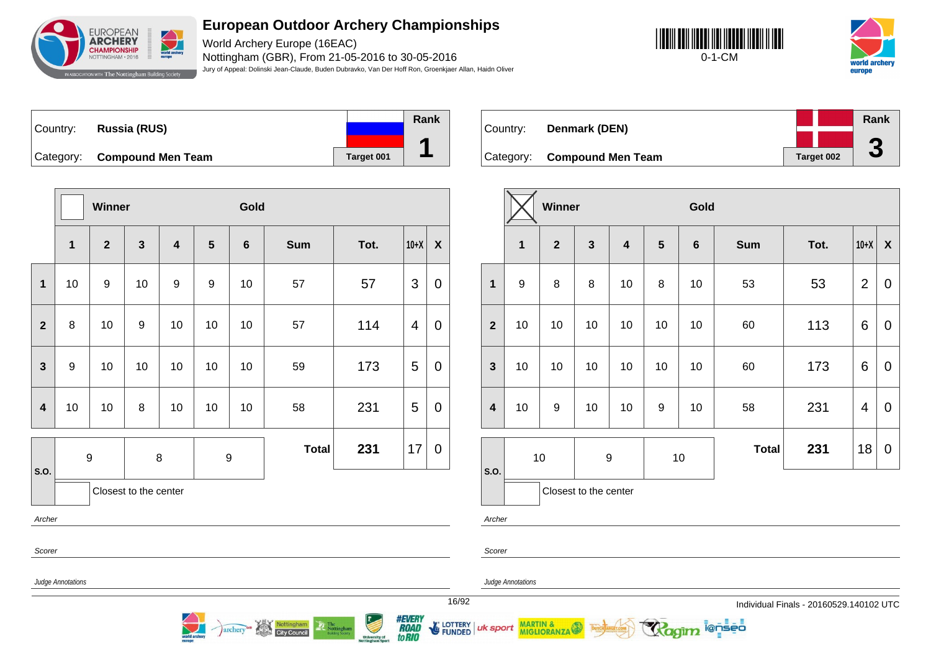

World Archery Europe (16EAC) Nottingham (GBR), From 21-05-2016 to 30-05-2016 Jury of Appeal: Dolinski Jean-Claude, Buden Dubravko, Van Der Hoff Ron, Groenkjaer Allan, Haidn Oliver





Country: **Russia (RUS)** Category: **Compound Men Team Target 001 Rank 1**

**Winner Gold 1 2 3 4 5 6 Sum Tot. 10+X X 1** | 10 | 9 | 10 | 9 | 9 | 10 | 057 | 10 | 07 | 13 | 0 **2** 8 10 9 10 10 10 57 114 4 0 **3** 9 10 10 10 10 10 59 173 5 0 **4** | 10 | 10 | 8 | 10 | 10 | 10 | 58 | 231 | 5 | 0 **S.O.** 9 8 9 **Total 231**  $|17|0$ Closest to the center Archer

**City Council** 

archery

| Country: | Denmark (DEN)               |  | Rank       |   |
|----------|-----------------------------|--|------------|---|
|          |                             |  |            | ◚ |
|          | Category: Compound Men Team |  | Target 002 | J |

|                         |                  | Winner         |                       |    |                 | Gold            |            |      |                |              |  |
|-------------------------|------------------|----------------|-----------------------|----|-----------------|-----------------|------------|------|----------------|--------------|--|
|                         | $\mathbf{1}$     | $\overline{2}$ | $\mathbf{3}$          | 4  | $5\phantom{.0}$ | $6\phantom{1}6$ | <b>Sum</b> | Tot. | $10+X$         | $\mathsf{X}$ |  |
| $\mathbf{1}$            | $\boldsymbol{9}$ | 8              | 8                     | 10 | 8               | 10              | 53         | 53   | $\overline{2}$ | $\mathbf 0$  |  |
| $\overline{2}$          | 10               | 10             | 10                    | 10 | 10              | 10              | 60         | 113  | 6              | 0            |  |
| $\mathbf{3}$            | 10               | 10             | 10                    | 10 | 10              | 10              | 60         | 173  | 6              | 0            |  |
| $\overline{\mathbf{4}}$ | 10               | 9              | 10                    | 10 | 9               | 10              | 58         | 231  | 4              | 0            |  |
|                         | 10<br>9          |                | 10                    |    |                 | <b>Total</b>    | 231        | 18   | 0              |              |  |
| S.O.                    |                  |                | Closest to the center |    |                 |                 |            |      |                |              |  |

i@nseo

Scorer

Scorer

uk sport

Archer

Judge Annotations

Judge Annotations

MARTIN & MIGLIORANZA

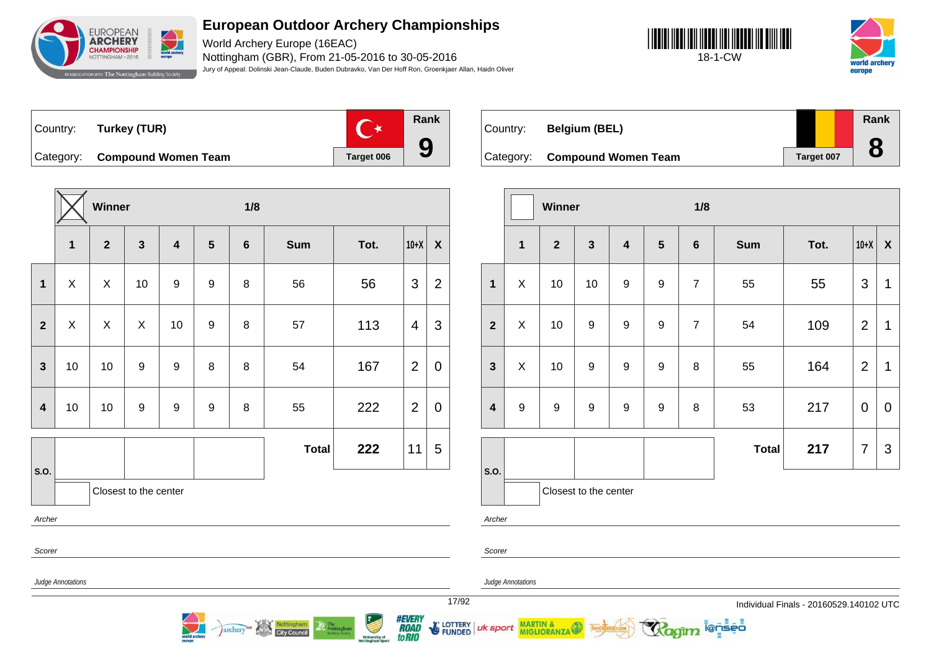

World Archery Europe (16EAC) Nottingham (GBR), From 21-05-2016 to 30-05-2016 Jury of Appeal: Dolinski Jean-Claude, Buden Dubravko, Van Der Hoff Ron, Groenkjaer Allan, Haidn Oliver





Country: **Turkey (TUR)**



Category: **Compound Women Team Target 006** 



**Nottingham** 

archery

| Country:  | <b>Belgium (BEL)</b>       |            | <b>Rank</b> |
|-----------|----------------------------|------------|-------------|
| Category: | <b>Compound Women Team</b> | Target 007 |             |

|                         |                  | Winner         |                       |                         |                  | 1/8            |              |      |                |                           |  |
|-------------------------|------------------|----------------|-----------------------|-------------------------|------------------|----------------|--------------|------|----------------|---------------------------|--|
|                         | $\mathbf{1}$     | $\overline{2}$ | $\mathbf{3}$          | $\overline{\mathbf{4}}$ | $5\phantom{1}$   | $\bf 6$        | <b>Sum</b>   | Tot. | $10+X$         | $\boldsymbol{\mathsf{X}}$ |  |
| $\mathbf{1}$            | X                | 10             | 10                    | $\boldsymbol{9}$        | $\boldsymbol{9}$ | $\overline{7}$ | 55           | 55   | $\mathfrak{S}$ | 1                         |  |
| $\overline{2}$          | X                | 10             | $\boldsymbol{9}$      | $\boldsymbol{9}$        | 9                | $\overline{7}$ | 54           | 109  | $\overline{2}$ | 1                         |  |
| $\mathbf{3}$            | X                | 10             | $\boldsymbol{9}$      | $\boldsymbol{9}$        | $\boldsymbol{9}$ | 8              | 55           | 164  | $\overline{2}$ | 1                         |  |
| $\overline{\mathbf{4}}$ | $\boldsymbol{9}$ | 9              | $\boldsymbol{9}$      | $\boldsymbol{9}$        | $\boldsymbol{9}$ | 8              | 53           | 217  | $\mathbf 0$    | $\mathbf 0$               |  |
|                         |                  |                |                       |                         |                  |                | <b>Total</b> | 217  | 7              | 3                         |  |
| S.O.                    |                  |                |                       |                         |                  |                |              |      |                |                           |  |
|                         |                  |                | Closest to the center |                         |                  |                |              |      |                |                           |  |

i@nseo

Judge Annotations

Judge Annotations

MARTIN & MIGLIORANZA

Archer

Scorer

uk sport

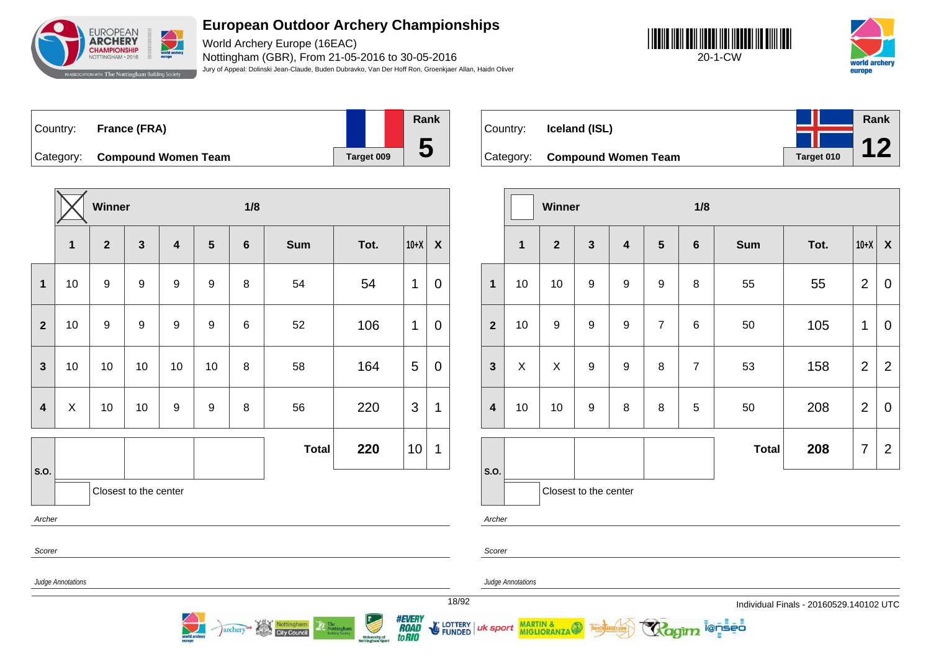

World Archery Europe (16EAC) Nottingham (GBR), From 21-05-2016 to 30-05-2016 Jury of Appeal: Dolinski Jean-Claude, Buden Dubravko, Van Der Hoff Ron, Groenkjaer Allan, Haidn Oliver





| ∣Country: | <b>France (FRA)</b>           |            | Rank        |
|-----------|-------------------------------|------------|-------------|
|           |                               |            |             |
|           | Category: Compound Women Team | Target 009 | $\mathbf b$ |

**Winner 1/8 1 2 3 4 5 6 Sum Tot. 10+X X 1** 10 9 9 9 9 8 54 54 1 0 **2** | 10 | 9 | 9 | 9 | 9 | 6 | 52 | 106 |1 | 0 **3** | 10 | 10 | 10 | 10 | 8 | 58 | 164 | 5 | 0 **4**  $\mid$  X  $\mid$  10  $\mid$  10  $\mid$  9  $\mid$  9  $\mid$  8  $\mid$  56  $\mid$  220  $\mid$  3  $\mid$  1 **S.O. Total 220**  $|10| 1$ Closest to the center Archer Scorer

archery<sup>on</sup> Nottingham

| Country: | Iceland (ISL)                 |            | Rank |
|----------|-------------------------------|------------|------|
|          |                               |            |      |
|          | Category: Compound Women Team | Target 010 |      |

|                         |              | Winner           |                       |                         |                  | 1/8            |              |      |                |                           |
|-------------------------|--------------|------------------|-----------------------|-------------------------|------------------|----------------|--------------|------|----------------|---------------------------|
|                         | $\mathbf{1}$ | $\overline{2}$   | $\mathbf{3}$          | $\overline{\mathbf{4}}$ | $5\phantom{1}$   | $\bf 6$        | <b>Sum</b>   | Tot. | $10+X$         | $\boldsymbol{\mathsf{X}}$ |
| $\mathbf{1}$            | 10           | 10               | $\boldsymbol{9}$      | $\boldsymbol{9}$        | $\boldsymbol{9}$ | 8              | 55           | 55   | $\overline{2}$ | $\mathbf 0$               |
| $\overline{2}$          | 10           | $\boldsymbol{9}$ | 9                     | $\boldsymbol{9}$        | $\overline{7}$   | 6              | 50           | 105  | 1              | $\mathbf 0$               |
| $\mathbf{3}$            | X            | X                | 9                     | 9                       | 8                | $\overline{7}$ | 53           | 158  | $\overline{2}$ | $\overline{2}$            |
| $\overline{\mathbf{4}}$ | 10           | 10               | $\boldsymbol{9}$      | 8                       | 8                | 5              | 50           | 208  | $\overline{2}$ | $\mathbf 0$               |
|                         |              |                  |                       |                         |                  |                | <b>Total</b> | 208  | 7              | $\overline{2}$            |
| S.O.                    |              |                  | Closest to the center |                         |                  |                |              |      |                |                           |

i@nseo

Archer

Scorer

Judge Annotations

Judge Annotations

MARTIN & MIGLIORANZA

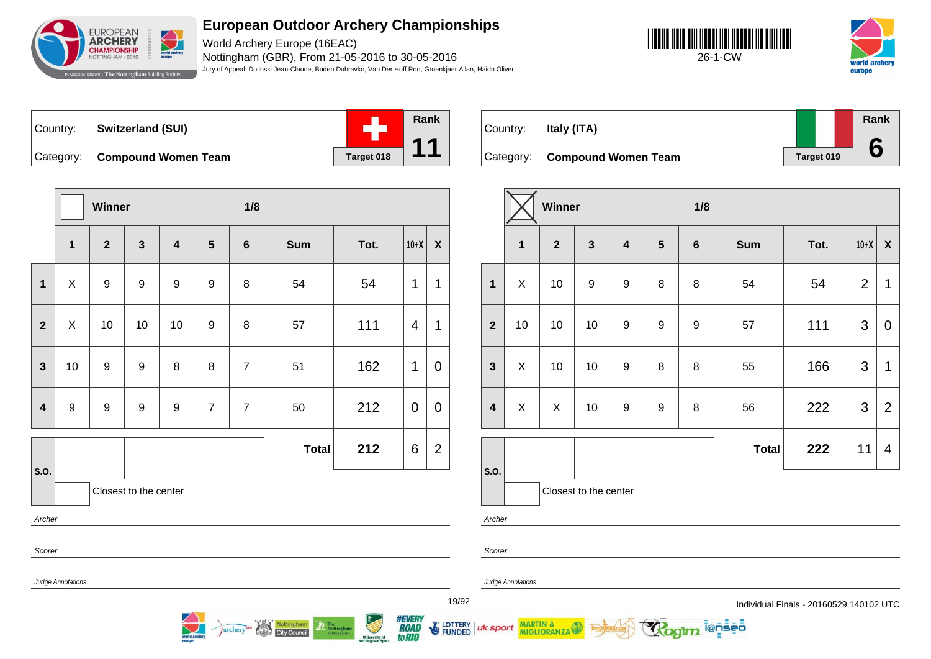

World Archery Europe (16EAC) Nottingham (GBR), From 21-05-2016 to 30-05-2016 Jury of Appeal: Dolinski Jean-Claude, Buden Dubravko, Van Der Hoff Ron, Groenkjaer Allan, Haidn Oliver





Country: **Switzerland (SUI)** Category: **Compound Women Team Target 018** 



Country: **Italy (ITA)**

Category: **Compound Women Team Target 019 Rank 6**

|                         |                           | Winner         |                       |                         |                | 1/8             |              |      |                |                           |  |
|-------------------------|---------------------------|----------------|-----------------------|-------------------------|----------------|-----------------|--------------|------|----------------|---------------------------|--|
|                         | $\mathbf{1}$              | $\overline{2}$ | $\mathbf{3}$          | $\overline{\mathbf{4}}$ | 5              | $6\phantom{1}6$ | <b>Sum</b>   | Tot. | $10+X$         | $\boldsymbol{\mathsf{X}}$ |  |
| $\mathbf{1}$            | $\boldsymbol{\mathsf{X}}$ | 9              | $\boldsymbol{9}$      | 9                       | 9              | 8               | 54           | 54   | 1              | 1                         |  |
| $\mathbf{2}$            | $\boldsymbol{\mathsf{X}}$ | 10             | 10                    | 10                      | 9              | 8               | 57           | 111  | $\overline{4}$ | 1                         |  |
| $\mathbf{3}$            | 10                        | 9              | $\boldsymbol{9}$      | 8                       | 8              | $\overline{7}$  | 51           | 162  | 1              | $\mathbf 0$               |  |
| $\overline{\mathbf{4}}$ | $\boldsymbol{9}$          | 9              | $\boldsymbol{9}$      | 9                       | $\overline{7}$ | $\overline{7}$  | 50           | 212  | $\pmb{0}$      | $\mathbf 0$               |  |
|                         |                           |                |                       |                         |                |                 | <b>Total</b> | 212  | 6              | $\mathbf{2}$              |  |
| S.O.                    |                           |                | Closest to the center |                         |                |                 |              |      |                |                           |  |
| Archer                  |                           |                |                       |                         |                |                 |              |      |                |                           |  |
|                         | Scorer                    |                |                       |                         |                |                 |              |      |                |                           |  |
|                         | Judge Annotations         |                |                       |                         |                |                 |              |      |                |                           |  |

Nottingham

archery

|                         |              | Winner         |                       |                         |                  | 1/8     |              |      |                |                |
|-------------------------|--------------|----------------|-----------------------|-------------------------|------------------|---------|--------------|------|----------------|----------------|
|                         | $\mathbf{1}$ | $\overline{2}$ | $\mathbf{3}$          | $\overline{\mathbf{4}}$ | $5\phantom{1}$   | $\bf 6$ | <b>Sum</b>   | Tot. | $10+X$         | X              |
| $\mathbf{1}$            | Χ            | 10             | 9                     | 9                       | 8                | 8       | 54           | 54   | $\overline{2}$ | 1              |
| $\overline{2}$          | 10           | 10             | 10                    | $\boldsymbol{9}$        | $\boldsymbol{9}$ | 9       | 57           | 111  | $\mathfrak{S}$ | 0              |
| $\mathbf{3}$            | X            | 10             | 10                    | $\boldsymbol{9}$        | 8                | 8       | 55           | 166  | 3              | 1              |
| $\overline{\mathbf{4}}$ | X            | X              | 10 <sub>1</sub>       | $\boldsymbol{9}$        | $\mathsf g$      | 8       | 56           | 222  | $\mathfrak{S}$ | $\overline{2}$ |
|                         |              |                |                       |                         |                  |         | <b>Total</b> | 222  | 11             | 4              |
| S.O.                    |              |                |                       |                         |                  |         |              |      |                |                |
|                         |              |                | Closest to the center |                         |                  |         |              |      |                |                |

i@nseo

Archer

Scorer

uk sport

*#EVERY<br>ROAD<br>toRIO* 

LOTTERY<br>FUNDED

Judge Annotations

MARTIN & MIGLIORANZA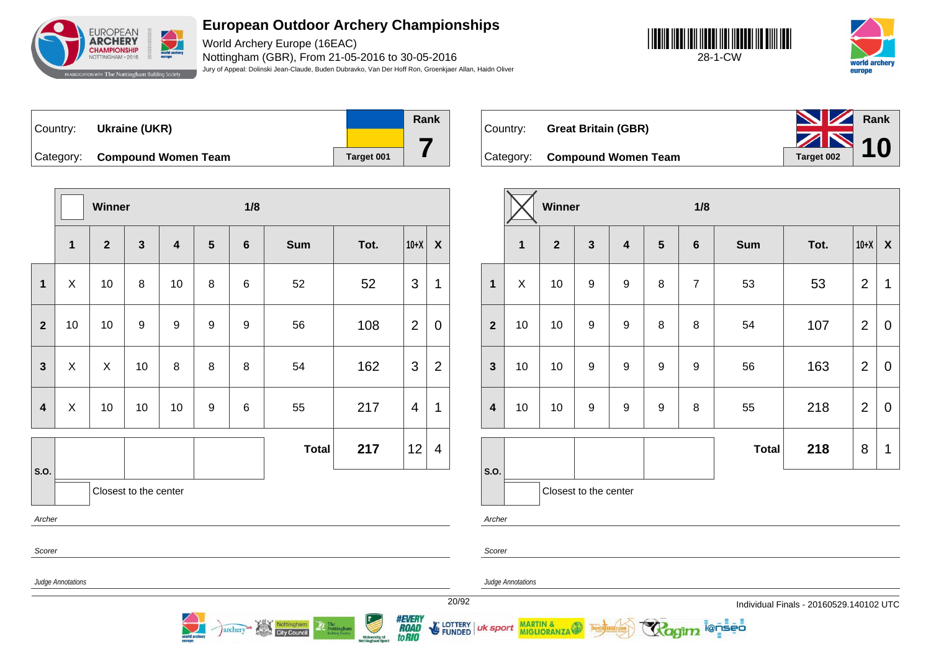

World Archery Europe (16EAC) Nottingham (GBR), From 21-05-2016 to 30-05-2016 Jury of Appeal: Dolinski Jean-Claude, Buden Dubravko, Van Der Hoff Ron, Groenkjaer Allan, Haidn Oliver





Country: **Ukraine (UKR)** Category: **Compound Women Team Tanget 001** 



Category: **Compound Women Team Target 002** 

Country: **Great Britain (GBR)**



|                         |                                                                 | Winner       |                       |                         |                  | 1/8             |              |      |                |                |  |  |
|-------------------------|-----------------------------------------------------------------|--------------|-----------------------|-------------------------|------------------|-----------------|--------------|------|----------------|----------------|--|--|
|                         | $\mathbf{1}$                                                    | $\mathbf{2}$ | $\mathbf{3}$          | $\overline{\mathbf{4}}$ | $5\phantom{1}$   | $6\phantom{1}6$ | <b>Sum</b>   | Tot. | $10+X$         | $\pmb{\chi}$   |  |  |
| $\mathbf{1}$            | X                                                               | 10           | 8                     | 10                      | 8                | 6               | 52           | 52   | 3              | 1              |  |  |
| $\overline{2}$          | 10                                                              | 10           | 9                     | 9                       | 9                | 9               | 56           | 108  | $\overline{2}$ | 0              |  |  |
| $\mathbf{3}$            | X                                                               | X            | 10                    | 8                       | 8                | 8               | 54           | 162  | 3              | $\overline{2}$ |  |  |
| $\overline{\mathbf{4}}$ | X                                                               | 10           | $10$                  | 10                      | $\boldsymbol{9}$ | 6               | 55           | 217  | 4              | 1              |  |  |
|                         |                                                                 |              |                       |                         |                  |                 | <b>Total</b> | 217  | 12             | 4              |  |  |
| S.O.                    |                                                                 |              | Closest to the center |                         |                  |                 |              |      |                |                |  |  |
|                         | Archer                                                          |              |                       |                         |                  |                 |              |      |                |                |  |  |
| Scorer                  |                                                                 |              |                       |                         |                  |                 |              |      |                |                |  |  |
|                         | $\mathbf{a}$ and $\mathbf{a}$ and $\mathbf{a}$ and $\mathbf{a}$ |              |                       |                         |                  |                 |              |      |                |                |  |  |

|                         |    | Winner         |                       |                         |                  | 1/8            |              |      |                |             |
|-------------------------|----|----------------|-----------------------|-------------------------|------------------|----------------|--------------|------|----------------|-------------|
|                         | 1  | $\overline{2}$ | $\mathbf{3}$          | $\overline{\mathbf{4}}$ | $5\phantom{.0}$  | $\bf 6$        | <b>Sum</b>   | Tot. | $10+X$         | X           |
| $\mathbf{1}$            | X  | 10             | $\boldsymbol{9}$      | 9                       | 8                | $\overline{7}$ | 53           | 53   | $\overline{2}$ | 1           |
| $\overline{2}$          | 10 | 10             | $\boldsymbol{9}$      | $\boldsymbol{9}$        | 8                | 8              | 54           | 107  | $\overline{2}$ | $\mathbf 0$ |
| $\mathbf{3}$            | 10 | 10             | $\boldsymbol{9}$      | 9                       | $\boldsymbol{9}$ | 9              | 56           | 163  | $\overline{2}$ | $\mathbf 0$ |
| $\overline{\mathbf{4}}$ | 10 | 10             | $\boldsymbol{9}$      | $\boldsymbol{9}$        | $\boldsymbol{9}$ | 8              | 55           | 218  | $\overline{2}$ | $\mathbf 0$ |
|                         |    |                |                       |                         |                  |                | <b>Total</b> | 218  | 8              | 1           |
| S.O.                    |    |                | Closest to the center |                         |                  |                |              |      |                |             |

i@nseo

Archer

Scorer

Judge Annotations

Judge Annotations

MARTIN & MIGLIORANZA

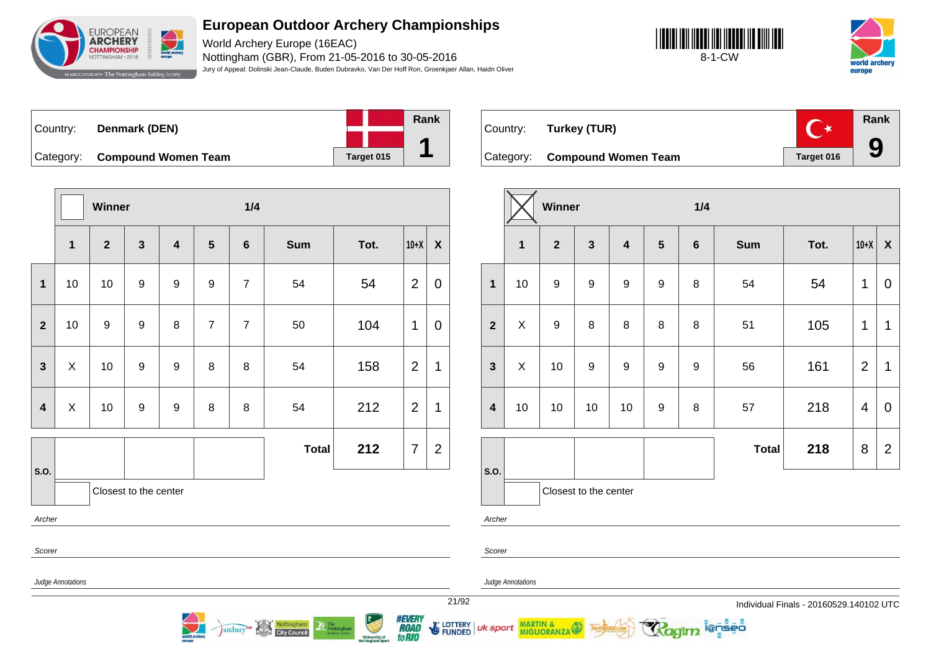

World Archery Europe (16EAC) Nottingham (GBR), From 21-05-2016 to 30-05-2016 Jury of Appeal: Dolinski Jean-Claude, Buden Dubravko, Van Der Hoff Ron, Groenkjaer Allan, Haidn Oliver





| Country:  | Denmark (DEN)              |            | Rank |
|-----------|----------------------------|------------|------|
|           |                            |            |      |
| Category: | <b>Compound Women Team</b> | Target 015 |      |

**Rank**  $C^*$ Country: **Turkey (TUR) 9** Category: **Compound Women Team Target 016** 

|                            |                                                 | Winner           |                       |                         |                  | 1/4            |              |                |                |                  |  |
|----------------------------|-------------------------------------------------|------------------|-----------------------|-------------------------|------------------|----------------|--------------|----------------|----------------|------------------|--|
|                            | $\mathbf{1}$                                    | $\overline{2}$   | $\mathbf{3}$          | $\overline{\mathbf{4}}$ | $5\phantom{1}$   | $6\phantom{a}$ | <b>Sum</b>   | Tot.           | $10+X$         | $\boldsymbol{X}$ |  |
| $\mathbf{1}$               | 10                                              | 10               | $\boldsymbol{9}$      | 9                       | $\boldsymbol{9}$ | $\overline{7}$ | 54           | 54             | $\overline{2}$ | $\mathbf 0$      |  |
| $\overline{\mathbf{2}}$    | 10                                              | $\boldsymbol{9}$ | $\boldsymbol{9}$      | 8                       | $\overline{7}$   | $\overline{7}$ | 50           | 104            | $\mathbf 1$    | $\mathbf 0$      |  |
| $\mathbf{3}$               | X<br>10<br>$\boldsymbol{9}$<br>$\boldsymbol{9}$ |                  |                       | 8                       | $\, 8$           | 54             | 158          | $\overline{2}$ | 1              |                  |  |
| $\overline{\mathbf{4}}$    | $\pmb{\times}$                                  | 10               | $\boldsymbol{9}$      | $\boldsymbol{9}$        | $\,8\,$          | $\, 8$         | 54           | 212            | $\overline{2}$ | $\mathbf 1$      |  |
|                            |                                                 |                  |                       |                         |                  |                | <b>Total</b> | 212            | $\overline{7}$ | $\overline{2}$   |  |
| S.O.                       |                                                 |                  | Closest to the center |                         |                  |                |              |                |                |                  |  |
| Archer                     |                                                 |                  |                       |                         |                  |                |              |                |                |                  |  |
| Scorer                     |                                                 |                  |                       |                         |                  |                |              |                |                |                  |  |
| Judge Annotations<br>21/92 |                                                 |                  |                       |                         |                  |                |              |                |                |                  |  |

archery<sup>es</sup> Nottingham

|                         |              | Winner         |                         |                         |                  | 1/4              |              |      |                         |                           |
|-------------------------|--------------|----------------|-------------------------|-------------------------|------------------|------------------|--------------|------|-------------------------|---------------------------|
|                         | $\mathbf{1}$ | $\overline{2}$ | $\overline{\mathbf{3}}$ | $\overline{\mathbf{4}}$ | $5\phantom{1}$   | $6\phantom{1}6$  | <b>Sum</b>   | Tot. | $10+X$                  | $\boldsymbol{\mathsf{X}}$ |
| $\mathbf{1}$            | 10           | 9              | $\boldsymbol{9}$        | $\boldsymbol{9}$        | $\boldsymbol{9}$ | 8                | 54           | 54   | 1                       | 0                         |
| $\overline{2}$          | Χ            | 9              | 8                       | 8                       | 8                | 8                | 51           | 105  | 1                       | 1                         |
| $\mathbf{3}$            | X            | 10             | 9                       | 9                       | $\mathsf g$      | $\boldsymbol{9}$ | 56           | 161  | $\overline{2}$          | 1                         |
| $\overline{\mathbf{4}}$ | 10           | 10             | 10                      | 10                      | $\boldsymbol{9}$ | 8                | 57           | 218  | $\overline{\mathbf{4}}$ | 0                         |
|                         |              |                |                         |                         |                  |                  | <b>Total</b> | 218  | 8                       | $\overline{2}$            |
| S.O.                    |              |                | Closest to the center   |                         |                  |                  |              |      |                         |                           |

**ienseo** 

er

**Annotations** 

**MARTIN &<br>MIGLIORANZA** 

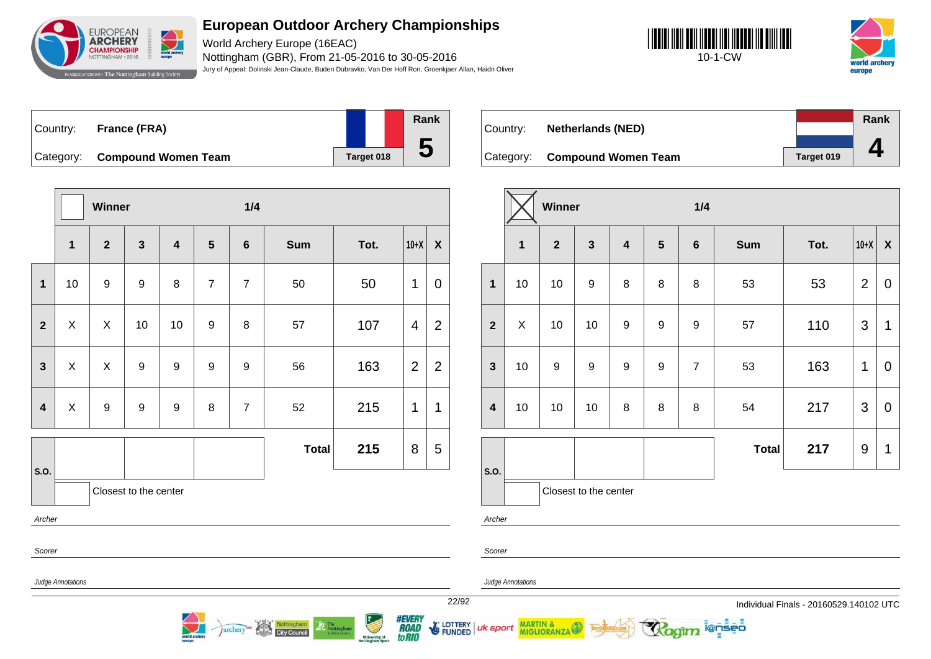

World Archery Europe (16EAC) Nottingham (GBR), From 21-05-2016 to 30-05-2016 Jury of Appeal: Dolinski Jean-Claude, Buden Dubravko, Van Der Hoff Ron, Groenkjaer Allan, Haidn Oliver





| Country: | France (FRA)                  |            | <b>Rank</b> |
|----------|-------------------------------|------------|-------------|
|          |                               |            |             |
|          | Category: Compound Women Team | Target 018 | ე           |

**Winner 1/4 1 2 3 4 5 6 Sum Tot. 10+X X 1** | 10 | 9 | 9 | 8 | 7 | 7 | 50 | 50 | 1 | 0 **2**  $\mid$  X  $\mid$  X  $\mid$  10  $\mid$  10  $\mid$  9  $\mid$  8  $\mid$  57  $\mid$  107  $\mid$  4  $\mid$  2 **3**  $\mid$  X  $\mid$  X  $\mid$  9  $\mid$  9  $\mid$  9  $\mid$  9  $\mid$  56  $\mid$  163  $\mid$  2  $\mid$  2 **4** X 9 9 9 8 7 52 215 1 1 **S.O. Total 215** 8 5 Closest to the center Archer Scorer

archery<sup>as</sup> Nottingham

|          |                               |            | Rank |
|----------|-------------------------------|------------|------|
| Country: | <b>Netherlands (NED)</b>      |            |      |
|          | Category: Compound Women Team | Target 019 |      |
|          |                               |            |      |

|                         |             | Winner         |                       |                         |                | 1/4            |              |      |                |                           |
|-------------------------|-------------|----------------|-----------------------|-------------------------|----------------|----------------|--------------|------|----------------|---------------------------|
|                         | $\mathbf 1$ | $\overline{2}$ | $\mathbf{3}$          | $\overline{\mathbf{4}}$ | $5\phantom{1}$ | $\bf 6$        | <b>Sum</b>   | Tot. | $10+X$         | $\boldsymbol{\mathsf{X}}$ |
| $\mathbf{1}$            | 10          | 10             | $\boldsymbol{9}$      | 8                       | 8              | 8              | 53           | 53   | $\overline{2}$ | $\mathbf 0$               |
| $\overline{2}$          | X           | 10             | 10                    | 9                       | 9              | 9              | 57           | 110  | 3              | 1                         |
| $\mathbf{3}$            | 10          | 9              | $\boldsymbol{9}$      | 9                       | 9              | $\overline{7}$ | 53           | 163  | 1              | $\mathbf 0$               |
| $\overline{\mathbf{4}}$ | 10          | 10             | 10                    | 8                       | 8              | 8              | 54           | 217  | 3              | $\mathbf 0$               |
|                         |             |                |                       |                         |                |                | <b>Total</b> | 217  | 9              | 1                         |
| S.O.                    |             |                | Closest to the center |                         |                |                |              |      |                |                           |

i@nseo

Judge Annotations

Judge Annotations

MARTIN & MIGLIORANZA

Archer

Scorer

uk sport

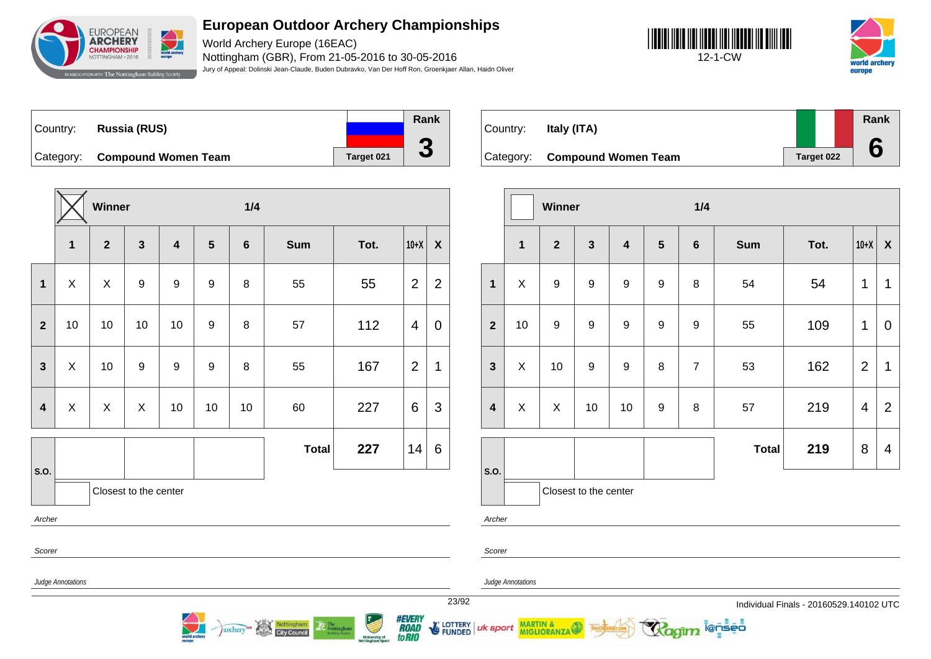

World Archery Europe (16EAC) Nottingham (GBR), From 21-05-2016 to 30-05-2016 Jury of Appeal: Dolinski Jean-Claude, Buden Dubravko, Van Der Hoff Ron, Groenkjaer Allan, Haidn Oliver







Country: **Russia (RUS)** Category: **Compound Women Team Tanget 021 Rank 3**

|                         |                       | Winner       |                  |                         |                  | 1/4            |              |      |                |                  |  |  |
|-------------------------|-----------------------|--------------|------------------|-------------------------|------------------|----------------|--------------|------|----------------|------------------|--|--|
|                         | $\mathbf{1}$          | $\mathbf{2}$ | $\mathbf{3}$     | $\overline{\mathbf{4}}$ | 5                | $6\phantom{1}$ | <b>Sum</b>   | Tot. | $10+X$         | $\boldsymbol{X}$ |  |  |
| $\mathbf 1$             | X                     | X            | $\boldsymbol{9}$ | $\boldsymbol{9}$        | $\boldsymbol{9}$ | 8              | 55           | 55   | $\overline{2}$ | $\overline{2}$   |  |  |
| $\overline{2}$          | 10                    | 10           | 10               | 10                      | 9                | 8              | 57           | 112  | 4              | 0                |  |  |
| $\overline{\mathbf{3}}$ | $\pmb{\times}$        | 10           | 9                | $\boldsymbol{9}$        | $\boldsymbol{9}$ | 8              | 55           | 167  | $\overline{2}$ | 1                |  |  |
| $\overline{\mathbf{4}}$ | X                     | X            | Χ                | 10                      | 10               | 10             | 60           | 227  | 6              | 3                |  |  |
|                         |                       |              |                  |                         |                  |                | <b>Total</b> | 227  | 14             | 6                |  |  |
| S.O.                    | Closest to the center |              |                  |                         |                  |                |              |      |                |                  |  |  |
|                         | Archer                |              |                  |                         |                  |                |              |      |                |                  |  |  |

archery

**City Council** 

| Country: | Italy (ITA)                   |            | Rank |
|----------|-------------------------------|------------|------|
|          | Category: Compound Women Team | Target 022 |      |

|                         |              | Winner           |                       |                         |                  | 1/4              |              |      |                |                           |
|-------------------------|--------------|------------------|-----------------------|-------------------------|------------------|------------------|--------------|------|----------------|---------------------------|
|                         | $\mathbf{1}$ | $\overline{2}$   | $\mathbf{3}$          | $\overline{\mathbf{4}}$ | $5\phantom{.0}$  | $\boldsymbol{6}$ | <b>Sum</b>   | Tot. | $10+X$         | $\boldsymbol{\mathsf{X}}$ |
| $\mathbf{1}$            | X            | 9                | 9                     | $\boldsymbol{9}$        | $\boldsymbol{9}$ | 8                | 54           | 54   | 1              | 1                         |
| $\overline{2}$          | 10           | $\boldsymbol{9}$ | $\boldsymbol{9}$      | 9                       | $\boldsymbol{9}$ | $\boldsymbol{9}$ | 55           | 109  | 1              | $\mathbf 0$               |
| $\mathbf{3}$            | X            | 10               | $\boldsymbol{9}$      | $\boldsymbol{9}$        | 8                | $\overline{7}$   | 53           | 162  | $\overline{2}$ | 1                         |
| $\overline{\mathbf{4}}$ | X            | X                | 10                    | 10                      | $\boldsymbol{9}$ | $\bf 8$          | 57           | 219  | 4              | $\overline{2}$            |
|                         |              |                  |                       |                         |                  |                  | <b>Total</b> | 219  | 8              | 4                         |
| S.O.                    |              |                  | Closest to the center |                         |                  |                  |              |      |                |                           |

ionseo

Archer

Scorer

Scorer

MARTIN & MIGLIORANZA

Judge Annotations

Judge Annotations

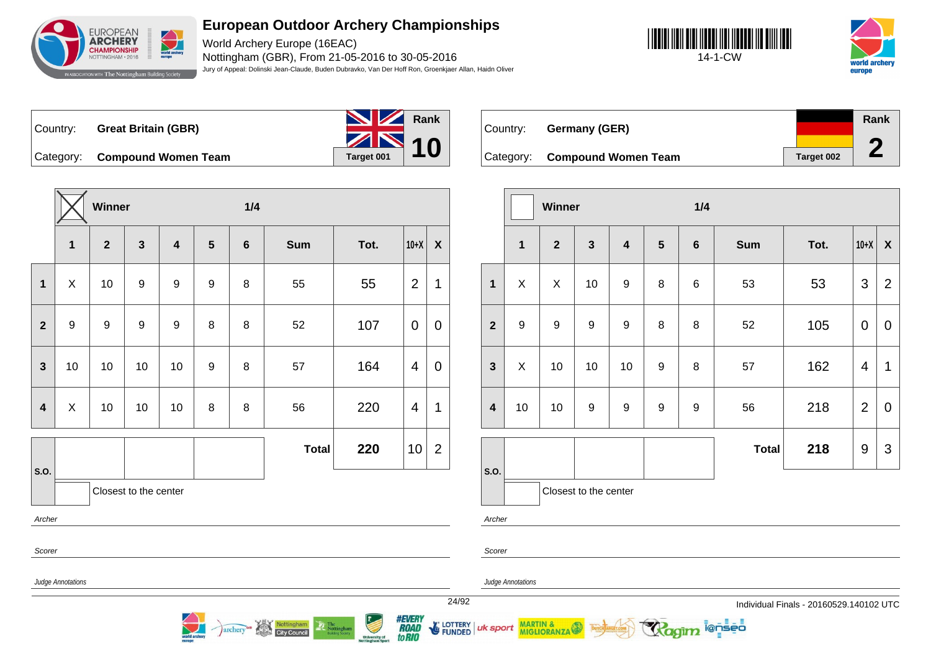

World Archery Europe (16EAC) Nottingham (GBR), From 21-05-2016 to 30-05-2016 Jury of Appeal: Dolinski Jean-Claude, Buden Dubravko, Van Der Hoff Ron, Groenkjaer Allan, Haidn Oliver





Country: **Great Britain (GBR)**



Category: **Compound Women Team Tanget 001** 

|                         |              | Winner           |                       |    |           | 1/4            |              |      |                |                    |
|-------------------------|--------------|------------------|-----------------------|----|-----------|----------------|--------------|------|----------------|--------------------|
|                         | $\mathbf{1}$ | $\mathbf{2}$     | $\mathbf{3}$          | 4  | ${\bf 5}$ | $6\phantom{1}$ | <b>Sum</b>   | Tot. | $10+X$         | $\pmb{\mathsf{X}}$ |
| $\mathbf 1$             | $\mathsf{X}$ | 10               | $\boldsymbol{9}$      | 9  | 9         | 8              | 55           | 55   | $\overline{2}$ | $\mathbf 1$        |
| $\overline{2}$          | 9            | $\boldsymbol{9}$ | $\boldsymbol{9}$      | 9  | 8         | 8              | 52           | 107  | $\mathbf 0$    | $\overline{0}$     |
| $\mathbf{3}$            | 10           | $10$             | $10$                  | 10 | 9         | 8              | 57           | 164  | $\overline{4}$ | $\mathbf 0$        |
| $\overline{\mathbf{4}}$ | X            | 10               | 10                    | 10 | 8         | 8              | 56           | 220  | 4              | $\mathbf 1$        |
| S.O.                    |              |                  |                       |    |           |                | <b>Total</b> | 220  | 10             | $\overline{2}$     |
|                         |              |                  | Closest to the center |    |           |                |              |      |                |                    |
| Archer                  |              |                  |                       |    |           |                |              |      |                |                    |
| Scorer                  |              |                  |                       |    |           |                |              |      |                |                    |

Nottingham

**City Council** 

archery

| Country: | <b>Germany (GER)</b>          |            | Rank |
|----------|-------------------------------|------------|------|
|          |                               |            |      |
|          | Category: Compound Women Team | Target 002 |      |

|                         |                  | Winner         |                       |                         |                  | 1/4     |              |      |                  |                           |
|-------------------------|------------------|----------------|-----------------------|-------------------------|------------------|---------|--------------|------|------------------|---------------------------|
|                         | 1                | $\overline{2}$ | $\mathbf{3}$          | $\overline{\mathbf{4}}$ | $5\phantom{1}$   | $\bf 6$ | <b>Sum</b>   | Tot. | $10+X$           | $\boldsymbol{\mathsf{X}}$ |
| $\mathbf{1}$            | X                | X              | 10                    | $\boldsymbol{9}$        | 8                | 6       | 53           | 53   | $\mathfrak{S}$   | $\overline{2}$            |
| $\overline{2}$          | $\boldsymbol{9}$ | 9              | 9                     | $\boldsymbol{9}$        | 8                | 8       | 52           | 105  | $\mathbf 0$      | $\overline{0}$            |
| $\mathbf{3}$            | X                | 10             | 10                    | 10                      | $\boldsymbol{9}$ | 8       | 57           | 162  | 4                | 1                         |
| $\overline{\mathbf{4}}$ | 10               | 10             | 9                     | $\boldsymbol{9}$        | 9                | 9       | 56           | 218  | $\overline{2}$   | 0                         |
|                         |                  |                |                       |                         |                  |         | <b>Total</b> | 218  | $\boldsymbol{9}$ | 3                         |
| S.O.                    |                  |                |                       |                         |                  |         |              |      |                  |                           |
|                         |                  |                | Closest to the center |                         |                  |         |              |      |                  |                           |

ionseo

Archer

Scorer

Judge Annotations

Judge Annotations

MARTIN & MIGLIORANZA

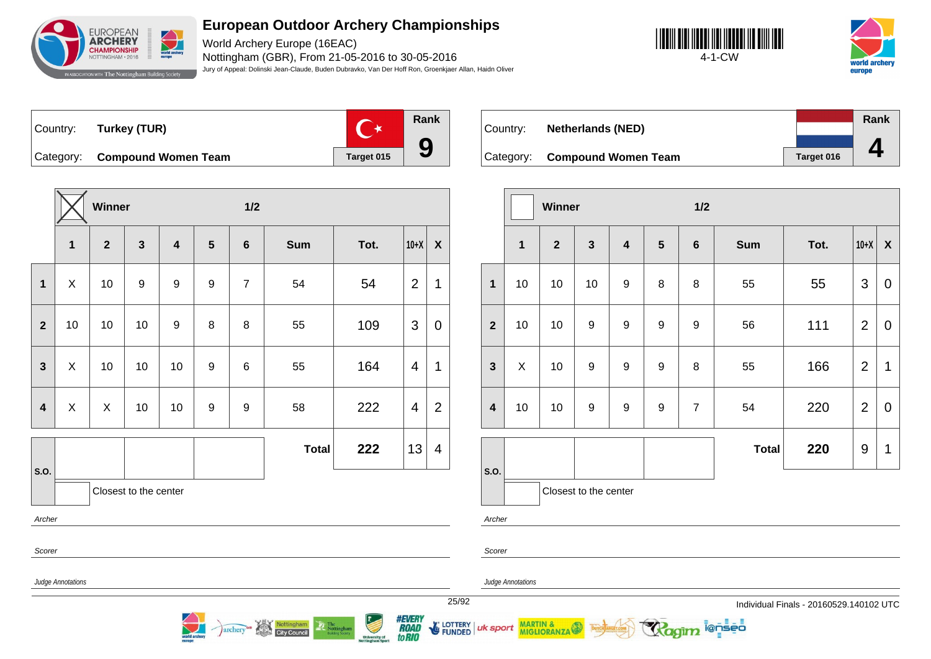

World Archery Europe (16EAC) Nottingham (GBR), From 21-05-2016 to 30-05-2016 Jury of Appeal: Dolinski Jean-Claude, Buden Dubravko, Van Der Hoff Ron, Groenkjaer Allan, Haidn Oliver





Country: **Turkey (TUR)**



Category: **Compound Women Team Target 015** 

|                                                   |              | Winner                  |                  |                         |                         | 1/2              |              |      |                |                         |
|---------------------------------------------------|--------------|-------------------------|------------------|-------------------------|-------------------------|------------------|--------------|------|----------------|-------------------------|
|                                                   | $\mathbf 1$  | $\overline{\mathbf{2}}$ | $\mathbf{3}$     | $\overline{\mathbf{4}}$ | $\overline{\mathbf{5}}$ | 6                | <b>Sum</b>   | Tot. | $10+X$         | $\pmb{\mathsf{X}}$      |
| $\mathbf 1$                                       | $\mathsf{X}$ | 10                      | $\boldsymbol{9}$ | 9                       | $\boldsymbol{9}$        | $\overline{7}$   | 54           | 54   | $\overline{2}$ | 1                       |
| $\mathbf{2}$                                      | 10           | 10                      | 10               | 9                       | 8                       | 8                | 55           | 109  | 3              | $\boldsymbol{0}$        |
| $\mathbf{3}$                                      | $\mathsf{X}$ | 10                      | 10               | 10                      | $\boldsymbol{9}$        | $\,6$            | 55           | 164  | $\overline{4}$ | 1                       |
| $\overline{\mathbf{4}}$                           | X            | $\mathsf{X}% _{0}$      | 10               | 10                      | 9                       | $\boldsymbol{9}$ | 58           | 222  | 4              | $\overline{2}$          |
|                                                   |              |                         |                  |                         |                         |                  | <b>Total</b> | 222  | 13             | $\overline{\mathbf{4}}$ |
|                                                   |              |                         |                  |                         |                         |                  |              |      |                |                         |
|                                                   |              |                         |                  |                         |                         |                  |              |      |                |                         |
| S.O.<br>Closest to the center<br>Archer<br>Scorer |              |                         |                  |                         |                         |                  |              |      |                |                         |

Nottingham

**City Council** 

archery

|          |                               |            | Rank |
|----------|-------------------------------|------------|------|
| Country: | <b>Netherlands (NED)</b>      |            |      |
|          |                               |            |      |
|          | Category: Compound Women Team | Target 016 |      |

|                  | Winner<br>$\mathbf 1$<br>$\overline{2}$<br>$\mathbf{3}$<br>$\overline{\mathbf{4}}$<br>$\boldsymbol{9}$<br>10<br>10<br>10<br>9<br>9<br>10<br>10<br>$\boldsymbol{9}$<br>$\boldsymbol{9}$<br>$\mathsf X$<br>10<br>$\boldsymbol{9}$<br>10<br>10<br>$\boldsymbol{9}$ |                       |  |                | 1/2              |              |      |                |                           |
|------------------|-----------------------------------------------------------------------------------------------------------------------------------------------------------------------------------------------------------------------------------------------------------------|-----------------------|--|----------------|------------------|--------------|------|----------------|---------------------------|
|                  |                                                                                                                                                                                                                                                                 |                       |  | $5\phantom{1}$ | $\boldsymbol{6}$ | <b>Sum</b>   | Tot. | $10+X$         | $\boldsymbol{\mathsf{X}}$ |
| $\mathbf{1}$     |                                                                                                                                                                                                                                                                 |                       |  | 8              | $\bf 8$          | 55           | 55   | 3              | $\pmb{0}$                 |
| $\overline{2}$   |                                                                                                                                                                                                                                                                 |                       |  | 9              | $\boldsymbol{9}$ | 56           | 111  | $\overline{2}$ | $\pmb{0}$                 |
| $\mathbf{3}$     |                                                                                                                                                                                                                                                                 |                       |  | 9              | $\bf 8$          | 55           | 166  | $\overline{2}$ | 1                         |
| $\boldsymbol{4}$ |                                                                                                                                                                                                                                                                 |                       |  | 9              | $\overline{7}$   | 54           | 220  | $\overline{2}$ | $\pmb{0}$                 |
|                  |                                                                                                                                                                                                                                                                 |                       |  |                |                  | <b>Total</b> | 220  | 9              | 1                         |
| S.O.             |                                                                                                                                                                                                                                                                 | Closest to the center |  |                |                  |              |      |                |                           |

**ienseo** 

Archer

Judge Annotations

Judge Annotations

MARTIN & MIGLIORANZA

uk sport

Scorer

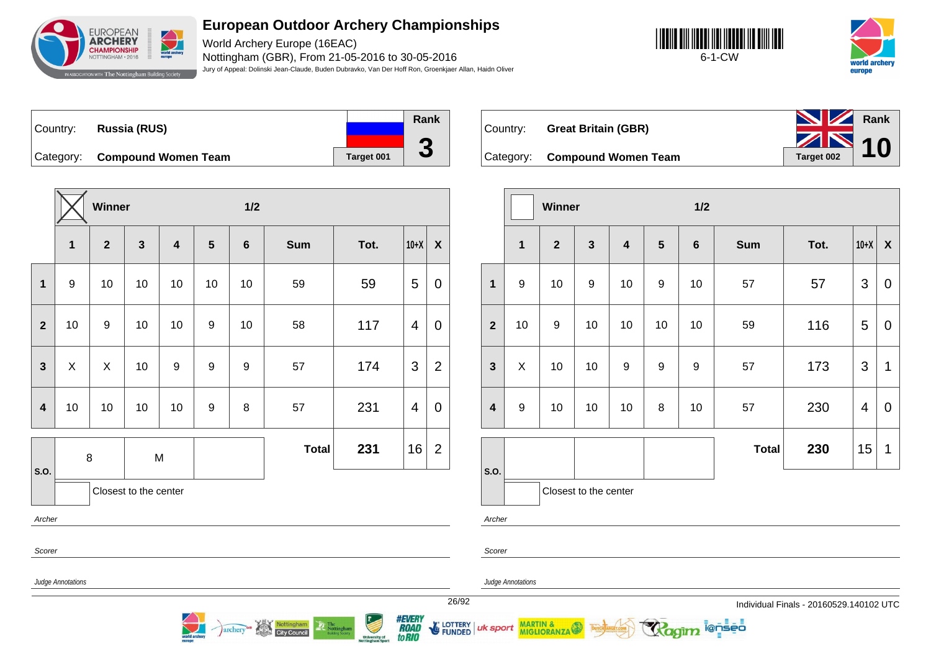

World Archery Europe (16EAC) Nottingham (GBR), From 21-05-2016 to 30-05-2016 Jury of Appeal: Dolinski Jean-Claude, Buden Dubravko, Van Der Hoff Ron, Groenkjaer Allan, Haidn Oliver





Country: **Russia (RUS)** Category: **Compound Women Team Target 001 Rank 3**

|                         |                                              | <b>Winner</b>  |              |                         |                  | 1/2             |              |      |                         |                |
|-------------------------|----------------------------------------------|----------------|--------------|-------------------------|------------------|-----------------|--------------|------|-------------------------|----------------|
|                         | $\mathbf{1}$                                 | $\overline{2}$ | $\mathbf{3}$ | $\overline{\mathbf{4}}$ | 5                | $6\phantom{1}6$ | <b>Sum</b>   | Tot. | $10+X$                  | X              |
| $\mathbf{1}$            | 9                                            | 10             | 10           | 10                      | 10               | 10              | 59           | 59   | 5                       | 0              |
| $\overline{2}$          | 10                                           | 9              | 10           | 10                      | 9                | 10              | 58           | 117  | $\overline{\mathbf{4}}$ | 0              |
| $\mathbf{3}$            | X                                            | X              | 10           | $\boldsymbol{9}$        | $\boldsymbol{9}$ | 9               | 57           | 174  | 3                       | $\overline{2}$ |
| $\overline{\mathbf{4}}$ | 10                                           | 10             | 10           | 10                      | $\boldsymbol{9}$ | 8               | 57           | 231  | $\overline{\mathbf{4}}$ | 0              |
|                         |                                              |                |              | M                       |                  |                 | <b>Total</b> | 231  | 16                      | $\overline{2}$ |
|                         | 8<br>S.O.<br>Closest to the center<br>Archer |                |              |                         |                  |                 |              |      |                         |                |
|                         |                                              |                |              |                         |                  |                 |              |      |                         |                |



|                         |                  | <b>Winner</b>  |                         |                         |                  | 1/2     |              |      |        |                           |
|-------------------------|------------------|----------------|-------------------------|-------------------------|------------------|---------|--------------|------|--------|---------------------------|
|                         | 1                | $\overline{2}$ | $\overline{\mathbf{3}}$ | $\overline{\mathbf{4}}$ | 5                | $\bf 6$ | <b>Sum</b>   | Tot. | $10+X$ | $\boldsymbol{\mathsf{X}}$ |
| $\mathbf{1}$            | $\boldsymbol{9}$ | 10             | 9                       | 10                      | $\boldsymbol{9}$ | 10      | 57           | 57   | 3      | $\mathbf 0$               |
| $\overline{2}$          | 10               | 9              | 10                      | 10                      | 10               | 10      | 59           | 116  | 5      | $\mathbf 0$               |
| $\mathbf{3}$            | X                | 10             | 10                      | $\boldsymbol{9}$        | 9                | 9       | 57           | 173  | 3      | $\mathbf 1$               |
| $\overline{\mathbf{4}}$ | $\boldsymbol{9}$ | 10             | 10                      | 10                      | 8                | 10      | 57           | 230  | 4      | $\mathbf 0$               |
|                         |                  |                |                         |                         |                  |         | <b>Total</b> | 230  | 15     | $\mathbf 1$               |
| S.O.                    |                  |                | Closest to the center   |                         |                  |         |              |      |        |                           |

i@nseo

Scorer

Judge Annotations

Judge Annotations

MARTIN & MIGLIORANZA

Archer

Scorer

uk sport

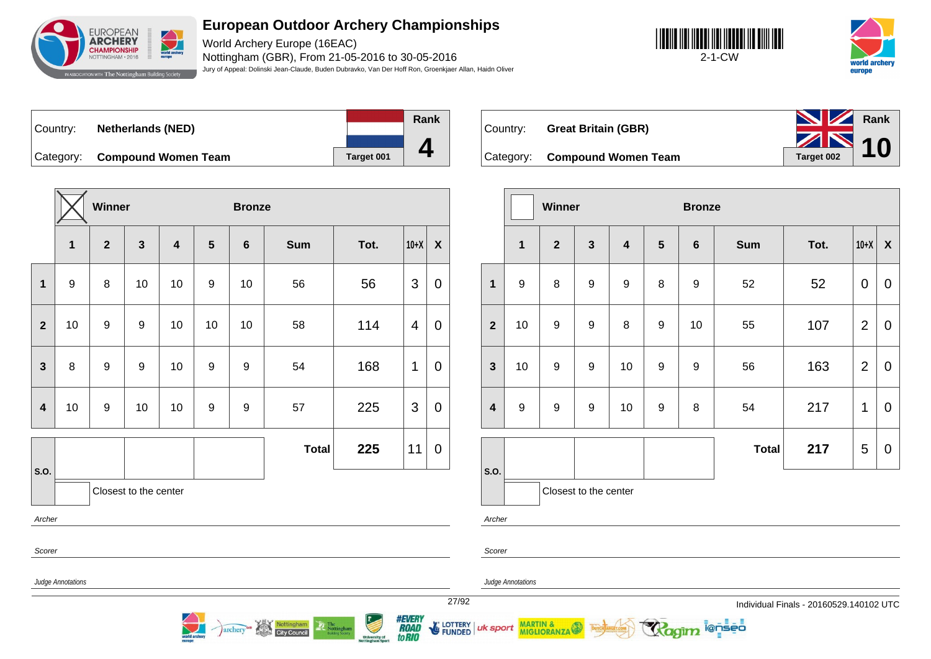

World Archery Europe (16EAC) Nottingham (GBR), From 21-05-2016 to 30-05-2016 Jury of Appeal: Dolinski Jean-Claude, Buden Dubravko, Van Der Hoff Ron, Groenkjaer Allan, Haidn Oliver





| ∣Country: ⊥ | <b>Netherlands (NED)</b>   |            |
|-------------|----------------------------|------------|
| Category:   | <b>Compound Women Team</b> | Target 001 |



Country: **Great Britain (GBR)**



|                         |                         | Winner                  |                       |                         |                | <b>Bronze</b>    |              |      |        |                           |
|-------------------------|-------------------------|-------------------------|-----------------------|-------------------------|----------------|------------------|--------------|------|--------|---------------------------|
|                         | $\overline{\mathbf{1}}$ | $\overline{\mathbf{2}}$ | $\mathbf{3}$          | $\overline{\mathbf{4}}$ | $5\phantom{1}$ | $6\phantom{1}$   | <b>Sum</b>   | Tot. | $10+X$ | $\boldsymbol{\mathsf{X}}$ |
| $\mathbf{1}$            | $\boldsymbol{9}$        | 8                       | 10                    | 10                      | 9              | 10               | 56           | 56   | 3      | $\mathbf 0$               |
| $\overline{2}$          | 10                      | 9                       | $\boldsymbol{9}$      | 10                      | 10             | 10               | 58           | 114  | 4      | $\overline{0}$            |
| $\overline{\mathbf{3}}$ | 8                       | $\boldsymbol{9}$        | $\boldsymbol{9}$      | 10                      | 9              | $\boldsymbol{9}$ | 54           | 168  | 1      | 0                         |
| $\overline{\mathbf{4}}$ | 10                      | 9                       | 10                    | 10                      | 9              | $\boldsymbol{9}$ | 57           | 225  | 3      | $\mathbf 0$               |
|                         |                         |                         |                       |                         |                |                  | <b>Total</b> | 225  | 11     | $\mathbf 0$               |
| S.O.                    |                         |                         | Closest to the center |                         |                |                  |              |      |        |                           |
|                         | Archer                  |                         |                       |                         |                |                  |              |      |        |                           |
| Scorer                  |                         |                         |                       |                         |                |                  |              |      |        |                           |

archer

|                         |                  | Winner           |                       |                         |                  |                  | <b>Bronze</b> |      |                |                  |  |  |
|-------------------------|------------------|------------------|-----------------------|-------------------------|------------------|------------------|---------------|------|----------------|------------------|--|--|
|                         | $\mathbf{1}$     | $\overline{2}$   | $\mathbf{3}$          | $\overline{\mathbf{4}}$ | $5\phantom{1}$   | $6\phantom{1}$   | <b>Sum</b>    | Tot. | $10+X$         | $\boldsymbol{X}$ |  |  |
| $\mathbf{1}$            | $9$              | 8                | $\boldsymbol{9}$      | 9                       | 8                | $\boldsymbol{9}$ | 52            | 52   | $\mathbf 0$    | $\mathbf 0$      |  |  |
| $\overline{2}$          | 10               | 9                | 9                     | 8                       | $\mathsf g$      | 10               | 55            | 107  | $\overline{2}$ | $\mathbf 0$      |  |  |
| $\mathbf{3}$            | 10               | 9                | 9                     | 10                      | $\boldsymbol{9}$ | $\boldsymbol{9}$ | 56            | 163  | $\overline{2}$ | 0                |  |  |
| $\overline{\mathbf{4}}$ | $\boldsymbol{9}$ | $\boldsymbol{9}$ | $\boldsymbol{9}$      | 10                      | $\mathsf g$      | 8                | 54            | 217  | 1              | $\mathbf 0$      |  |  |
|                         |                  |                  |                       |                         |                  |                  | <b>Total</b>  | 217  | 5              | $\pmb{0}$        |  |  |
| S.O.                    |                  |                  | Closest to the center |                         |                  |                  |               |      |                |                  |  |  |
| Archer                  |                  |                  |                       |                         |                  |                  |               |      |                |                  |  |  |

i@nseo

Judge Annotations

Judge Annotations

MARTIN & MIGLIORANZA

Scorer

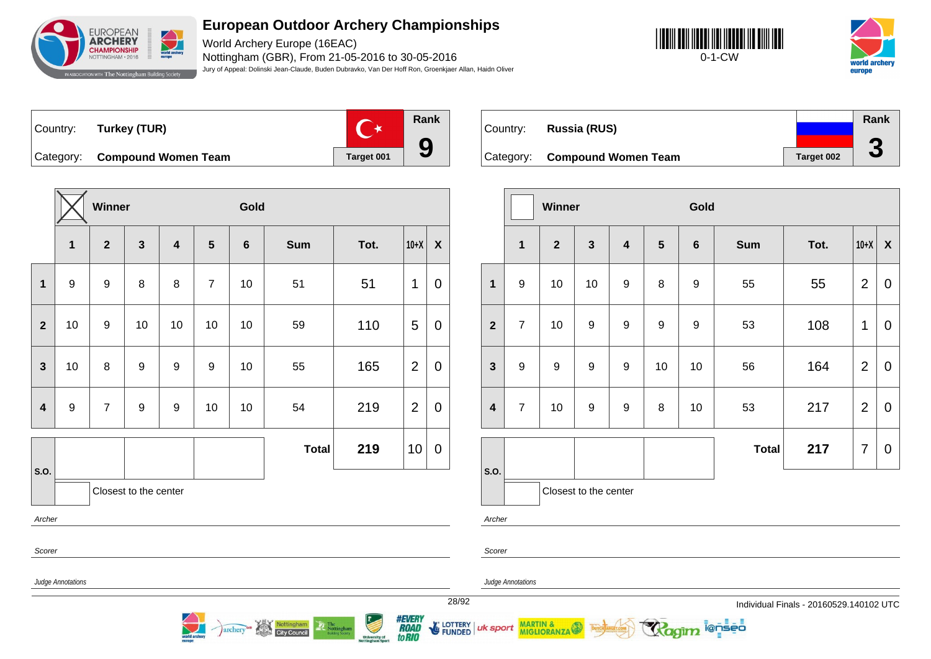

World Archery Europe (16EAC) Nottingham (GBR), From 21-05-2016 to 30-05-2016 Jury of Appeal: Dolinski Jean-Claude, Buden Dubravko, Van Der Hoff Ron, Groenkjaer Allan, Haidn Oliver





Country: **Turkey (TUR)**



Category: **Compound Women Team Tanget 001** 

|                         |              | Winner         |                       |                         |                         | Gold    |              |      |                |                  |  |
|-------------------------|--------------|----------------|-----------------------|-------------------------|-------------------------|---------|--------------|------|----------------|------------------|--|
|                         | $\mathbf{1}$ | $\overline{2}$ | $\mathbf{3}$          | $\overline{\mathbf{4}}$ | $\overline{\mathbf{5}}$ | $\bf 6$ | <b>Sum</b>   | Tot. | $10+X$         | $\boldsymbol{X}$ |  |
| $\mathbf 1$             | 9            | 9              | 8                     | 8                       | $\boldsymbol{7}$        | 10      | 51           | 51   | 1              | $\boldsymbol{0}$ |  |
| $\overline{\mathbf{2}}$ | 10           | 9              | $10$                  | 10                      | 10                      | 10      | 59           | 110  | 5              | $\pmb{0}$        |  |
| $\mathbf{3}$            | 10           | 8              | $\boldsymbol{9}$      | $\boldsymbol{9}$        | 9                       | 10      | 55           | 165  | $\overline{2}$ | $\boldsymbol{0}$ |  |
| $\boldsymbol{4}$        | 9            | $\overline{7}$ | $\boldsymbol{9}$      | $\boldsymbol{9}$        | 10                      | 10      | 54           | 219  | $\overline{2}$ | $\boldsymbol{0}$ |  |
|                         |              |                |                       |                         |                         |         | <b>Total</b> | 219  | 10             | $\mathbf 0$      |  |
| S.O.                    |              |                | Closest to the center |                         |                         |         |              |      |                |                  |  |
| Archer                  |              |                |                       |                         |                         |         |              |      |                |                  |  |
| Scorer                  |              |                |                       |                         |                         |         |              |      |                |                  |  |

Nottingham

**City Council** 

archery

|          |                               |            | Rank                 |
|----------|-------------------------------|------------|----------------------|
| Country: | Russia (RUS)                  |            |                      |
|          | Category: Compound Women Team | Target 002 | $\blacktriangledown$ |

|                         |                  | Winner         |                       |                         |                  | Gold             |              |      |                |                           |  |
|-------------------------|------------------|----------------|-----------------------|-------------------------|------------------|------------------|--------------|------|----------------|---------------------------|--|
|                         | 1                | $\overline{2}$ | $\mathbf{3}$          | $\overline{\mathbf{4}}$ | $5\phantom{1}$   | $\bf 6$          | <b>Sum</b>   | Tot. | $10+X$         | $\boldsymbol{\mathsf{X}}$ |  |
| $\mathbf{1}$            | 9                | 10             | 10                    | $\boldsymbol{9}$        | 8                | 9                | 55           | 55   | $\overline{2}$ | $\mathbf 0$               |  |
| $\overline{2}$          | $\overline{7}$   | 10             | $\boldsymbol{9}$      | $\boldsymbol{9}$        | $\boldsymbol{9}$ | $\boldsymbol{9}$ | 53           | 108  | 1              | $\mathbf 0$               |  |
| $\mathbf{3}$            | $\boldsymbol{9}$ | 9              | $\boldsymbol{9}$      | $\boldsymbol{9}$        | 10               | 10               | 56           | 164  | $\overline{2}$ | $\mathbf 0$               |  |
| $\overline{\mathbf{4}}$ | $\overline{7}$   | 10             | $\boldsymbol{9}$      | 9                       | 8                | 10               | 53           | 217  | $\overline{2}$ | $\mathbf 0$               |  |
|                         |                  |                |                       |                         |                  |                  | <b>Total</b> | 217  | $\overline{7}$ | $\pmb{0}$                 |  |
| S.O.                    |                  |                | Closest to the center |                         |                  |                  |              |      |                |                           |  |

ionseo

Archer

Scorer

Judge Annotations

Judge Annotations

MARTIN & MIGLIORANZA

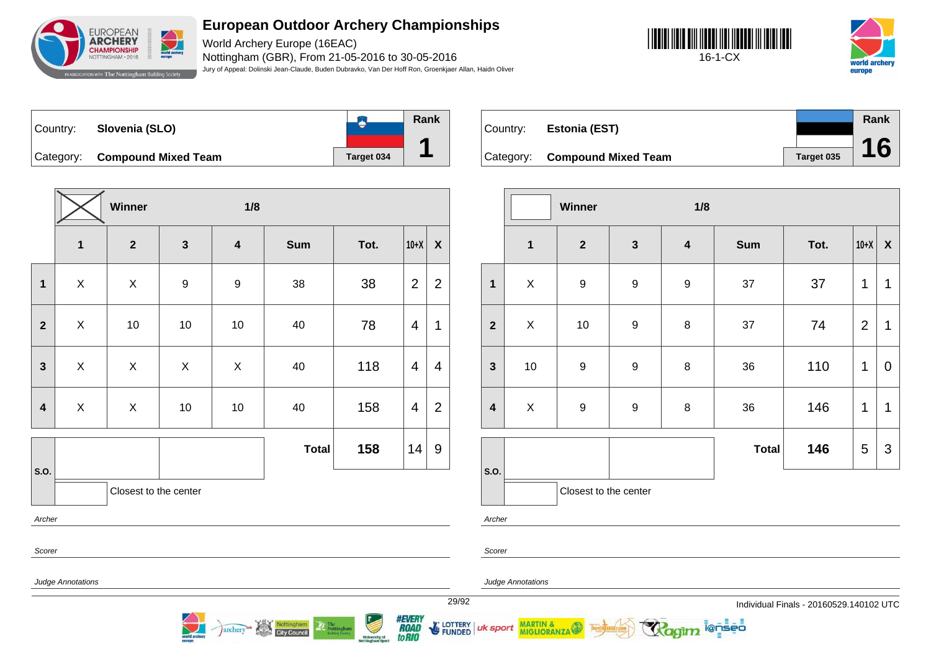

World Archery Europe (16EAC) Nottingham (GBR), From 21-05-2016 to 30-05-2016 Jury of Appeal: Dolinski Jean-Claude, Buden Dubravko, Van Der Hoff Ron, Groenkjaer Allan, Haidn Oliver





**B Rank** Country: **Slovenia (SLO) 1** Category: **Compound Mixed Team Target 034** 

|                         |                           | Winner                |                  | 1/8                     |              |      |                |                           |
|-------------------------|---------------------------|-----------------------|------------------|-------------------------|--------------|------|----------------|---------------------------|
|                         | $\overline{\mathbf{1}}$   | $\overline{2}$        | $\mathbf{3}$     | $\overline{\mathbf{4}}$ | <b>Sum</b>   | Tot. | $10+X$         | $\boldsymbol{\mathsf{X}}$ |
| 1                       | X                         | X                     | $\boldsymbol{9}$ | $\boldsymbol{9}$        | 38           | 38   | $\overline{2}$ | 2                         |
| $\overline{2}$          | $\mathsf{X}$              | 10                    | 10               | 10                      | 40           | 78   | 4              | 1                         |
| 3                       | $\pmb{\times}$            | Χ                     | $\mathsf{X}$     | $\sf X$                 | 40           | 118  | $\overline{4}$ | $\overline{4}$            |
| $\overline{\mathbf{4}}$ | $\boldsymbol{\mathsf{X}}$ | Χ                     | 10               | $10$                    | 40           | 158  | 4              | $\overline{2}$            |
|                         |                           |                       |                  |                         | <b>Total</b> | 158  | 14             | 9                         |
| S.O.                    |                           | Closest to the center |                  |                         |              |      |                |                           |
| Archer                  |                           |                       |                  |                         |              |      |                |                           |
|                         |                           |                       |                  |                         |              |      |                |                           |

Nottingham

**City Council** 

archery

| Country: | <b>Estonia (EST)</b>          |            | Rank |
|----------|-------------------------------|------------|------|
|          | Category: Compound Mixed Team | Target 035 | 16   |

|                         |                | Winner                |                  | 1/8                     |              |      |                |                           |
|-------------------------|----------------|-----------------------|------------------|-------------------------|--------------|------|----------------|---------------------------|
|                         | $\mathbf{1}$   | $\mathbf{2}$          | $\mathbf{3}$     | $\overline{\mathbf{4}}$ | <b>Sum</b>   | Tot. | $10+X$         | $\boldsymbol{\mathsf{X}}$ |
| $\mathbf{1}$            | $\mathsf X$    | $\boldsymbol{9}$      | 9                | $\boldsymbol{9}$        | 37           | 37   | 1              | 1                         |
| $\overline{2}$          | $\pmb{\times}$ | 10                    | $\overline{9}$   | $\bf 8$                 | 37           | 74   | $\overline{2}$ | 1                         |
| $\mathbf{3}$            | $10$           | $\boldsymbol{9}$      | $\boldsymbol{9}$ | $\bf 8$                 | 36           | 110  | 1              | $\mathbf 0$               |
| $\overline{\mathbf{4}}$ | $\pmb{\times}$ | $\boldsymbol{9}$      | 9                | $\bf 8$                 | 36           | 146  | 1              | 1                         |
|                         |                |                       |                  |                         | <b>Total</b> | 146  | 5              | $\mathfrak{S}$            |
| S.O.                    |                | Closest to the center |                  |                         |              |      |                |                           |

Archer

Scorer

Scorer

Judge Annotations

Judge Annotations

MARTIN & MIGLIORANZA

29/92 Individual Finals - 20160529.140102 UTC

**ienseo** 



LOTTERY<br>FUNDED uk sport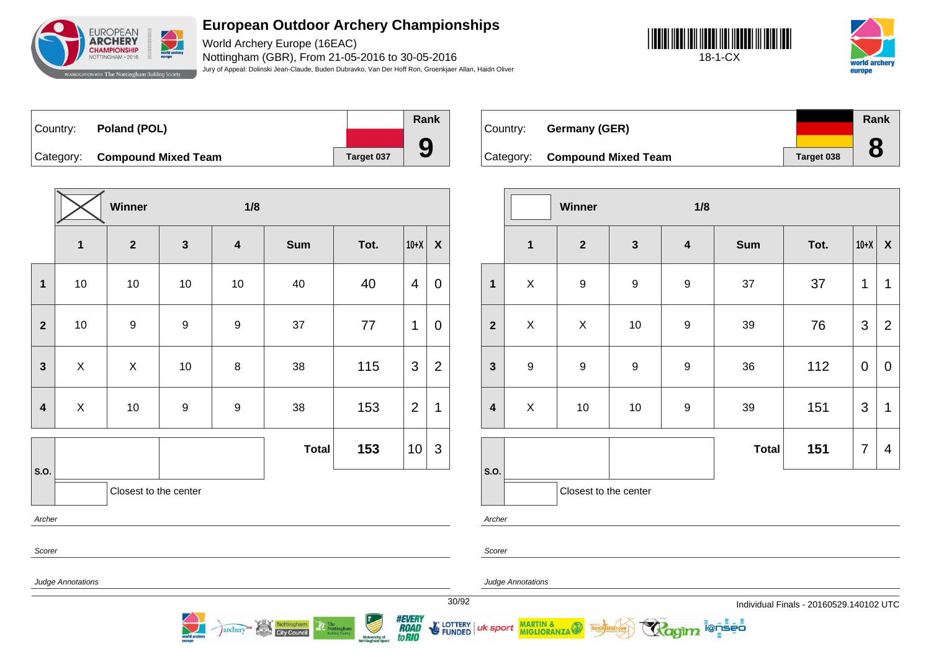

World Archery Europe (16EAC) Nottingham (GBR), From 21-05-2016 to 30-05-2016 Jury of Appeal: Dolinski Jean-Claude, Buden Dubravko, Van Der Hoff Ron, Groenkjaer Allan, Haidn Oliver





Country: **Poland (POL)** Category: **Compound Mixed Team Target 037 Rank 9**

|                         |                           | Winner                |                  | 1/8                     |              |      |                |                |
|-------------------------|---------------------------|-----------------------|------------------|-------------------------|--------------|------|----------------|----------------|
|                         | $\mathbf{1}$              | $\boldsymbol{2}$      | $\mathbf{3}$     | $\overline{\mathbf{4}}$ | <b>Sum</b>   | Tot. | $10+X$         | X              |
| 1                       | 10                        | 10                    | $10$             | 10                      | 40           | 40   | 4              | 0              |
| $\overline{\mathbf{2}}$ | $10\,$                    | $\boldsymbol{9}$      | $\boldsymbol{9}$ | $\boldsymbol{9}$        | 37           | 77   | 1              | 0              |
| $\mathbf{3}$            | X                         | X                     | $10$             | 8                       | 38           | 115  | 3              | $\overline{2}$ |
| $\overline{\mathbf{4}}$ | $\boldsymbol{\mathsf{X}}$ | $10$                  | 9                | $\boldsymbol{9}$        | 38           | 153  | $\overline{2}$ | $\mathbf{1}$   |
|                         |                           |                       |                  |                         | <b>Total</b> | 153  | $10$           | $\mathfrak{S}$ |
| S.O.                    |                           | Closest to the center |                  |                         |              |      |                |                |
| Archer                  |                           |                       |                  |                         |              |      |                |                |
| Scorer                  |                           |                       |                  |                         |              |      |                |                |

archery

**City Council** 

| Country: | Germany (GER)                 |            | Rank |
|----------|-------------------------------|------------|------|
|          | Category: Compound Mixed Team | Target 038 |      |

|                         |                         | Winner                |                  | 1/8                     |              |      |                |                           |
|-------------------------|-------------------------|-----------------------|------------------|-------------------------|--------------|------|----------------|---------------------------|
|                         | $\overline{\mathbf{1}}$ | $\mathbf{2}$          | $\mathbf{3}$     | $\overline{\mathbf{4}}$ | <b>Sum</b>   | Tot. | $10+X$         | $\boldsymbol{\mathsf{X}}$ |
| $\mathbf{1}$            | $\mathsf X$             | $\boldsymbol{9}$      | $\boldsymbol{9}$ | $\boldsymbol{9}$        | 37           | 37   | 1              | 1                         |
| $\overline{2}$          | $\pmb{\times}$          | $\mathsf X$           | $10$             | $\boldsymbol{9}$        | 39           | 76   | 3              | $\overline{2}$            |
| $\mathbf{3}$            | $\boldsymbol{9}$        | $\boldsymbol{9}$      | $\boldsymbol{9}$ | 9                       | 36           | 112  | $\mathbf 0$    | $\mathbf 0$               |
| $\overline{\mathbf{4}}$ | $\pmb{\times}$          | $10$                  | $10$             | $\boldsymbol{9}$        | 39           | 151  | 3              | 1                         |
|                         |                         |                       |                  |                         | <b>Total</b> | 151  | $\overline{7}$ | 4                         |
| S.O.                    |                         | Closest to the center |                  |                         |              |      |                |                           |

ionseo

Scorer

uk sport

Archer

Judge Annotations

MARTIN & MIGLIORANZA

Judge Annotations

30/92 Individual Finals - 20160529.140102 UTC



E LOTTERY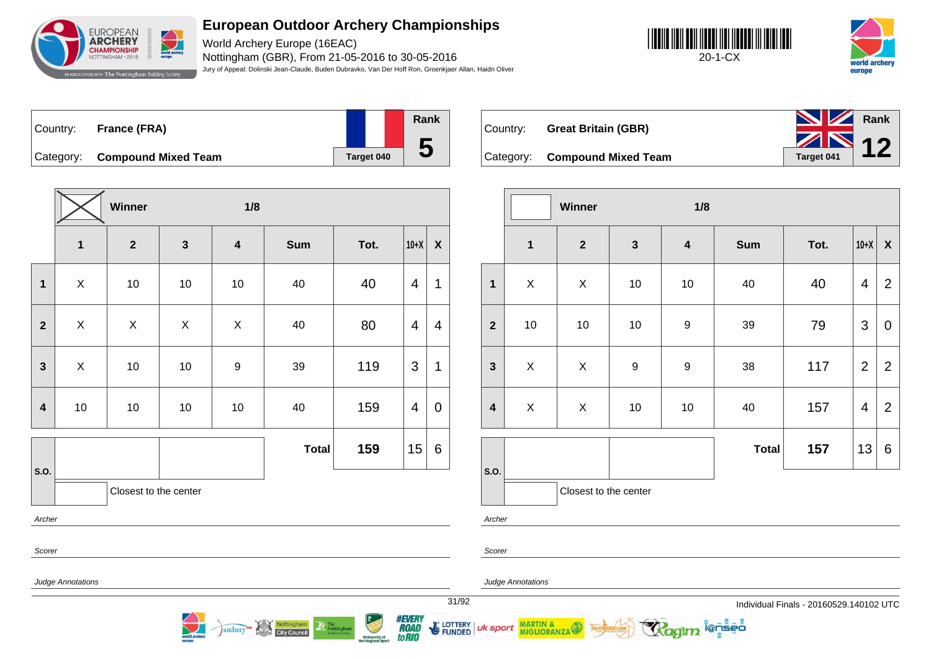

World Archery Europe (16EAC) Nottingham (GBR), From 21-05-2016 to 30-05-2016 Jury of Appeal: Dolinski Jean-Claude, Buden Dubravko, Van Der Hoff Ron, Groenkjaer Allan, Haidn Oliver





| ∣Country: | France (FRA)                  |            | Rank |
|-----------|-------------------------------|------------|------|
|           |                               |            | C    |
|           | Category: Compound Mixed Team | Target 040 |      |

**Winner 1/8 1 2 3 4 Sum Tot. 10+X X 1** | X | 10 | 10 | 10 | 40 | 40 |4 |1 **2** X X X X 40 80 4 4 **3** X 10 10 9 39 119 3 1 **4** | 10 | 10 | 10 | 10 | 40 | 159 |4 | 0 **S.O. Total 159** 15 6 Closest to the center Archer

Nottingham<br>City Council

archery

| Country: | <b>Great Britain (GBR)</b>    | <b>No. 7 Rank</b><br>$ZN_{12}$ |  |
|----------|-------------------------------|--------------------------------|--|
|          | Category: Compound Mixed Team | Target 041                     |  |

|                         |                | Winner                |                  | 1/8                     |              |      |                         |                  |
|-------------------------|----------------|-----------------------|------------------|-------------------------|--------------|------|-------------------------|------------------|
|                         | $\mathbf 1$    | $\boldsymbol{2}$      | $\mathbf{3}$     | $\overline{\mathbf{4}}$ | <b>Sum</b>   | Tot. | $10+X$                  | $\boldsymbol{X}$ |
| $\overline{1}$          | $\pmb{\times}$ | X                     | $10$             | 10                      | 40           | 40   | $\overline{4}$          | $\overline{2}$   |
| $\overline{2}$          | $10$           | 10                    | 10               | $\boldsymbol{9}$        | 39           | 79   | 3                       | $\mathbf 0$      |
| $\mathbf{3}$            | $\pmb{\times}$ | X                     | $\boldsymbol{9}$ | $\boldsymbol{9}$        | 38           | 117  | $\overline{2}$          | $\overline{2}$   |
| $\overline{\mathbf{4}}$ | $\mathsf X$    | X                     | 10               | 10                      | 40           | 157  | $\overline{\mathbf{4}}$ | $\overline{2}$   |
|                         |                |                       |                  |                         | <b>Total</b> | 157  | 13                      | 6                |
| S.O.                    |                | Closest to the center |                  |                         |              |      |                         |                  |

i@nseo

Archer

Scorer

Judge Annotations

MARTIN & MIGLIORANZA



Scorer

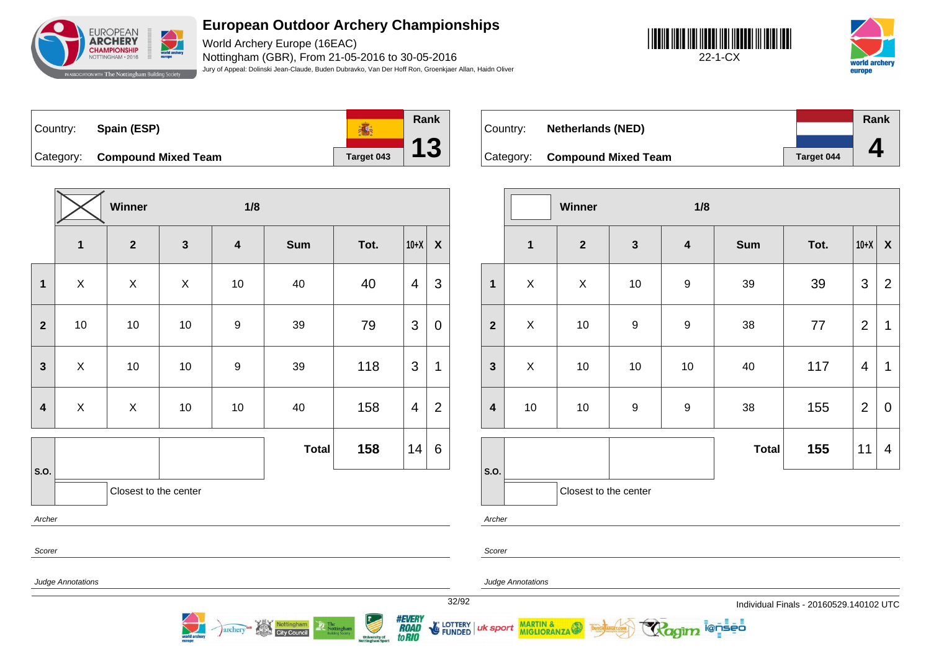

World Archery Europe (16EAC) Nottingham (GBR), From 21-05-2016 to 30-05-2016 Jury of Appeal: Dolinski Jean-Claude, Buden Dubravko, Van Der Hoff Ron, Groenkjaer Allan, Haidn Oliver





**Rank** Country: **Spain (ESP) 高 13** Category: **Compound Mixed Team Target 043** 

|                  | Winner<br>1/8  |                         |              |                         |              |      |                         |                  |  |
|------------------|----------------|-------------------------|--------------|-------------------------|--------------|------|-------------------------|------------------|--|
|                  | $\mathbf{1}$   | $\overline{\mathbf{2}}$ | $\mathbf{3}$ | $\overline{\mathbf{4}}$ | <b>Sum</b>   | Tot. | $10+X$                  | $\boldsymbol{X}$ |  |
| $\mathbf{1}$     | $\pmb{\times}$ | X                       | X            | 10                      | 40           | 40   | 4                       | 3                |  |
| $\mathbf{2}$     | $10$           | $10$                    | $10$         | $\boldsymbol{9}$        | 39           | 79   | 3                       | $\mathbf 0$      |  |
| $\mathbf{3}$     | X              | 10                      | $10$         | $\boldsymbol{9}$        | 39           | 118  | 3                       | 1                |  |
| $\boldsymbol{4}$ | $\mathsf{X}$   | X                       | $10$         | 10                      | 40           | 158  | $\overline{\mathbf{4}}$ | $\overline{2}$   |  |
|                  |                |                         |              |                         | <b>Total</b> | 158  | 14                      | 6                |  |
| S.O.             |                | Closest to the center   |              |                         |              |      |                         |                  |  |
| Archer           |                |                         |              |                         |              |      |                         |                  |  |

Nottingham

archery

|          |                               |                   | Rank |
|----------|-------------------------------|-------------------|------|
| Country: | <b>Netherlands (NED)</b>      |                   |      |
|          |                               |                   |      |
|          | Category: Compound Mixed Team | <b>Target 044</b> |      |

|                         |                | Winner                |                  | 1/8                     |              |      |                |                           |
|-------------------------|----------------|-----------------------|------------------|-------------------------|--------------|------|----------------|---------------------------|
|                         | $\mathbf{1}$   | $\boldsymbol{2}$      | $\mathbf{3}$     | $\overline{\mathbf{4}}$ | <b>Sum</b>   | Tot. | $10+X$         | $\boldsymbol{\mathsf{X}}$ |
| $\mathbf 1$             | $\mathsf{X}$   | $\mathsf X$           | $10$             | $\boldsymbol{9}$        | 39           | 39   | 3              | $\overline{2}$            |
| $\mathbf{2}$            | $\mathsf{X}$   | 10                    | $\boldsymbol{9}$ | $\boldsymbol{9}$        | 38           | 77   | $\overline{2}$ | 1                         |
| $\overline{\mathbf{3}}$ | $\pmb{\times}$ | 10                    | $10$             | 10                      | 40           | 117  | $\overline{4}$ | 1                         |
| $\overline{\mathbf{4}}$ | $10$           | 10                    | 9                | $\mathsf g$             | 38           | 155  | $\overline{2}$ | $\mathbf 0$               |
|                         |                |                       |                  |                         | <b>Total</b> | 155  | 11             | 4                         |
| S.O.                    |                | Closest to the center |                  |                         |              |      |                |                           |

**ienseo** 

Archer

Scorer

Scorer

Judge Annotations

Judge Annotations

MARTIN & MIGLIORANZA

32/92 Individual Finals - 20160529.140102 UTC



LOTTERY<br>FUNDED uk sport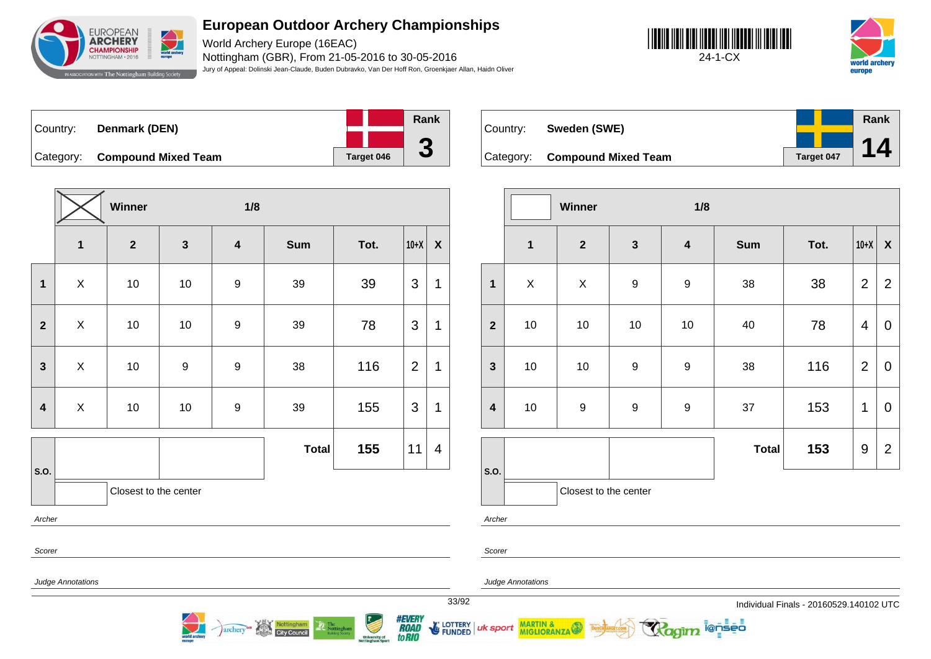

World Archery Europe (16EAC) Nottingham (GBR), From 21-05-2016 to 30-05-2016 Jury of Appeal: Dolinski Jean-Claude, Buden Dubravko, Van Der Hoff Ron, Groenkjaer Allan, Haidn Oliver





| ⊺Countr∨: | Denmark (DEN)                 |  |            | Rank |
|-----------|-------------------------------|--|------------|------|
|           |                               |  |            | m    |
|           | Category: Compound Mixed Team |  | Target 046 | J    |

**Winner 1/8 1 2 3 4 Sum Tot. 10+X X 1** | X | 10 | 10 | 9 | 39 | 39 |3 |1 **2** X 10 10 9 39 78 3 1 **3**  $\begin{array}{|c|c|c|c|c|c|}\n\hline\n\textbf{3} & \textbf{3} & \textbf{4} & \textbf{5} \\
\hline\n\textbf{4} & \textbf{5} & \textbf{6} & \textbf{7} & \textbf{8} \\
\hline\n\textbf{5} & \textbf{6} & \textbf{8} & \textbf{9} & \textbf{1} & \textbf{3} \\
\hline\n\textbf{6} & \textbf{7} & \textbf{1} & \textbf{1} & \textbf{1} & \textbf{1} \\
\hline\n\textbf{7} & \textbf{8} & \textbf{1} & \textbf{1} & \text$ **4** | X | 10 | 10 | 9 | 39 | 155 |3 |1 **S.O. Total 155** 11 4 Closest to the center Archer

Nottingham

archery

| Country: | Sweden (SWE)                  |            | Rank |
|----------|-------------------------------|------------|------|
|          |                               |            |      |
|          | Category: Compound Mixed Team | Target 047 |      |

|                         |                | Winner                |                  | 1/8                     |              |      |                |                    |
|-------------------------|----------------|-----------------------|------------------|-------------------------|--------------|------|----------------|--------------------|
|                         | $\mathbf{1}$   | $\boldsymbol{2}$      | $\mathbf{3}$     | $\overline{\mathbf{4}}$ | <b>Sum</b>   | Tot. | $10+X$         | $\pmb{\mathsf{X}}$ |
| $\mathbf 1$             | $\pmb{\times}$ | $\mathsf X$           | $\boldsymbol{9}$ | $\boldsymbol{9}$        | 38           | 38   | $\overline{2}$ | $\overline{2}$     |
| $\mathbf{2}$            | $10$           | 10                    | $10$             | 10                      | 40           | 78   | 4              | 0                  |
| $\mathbf{3}$            | $10$           | $10$                  | 9                | $\boldsymbol{9}$        | 38           | 116  | $\overline{2}$ | $\mathbf 0$        |
| $\overline{\mathbf{4}}$ | $10$           | $\boldsymbol{9}$      | 9                | $\boldsymbol{9}$        | 37           | 153  | 1              | $\overline{0}$     |
|                         |                |                       |                  |                         | <b>Total</b> | 153  | 9              | $\overline{2}$     |
| S.O.                    |                | Closest to the center |                  |                         |              |      |                |                    |

i@nseo

Archer

Scorer

uk sport

Scorer

Judge Annotations

MARTIN & MIGLIORANZA

Judge Annotations



**FUNDED**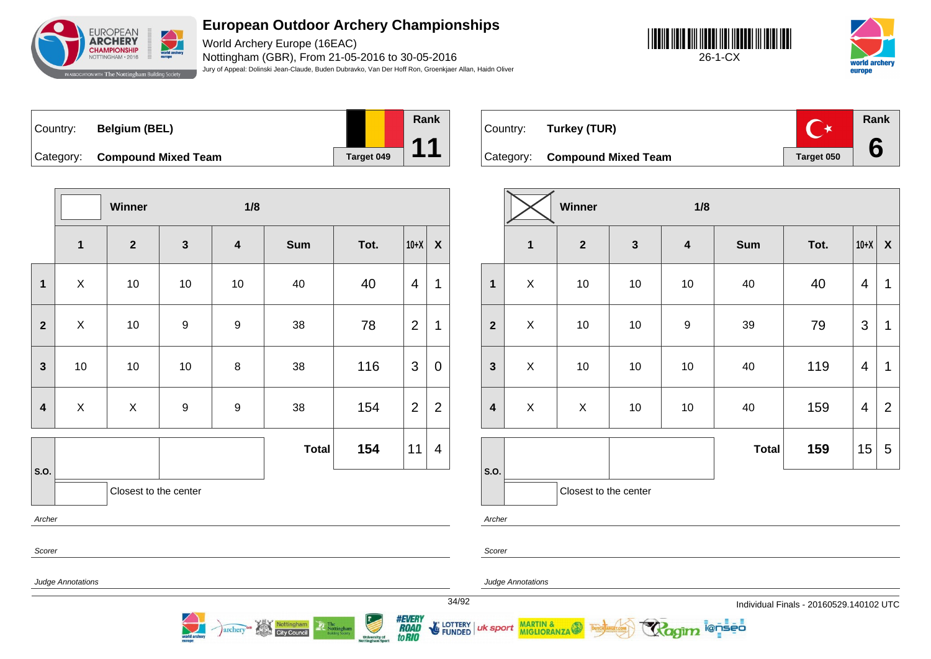

World Archery Europe (16EAC) Nottingham (GBR), From 21-05-2016 to 30-05-2016 Jury of Appeal: Dolinski Jean-Claude, Buden Dubravko, Van Der Hoff Ron, Groenkjaer Allan, Haidn Oliver

**Rank**

**11**





Country: **Belgium (BEL)** Category: **Compound Mixed Team Target 049** 

|                  |                         | <b>Winner</b>         |                  | 1/8                     |              |      |                |                           |
|------------------|-------------------------|-----------------------|------------------|-------------------------|--------------|------|----------------|---------------------------|
|                  | $\overline{\mathbf{1}}$ | $\mathbf{2}$          | $\mathbf{3}$     | $\overline{\mathbf{4}}$ | <b>Sum</b>   | Tot. | $10+X$         | $\boldsymbol{\mathsf{X}}$ |
| $\mathbf 1$      | X                       | 10                    | $10$             | 10                      | 40           | 40   | $\overline{4}$ | 1                         |
| $\mathbf{2}$     | X                       | 10                    | $\boldsymbol{9}$ | $\boldsymbol{9}$        | 38           | 78   | $\overline{2}$ | 1                         |
| $\mathbf{3}$     | $10$                    | $10$                  | 10               | $\bf 8$                 | 38           | 116  | 3              | $\mathbf 0$               |
| $\boldsymbol{4}$ | $\pmb{\times}$          | X                     | $\boldsymbol{9}$ | $\boldsymbol{9}$        | 38           | 154  | $\overline{2}$ | $\overline{2}$            |
|                  |                         |                       |                  |                         | <b>Total</b> | 154  | 11             | 4                         |
| S.O.             |                         |                       |                  |                         |              |      |                |                           |
|                  |                         | Closest to the center |                  |                         |              |      |                |                           |

archery



Scorer

Scorer

Archer

Judge Annotations

Judge Annotations

uk sport

MARTIN &

*#EVERY<br>ROAD<br>toRIO* **FUNDED** 

34/92 Individual Finals - 20160529.140102 UTC



|                         |                         | Winner                |              | 1/8                     |              |      |                |                  |
|-------------------------|-------------------------|-----------------------|--------------|-------------------------|--------------|------|----------------|------------------|
|                         | $\overline{\mathbf{1}}$ | $\mathbf{2}$          | $\mathbf{3}$ | $\overline{\mathbf{4}}$ | <b>Sum</b>   | Tot. | $10+X$         | $\boldsymbol{X}$ |
| $\mathbf 1$             | $\mathsf X$             | 10                    | $10$         | 10                      | 40           | 40   | 4              | 1                |
| $\overline{\mathbf{2}}$ | $\mathsf{X}$            | $10\,$                | 10           | $\boldsymbol{9}$        | 39           | 79   | 3              | 1                |
| $\mathbf{3}$            | X                       | 10                    | $10$         | 10                      | 40           | 119  | 4              | 1                |
| $\overline{\mathbf{4}}$ | $\mathsf{X}$            | X                     | $10$         | 10                      | 40           | 159  | $\overline{4}$ | $\overline{2}$   |
|                         |                         |                       |              |                         | <b>Total</b> | 159  | 15             | 5                |
| S.O.                    |                         | Closest to the center |              |                         |              |      |                |                  |

**E** LOTTERY

i@nseo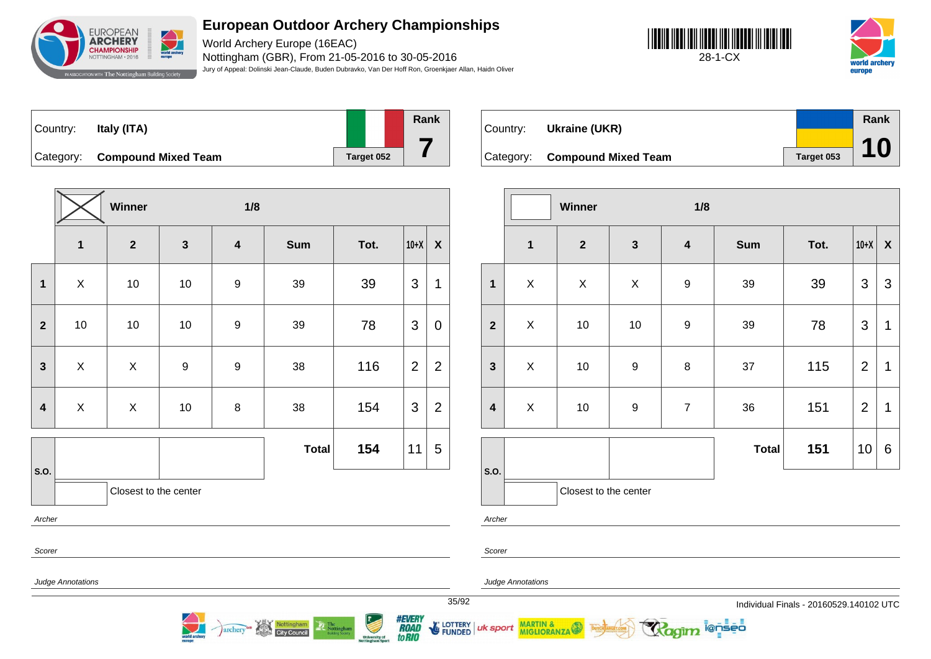

World Archery Europe (16EAC) Nottingham (GBR), From 21-05-2016 to 30-05-2016 Jury of Appeal: Dolinski Jean-Claude, Buden Dubravko, Van Der Hoff Ron, Groenkjaer Allan, Haidn Oliver





| ∣Country: l | Italy (ITA)                   |            | Rank |
|-------------|-------------------------------|------------|------|
|             | Category: Compound Mixed Team | Target 052 |      |

**Winner 1/8 1 2 3 4 Sum Tot. 10+X X 1** | X | 10 | 10 | 9 | 39 | 39 |3 |1 **2** | 10 | 10 | 10 | 9 | 39 | 78 |3 | 0 **3**  $\begin{array}{|c|c|c|c|c|c|}\n\hline\n\textbf{3} & \textbf{3} & \textbf{3} & \textbf{3} \\
\hline\n\end{array}\n\quad \begin{array}{|c|c|c|c|c|}\n\hline\n\textbf{1} & \textbf{3} & \textbf{3} & \textbf{3} \\
\hline\n\textbf{2} & \textbf{1} & \textbf{3} & \textbf{3} \\
\hline\n\textbf{3} & \textbf{1} & \textbf{3} & \textbf{3} \\
\hline\n\textbf{4} & \textbf{1} & \textbf{1} & \textbf{3} \\
\hline\n\textbf$ **4** | X | X | 10 | 8 | 38 | 154 |3 |2 **S.O. Total 154** 11 5 Closest to the center Archer

Nottingham<br>City Council

archery

| Country: | Ukraine (UKR)                 |            | Rank |
|----------|-------------------------------|------------|------|
|          |                               |            |      |
|          | Category: Compound Mixed Team | Target 053 | 10   |

|                         |                       | Winner       |                  | 1/8                     |              |      |                |                           |
|-------------------------|-----------------------|--------------|------------------|-------------------------|--------------|------|----------------|---------------------------|
|                         | $\mathbf{1}$          | $\mathbf{2}$ | $\mathbf{3}$     | $\overline{\mathbf{4}}$ | <b>Sum</b>   | Tot. | $10+X$         | $\boldsymbol{\mathsf{X}}$ |
| $\mathbf{1}$            | $\mathsf{X}$          | $\mathsf X$  | X                | $\boldsymbol{9}$        | 39           | 39   | 3              | $\mathfrak{S}$            |
| $\overline{\mathbf{2}}$ | $\mathsf{X}$          | 10           | 10               | $\boldsymbol{9}$        | 39           | 78   | $\mathfrak{S}$ | $\mathbf 1$               |
| $\mathbf{3}$            | X                     | 10           | $\boldsymbol{9}$ | 8                       | 37           | 115  | $\overline{2}$ | $\mathbf 1$               |
| $\overline{\mathbf{4}}$ | X                     | 10           | $\boldsymbol{9}$ | $\overline{7}$          | 36           | 151  | $\overline{2}$ | 1                         |
|                         |                       |              |                  |                         | <b>Total</b> | 151  | 10             | 6                         |
| S.O.                    | Closest to the center |              |                  |                         |              |      |                |                           |

i@nseo

Scorer

MARTIN & MIGLIORANZA

Judge Annotations

Judge Annotations

Archer

Scorer

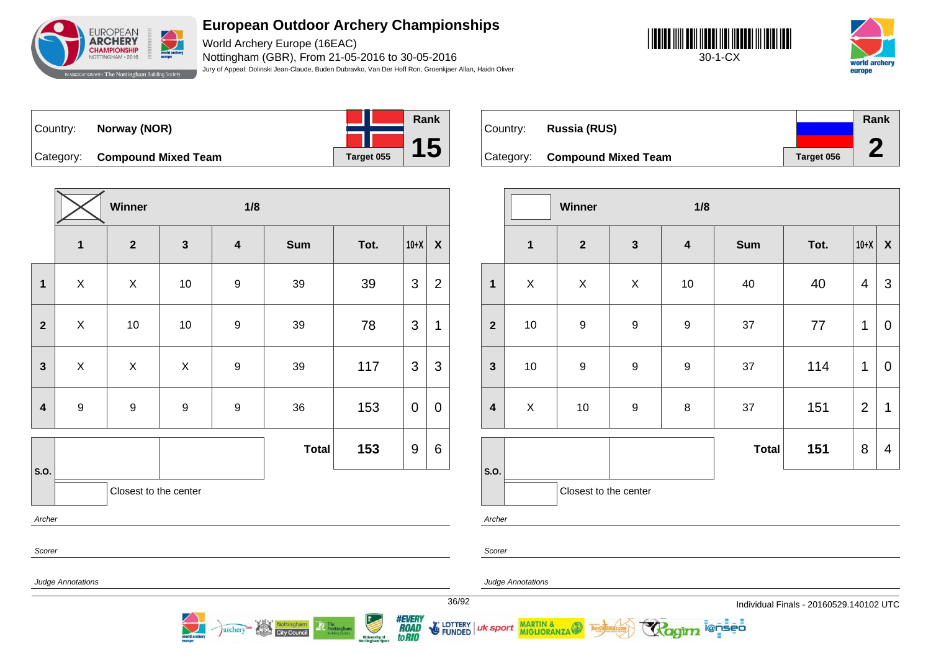

World Archery Europe (16EAC) Nottingham (GBR), From 21-05-2016 to 30-05-2016 Jury of Appeal: Dolinski Jean-Claude, Buden Dubravko, Van Der Hoff Ron, Groenkjaer Allan, Haidn Oliver





Country: **Norway (NOR)**



Category: **Compound Mixed Team Target 055** 

|                  |                           | Winner           | 1/8              |                         |              |      |                  |                  |
|------------------|---------------------------|------------------|------------------|-------------------------|--------------|------|------------------|------------------|
|                  | $\mathbf 1$               | $\mathbf{2}$     | $\mathbf{3}$     | $\overline{\mathbf{4}}$ | Sum          | Tot. | $10+X$           | $\boldsymbol{X}$ |
| 1                | $\boldsymbol{\mathsf{X}}$ | $\mathsf X$      | 10               | $\boldsymbol{9}$        | 39           | 39   | $\mathfrak{S}$   | $\overline{2}$   |
| $\overline{2}$   | X                         | $10$             | 10               | 9                       | 39           | 78   | 3                | 1                |
| $\mathbf{3}$     | X                         | $\mathsf X$      | $\mathsf X$      | $\boldsymbol{9}$        | 39           | 117  | 3                | 3                |
| $\boldsymbol{4}$ | $\boldsymbol{9}$          | $\boldsymbol{9}$ | $\boldsymbol{9}$ | $\boldsymbol{9}$        | 36           | 153  | $\pmb{0}$        | $\pmb{0}$        |
|                  |                           |                  |                  |                         | <b>Total</b> | 153  | $\boldsymbol{9}$ | 6                |
| S.O.             | Closest to the center     |                  |                  |                         |              |      |                  |                  |
| Archer           |                           |                  |                  |                         |              |      |                  |                  |
| Scorer           |                           |                  |                  |                         |              |      |                  |                  |

Nottingham<br>City Council

archery

|          |                               |            | Rank |  |
|----------|-------------------------------|------------|------|--|
| Country: | Russia (RUS)                  |            |      |  |
|          | Category: Compound Mixed Team | Target 056 |      |  |

|                         | Winner<br>1/8           |                       |                  |                         |              |      |                |                           |
|-------------------------|-------------------------|-----------------------|------------------|-------------------------|--------------|------|----------------|---------------------------|
|                         | $\overline{\mathbf{1}}$ | $\boldsymbol{2}$      | $\mathbf{3}$     | $\overline{\mathbf{4}}$ | <b>Sum</b>   | Tot. | $10+X$         | $\boldsymbol{\mathsf{X}}$ |
| $\mathbf{1}$            | $\mathsf X$             | $\mathsf X$           | $\mathsf X$      | 10                      | 40           | 40   | $\overline{4}$ | $\mathfrak{S}$            |
| $\overline{2}$          | 10                      | $\boldsymbol{9}$      | $\boldsymbol{9}$ | $\boldsymbol{9}$        | 37           | 77   | 1              | $\boldsymbol{0}$          |
| $\mathbf{3}$            | $10$                    | $\boldsymbol{9}$      | $\boldsymbol{9}$ | 9                       | 37           | 114  | 1              | $\mathbf 0$               |
| $\overline{\mathbf{4}}$ | $\mathsf X$             | 10                    | $\boldsymbol{9}$ | $\bf 8$                 | 37           | 151  | $\overline{2}$ | 1                         |
|                         |                         |                       |                  |                         | <b>Total</b> | 151  | 8              | $\overline{4}$            |
| S.O.                    |                         | Closest to the center |                  |                         |              |      |                |                           |

ionseo

Archer

Scorer

Scorer

uk sport

Judge Annotations

Judge Annotations

MARTIN & MIGLIORANZA

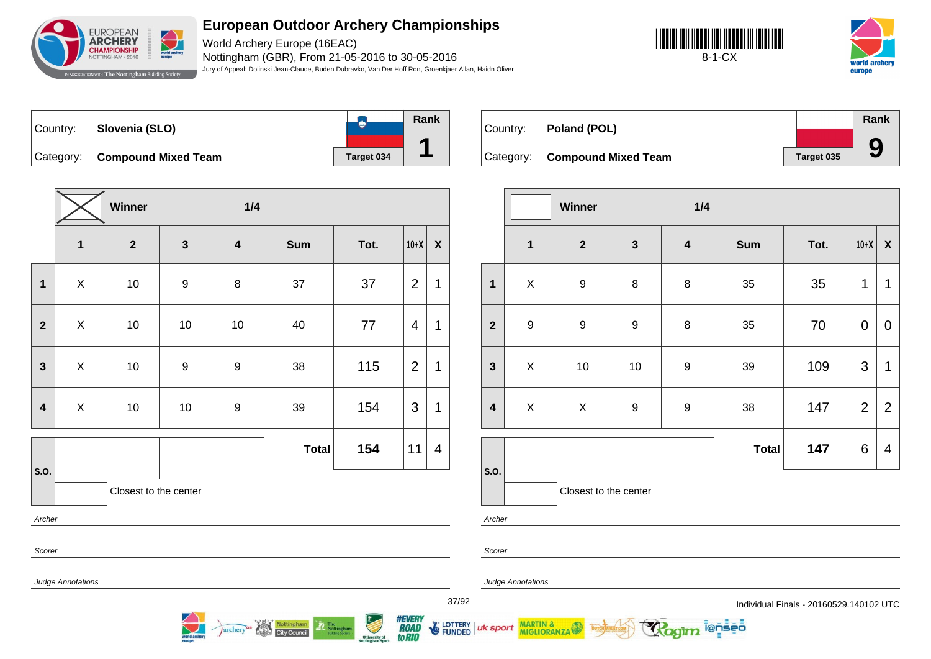

World Archery Europe (16EAC) Nottingham (GBR), From 21-05-2016 to 30-05-2016 Jury of Appeal: Dolinski Jean-Claude, Buden Dubravko, Van Der Hoff Ron, Groenkjaer Allan, Haidn Oliver





**B** Country: **Slovenia (SLO)** Category: **Compound Mixed Team Target 034** 



Country: **Poland (POL)**

**Category: Compound Mixed Team** 

|            | Rank |
|------------|------|
|            |      |
| Target 035 |      |

|                         | Winner<br>1/4            |                       |                  |                         |              |      |                |                |
|-------------------------|--------------------------|-----------------------|------------------|-------------------------|--------------|------|----------------|----------------|
|                         | $\mathbf{1}$             | $\overline{2}$        | $\mathbf{3}$     | $\overline{\mathbf{4}}$ | Sum          | Tot. | $10+X$         | $\pmb{\chi}$   |
| $\mathbf{1}$            | $\mathsf X$              | $10$                  | $\boldsymbol{9}$ | 8                       | 37           | 37   | $\overline{2}$ | 1              |
| $\mathbf{2}$            | X                        | 10                    | $10$             | 10                      | 40           | 77   | 4              | 1              |
| $\overline{\mathbf{3}}$ | X                        | $10$                  | $\boldsymbol{9}$ | 9                       | 38           | 115  | $\overline{2}$ | 1              |
| $\overline{\mathbf{4}}$ | $\mathsf{X}$             | $10$                  | $10$             | $\boldsymbol{9}$        | 39           | 154  | 3              | 1              |
|                         |                          |                       |                  |                         | <b>Total</b> | 154  | 11             | $\overline{4}$ |
| S.O.                    |                          | Closest to the center |                  |                         |              |      |                |                |
| Archer                  |                          |                       |                  |                         |              |      |                |                |
| Scorer                  |                          |                       |                  |                         |              |      |                |                |
|                         | <b>Judge Annotations</b> |                       |                  |                         |              |      |                |                |

Nottingham

archery

|                         |                  | Winner                |                  | 1/4                     |              |      |                |                  |  |
|-------------------------|------------------|-----------------------|------------------|-------------------------|--------------|------|----------------|------------------|--|
|                         | $\mathbf{1}$     | $\mathbf{2}$          | $\mathbf{3}$     | $\overline{\mathbf{4}}$ | <b>Sum</b>   | Tot. | $10+X$         | $\boldsymbol{X}$ |  |
| $\mathbf{1}$            | $\pmb{\times}$   | $\boldsymbol{9}$      | $\bf 8$          | 8                       | 35           | 35   | 1              | 1                |  |
| $\overline{2}$          | $\boldsymbol{9}$ | 9                     | $\boldsymbol{9}$ | $\bf 8$                 | 35           | 70   | 0              | $\mathbf 0$      |  |
| $\mathbf{3}$            | X                | 10                    | 10               | $\boldsymbol{9}$        | 39           | 109  | 3              | 1                |  |
| $\overline{\mathbf{4}}$ | X                | $\mathsf X$           | $\boldsymbol{9}$ | $\boldsymbol{9}$        | 38           | 147  | $\overline{2}$ | $\overline{2}$   |  |
|                         |                  |                       |                  |                         | <b>Total</b> | 147  | 6              | $\overline{4}$   |  |
| S.O.                    |                  | Closest to the center |                  |                         |              |      |                |                  |  |

Archer

Scorer

Judge Annotations

MARTIN & MIGLIORANZA

37/92 Individual Finals - 20160529.140102 UTC

ionseo



uk sport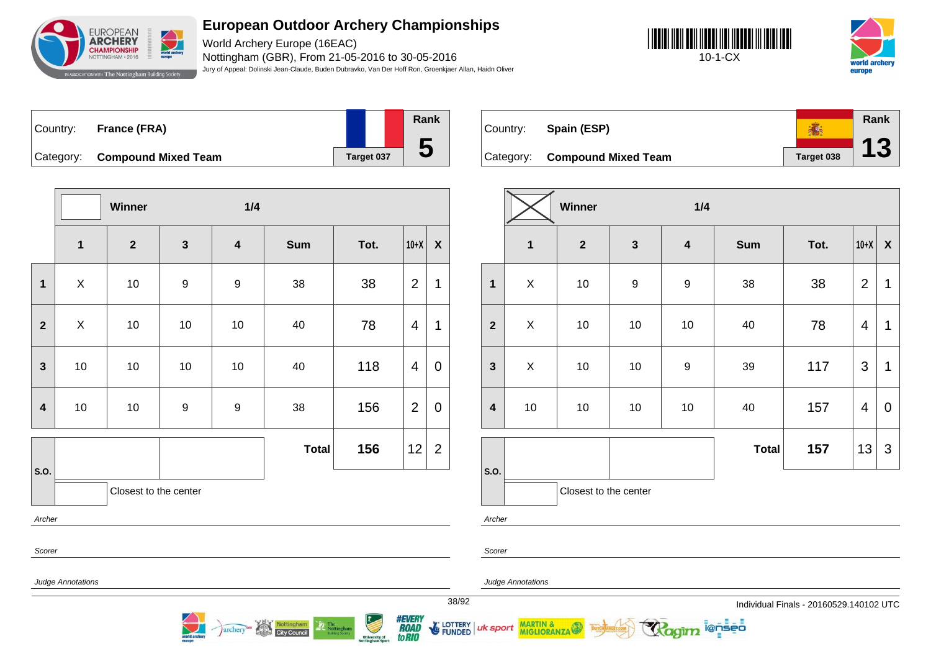

World Archery Europe (16EAC) Nottingham (GBR), From 21-05-2016 to 30-05-2016 Jury of Appeal: Dolinski Jean-Claude, Buden Dubravko, Van Der Hoff Ron, Groenkjaer Allan, Haidn Oliver





| ∣Countr∨: | France (FRA)                  |            | Rank        |
|-----------|-------------------------------|------------|-------------|
|           |                               |            |             |
|           | Category: Compound Mixed Team | Target 037 | $\mathbf 5$ |

**Rank** 高 Country: **Spain (ESP) 13** Category: **Compound Mixed Team Target 038** 

|                         |                          | Winner                  |                  | 1/4                     |              |      |                |                |
|-------------------------|--------------------------|-------------------------|------------------|-------------------------|--------------|------|----------------|----------------|
|                         | $\mathbf{1}$             | $\overline{\mathbf{2}}$ | $\mathbf{3}$     | $\overline{\mathbf{4}}$ | Sum          | Tot. | $10+X$         | $\pmb{\chi}$   |
| $\mathbf{1}$            | $\pmb{\times}$           | 10                      | $\boldsymbol{9}$ | $\boldsymbol{9}$        | 38           | 38   | $\overline{2}$ | 1              |
| $\overline{\mathbf{2}}$ | $\mathsf X$              | 10                      | 10               | 10                      | 40           | 78   | $\overline{4}$ | $\mathbf 1$    |
| $\mathbf{3}$            | $10$                     | $10$                    | 10               | $10$                    | 40           | 118  | 4              | 0              |
| $\overline{\mathbf{4}}$ | $10$                     | $10$                    | 9                | 9                       | 38           | 156  | $\overline{2}$ | $\pmb{0}$      |
|                         |                          |                         |                  |                         | <b>Total</b> | 156  | 12             | $\overline{2}$ |
| S.O.                    |                          | Closest to the center   |                  |                         |              |      |                |                |
| Archer                  |                          |                         |                  |                         |              |      |                |                |
| Scorer                  |                          |                         |                  |                         |              |      |                |                |
|                         | <b>Judge Annotations</b> |                         |                  |                         |              |      |                |                |

Nottingham

**City Council** 

archery

|                         |              | Winner                |                  | 1/4                     |              |      |                         |                  |
|-------------------------|--------------|-----------------------|------------------|-------------------------|--------------|------|-------------------------|------------------|
|                         | $\mathbf{1}$ | $\mathbf{2}$          | $\mathbf{3}$     | $\overline{\mathbf{4}}$ | <b>Sum</b>   | Tot. | $10+X$                  | $\boldsymbol{X}$ |
| 1                       | $\mathsf X$  | $10$                  | $\boldsymbol{9}$ | $\boldsymbol{9}$        | 38           | 38   | $\overline{2}$          | 1                |
| $\overline{2}$          | X            | $10$                  | 10               | 10                      | 40           | 78   | $\overline{4}$          | 1                |
| $\mathbf{3}$            | X            | $10$                  | $10$             | $\boldsymbol{9}$        | 39           | 117  | 3                       | 1                |
| $\overline{\mathbf{4}}$ | 10           | $10$                  | 10               | 10                      | 40           | 157  | $\overline{\mathbf{4}}$ | 0                |
|                         |              |                       |                  |                         | <b>Total</b> | 157  | 13                      | $\mathfrak{S}$   |
| S.O.                    |              | Closest to the center |                  |                         |              |      |                         |                  |

**ienseo** 

Archer

Scorer

uk sport

*#EVERY<br>ROAD<br>toRIO* 

E LOTTERY

Judge Annotations

MARTIN & MIGLIORANZA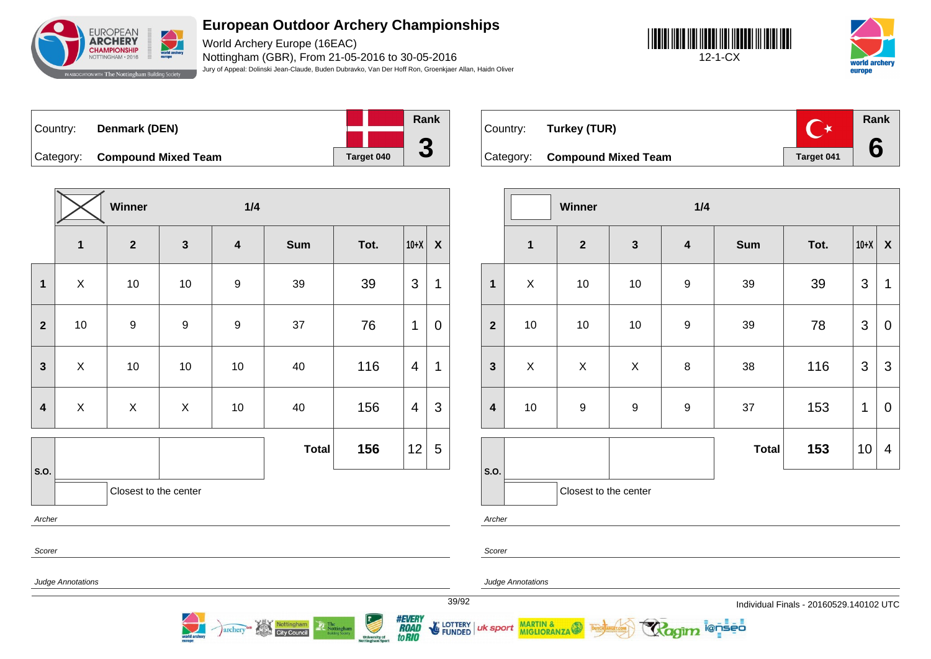

World Archery Europe (16EAC) Nottingham (GBR), From 21-05-2016 to 30-05-2016 Jury of Appeal: Dolinski Jean-Claude, Buden Dubravko, Van Der Hoff Ron, Groenkjaer Allan, Haidn Oliver





| Country: | Denmark (DEN)                 |            | Rank                     |
|----------|-------------------------------|------------|--------------------------|
|          |                               |            |                          |
|          | Category: Compound Mixed Team | Target 040 | $\overline{\phantom{a}}$ |

**Winner 1/4 1 2 3 4 Sum Tot. 10+X X 1** | X | 10 | 10 | 9 | 39 | 39 |3 |1 **2** | 10 | 9 | 9 | 9 | 37 | 76 |1 | 0 **3** X 10 10 10 40 116 4 1 **4** | X | X | X | 10 | 40 | 156 |4 |3 **S.O. Total 156**  $|12|5$ Closest to the center Archer Scorer

Nottingham

archery

| Country: Turkey (TUR)         |            | Rank |
|-------------------------------|------------|------|
| Category: Compound Mixed Team | Target 041 |      |

|                         |                | Winner                |              | 1/4                     |              |      |        |                  |
|-------------------------|----------------|-----------------------|--------------|-------------------------|--------------|------|--------|------------------|
|                         | $\mathbf{1}$   | $\mathbf{2}$          | $\mathbf{3}$ | $\overline{\mathbf{4}}$ | <b>Sum</b>   | Tot. | $10+X$ | $\boldsymbol{X}$ |
| $\mathbf{1}$            | $\pmb{\times}$ | 10                    | $10$         | $\boldsymbol{9}$        | 39           | 39   | 3      | 1                |
| $\overline{2}$          | $10$           | 10                    | $10$         | $\boldsymbol{9}$        | 39           | 78   | 3      | $\mathbf 0$      |
| $\mathbf{3}$            | X              | X                     | X            | 8                       | 38           | 116  | 3      | 3                |
| $\overline{\mathbf{4}}$ | $10\,$         | $\boldsymbol{9}$      | 9            | $\boldsymbol{9}$        | 37           | 153  | 1      | $\mathbf 0$      |
|                         |                |                       |              |                         | <b>Total</b> | 153  | 10     | 4                |
| S.O.                    |                | Closest to the center |              |                         |              |      |        |                  |

i@nseo

Archer

Scorer

#### Judge Annotations

MARTIN & MIGLIORANZA

Judge Annotations

39/92 Individual Finals - 20160529.140102 UTC



**E** LOTTERY uk sport

**FUNDED**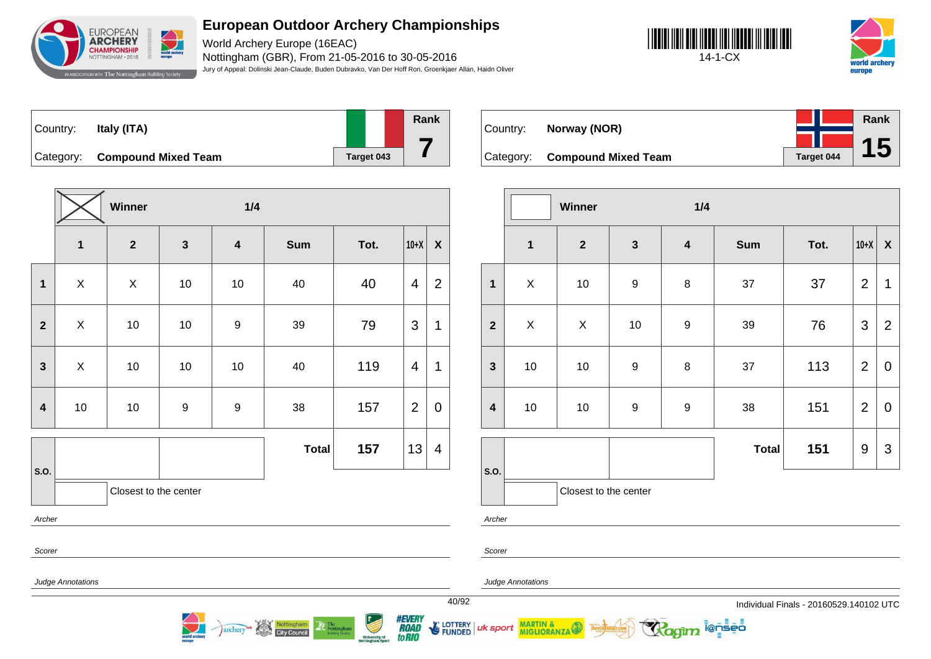

World Archery Europe (16EAC) Nottingham (GBR), From 21-05-2016 to 30-05-2016 Jury of Appeal: Dolinski Jean-Claude, Buden Dubravko, Van Der Hoff Ron, Groenkjaer Allan, Haidn Oliver





| Country: | Italy (ITA)                   |            | Rank |
|----------|-------------------------------|------------|------|
|          | Category: Compound Mixed Team | Target 043 |      |

**Winner 1/4 1 2 3 4 Sum Tot. 10+X X 1** | X | X | 10 | 10 | 40 | 40 |4 | **2 2** X 10 10 9 39 79 3 1 **3** X 10 10 10 40 119 4 1 **4** | 10 | 10 | 9 | 9 | 38 | 157 |2 | 0 **S.O. Total 157**  $|13|4$ Closest to the center Archer

Nottingham<br>City Council

archery

| Country: | Norway (NOR)                  |            | Rank |  |
|----------|-------------------------------|------------|------|--|
|          |                               |            |      |  |
|          | Category: Compound Mixed Team | Target 044 |      |  |

|                         |                | Winner                |                  | 1/4                     |              |      |                |                           |
|-------------------------|----------------|-----------------------|------------------|-------------------------|--------------|------|----------------|---------------------------|
|                         | $\mathbf{1}$   | $\boldsymbol{2}$      | $\mathbf{3}$     | $\overline{\mathbf{4}}$ | <b>Sum</b>   | Tot. | $10+X$         | $\boldsymbol{\mathsf{X}}$ |
| $\mathbf{1}$            | $\mathsf{X}$   | $10$                  | $\boldsymbol{9}$ | 8                       | 37           | 37   | $\overline{2}$ | 1                         |
| $\overline{2}$          | $\pmb{\times}$ | $\mathsf X$           | $10$             | $\boldsymbol{9}$        | 39           | 76   | $\mathfrak{S}$ | $\overline{2}$            |
| $\mathbf{3}$            | $10$           | 10                    | 9                | 8                       | 37           | 113  | $\overline{2}$ | $\overline{0}$            |
| $\overline{\mathbf{4}}$ | $10$           | 10                    | 9                | $\boldsymbol{9}$        | 38           | 151  | $\overline{2}$ | $\mathbf 0$               |
|                         |                |                       |                  |                         | <b>Total</b> | 151  | 9              | $\mathfrak{S}$            |
| S.O.                    |                | Closest to the center |                  |                         |              |      |                |                           |

i@nseo

Archer

Scorer

uk sport

Scorer

Judge Annotations

Judge Annotations

MARTIN & MIGLIORANZA

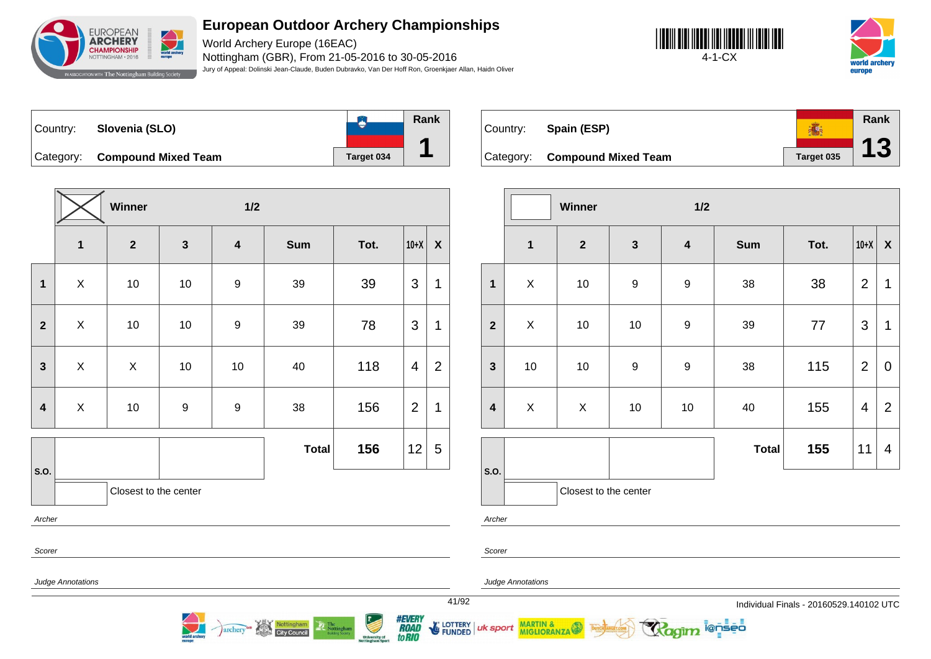

World Archery Europe (16EAC) Nottingham (GBR), From 21-05-2016 to 30-05-2016 Jury of Appeal: Dolinski Jean-Claude, Buden Dubravko, Van Der Hoff Ron, Groenkjaer Allan, Haidn Oliver





**B Rank** Country: **Slovenia (SLO) 1** Category: **Compound Mixed Team Target 034** 

**Winner 1/2 1 2 3 4 Sum Tot. 10+X X 1** | X | 10 | 10 | 9 | 39 | 39 |3 |1 **2** X 10 10 9 39 78 3 1 **3** X X 10 10 40 118 4 2 **4** | X | 10 | 9 | 9 | 38 | 156 |2 |1 **S.O. Total 156** 12 5 Closest to the center Archer Scorer

| Country:  | Spain (ESP)                |            | Rank |
|-----------|----------------------------|------------|------|
| Category: | <b>Compound Mixed Team</b> | Target 035 |      |

|                         |                | Winner                |              | 1/2                     |              |      |                |                  |
|-------------------------|----------------|-----------------------|--------------|-------------------------|--------------|------|----------------|------------------|
|                         | $\mathbf{1}$   | $\boldsymbol{2}$      | $\mathbf{3}$ | $\overline{\mathbf{4}}$ | <b>Sum</b>   | Tot. | $10+X$         | $\boldsymbol{X}$ |
| $\mathbf{1}$            | $\pmb{\times}$ | 10                    | 9            | $\boldsymbol{9}$        | 38           | 38   | $\overline{2}$ | 1                |
| $\overline{2}$          | $\mathsf{X}$   | 10                    | $10$         | 9                       | 39           | 77   | 3              | 1                |
| $\mathbf{3}$            | $10$           | 10                    | 9            | $\boldsymbol{9}$        | 38           | 115  | $\overline{2}$ | $\overline{0}$   |
| $\overline{\mathbf{4}}$ | X              | X                     | $10$         | $10$                    | 40           | 155  | $\overline{4}$ | $\overline{2}$   |
|                         |                |                       |              |                         | <b>Total</b> | 155  | 11             | 4                |
| S.O.                    |                | Closest to the center |              |                         |              |      |                |                  |

i@nseo

Judge Annotations

Nottingham

**City Council** 

archery

Judge Annotations

**MARTIN & MIGLIORANZA** 

Archer

Scorer

uk sport

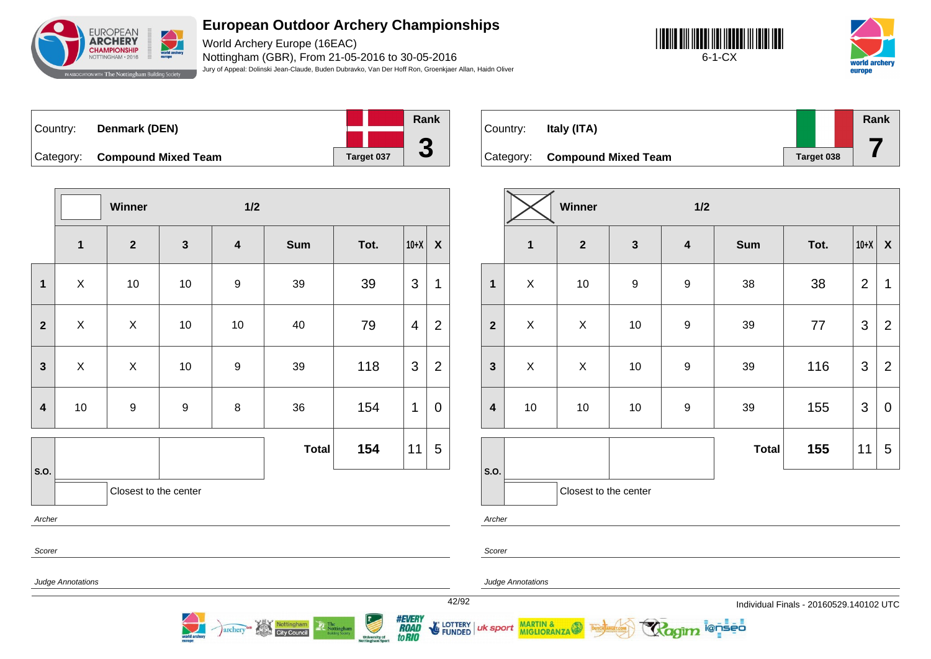

World Archery Europe (16EAC) Nottingham (GBR), From 21-05-2016 to 30-05-2016 Jury of Appeal: Dolinski Jean-Claude, Buden Dubravko, Van Der Hoff Ron, Groenkjaer Allan, Haidn Oliver





| Country: | Denmark (DEN)                 |            | Rank |
|----------|-------------------------------|------------|------|
|          |                               |            |      |
|          | Category: Compound Mixed Team | Target 037 |      |

**Winner 1/2 1 2 3 4 Sum Tot. 10+X X 1** | X | 10 | 10 | 9 | 39 | 39 |3 |1 **2** X X 10 10 40 79 4 2 **3** X X 10 9 39 118 3 2 **4** | 10 | 9 | 9 | 8 | 36 | 154 |1 | 0 **S.O. Total 154** 11 5 Closest to the center Archer Scorer

**City Council** 

archery

| Country: | Italy (ITA)                   |            | Rank |
|----------|-------------------------------|------------|------|
|          | Category: Compound Mixed Team | Target 038 |      |

|                         |              | Winner                |                | 1/2                     |              |      |                |                  |
|-------------------------|--------------|-----------------------|----------------|-------------------------|--------------|------|----------------|------------------|
|                         | $\mathbf{1}$ | $\mathbf{2}$          | $\mathbf{3}$   | $\overline{\mathbf{4}}$ | <b>Sum</b>   | Tot. | $10+X$         | $\boldsymbol{X}$ |
| $\mathbf{1}$            | X            | $10$                  | $\overline{9}$ | $\boldsymbol{9}$        | 38           | 38   | $\overline{2}$ | 1                |
| $\overline{2}$          | $\mathsf X$  | X                     | $10$           | $\boldsymbol{9}$        | 39           | 77   | 3              | $\overline{2}$   |
| $\mathbf{3}$            | $\mathsf X$  | X                     | $10$           | $\boldsymbol{9}$        | 39           | 116  | 3              | $\overline{2}$   |
| $\overline{\mathbf{4}}$ | 10           | 10                    | $10$           | $\boldsymbol{9}$        | 39           | 155  | 3              | $\pmb{0}$        |
|                         |              |                       |                |                         | <b>Total</b> | 155  | 11             | 5                |
| S.O.                    |              | Closest to the center |                |                         |              |      |                |                  |

i@nseo

Judge Annotations

Archer

Scorer

Judge Annotations

MARTIN & MIGLIORANZA

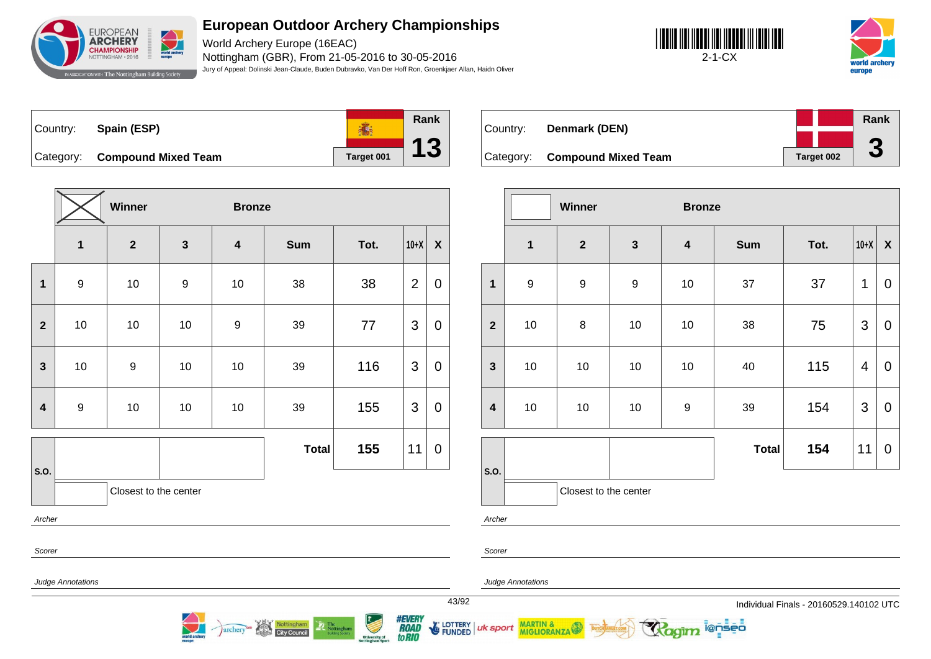

World Archery Europe (16EAC) Nottingham (GBR), From 21-05-2016 to 30-05-2016 Jury of Appeal: Dolinski Jean-Claude, Buden Dubravko, Van Der Hoff Ron, Groenkjaer Allan, Haidn Oliver





**Rank** 高 Country: **Spain (ESP) 13** Category: **Compound Mixed Team Target 001** 

|                         |                  | Winner                |                  | <b>Bronze</b>           |              |      |                |                    |
|-------------------------|------------------|-----------------------|------------------|-------------------------|--------------|------|----------------|--------------------|
|                         | $\mathbf 1$      | $\mathbf{2}$          | $\mathbf{3}$     | $\overline{\mathbf{4}}$ | <b>Sum</b>   | Tot. | $10+X$         | $\pmb{\mathsf{X}}$ |
| $\mathbf 1$             | $\boldsymbol{9}$ | $10$                  | $\boldsymbol{9}$ | 10                      | 38           | 38   | $\overline{2}$ | 0                  |
| $\overline{2}$          | 10               | $10$                  | $10$             | $\boldsymbol{9}$        | 39           | 77   | 3              | 0                  |
| $\mathbf{3}$            | 10               | $\boldsymbol{9}$      | 10               | 10                      | 39           | 116  | $\mathfrak{B}$ | 0                  |
| $\overline{\mathbf{4}}$ | $\boldsymbol{9}$ | $10$                  | 10               | 10                      | 39           | 155  | 3              | $\mathbf 0$        |
|                         |                  |                       |                  |                         | <b>Total</b> | 155  | 11             | 0                  |
| S.O.                    |                  | Closest to the center |                  |                         |              |      |                |                    |
| Archer                  |                  |                       |                  |                         |              |      |                |                    |
| Scorer                  |                  |                       |                  |                         |              |      |                |                    |

Nottingham<br>City Council

archery

| Country: | Denmark (DEN)                 |            | Rank                     |
|----------|-------------------------------|------------|--------------------------|
|          |                               |            |                          |
|          | Category: Compound Mixed Team | Target 002 | $\overline{\phantom{a}}$ |

|                         |                  | Winner                |                  | <b>Bronze</b>           |              |      |        |             |
|-------------------------|------------------|-----------------------|------------------|-------------------------|--------------|------|--------|-------------|
|                         | $\mathbf{1}$     | $\mathbf{2}$          | $\mathbf{3}$     | $\overline{\mathbf{4}}$ | <b>Sum</b>   | Tot. | $10+X$ | X           |
| $\mathbf{1}$            | $\boldsymbol{9}$ | $\boldsymbol{9}$      | $\boldsymbol{9}$ | 10                      | 37           | 37   | 1      | $\mathbf 0$ |
| $\overline{2}$          | 10               | 8                     | 10               | 10                      | 38           | 75   | 3      | $\mathbf 0$ |
| $\mathbf{3}$            | 10               | $10$                  | 10               | 10                      | 40           | 115  | 4      | $\mathbf 0$ |
| $\overline{\mathbf{4}}$ | 10               | $10\,$                | 10               | $\boldsymbol{9}$        | 39           | 154  | 3      | $\mathbf 0$ |
|                         |                  |                       |                  |                         | <b>Total</b> | 154  | 11     | $\mathbf 0$ |
| S.O.                    |                  | Closest to the center |                  |                         |              |      |        |             |

ionseo

Archer

Scorer

Judge Annotations

Judge Annotations

MARTIN & MIGLIORANZA

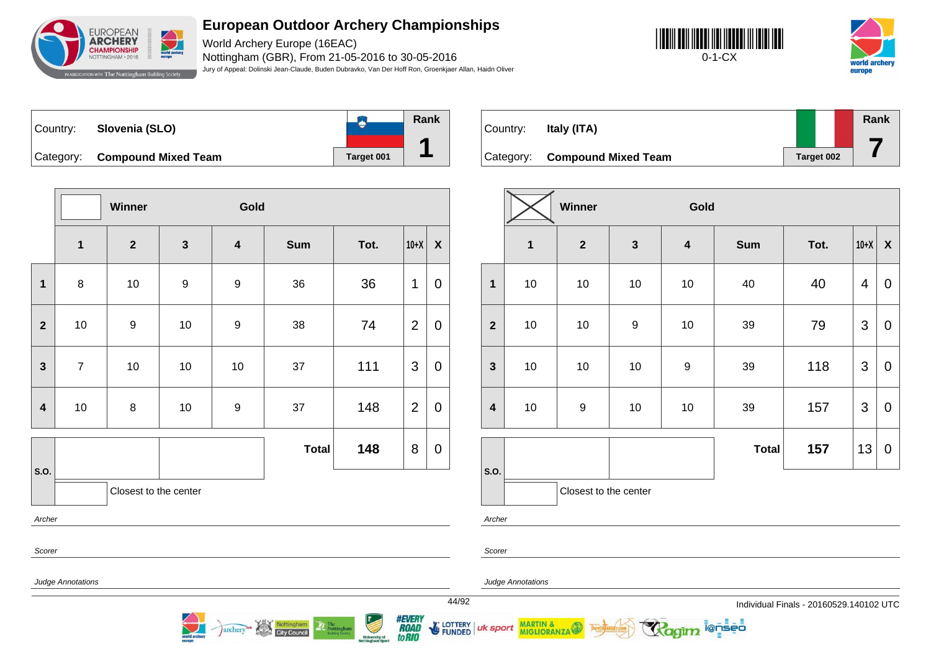

World Archery Europe (16EAC) Nottingham (GBR), From 21-05-2016 to 30-05-2016 Jury of Appeal: Dolinski Jean-Claude, Buden Dubravko, Van Der Hoff Ron, Groenkjaer Allan, Haidn Oliver





**B** Country: **Slovenia (SLO)** Category: **Compound Mixed Team Target 001** 



|                         |                | <b>Winner</b>         |                  | Gold                    |              |      |                |                  |
|-------------------------|----------------|-----------------------|------------------|-------------------------|--------------|------|----------------|------------------|
|                         | $\mathbf{1}$   | $\mathbf{2}$          | $\mathbf{3}$     | $\overline{\mathbf{4}}$ | <b>Sum</b>   | Tot. | $10+X$         | $\boldsymbol{X}$ |
| 1                       | 8              | 10                    | $\boldsymbol{9}$ | $\boldsymbol{9}$        | 36           | 36   | 1              | $\mathbf 0$      |
| $\overline{2}$          | 10             | $\boldsymbol{9}$      | 10               | 9                       | 38           | 74   | $\overline{2}$ | $\mathbf 0$      |
| $\mathbf{3}$            | $\overline{7}$ | $10$                  | $10$             | 10                      | 37           | 111  | 3              | $\mathbf 0$      |
| $\overline{\mathbf{4}}$ | $10$           | $\bf 8$               | $10$             | $\boldsymbol{9}$        | 37           | 148  | $\overline{2}$ | $\mathbf 0$      |
|                         |                |                       |                  |                         | <b>Total</b> | 148  | 8              | $\pmb{0}$        |
| S.O.                    |                | Closest to the center |                  |                         |              |      |                |                  |

Nottingham<br>City Council

archery

| Country: | Italy (ITA)                   |            | Rank |
|----------|-------------------------------|------------|------|
|          | Category: Compound Mixed Team | Target 002 |      |

|                         |             | <b>Winner</b>         |                  | Gold                    |              |      |                |                  |
|-------------------------|-------------|-----------------------|------------------|-------------------------|--------------|------|----------------|------------------|
|                         | $\mathbf 1$ | $\mathbf{2}$          | $\mathbf{3}$     | $\overline{\mathbf{4}}$ | <b>Sum</b>   | Tot. | $10+X$         | $\boldsymbol{X}$ |
| $\mathbf 1$             | 10          | 10                    | 10               | 10                      | 40           | 40   | 4              | 0                |
| $\overline{2}$          | 10          | 10                    | $\boldsymbol{9}$ | 10                      | 39           | 79   | 3              | 0                |
| $\mathbf{3}$            | 10          | 10                    | 10               | $\boldsymbol{9}$        | 39           | 118  | $\mathfrak{S}$ | $\mathbf 0$      |
| $\overline{\mathbf{4}}$ | 10          | 9                     | 10               | 10                      | 39           | 157  | 3              | 0                |
|                         |             |                       |                  |                         | <b>Total</b> | 157  | 13             | $\mathbf 0$      |
| S.O.                    |             | Closest to the center |                  |                         |              |      |                |                  |

ionseo

Archer

Scorer

Archer

Scorer

Judge Annotations

Judge Annotations

MARTIN & MIGLIORANZA

*#EVERY<br>ROAD<br>toRIO* LOTTERY<br>FUNDED uk sport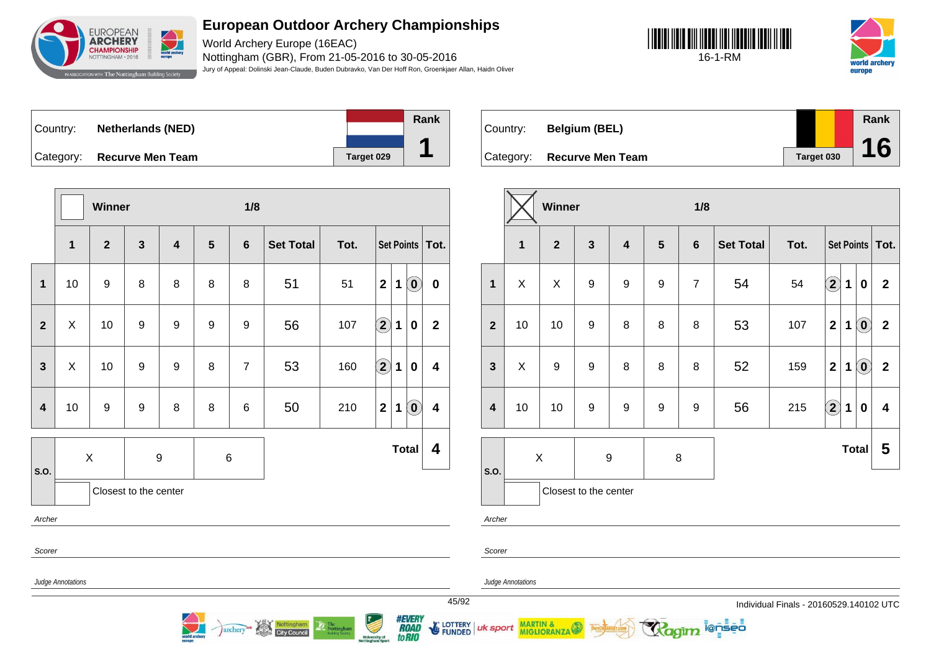

World Archery Europe (16EAC) Nottingham (GBR), From 21-05-2016 to 30-05-2016 Jury of Appeal: Dolinski Jean-Claude, Buden Dubravko, Van Der Hoff Ron, Groenkjaer Allan, Haidn Oliver





Country: **Netherlands (NED)** Category: **Recurve Men Team Target 029** 



Country: **Belgium (BEL)** Category: **Recurve Men Team Target 030 Rank 16**

|                         |                   | Winner         |                       |                         |                     | 1/8             |                  |      |                   |                   |                            |                         |
|-------------------------|-------------------|----------------|-----------------------|-------------------------|---------------------|-----------------|------------------|------|-------------------|-------------------|----------------------------|-------------------------|
|                         | $\mathbf{1}$      | $\overline{2}$ | $\mathbf{3}$          | $\overline{\mathbf{4}}$ | 5<br>$6\phantom{1}$ |                 | <b>Set Total</b> | Tot. |                   | Set Points   Tot. |                            |                         |
| $\mathbf{1}$            | 10                | 9              | 8                     | 8                       | 8                   | 8               | 51               | 51   | $\mathbf{2}$      | 1                 | $\left( \mathbf{0}\right)$ | $\bf{0}$                |
| $\overline{2}$          | X                 | 10             | $\boldsymbol{9}$      | $\boldsymbol{9}$        | 9                   | 9               | 56               | 107  | $\bigcircled{2}$  | $\mathbf 1$       | $\bf{0}$                   | $\mathbf{2}$            |
| $\mathbf{3}$            | $\mathsf X$       | 10             | $\boldsymbol{9}$      | $\boldsymbol{9}$        | 8                   | $\overline{7}$  | 53               | 160  | $\bigcirc \!\! 2$ | $\mathbf 1$       | 0                          | $\overline{\mathbf{4}}$ |
| $\overline{\mathbf{4}}$ | 10                | 9              | $\boldsymbol{9}$      | 8                       | 8                   | $6\phantom{1}6$ | 50               | 210  | $\mathbf{2}$      | $\mathbf 1$       | $\left( \mathbf{0}\right)$ | $\overline{\mathbf{4}}$ |
| S.O.                    | $\mathsf X$<br>9  |                |                       | 6                       |                     |                 |                  |      | <b>Total</b>      |                   | 4                          |                         |
|                         |                   |                | Closest to the center |                         |                     |                 |                  |      |                   |                   |                            |                         |
| Archer                  |                   |                |                       |                         |                     |                 |                  |      |                   |                   |                            |                         |
| Scorer                  |                   |                |                       |                         |                     |                 |                  |      |                   |                   |                            |                         |
|                         | Judge Annotations |                |                       |                         |                     |                 |                  |      |                   |                   |                            |                         |

archery<sup>or</sup> Nottingham

|                  |                         | Winner           |                         |                         |                  | 1/8            |                  |      |                |              |                            |                   |
|------------------|-------------------------|------------------|-------------------------|-------------------------|------------------|----------------|------------------|------|----------------|--------------|----------------------------|-------------------|
|                  | $\overline{\mathbf{1}}$ | 2 <sup>1</sup>   | $\overline{\mathbf{3}}$ | $\overline{\mathbf{4}}$ | $5\phantom{1}$   | $6\phantom{1}$ | <b>Set Total</b> | Tot. |                |              |                            | Set Points   Tot. |
| $\mathbf{1}$     | X                       | X                | $\boldsymbol{9}$        | $\boldsymbol{9}$        | 9                | $\overline{7}$ | 54               | 54   | $\bf (2)$      | 1            | 0                          | $\mathbf{2}$      |
| $\overline{2}$   | 10                      | 10               | $\boldsymbol{9}$        | 8                       | 8                | 8              | 53               | 107  | $\overline{2}$ | 1            | $\left( \mathbf{0}\right)$ | $\overline{2}$    |
| $\mathbf{3}$     | X                       | $\boldsymbol{9}$ | $\boldsymbol{9}$        | 8                       | 8                | 8              | 52               | 159  | $\overline{2}$ | 1            | $\left( \mathbf{0}\right)$ | $\overline{2}$    |
| $\boldsymbol{4}$ | 10                      | 10               | 9                       | $\boldsymbol{9}$        | $\boldsymbol{9}$ | 9              | 56               | 215  | $\bf(2)$       | $\mathbf 1$  | $\bf{0}$                   | 4                 |
|                  | $\pmb{\times}$          |                  | $\boldsymbol{9}$        |                         | 8                |                |                  |      |                | <b>Total</b> |                            | 5                 |
| S.O.             |                         |                  | Closest to the center   |                         |                  |                |                  |      |                |              |                            |                   |

ionseo

Archer

Scorer

uk sport

Judge Annotations

MARTIN & MIGLIORANZA

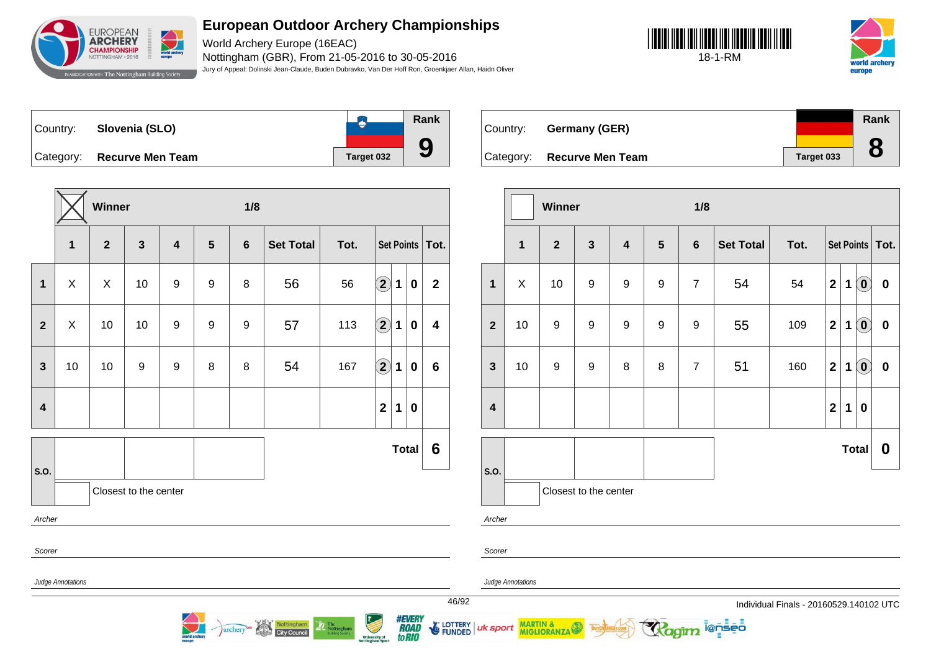

World Archery Europe (16EAC) Nottingham (GBR), From 21-05-2016 to 30-05-2016 Jury of Appeal: Dolinski Jean-Claude, Buden Dubravko, Van Der Hoff Ron, Groenkjaer Allan, Haidn Oliver





Country: **Slovenia (SLO)** Category: **Recurve Men Team Tanget 032** 





Country: **Germany (GER)** Category: **Recurve Men Team Target 033 Rank 8**

|                         | 1/8<br>Winner                                                                                                                                                                                                                                                                                                   |                       |    |                |   |                 |                  |      |                        |                 |             |                   | Winner   |                  |                           |                | 1/8                   |                |                 |                |                  |              |                  |             |                                                         |                   |
|-------------------------|-----------------------------------------------------------------------------------------------------------------------------------------------------------------------------------------------------------------------------------------------------------------------------------------------------------------|-----------------------|----|----------------|---|-----------------|------------------|------|------------------------|-----------------|-------------|-------------------|----------|------------------|---------------------------|----------------|-----------------------|----------------|-----------------|----------------|------------------|--------------|------------------|-------------|---------------------------------------------------------|-------------------|
|                         | $\mathbf{1}$                                                                                                                                                                                                                                                                                                    | $\mathbf{2}$          | 3  | $\overline{4}$ | 5 | $6\phantom{1}6$ | <b>Set Total</b> | Tot. |                        |                 |             | Set Points   Tot. |          |                  | $\mathbf{1}$              | $\overline{2}$ | $\mathbf{3}$          | $\overline{4}$ | $5\phantom{.0}$ | $6\phantom{1}$ | <b>Set Total</b> | Tot.         |                  |             |                                                         | Set Points   Tot. |
| $\mathbf{1}$            | X                                                                                                                                                                                                                                                                                                               | $\sf X$               | 10 | 9              | 9 | 8               | 56               | 56   | $\widehat{\mathbf{2}}$ | 1               | $\mathbf 0$ | $\mathbf{2}$      |          | $\mathbf{1}$     | $\boldsymbol{\mathsf{X}}$ | 10             | 9                     | 9              | $\mathsf g$     | $\overline{7}$ | 54               | 54           | $\mathbf{2}$     | $\mathbf 1$ | $\left( \begin{matrix} \textbf{0} \end{matrix} \right)$ | $\mathbf 0$       |
| $\mathbf{2}$            | X                                                                                                                                                                                                                                                                                                               | 10                    | 10 | 9              | 9 | 9               | 57               | 113  | $\bigcirc$             | $\mathbf 1$     | $\mathbf 0$ | 4                 |          | $\overline{2}$   | 10                        | 9              | 9                     | 9              | 9               | 9              | 55               | 109          | $\boldsymbol{2}$ | $\mathbf 1$ | $\left( \begin{matrix} \textbf{0} \end{matrix} \right)$ | $\mathbf 0$       |
| $\mathbf{3}$            | 10                                                                                                                                                                                                                                                                                                              | 10                    | 9  | 9              | 8 | 8               | 54               | 167  | $\Large{\textbf{2}}$   | $\mathbf 1$     | $\mathbf 0$ | 6                 |          | $\mathbf{3}$     | 10                        | 9              | 9                     | 8              | 8               | $\overline{7}$ | 51               | 160          | $\mathbf{2}$     | $\mathbf 1$ | $\left( \begin{matrix} \textbf{0} \end{matrix} \right)$ | $\mathbf 0$       |
| $\overline{\mathbf{4}}$ |                                                                                                                                                                                                                                                                                                                 |                       |    |                |   |                 |                  |      | $\mathbf{2}$           | 1               | $\mathbf 0$ |                   |          | $\boldsymbol{4}$ |                           |                |                       |                |                 |                |                  |              | $\mathbf{2}$     | $\mathbf 1$ | 0                                                       |                   |
| Total                   |                                                                                                                                                                                                                                                                                                                 |                       |    |                |   |                 |                  |      |                        | $6\phantom{1}6$ |             |                   |          |                  |                           |                |                       |                |                 |                |                  | <b>Total</b> |                  | $\mathbf 0$ |                                                         |                   |
| <b>S.O.</b>             |                                                                                                                                                                                                                                                                                                                 | Closest to the center |    |                |   |                 |                  |      |                        |                 |             |                   | $ $ S.O. |                  |                           |                | Closest to the center |                |                 |                |                  |              |                  |             |                                                         |                   |
| Archer                  |                                                                                                                                                                                                                                                                                                                 |                       |    |                |   |                 |                  |      |                        |                 |             |                   |          | Archer           |                           |                |                       |                |                 |                |                  |              |                  |             |                                                         |                   |
| Scorer                  |                                                                                                                                                                                                                                                                                                                 |                       |    |                |   |                 |                  |      |                        |                 |             |                   |          | Scorer           |                           |                |                       |                |                 |                |                  |              |                  |             |                                                         |                   |
|                         | <b>Judge Annotations</b>                                                                                                                                                                                                                                                                                        |                       |    |                |   |                 |                  |      |                        |                 |             |                   |          |                  | <b>Judge Annotations</b>  |                |                       |                |                 |                |                  |              |                  |             |                                                         |                   |
|                         | 46/92<br>Individual Finals - 20160529.140102 UTC<br><i><b>#EVERY<br/>ROAD<br/>toRIO</b></i><br>University of<br>Nottingham Sport<br>E LOTTERY   UK sport MARTIN &<br>Nottingham<br>The<br>Nottinghan<br>Building Society<br><b>Ragim</b> lensed<br><i>archery</i><br><b>World archay</b><br><b>City Council</b> |                       |    |                |   |                 |                  |      |                        |                 |             |                   |          |                  |                           |                |                       |                |                 |                |                  |              |                  |             |                                                         |                   |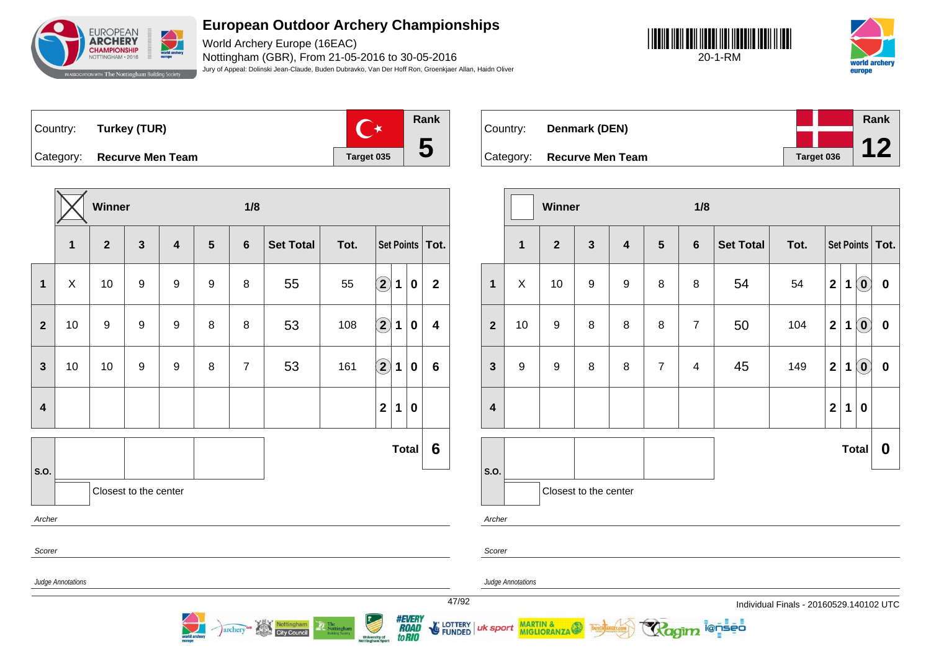

World Archery Europe (16EAC) Nottingham (GBR), From 21-05-2016 to 30-05-2016 Jury of Appeal: Dolinski Jean-Claude, Buden Dubravko, Van Der Hoff Ron, Groenkjaer Allan, Haidn Oliver





Country: **Turkey (TUR)**



Category: **Recurve Men Team Target 035** 



Nottingham

**City Council** 

archery

| Country:  | Denmark (DEN)           |            | Rank |
|-----------|-------------------------|------------|------|
|           |                         |            |      |
| Category: | <b>Recurve Men Team</b> | Target 036 |      |

|                         |                | Winner           |                         |                         |                | 1/8            |                  |      |                |   |                            |                   |
|-------------------------|----------------|------------------|-------------------------|-------------------------|----------------|----------------|------------------|------|----------------|---|----------------------------|-------------------|
|                         | $\overline{1}$ | $\overline{2}$   | $\overline{\mathbf{3}}$ | $\overline{\mathbf{4}}$ | $5\phantom{1}$ | $6\phantom{a}$ | <b>Set Total</b> | Tot. |                |   |                            | Set Points   Tot. |
| $\mathbf{1}$            | X              | 10               | $\boldsymbol{9}$        | $\boldsymbol{9}$        | 8              | 8              | 54               | 54   | $\mathbf{2}$   | 1 | $\left( \mathbf{0}\right)$ | $\pmb{0}$         |
| $\overline{2}$          | 10             | $\boldsymbol{9}$ | 8                       | 8                       | 8              | $\overline{7}$ | 50               | 104  | $\mathbf{2}$   | 1 | $\left( \mathbf{0}\right)$ | $\pmb{0}$         |
| $\mathbf{3}$            | 9              | $\boldsymbol{9}$ | 8                       | 8                       | $\overline{7}$ | 4              | 45               | 149  | $\overline{2}$ | 1 | $\left( \mathbf{0}\right)$ | $\pmb{0}$         |
| $\overline{\mathbf{4}}$ |                |                  |                         |                         |                |                |                  |      | $\overline{2}$ | 1 | $\bf{0}$                   |                   |
|                         |                |                  |                         |                         |                |                |                  |      |                |   | <b>Total</b>               | 0                 |
| S.O.                    |                |                  | Closest to the center   |                         |                |                |                  |      |                |   |                            |                   |
| Archer                  |                |                  |                         |                         |                |                |                  |      |                |   |                            |                   |

i@nseo

Judge Annotations

MARTIN & MIGLIORANZA

Scorer

uk sport

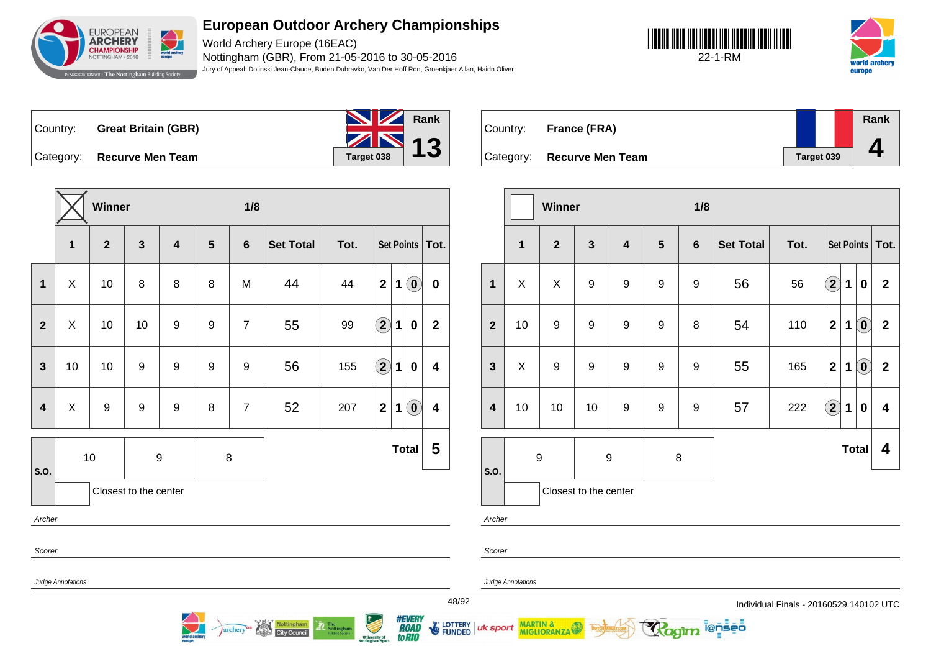

World Archery Europe (16EAC) Nottingham (GBR), From 21-05-2016 to 30-05-2016 Jury of Appeal: Dolinski Jean-Claude, Buden Dubravko, Van Der Hoff Ron, Groenkjaer Allan, Haidn Oliver





Country: **Great Britain (GBR)**



Country: **France (FRA)** Category: **Recurve Men Team Tanget 039 Rank 4**

|                         | 1/8<br>Winner     |                |                       |       |                 |                 |                                   |                |                                   |             |                                                         |                   | Winner                        |              |                          |                  | 1/8                   |                  |                  |                |                     |                                         |                            |              |                                                         |                   |
|-------------------------|-------------------|----------------|-----------------------|-------|-----------------|-----------------|-----------------------------------|----------------|-----------------------------------|-------------|---------------------------------------------------------|-------------------|-------------------------------|--------------|--------------------------|------------------|-----------------------|------------------|------------------|----------------|---------------------|-----------------------------------------|----------------------------|--------------|---------------------------------------------------------|-------------------|
|                         | 1                 | $\overline{2}$ | $\mathbf{3}$          | 4     | $5\phantom{.0}$ | $6\phantom{1}6$ | <b>Set Total</b>                  | Tot.           |                                   |             |                                                         | Set Points   Tot. |                               |              | $\mathbf{1}$             | $\boldsymbol{2}$ | $\mathbf{3}$          | $\boldsymbol{4}$ | $5\phantom{1}$   | $6\phantom{1}$ | <b>Set Total</b>    | Tot.                                    |                            |              |                                                         | Set Points   Tot. |
| $\mathbf{1}$            | X                 | 10             | 8                     | 8     | 8               | M               | 44                                | 44             | 2 1                               |             | $\left( \begin{matrix} \textbf{0} \end{matrix} \right)$ | $\mathbf 0$       |                               | $\mathbf{1}$ | X                        | X                | 9                     | 9                | $9\,$            | 9              | 56                  | 56                                      | $\left( \mathbf{2}\right)$ | $\mathbf 1$  | $\boldsymbol{0}$                                        | $\overline{2}$    |
| $\overline{2}$          | $\mathsf X$       | 10             | 10                    | 9     | 9               | $\overline{7}$  | 55                                | 99             | $\left( \mathbf{2}\right)$        | 1           | $\mathbf 0$                                             | $\mathbf{2}$      |                               | $\mathbf{2}$ | 10                       | 9                | 9                     | 9                | $\boldsymbol{9}$ | 8              | 54                  | 110                                     | $\mathbf{2}$               | 1            | $\left( \begin{matrix} 0 \end{matrix} \right)$          | $\overline{2}$    |
| $\mathbf{3}$            | 10                | 10             | 9                     | $9\,$ | 9               | 9               | 56                                | 155            | $\bf{(2)}$                        | 1           | $\mathbf 0$                                             | 4                 |                               | $\mathbf{3}$ | Χ                        | 9                | $\boldsymbol{9}$      | 9                | $\boldsymbol{9}$ | 9              | 55                  | 165                                     | $\mathbf{2}$               | 1            | $\left( \begin{matrix} \textbf{0} \end{matrix} \right)$ | $\overline{2}$    |
| $\overline{\mathbf{4}}$ | X                 | 9              | 9                     | 9     | 8               | $\overline{7}$  | 52                                | 207            | $\boldsymbol{2}$                  | $\mathbf 1$ | $\left( \begin{matrix} \textbf{0} \end{matrix} \right)$ | 4                 |                               | 4            | 10                       | 10               | 10                    | 9                | 9                | 9              | 57                  | 222                                     | $\bigcirc$                 | $\mathbf 1$  | $\boldsymbol{0}$                                        | 4                 |
| S.O.                    | 10                |                |                       | 9     |                 | 8               |                                   |                |                                   |             | Total                                                   | $5\phantom{1}$    |                               | $ $ S.O.     | 9                        |                  |                       | 9                | 8                |                |                     |                                         |                            | <b>Total</b> |                                                         | 4                 |
|                         |                   |                | Closest to the center |       |                 |                 |                                   |                |                                   |             |                                                         |                   |                               |              |                          |                  | Closest to the center |                  |                  |                |                     |                                         |                            |              |                                                         |                   |
| Archer                  |                   |                |                       |       |                 |                 |                                   |                |                                   |             |                                                         |                   |                               | Archer       |                          |                  |                       |                  |                  |                |                     |                                         |                            |              |                                                         |                   |
| Scorer                  |                   |                |                       |       |                 |                 |                                   |                |                                   |             |                                                         |                   |                               | Scorer       |                          |                  |                       |                  |                  |                |                     |                                         |                            |              |                                                         |                   |
|                         | Judge Annotations |                |                       |       |                 |                 |                                   |                |                                   |             |                                                         |                   |                               |              | <b>Judge Annotations</b> |                  |                       |                  |                  |                |                     |                                         |                            |              |                                                         |                   |
|                         |                   |                |                       |       |                 |                 |                                   |                |                                   |             |                                                         |                   | 48/92                         |              |                          |                  |                       |                  |                  |                |                     | Individual Finals - 20160529.140102 UTC |                            |              |                                                         |                   |
|                         |                   |                |                       |       |                 | archery         | Nottingham<br><b>City Council</b> | The Nottingham | University of<br>Nottingham Sport |             | <i><b>#EVERY<br/>ROAD<br/>toRIO</b></i>                 |                   | E LOTTERY   uk sport MARTIN & |              |                          |                  |                       |                  |                  |                | <b>Ragim</b> lenses |                                         |                            |              |                                                         |                   |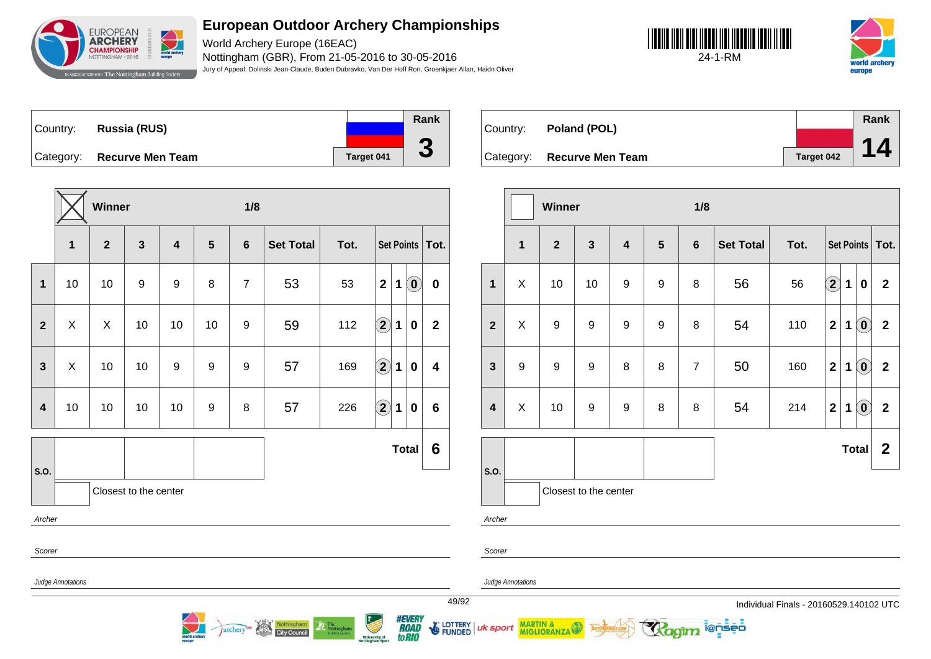

World Archery Europe (16EAC) Nottingham (GBR), From 21-05-2016 to 30-05-2016 Jury of Appeal: Dolinski Jean-Claude, Buden Dubravko, Van Der Hoff Ron, Groenkjaer Allan, Haidn Oliver





Country: **Russia (RUS)** Category: **Recurve Men Team Target 041 Rank 3**

|                |                   | Winner                  |                       |                         |                | 1/8              |                  |      |                             |                            |                |
|----------------|-------------------|-------------------------|-----------------------|-------------------------|----------------|------------------|------------------|------|-----------------------------|----------------------------|----------------|
|                | 1                 | $\overline{\mathbf{2}}$ | $\mathbf{3}$          | $\overline{\mathbf{4}}$ | $5\phantom{1}$ | $6\phantom{1}$   | <b>Set Total</b> | Tot. | Set Points                  |                            | Tot.           |
| $\mathbf 1$    | 10                | 10                      | 9                     | 9                       | 8              | $\overline{7}$   | 53               | 53   | $\mathbf{2}$<br>$\mathbf 1$ | $\left( \mathbf{0}\right)$ | $\bf{0}$       |
| $\overline{2}$ | X                 | Χ                       | 10                    | 10                      | 10             | $\boldsymbol{9}$ | 59               | 112  | $\hat{\mathbf{2}}$<br>1     | $\bf{0}$                   | $\overline{2}$ |
| $\overline{3}$ | X                 | 10                      | 10                    | $\boldsymbol{9}$        | 9              | $\boldsymbol{9}$ | 57               | 169  | $\widehat{\mathbf{2}}$<br>1 | $\bf{0}$                   | 4              |
| 4              | 10                | 10                      | 10                    | 10                      | 9              | 8                | 57               | 226  | $\mathbf{2}$<br>1           | $\bf{0}$                   | 6              |
|                |                   |                         |                       |                         |                |                  |                  |      |                             | <b>Total</b>               | 6              |
| S.O.           |                   |                         | Closest to the center |                         |                |                  |                  |      |                             |                            |                |
| Archer         |                   |                         |                       |                         |                |                  |                  |      |                             |                            |                |
| Scorer         |                   |                         |                       |                         |                |                  |                  |      |                             |                            |                |
|                | Judge Annotations |                         |                       |                         |                |                  |                  |      |                             |                            | 49/            |

archery<sup>as</sup> Nottingham

| Country: | Poland (POL)               |            | Rank |
|----------|----------------------------|------------|------|
|          |                            |            | 14.  |
|          | Category: Recurve Men Team | Target 042 |      |

|                         |                  | Winner           |                         |                         |                | 1/8            |                  |      |                            |              |                            |                   |
|-------------------------|------------------|------------------|-------------------------|-------------------------|----------------|----------------|------------------|------|----------------------------|--------------|----------------------------|-------------------|
|                         | $\mathbf{1}$     | $\overline{2}$   | $\overline{\mathbf{3}}$ | $\overline{\mathbf{4}}$ | $5\phantom{1}$ | $6\phantom{1}$ | <b>Set Total</b> | Tot. |                            |              |                            | Set Points   Tot. |
| $\mathbf{1}$            | X                | 10               | 10                      | 9                       | 9              | 8              | 56               | 56   | $\left( \mathbf{2}\right)$ | 1            | 0                          | $\mathbf{2}$      |
| $\overline{2}$          | X                | 9                | $\boldsymbol{9}$        | $\boldsymbol{9}$        | 9              | 8              | 54               | 110  | $\overline{\mathbf{2}}$    | 1            | $\left( \mathbf{0}\right)$ | $\mathbf{2}$      |
| $\mathbf{3}$            | $\boldsymbol{9}$ | $\boldsymbol{9}$ | $\boldsymbol{9}$        | 8                       | 8              | $\overline{7}$ | 50               | 160  | $\overline{2}$             | 1            | $\left( \mathbf{0}\right)$ | $\mathbf 2$       |
| $\overline{\mathbf{4}}$ | X                | 10               | $\boldsymbol{9}$        | $\boldsymbol{9}$        | 8              | 8              | 54               | 214  | $\overline{2}$             | 1            | $\left( \mathbf{0}\right)$ | $\mathbf{2}$      |
|                         |                  |                  |                         |                         |                |                |                  |      |                            | <b>Total</b> |                            | $\mathbf{2}$      |
| S.O.                    |                  |                  | Closest to the center   |                         |                |                |                  |      |                            |              |                            |                   |
| Archer                  |                  |                  |                         |                         |                |                |                  |      |                            |              |                            |                   |

ionseo

Scorer

uk sport

Judge Annotations

MARTIN & MIGLIORANZA

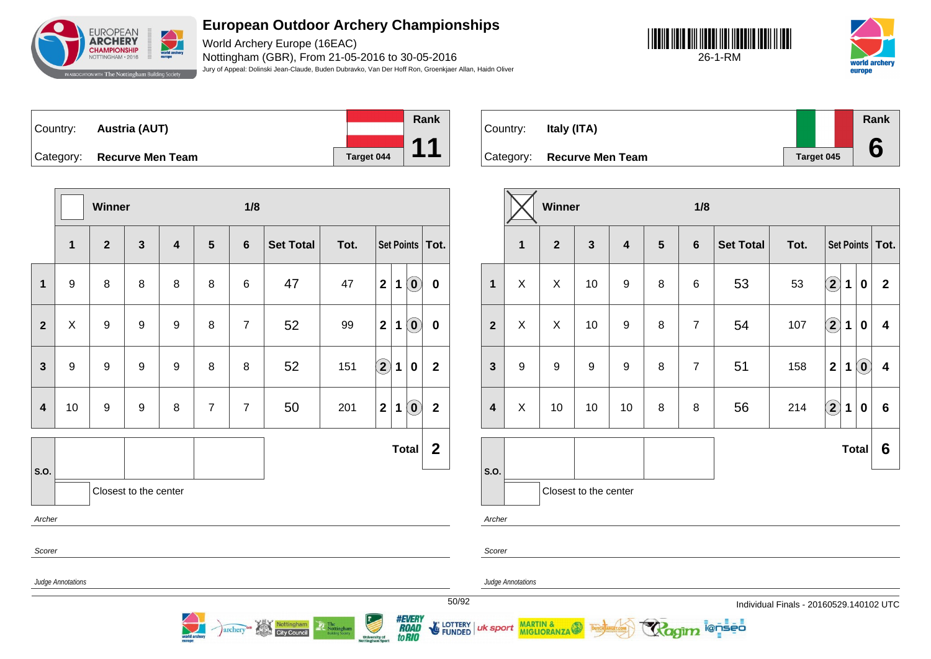

World Archery Europe (16EAC) Nottingham (GBR), From 21-05-2016 to 30-05-2016 Jury of Appeal: Dolinski Jean-Claude, Buden Dubravko, Van Der Hoff Ron, Groenkjaer Allan, Haidn Oliver





| Country: | <b>Austria (AUT)</b>       |                   | Rank |
|----------|----------------------------|-------------------|------|
|          |                            |                   |      |
|          | Category: Recurve Men Team | <b>Target 044</b> |      |

**Winner 1/8 1 2 3 4 5 6 Set Total Tot. Set Points Tot. 1** 9 8 8 8 8 6 47 47 **2 1 0 0 2** X 9 9 9 8 7 52 99 **2 1 0 0 3** 9 9 9 9 8 8 52 151 **2 1 0 2 4** 10 9 9 8 7 7 50 201 **2 1 0 2 S.O. Total 2** Closest to the center Archer Scorer Judge Annotations

archery<sup>on</sup> Nottingham

| Country: | Italy (ITA)                |            | Rank |
|----------|----------------------------|------------|------|
|          | Category: Recurve Men Team | Target 045 |      |

|                                 |                  | Winner           |                         |                         |                | 1/8            |                  |      |                            |             |                            |                         |  |
|---------------------------------|------------------|------------------|-------------------------|-------------------------|----------------|----------------|------------------|------|----------------------------|-------------|----------------------------|-------------------------|--|
|                                 | $\mathbf{1}$     | $\overline{2}$   | $\overline{\mathbf{3}}$ | $\overline{\mathbf{4}}$ | $5\phantom{1}$ | $6\phantom{1}$ | <b>Set Total</b> | Tot. |                            |             |                            | Set Points   Tot.       |  |
| $\mathbf{1}$                    | X                | X                | 10                      | $\boldsymbol{9}$        | 8              | 6              | 53               | 53   | $\bf{(2)}$                 | 1           | $\mathbf 0$                | $\mathbf{2}$            |  |
| $\overline{2}$                  | X                | X                | 10                      | $\boldsymbol{9}$        | 8              | $\overline{7}$ | 54               | 107  | $\left( \mathbf{2}\right)$ | $\mathbf 1$ | $\pmb{0}$                  | $\overline{\mathbf{4}}$ |  |
| $\mathbf{3}$                    | $\boldsymbol{9}$ | $\boldsymbol{9}$ | $\boldsymbol{9}$        | $\boldsymbol{9}$        | 8              | $\overline{7}$ | 51               | 158  | $\mathbf{2}$               | 1           | $\left( \textbf{0}\right)$ | $\boldsymbol{4}$        |  |
| $\overline{\mathbf{4}}$         | X                | 10               | 10                      | 10                      | 8              | 8              | 56               | 214  | $\left( \mathbf{2}\right)$ | 1           | $\bf{0}$                   | $6\phantom{a}$          |  |
|                                 |                  |                  |                         |                         |                |                |                  |      |                            |             | <b>Total</b>               | 6                       |  |
| S.O.                            |                  |                  |                         |                         |                |                |                  |      |                            |             |                            |                         |  |
| Closest to the center<br>Archer |                  |                  |                         |                         |                |                |                  |      |                            |             |                            |                         |  |

i@nseo

Judge Annotations

uk sport

MARTIN & MIGLIORANZA

Scorer

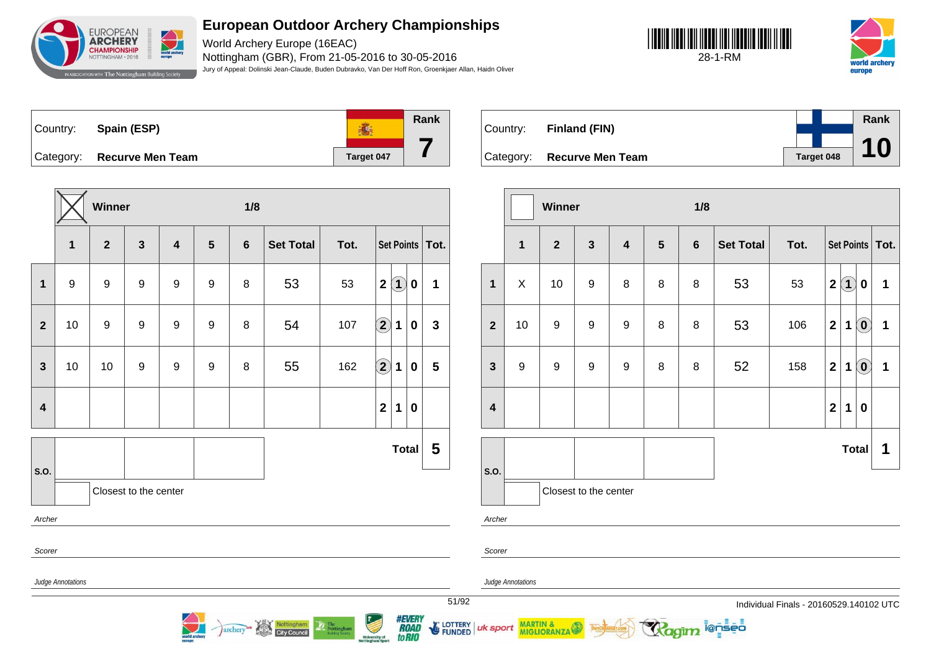

World Archery Europe (16EAC) Nottingham (GBR), From 21-05-2016 to 30-05-2016 Jury of Appeal: Dolinski Jean-Claude, Buden Dubravko, Van Der Hoff Ron, Groenkjaer Allan, Haidn Oliver

**7**





**Rank** Country: **Spain (ESP) 高** Category: **Recurve Men Team Tanget 047** 

|                         |                                 | Winner         |              |                         |                  | 1/8            |                  |      |                                  |              |                |  |  |
|-------------------------|---------------------------------|----------------|--------------|-------------------------|------------------|----------------|------------------|------|----------------------------------|--------------|----------------|--|--|
|                         | $\mathbf{1}$                    | $\overline{2}$ | $\mathbf{3}$ | $\overline{\mathbf{4}}$ | 5                | $6\phantom{1}$ | <b>Set Total</b> | Tot. | Set Points   Tot.                |              |                |  |  |
| $\mathbf{1}$            | 9                               | $9$            | 9            | $\boldsymbol{9}$        | 9                | 8              | 53               | 53   | $\left( 1\right)$<br>$\mathbf 2$ | $\pmb{0}$    | 1              |  |  |
| $\overline{2}$          | 10                              | $9$            | 9            | $\boldsymbol{9}$        | $\boldsymbol{9}$ | 8              | 54               | 107  | $\overline{2}$<br>1              | $\bf{0}$     | $\mathbf{3}$   |  |  |
| $\mathbf{3}$            | 10                              | 10             | 9            | $\boldsymbol{9}$        | $\boldsymbol{9}$ | 8              | 55               | 162  | $\Large{\textbf{2}}$<br>1        | $\bf{0}$     | $5\phantom{1}$ |  |  |
| $\overline{\mathbf{4}}$ |                                 |                |              |                         |                  |                |                  |      | $\overline{\mathbf{2}}$<br>1     | $\pmb{0}$    |                |  |  |
|                         |                                 |                |              |                         |                  |                |                  |      |                                  | <b>Total</b> | 5              |  |  |
| S.O.                    |                                 |                |              |                         |                  |                |                  |      |                                  |              |                |  |  |
|                         | Closest to the center<br>Archer |                |              |                         |                  |                |                  |      |                                  |              |                |  |  |
| Scorer                  |                                 |                |              |                         |                  |                |                  |      |                                  |              |                |  |  |
|                         | Judge Annotations               |                |              |                         |                  |                |                  |      |                                  |              |                |  |  |

archery<sup>on</sup> Nottingham



|                         |                | Winner           |                       |                         |                | 1/8            |                  |      |                                   |                                                     |   |
|-------------------------|----------------|------------------|-----------------------|-------------------------|----------------|----------------|------------------|------|-----------------------------------|-----------------------------------------------------|---|
|                         | $\overline{1}$ | $\overline{2}$   | $\mathbf{3}$          | $\overline{\mathbf{4}}$ | $5\phantom{1}$ | $6\phantom{1}$ | <b>Set Total</b> | Tot. | Set Points   Tot.                 |                                                     |   |
| $\mathbf{1}$            | X              | 10               | $\boldsymbol{9}$      | 8                       | 8              | 8              | 53               | 53   | $\left( 1\right)$<br>$\mathbf{2}$ | $\boldsymbol{0}$                                    | 1 |
| $\overline{2}$          | 10             | 9                | $\boldsymbol{9}$      | $\boldsymbol{9}$        | 8              | 8              | 53               | 106  | $\mathbf 2$<br>1                  | $\left( \mathbf{0}\right)$                          | 1 |
| $\mathbf{3}$            | 9              | $\boldsymbol{9}$ | $\boldsymbol{9}$      | $\boldsymbol{9}$        | 8              | 8              | 52               | 158  | $\mathbf{2}$<br>1                 | $\left( \begin{matrix} 0 \\ 0 \end{matrix} \right)$ | 1 |
| $\overline{\mathbf{4}}$ |                |                  |                       |                         |                |                |                  |      | $\mathbf{2}$<br>1                 | $\bf{0}$                                            |   |
|                         |                |                  |                       |                         |                |                |                  |      |                                   | <b>Total</b>                                        | 1 |
| S.O.                    |                |                  | Closest to the center |                         |                |                |                  |      |                                   |                                                     |   |
| Archer                  |                |                  |                       |                         |                |                |                  |      |                                   |                                                     |   |

ionseo

Scorer

Judge Annotations

MARTIN &

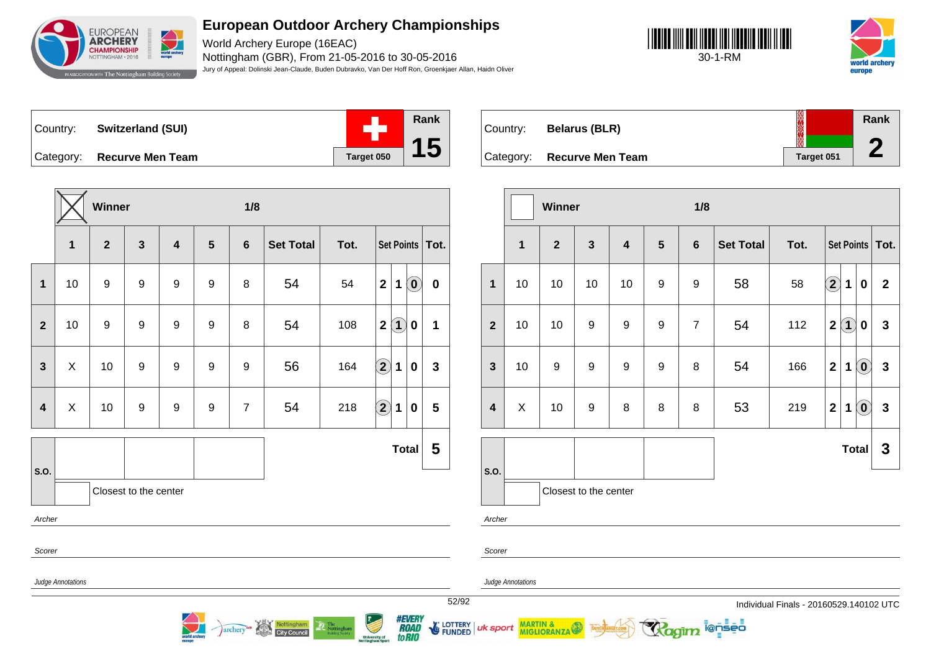

World Archery Europe (16EAC) Nottingham (GBR), From 21-05-2016 to 30-05-2016 Jury of Appeal: Dolinski Jean-Claude, Buden Dubravko, Van Der Hoff Ron, Groenkjaer Allan, Haidn Oliver





Country: **Switzerland (SUI)** Category: **Recurve Men Team Tanget 050** 



**Rank ROCKER** Country: **Belarus (BLR) 2** Category: **Recurve Men Team Tanget 051** 

|                         |                                                      | Winner         |                       |                  |                | 1/8                   |                            |            |                           |                                          |              |                                                            |             | Winner       |                       |    |                | 1/8            |                  |                                         |              |              |                                                         |                   |
|-------------------------|------------------------------------------------------|----------------|-----------------------|------------------|----------------|-----------------------|----------------------------|------------|---------------------------|------------------------------------------|--------------|------------------------------------------------------------|-------------|--------------|-----------------------|----|----------------|----------------|------------------|-----------------------------------------|--------------|--------------|---------------------------------------------------------|-------------------|
|                         | 1                                                    | $\overline{2}$ | $\mathbf{3}$          | $\boldsymbol{4}$ | $5\phantom{1}$ | $6\phantom{1}$        | <b>Set Total</b>           | Tot.       |                           | Set Points   Tot.                        |              |                                                            | $\mathbf 1$ | $\mathbf{2}$ | $\mathbf{3}$          | 4  | $5\phantom{1}$ | 6              | <b>Set Total</b> | Tot.                                    |              |              |                                                         | Set Points   Tot. |
| $\mathbf{1}$            | 10                                                   | 9              | 9                     | $\boldsymbol{9}$ | 9              | 8                     | 54                         | 54         | $\mathbf{2}$              | $\textcircled{\small{0}}$<br>1           | $\mathbf 0$  | $\mathbf{1}$                                               | 10          | 10           | 10                    | 10 | $9\,$          | 9              | 58               | 58                                      | $\bf{(2)}$   | $\mathbf 1$  | $\overline{\mathbf{0}}$                                 | $\overline{2}$    |
| $\overline{2}$          | 10                                                   | 9              | 9                     | 9                | 9              | 8                     | 54                         | 108        | $\mathbf{2}$              | $\widehat{\mathbf{1}}$<br>$\mathbf 0$    | $\mathbf 1$  | $\overline{2}$                                             | 10          | 10           | 9                     | 9  | 9              | $\overline{7}$ | 54               | 112                                     |              | 2(1)         | $\mathbf 0$                                             | $\mathbf{3}$      |
| $\mathbf{3}$            | X                                                    | 10             | 9                     | 9                | 9              | $9\,$                 | 56                         | 164        | $\bf(2)$                  | 1<br>$\mathbf 0$                         | $\mathbf{3}$ | 3                                                          | 10          | 9            | 9                     | 9  | 9              | 8              | 54               | 166                                     | $\mathbf{2}$ | $\mathbf 1$  | $\left( \mathbf{0}\right)$                              | $\mathbf{3}$      |
| $\overline{\mathbf{4}}$ | X                                                    | 10             | 9                     | 9                | 9              | $\overline{7}$        | 54                         | 218        | $\Large 2$                | 1<br>$\mathbf 0$                         | 5            | 4                                                          | X           | 10           | 9                     | 8  | 8              | 8              | 53               | 219                                     | $\mathbf 2$  | $\mathbf 1$  | $\left( \begin{matrix} \textbf{0} \end{matrix} \right)$ | $\mathbf{3}$      |
| S.O.                    |                                                      |                |                       |                  |                |                       |                            | Total      | $5\phantom{1}$            | $\vert$ S.O.                             |              |                                                            |             |              |                       |    |                |                |                  | Total                                   |              | $\mathbf{3}$ |                                                         |                   |
|                         |                                                      |                | Closest to the center |                  |                |                       |                            |            |                           |                                          |              |                                                            |             |              | Closest to the center |    |                |                |                  |                                         |              |              |                                                         |                   |
| Archer                  |                                                      |                |                       |                  |                |                       |                            |            |                           |                                          |              | Archer                                                     |             |              |                       |    |                |                |                  |                                         |              |              |                                                         |                   |
| Scorer                  | Scorer                                               |                |                       |                  |                |                       |                            |            |                           |                                          |              |                                                            |             |              |                       |    |                |                |                  |                                         |              |              |                                                         |                   |
|                         | <b>Judge Annotations</b><br><b>Judge Annotations</b> |                |                       |                  |                |                       |                            |            |                           |                                          |              |                                                            |             |              |                       |    |                |                |                  |                                         |              |              |                                                         |                   |
|                         |                                                      |                |                       |                  |                |                       |                            |            |                           |                                          |              | 52/92                                                      |             |              |                       |    |                |                |                  | Individual Finals - 20160529.140102 UTC |              |              |                                                         |                   |
|                         |                                                      |                |                       |                  |                | archery <sup>ca</sup> | Nottingham<br>City Council | Nottingham | Ó<br><b>University of</b> | <i><b>#EVERY<br/>ROAD<br/>to RIO</b></i> |              | FUNDED UK Sport MARTIN & THOTASTICS AND THE TRANSPARENT ON |             |              |                       |    |                |                | Ragim lenses     |                                         |              |              |                                                         |                   |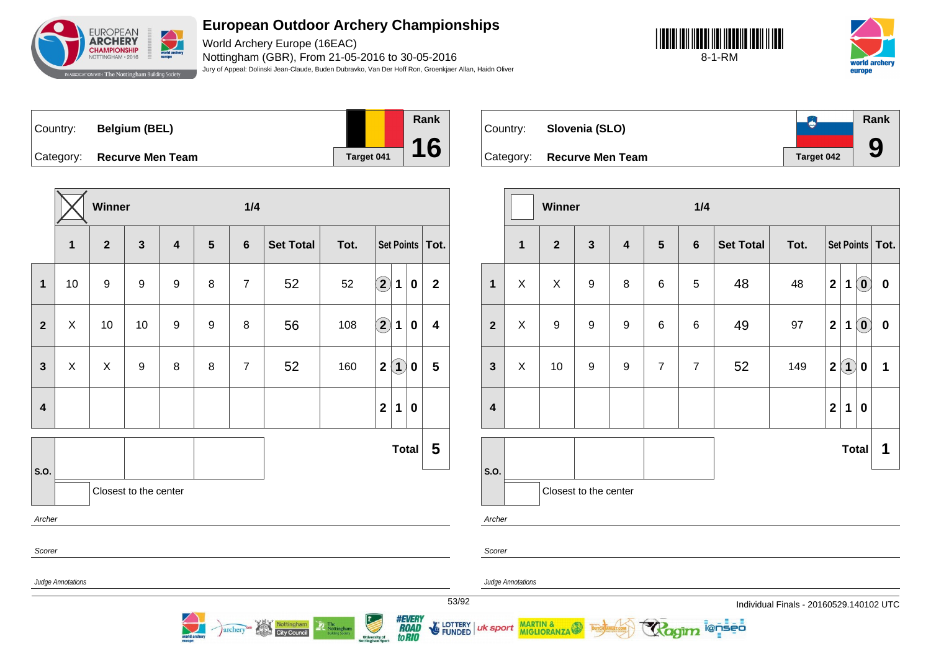

World Archery Europe (16EAC) Nottingham (GBR), From 21-05-2016 to 30-05-2016 Jury of Appeal: Dolinski Jean-Claude, Buden Dubravko, Van Der Hoff Ron, Groenkjaer Allan, Haidn Oliver





| Country: | <b>Belgium (BEL)</b>       |  |
|----------|----------------------------|--|
|          | Category: Recurve Men Team |  |



**Rank**  $\bullet$ Country: **Slovenia (SLO) 9** Category: **Recurve Men Team Target 042** 

|                         |                   | Winner                    |                       |                  |                 | 1/4            |                                   |      |                                       |                                         |                         |       |                |                          | Winner                              |                  |                         |                 | 1/4            |                     |                                         |                |              |                   |
|-------------------------|-------------------|---------------------------|-----------------------|------------------|-----------------|----------------|-----------------------------------|------|---------------------------------------|-----------------------------------------|-------------------------|-------|----------------|--------------------------|-------------------------------------|------------------|-------------------------|-----------------|----------------|---------------------|-----------------------------------------|----------------|--------------|-------------------|
|                         | $\mathbf{1}$      | $\mathbf{2}$              | $\mathbf{3}$          | $\boldsymbol{4}$ | $5\phantom{.0}$ | $6\phantom{1}$ | <b>Set Total</b>                  | Tot. |                                       |                                         | Set Points   Tot.       |       |                | $\mathbf{1}$             | $\mathbf{2}$                        | $\mathbf{3}$     | $\overline{\mathbf{4}}$ | $5\overline{)}$ | 6              | <b>Set Total</b>    | Tot.                                    |                |              | Set Points   Tot. |
| $\mathbf{1}$            | 10                | 9                         | 9                     | $\boldsymbol{9}$ | 8               | $\overline{7}$ | 52                                | 52   | $\widehat{\mathbf{2}}$<br>$\mathbf 1$ | $\mathbf 0$                             | $\overline{2}$          |       | $\mathbf{1}$   | X                        | $\pmb{\times}$                      | $\boldsymbol{9}$ | 8                       | $\,6$           | 5              | 48                  | 48                                      | $\overline{2}$ | 1(0)         | $\mathbf 0$       |
| $\overline{2}$          | X                 | 10                        | 10                    | 9                | 9               | $\bf 8$        | 56                                | 108  | $\widehat{\mathbf{2}}$<br>$\mathbf 1$ | $\mathbf 0$                             | 4                       |       | $\overline{2}$ | X                        | 9                                   | 9                | 9                       | $\,6\,$         | 6              | 49                  | 97                                      | $\mathbf{2}$   | $1$ $\odot$  | $\mathbf 0$       |
| $\mathbf{3}$            | X                 | $\boldsymbol{\mathsf{X}}$ | 9                     | 8                | 8               | $\overline{7}$ | 52                                | 160  | $\left( 1\right)$<br>$\boldsymbol{2}$ | $\mathbf 0$                             | $\overline{\mathbf{5}}$ |       | $\mathbf{3}$   | X                        | 10                                  | 9                | 9                       | $\overline{7}$  | $\overline{7}$ | 52                  | 149                                     | $\mathbf{2}$   | $\mathbf{0}$ |                   |
| $\overline{\mathbf{4}}$ |                   |                           |                       |                  |                 |                |                                   |      | $\mathbf{2}$<br>$\mathbf{1}$          | $\bf{0}$                                |                         |       | 4              |                          |                                     |                  |                         |                 |                |                     |                                         | $\mathbf{2}$   | 1 0          |                   |
|                         |                   |                           |                       |                  |                 |                |                                   |      |                                       | Total                                   | $\overline{\mathbf{5}}$ |       |                |                          |                                     |                  |                         |                 |                |                     |                                         |                | <b>Total</b> | 1                 |
| S.O.                    |                   |                           | Closest to the center |                  |                 |                |                                   |      |                                       |                                         |                         |       | S.O.           |                          | Closest to the center               |                  |                         |                 |                |                     |                                         |                |              |                   |
| Archer                  |                   |                           |                       |                  |                 |                |                                   |      |                                       |                                         |                         |       | Archer         |                          |                                     |                  |                         |                 |                |                     |                                         |                |              |                   |
| Scorer                  |                   | Scorer                    |                       |                  |                 |                |                                   |      |                                       |                                         |                         |       |                |                          |                                     |                  |                         |                 |                |                     |                                         |                |              |                   |
|                         | Judge Annotations |                           |                       |                  |                 |                |                                   |      |                                       |                                         |                         |       |                | <b>Judge Annotations</b> |                                     |                  |                         |                 |                |                     |                                         |                |              |                   |
|                         |                   |                           |                       |                  |                 |                |                                   |      |                                       |                                         |                         | 53/92 |                |                          |                                     |                  |                         |                 |                |                     | Individual Finals - 20160529.140102 UTC |                |              |                   |
|                         |                   |                           |                       | $\sum$           |                 | <i>archery</i> | Nottingham<br><b>City Council</b> |      | University of<br>Nottingham Sport     | <i><b>#EVERY<br/>ROAD<br/>toRIO</b></i> |                         |       |                |                          | E LOTTERY   uk sport MARTIN & SPORT |                  |                         |                 |                | <b>Ragim</b> i@nseo |                                         |                |              |                   |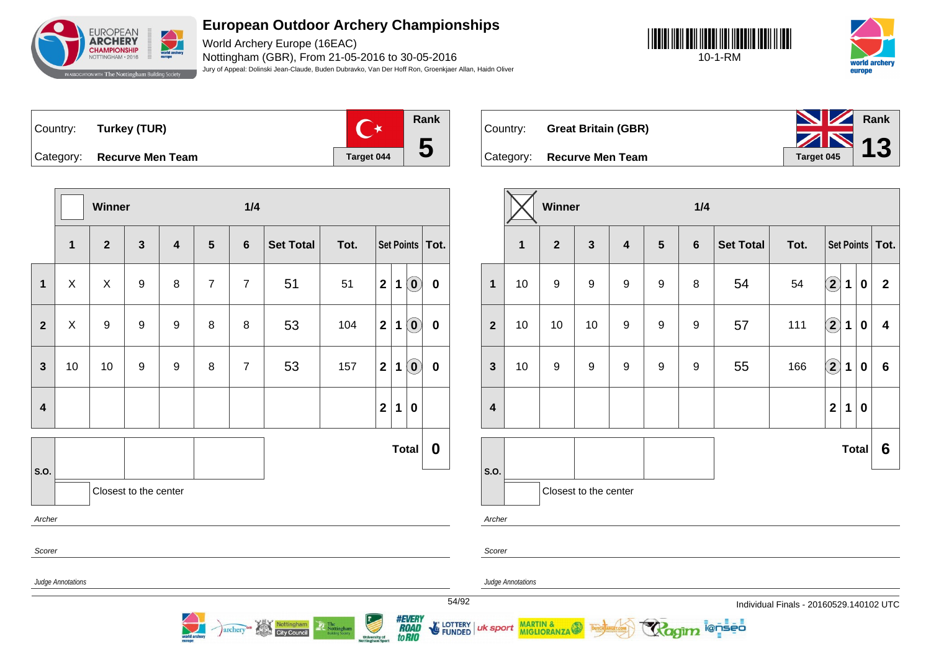

World Archery Europe (16EAC) Nottingham (GBR), From 21-05-2016 to 30-05-2016 Jury of Appeal: Dolinski Jean-Claude, Buden Dubravko, Van Der Hoff Ron, Groenkjaer Allan, Haidn Oliver





Country: **Turkey (TUR)** Category: **Recurve Men Team Tanget 044** 



Country: **Great Britain (GBR)**



|                         |                   | Winner         |                       |                         |                | 1/4            |                                   |                |                                          |              |                                |                  |
|-------------------------|-------------------|----------------|-----------------------|-------------------------|----------------|----------------|-----------------------------------|----------------|------------------------------------------|--------------|--------------------------------|------------------|
|                         | 1                 | $\overline{2}$ | $\mathbf{3}$          | $\overline{\mathbf{4}}$ | $5\phantom{1}$ | $6\phantom{1}$ | <b>Set Total</b>                  | Tot.           |                                          |              | <b>Set Points</b>              | $\vert$ Tot.     |
| $\mathbf{1}$            | X                 | X              | 9                     | 8                       | $\overline{7}$ | $\overline{7}$ | 51                                | 51             | $\mathbf{2}$                             | $\mathbf 1$  | $\left( \mathbf{0}\right)$     | $\bf{0}$         |
| $\overline{2}$          | X                 | 9              | 9                     | 9                       | 8              | 8              | 53                                | 104            | $\overline{\mathbf{2}}$                  | 1            | $\left( \mathbf{0}\right)$     | $\bf{0}$         |
| $\overline{\mathbf{3}}$ | 10                | 10             | $\boldsymbol{9}$      | 9                       | 8              | $\overline{7}$ | 53                                | 157            | $\mathbf 2$                              | $\mathbf 1$  | $\left( \mathbf{0}\right)$     | $\mathbf 0$      |
| $\overline{\mathbf{4}}$ |                   |                |                       |                         |                |                |                                   |                | $\mathbf 2$                              | $\mathbf 1$  | 0                              |                  |
|                         |                   |                |                       |                         |                |                |                                   |                |                                          | <b>Total</b> |                                | $\boldsymbol{0}$ |
| S.O.                    |                   |                | Closest to the center |                         |                |                |                                   |                |                                          |              |                                |                  |
| Archer                  |                   |                |                       |                         |                |                |                                   |                |                                          |              |                                |                  |
| Scorer                  |                   |                |                       |                         |                |                |                                   |                |                                          |              |                                |                  |
|                         | Judge Annotations |                |                       |                         |                |                |                                   |                |                                          |              |                                | 54/              |
|                         |                   |                |                       | world are               |                | archery        | Nottingham<br><b>City Council</b> | The Nottingham | <b>University of</b><br>Nottingham Sport |              | <b>#EVERY</b><br>to <b>RIO</b> | <b>E</b> LOTTI   |

|                         |             | Winner           |                         |                         |                  | 1/4              |                  |      |                            |              |             |                   |
|-------------------------|-------------|------------------|-------------------------|-------------------------|------------------|------------------|------------------|------|----------------------------|--------------|-------------|-------------------|
|                         | $\mathbf 1$ | $\overline{2}$   | $\overline{\mathbf{3}}$ | $\overline{\mathbf{4}}$ | $5\phantom{1}$   | $6\phantom{1}$   | <b>Set Total</b> | Tot. |                            |              |             | Set Points   Tot. |
| $\mathbf{1}$            | 10          | $\boldsymbol{9}$ | 9                       | $\boldsymbol{9}$        | $\boldsymbol{9}$ | 8                | 54               | 54   | $\left( \mathbf{2}\right)$ | $\mathbf 1$  | 0           | $\mathbf{2}$      |
| $\overline{2}$          | 10          | 10               | 10                      | $\boldsymbol{9}$        | 9                | 9                | 57               | 111  | $\left( \mathbf{2}\right)$ | 1            | 0           | 4                 |
| $\mathbf{3}$            | 10          | 9                | 9                       | $\boldsymbol{9}$        | 9                | $\boldsymbol{9}$ | 55               | 166  | $\left( \mathbf{2}\right)$ | 1            | 0           | $6\phantom{1}6$   |
| $\overline{\mathbf{4}}$ |             |                  |                         |                         |                  |                  |                  |      | $\mathbf{2}$               | 1            | $\mathbf 0$ |                   |
|                         |             |                  |                         |                         |                  |                  |                  |      |                            | <b>Total</b> |             | $6\phantom{1}6$   |
| S.O.                    |             |                  |                         |                         |                  |                  |                  |      |                            |              |             |                   |
|                         |             |                  | Closest to the center   |                         |                  |                  |                  |      |                            |              |             |                   |
| Archer                  |             |                  |                         |                         |                  |                  |                  |      |                            |              |             |                   |

@nseo

Scorer

uk sport

LOTTERY<br>FUNDED

Judge Annotations

MARTIN & MIGLIORANZA

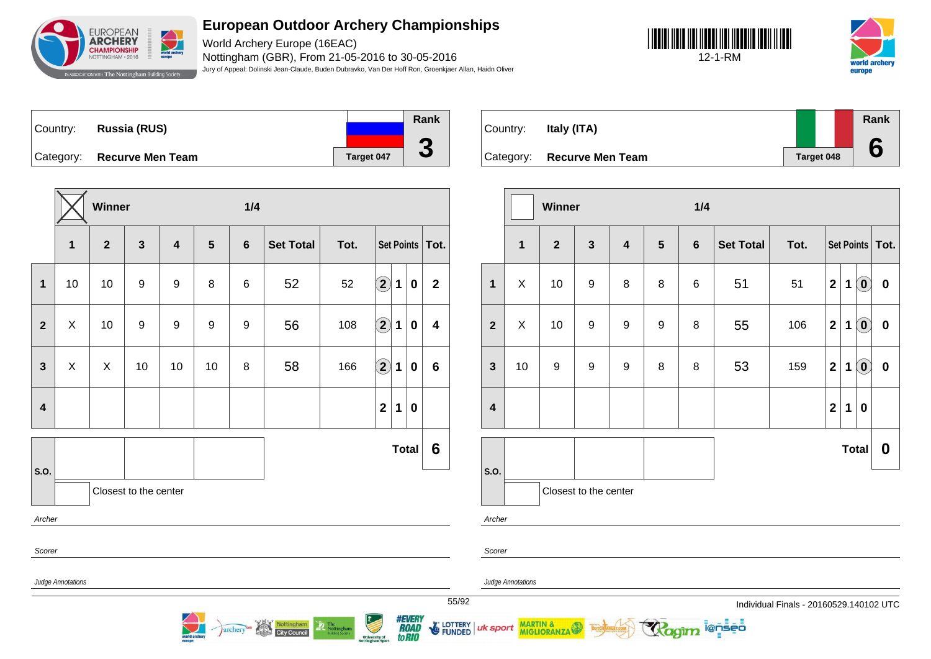

World Archery Europe (16EAC) Nottingham (GBR), From 21-05-2016 to 30-05-2016 Jury of Appeal: Dolinski Jean-Claude, Buden Dubravko, Van Der Hoff Ron, Groenkjaer Allan, Haidn Oliver





Country: **Russia (RUS)** Category: **Recurve Men Team Tanget 047 Rank 3**

|                         |                   | Winner         |                       |                         |                | 1/4            |                  |      |                            |              |          |                         |
|-------------------------|-------------------|----------------|-----------------------|-------------------------|----------------|----------------|------------------|------|----------------------------|--------------|----------|-------------------------|
|                         | $\mathbf 1$       | $\overline{2}$ | $\mathbf{3}$          | $\overline{\mathbf{4}}$ | $5\phantom{1}$ | $6\phantom{1}$ | <b>Set Total</b> | Tot. |                            |              |          | Set Points   Tot.       |
| $\mathbf 1$             | 10                | 10             | $\boldsymbol{9}$      | 9                       | 8              | $\,6$          | 52               | 52   | $\left( \mathbf{2}\right)$ | 1            | $\bf{0}$ | $\mathbf{2}$            |
| $\overline{2}$          | X                 | 10             | 9                     | 9                       | 9              | 9              | 56               | 108  | $\hat{\mathbf{2}}$         | 1            | $\bf{0}$ | $\overline{\mathbf{4}}$ |
| $\mathbf{3}$            | $\pmb{\times}$    | X              | 10                    | 10                      | 10             | 8              | 58               | 166  | $\widehat{\mathbf{2}}$     | 1            | $\bf{0}$ | $6\phantom{1}6$         |
| $\overline{\mathbf{4}}$ |                   |                |                       |                         |                |                |                  |      | $\overline{\mathbf{2}}$    | 1            | $\bf{0}$ |                         |
| S.O.                    |                   |                |                       |                         |                |                |                  |      |                            | <b>Total</b> |          | 6                       |
|                         |                   |                | Closest to the center |                         |                |                |                  |      |                            |              |          |                         |
| Archer                  |                   |                |                       |                         |                |                |                  |      |                            |              |          |                         |
| Scorer                  |                   |                |                       |                         |                |                |                  |      |                            |              |          |                         |
|                         | Judge Annotations |                |                       |                         |                |                |                  |      |                            |              |          |                         |
|                         |                   |                |                       |                         |                |                |                  |      |                            |              |          | 55/9                    |

archery<sup>an</sup> Nottingham

| Country: | Italy (ITA)                |            | Rank<br>$\bullet$ |
|----------|----------------------------|------------|-------------------|
|          | Category: Recurve Men Team | Target 048 |                   |

|                         |              | Winner           |                       |                         |                  | 1/4            |                  |      |                         |             |                                   |                   |
|-------------------------|--------------|------------------|-----------------------|-------------------------|------------------|----------------|------------------|------|-------------------------|-------------|-----------------------------------|-------------------|
|                         | $\mathbf{1}$ | $\overline{2}$   | $\mathbf{3}$          | $\overline{\mathbf{4}}$ | $5\phantom{.0}$  | $6\phantom{1}$ | <b>Set Total</b> | Tot. |                         |             |                                   | Set Points   Tot. |
| 1                       | X            | 10               | $\boldsymbol{9}$      | 8                       | $\bf 8$          | 6              | 51               | 51   | $\overline{\mathbf{2}}$ | $\mathbf 1$ | $\left( \mathbf{0}\right)$        | $\bf{0}$          |
| $\overline{2}$          | $\mathsf{X}$ | 10               | $\boldsymbol{9}$      | $\boldsymbol{9}$        | $\boldsymbol{9}$ | 8              | 55               | 106  | $\mathbf 2$             | 1           | $\left( \text{\textbf{0}}\right)$ | $\bf{0}$          |
| $\mathbf{3}$            | 10           | $\boldsymbol{9}$ | 9                     | 9                       | 8                | 8              | 53               | 159  | $\mathbf{2}$            | 1           | $(\mathbf{0})$                    | $\bf{0}$          |
| $\overline{\mathbf{4}}$ |              |                  |                       |                         |                  |                |                  |      | $\overline{\mathbf{2}}$ | $\mathbf 1$ | $\bf{0}$                          |                   |
|                         |              |                  |                       |                         |                  |                |                  |      |                         |             | <b>Total</b>                      | $\mathbf 0$       |
| S.O.                    |              |                  | Closest to the center |                         |                  |                |                  |      |                         |             |                                   |                   |
| Archer                  |              |                  |                       |                         |                  |                |                  |      |                         |             |                                   |                   |

ionseo

Scorer

Judge Annotations

MARTIN & MIGLIORANZA

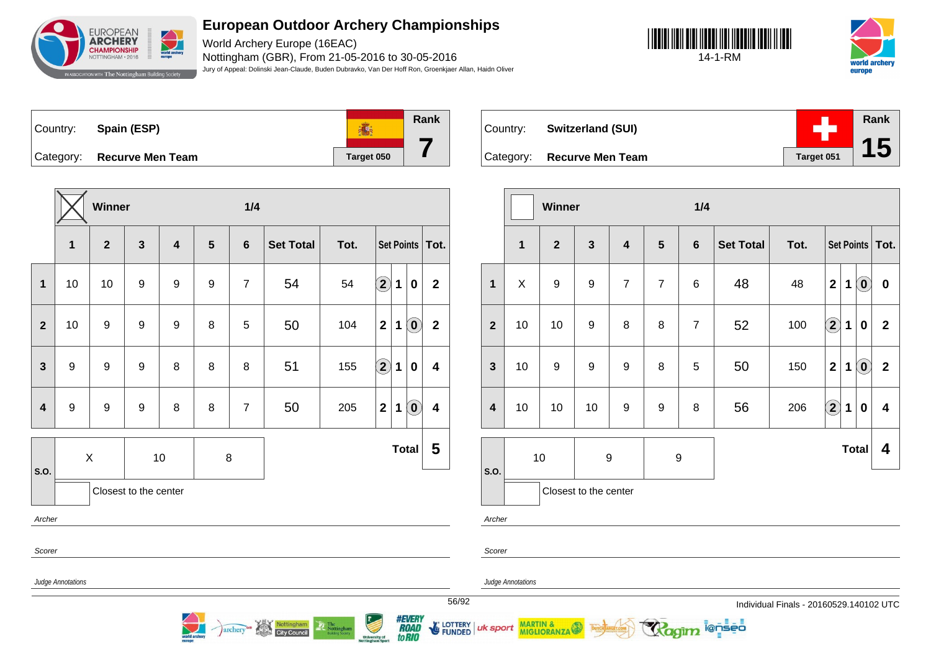

World Archery Europe (16EAC) Nottingham (GBR), From 21-05-2016 to 30-05-2016 Jury of Appeal: Dolinski Jean-Claude, Buden Dubravko, Van Der Hoff Ron, Groenkjaer Allan, Haidn Oliver





**Rank** 高 Country: **Spain (ESP) 7** Category: **Recurve Men Team Tanget 050** 

|                         |                       | Winner                  |                  |                         |                | 1/4            |                  |      |                   |              |                                                |                         |
|-------------------------|-----------------------|-------------------------|------------------|-------------------------|----------------|----------------|------------------|------|-------------------|--------------|------------------------------------------------|-------------------------|
|                         | $\mathbf{1}$          | $\overline{\mathbf{2}}$ | $\mathbf{3}$     | $\overline{\mathbf{4}}$ | $5\phantom{1}$ | $6\phantom{1}$ | <b>Set Total</b> | Tot. |                   |              |                                                | Set Points   Tot.       |
| $\mathbf{1}$            | 10                    | 10                      | 9                | 9                       | 9              | $\overline{7}$ | 54               | 54   | $\bigcirc \!\! 2$ | 1            | $\boldsymbol{0}$                               | $\mathbf{2}$            |
| $\overline{2}$          | 10                    | 9                       | $\boldsymbol{9}$ | 9                       | 8              | 5              | 50               | 104  | $\mathbf{2}$      | 1            | $\left( \mathbf{0}\right)$                     | $\mathbf 2$             |
| $\mathbf{3}$            | $\boldsymbol{9}$      | $\boldsymbol{9}$        | $\boldsymbol{9}$ | 8                       | 8              | 8              | 51               | 155  | $\bigcirc$        | 1            | $\mathbf 0$                                    | $\overline{\mathbf{4}}$ |
| $\overline{\mathbf{4}}$ | $\boldsymbol{9}$      | $9$                     | $\boldsymbol{9}$ | 8                       | 8              | $\overline{7}$ | 50               | 205  | $\mathbf{2}$      | 1            | $\left( \begin{matrix} 0 \end{matrix} \right)$ | $\overline{\mathbf{4}}$ |
|                         |                       | $\mathsf X$             |                  | $10$                    | $\bf 8$        |                |                  |      |                   | <b>Total</b> |                                                | 5                       |
| S.O.                    | Closest to the center |                         |                  |                         |                |                |                  |      |                   |              |                                                |                         |
| Archer                  |                       |                         |                  |                         |                |                |                  |      |                   |              |                                                |                         |
| Scorer                  |                       |                         |                  |                         |                |                |                  |      |                   |              |                                                |                         |
|                         | Judge Annotations     |                         |                  |                         |                |                |                  |      |                   |              |                                                |                         |

Nottingham

archery<sup>GB</sup>



|                         |              | <b>Winner</b>    |                       |                         |                | 1/4             |                  |      |                   |             |                            |              |
|-------------------------|--------------|------------------|-----------------------|-------------------------|----------------|-----------------|------------------|------|-------------------|-------------|----------------------------|--------------|
|                         | $\mathbf{1}$ | $\overline{2}$   | $\mathbf{3}$          | $\overline{\mathbf{4}}$ | $\sqrt{5}$     | $6\phantom{1}6$ | <b>Set Total</b> | Tot. |                   |             | Set Points                 | Tot.         |
| $\mathbf{1}$            | X            | $\boldsymbol{9}$ | $\boldsymbol{9}$      | $\overline{7}$          | $\overline{7}$ | 6               | 48               | 48   | $\overline{2}$    | 1           | $\left( \mathbf{0}\right)$ | $\pmb{0}$    |
| $\overline{2}$          | 10           | 10               | 9                     | 8                       | 8              | $\overline{7}$  | 52               | 100  | $\left( 2\right)$ | $\mathbf 1$ | 0                          | $\mathbf{2}$ |
| $\mathbf{3}$            | 10           | $\boldsymbol{9}$ | $\boldsymbol{9}$      | 9                       | 8              | 5               | 50               | 150  | $\mathbf 2$       | 1           | $\left( \mathbf{0}\right)$ | $\mathbf 2$  |
| $\overline{\mathbf{4}}$ | 10           | 10               | 10                    | 9                       | 9              | 8               | 56               | 206  | $\Large 2$        | 1           | 0                          | 4            |
|                         |              | 10               | $\boldsymbol{9}$      |                         | 9              |                 |                  |      |                   |             | <b>Total</b>               | 4            |
| S.O.                    |              |                  | Closest to the center |                         |                |                 |                  |      |                   |             |                            |              |

ionseo

Archer

Scorer

uk sport

Judge Annotations

MARTIN &

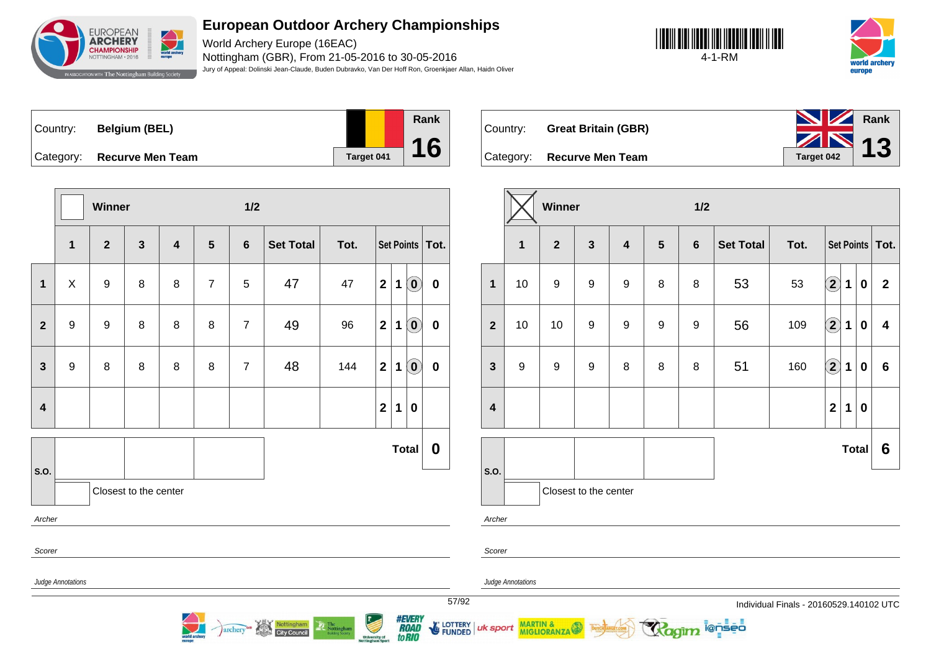

World Archery Europe (16EAC) Nottingham (GBR), From 21-05-2016 to 30-05-2016 Jury of Appeal: Dolinski Jean-Claude, Buden Dubravko, Van Der Hoff Ron, Groenkjaer Allan, Haidn Oliver





|  | Country: Belgium (BEL)     |
|--|----------------------------|
|  | Category: Recurve Men Team |



Country: **Great Britain (GBR)**



|                         |                   | Winner           |                         |                         |                | 1/2            |                                   |                                                                                                                                                                                                                                                                                                                                                                                                                                                                                            |                                           |             |                                                |                   |
|-------------------------|-------------------|------------------|-------------------------|-------------------------|----------------|----------------|-----------------------------------|--------------------------------------------------------------------------------------------------------------------------------------------------------------------------------------------------------------------------------------------------------------------------------------------------------------------------------------------------------------------------------------------------------------------------------------------------------------------------------------------|-------------------------------------------|-------------|------------------------------------------------|-------------------|
|                         | 1                 | $\overline{2}$   | $\overline{\mathbf{3}}$ | $\overline{\mathbf{4}}$ | $5\phantom{1}$ | $6\phantom{1}$ | <b>Set Total</b>                  | Tot.                                                                                                                                                                                                                                                                                                                                                                                                                                                                                       |                                           |             |                                                | Set Points   Tot. |
| $\mathbf{1}$            | X                 | $\boldsymbol{9}$ | 8                       | 8                       | $\overline{7}$ | 5              | 47                                | 47                                                                                                                                                                                                                                                                                                                                                                                                                                                                                         | $\overline{2}$                            | 1           | $\left( \mathbf{0}\right)$                     | $\bf{0}$          |
| $\overline{2}$          | $\boldsymbol{9}$  | $\boldsymbol{9}$ | 8                       | 8                       | 8              | $\overline{7}$ | 49                                | 96                                                                                                                                                                                                                                                                                                                                                                                                                                                                                         | $\mathbf 2$                               | $\mathbf 1$ | $\left( \begin{matrix} 0 \end{matrix} \right)$ | $\bf{0}$          |
| $\overline{\mathbf{3}}$ | $\boldsymbol{9}$  | 8                | 8                       | 8                       | 8              | $\overline{7}$ | 48                                | 144                                                                                                                                                                                                                                                                                                                                                                                                                                                                                        | $\mathbf{2}$                              | 1           | $\left( \begin{matrix} 0 \end{matrix} \right)$ | $\bf{0}$          |
| $\overline{\mathbf{4}}$ |                   |                  |                         |                         |                |                |                                   |                                                                                                                                                                                                                                                                                                                                                                                                                                                                                            | $\mathbf 2$                               | 1           | $\bf{0}$                                       |                   |
| S.O.                    |                   |                  |                         |                         |                |                |                                   |                                                                                                                                                                                                                                                                                                                                                                                                                                                                                            |                                           |             | <b>Total</b>                                   | $\boldsymbol{0}$  |
| Archer                  |                   |                  | Closest to the center   |                         |                |                |                                   |                                                                                                                                                                                                                                                                                                                                                                                                                                                                                            |                                           |             |                                                |                   |
| Scorer                  |                   |                  |                         |                         |                |                |                                   |                                                                                                                                                                                                                                                                                                                                                                                                                                                                                            |                                           |             |                                                |                   |
|                         | Judge Annotations |                  |                         |                         |                | <i>archery</i> | Nottingham<br><b>City Council</b> | $\begin{tabular}{ c c } \hline \multicolumn{3}{ c }{\textbf{The} \\ Nottingham} \\ \multicolumn{2}{ c }{\textbf{Noting} \\ \hline \multicolumn{2}{ c }{\textbf{Noting} \\ \hline \multicolumn{2}{ c }{\textbf{Noting} \\ \hline \multicolumn{2}{ c }{\textbf{Noting} \\ \hline \multicolumn{2}{ c }{\textbf{Noting} \\ \hline \multicolumn{2}{ c }{\textbf{Noting} \\ \hline \multicolumn{2}{ c }{\textbf{Noting} \\ \hline \multicolumn{2}{ c }{\textbf{Noting} \\ \hline \multicolumn{2$ | <b>University of<br/>Nottingham Sport</b> |             | <b>#EVERY</b><br>to RIO                        | LOTTERY<br>FUNDED |

|                  |    | Winner         |                       |                         |                | 1/2            |                  |      |              |             |              |                   |
|------------------|----|----------------|-----------------------|-------------------------|----------------|----------------|------------------|------|--------------|-------------|--------------|-------------------|
|                  | 1  | 2 <sup>2</sup> | $\mathbf{3}$          | $\overline{\mathbf{4}}$ | $5\phantom{1}$ | $6\phantom{1}$ | <b>Set Total</b> | Tot. |              |             |              | Set Points   Tot. |
| $\mathbf{1}$     | 10 | 9              | $\boldsymbol{9}$      | $\boldsymbol{9}$        | $\, 8$         | 8              | 53               | 53   | $\bf(2)$     | 1           | $\bf{0}$     | $\mathbf{2}$      |
| $\overline{2}$   | 10 | 10             | $\boldsymbol{9}$      | $\boldsymbol{9}$        | 9              | 9              | 56               | 109  | $\bf{(2)}$   | $\mathbf 1$ | $\bf{0}$     | 4                 |
| $\mathbf{3}$     | 9  | 9              | 9                     | 8                       | $\, 8$         | 8              | 51               | 160  | $\bf(2)$     | $\mathbf 1$ | $\bf{0}$     | $6\phantom{1}6$   |
| $\boldsymbol{4}$ |    |                |                       |                         |                |                |                  |      | $\mathbf{2}$ | 1           | $\bf{0}$     |                   |
|                  |    |                |                       |                         |                |                |                  |      |              |             | <b>Total</b> | 6                 |
| S.O.             |    |                |                       |                         |                |                |                  |      |              |             |              |                   |
|                  |    |                | Closest to the center |                         |                |                |                  |      |              |             |              |                   |
| Archer           |    |                |                       |                         |                |                |                  |      |              |             |              |                   |

ionseo

Scorer

uk sport

Judge Annotations

MARTIN & MIGLIORANZA

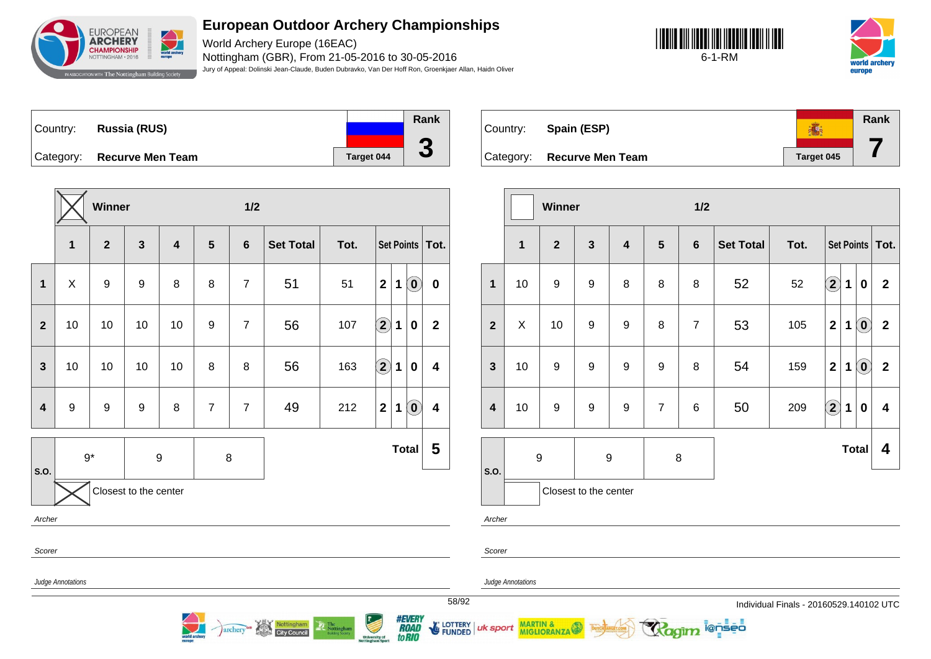

World Archery Europe (16EAC) Nottingham (GBR), From 21-05-2016 to 30-05-2016 Jury of Appeal: Dolinski Jean-Claude, Buden Dubravko, Van Der Hoff Ron, Groenkjaer Allan, Haidn Oliver





Country: **Russia (RUS)** Category: **Recurve Men Team Tanget 044 Rank 3**

|                         |                          | Winner           |                       |                         |                | 1/2            |                  |      |                            |             |                                                |                         |
|-------------------------|--------------------------|------------------|-----------------------|-------------------------|----------------|----------------|------------------|------|----------------------------|-------------|------------------------------------------------|-------------------------|
|                         | $\mathbf{1}$             | $\mathbf{2}$     | $\mathbf{3}$          | $\overline{\mathbf{4}}$ | 5              | $6\phantom{1}$ | <b>Set Total</b> | Tot. |                            |             |                                                | Set Points   Tot.       |
| 1                       | X                        | $\boldsymbol{9}$ | $\boldsymbol{9}$      | 8                       | 8              | $\overline{7}$ | 51               | 51   | $\overline{\mathbf{2}}$    | 1           | $\left( \begin{matrix} 0 \end{matrix} \right)$ | $\bf{0}$                |
| $\overline{2}$          | 10                       | 10               | 10                    | 10                      | 9              | $\overline{7}$ | 56               | 107  | $\bf \overline{2}$         | $\mathbf 1$ | $\bf{0}$                                       | $\mathbf{2}$            |
| $\overline{\mathbf{3}}$ | 10                       | 10               | 10                    | 10                      | 8              | 8              | 56               | 163  | $\left( \mathbf{2}\right)$ | 1           | $\mathbf 0$                                    | $\overline{\mathbf{4}}$ |
| $\overline{\mathbf{4}}$ | 9                        | 9                | $\boldsymbol{9}$      | 8                       | $\overline{7}$ | $\overline{7}$ | 49               | 212  | $\mathbf 2$                | 1           | $\left( \mathbf{0}\right)$                     | $\overline{\mathbf{4}}$ |
|                         | $9*$                     |                  | 9                     |                         | 8              |                |                  |      |                            |             | <b>Total</b>                                   | 5                       |
| S.O.                    |                          |                  | Closest to the center |                         |                |                |                  |      |                            |             |                                                |                         |
|                         | Archer                   |                  |                       |                         |                |                |                  |      |                            |             |                                                |                         |
| Scorer                  |                          |                  |                       |                         |                |                |                  |      |                            |             |                                                |                         |
|                         | <b>Judge Annotations</b> |                  |                       |                         |                |                |                  |      |                            |             |                                                |                         |

archery<sup>or</sup> Nottingham



|                         |              | Winner           |                       |                         |                 | 1/2             |                  |      |                   |             |                            |                   |
|-------------------------|--------------|------------------|-----------------------|-------------------------|-----------------|-----------------|------------------|------|-------------------|-------------|----------------------------|-------------------|
|                         | $\mathbf{1}$ | $\overline{2}$   | $\mathbf{3}$          | $\overline{\mathbf{4}}$ | $5\phantom{.0}$ | $6\phantom{1}6$ | <b>Set Total</b> | Tot. |                   |             |                            | Set Points   Tot. |
| $\mathbf{1}$            | 10           | $\boldsymbol{9}$ | $\boldsymbol{9}$      | 8                       | 8               | 8               | 52               | 52   | $\boxed{2}$       | 1           | 0                          | $\mathbf 2$       |
| $\overline{2}$          | X            | 10               | 9                     | 9                       | 8               | $\overline{7}$  | 53               | 105  | $\mathbf 2$       | 1           | $\left( \mathbf{0}\right)$ | $\boldsymbol{2}$  |
| $\mathbf{3}$            | 10           | $\boldsymbol{9}$ | $\boldsymbol{9}$      | 9                       | 9               | 8               | 54               | 159  | $\mathbf 2$       | 1           | $\left( \mathbf{0}\right)$ | $\mathbf 2$       |
| $\overline{\mathbf{4}}$ | 10           | 9                | $\boldsymbol{9}$      | 9                       | $\overline{7}$  | $\,6$           | 50               | 209  | $\left( 2\right)$ | $\mathbf 1$ | $\mathbf 0$                | 4                 |
| S.O.                    | 9            |                  | 9                     |                         | 8               |                 |                  |      |                   |             | <b>Total</b>               | 4                 |
|                         |              |                  | Closest to the center |                         |                 |                 |                  |      |                   |             |                            |                   |

ionseo

Archer

Scorer

Judge Annotations

MARTIN &

58/92 Individual Finals - 20160529.140102 UTC



LOTTERY<br>FUNDED uk sport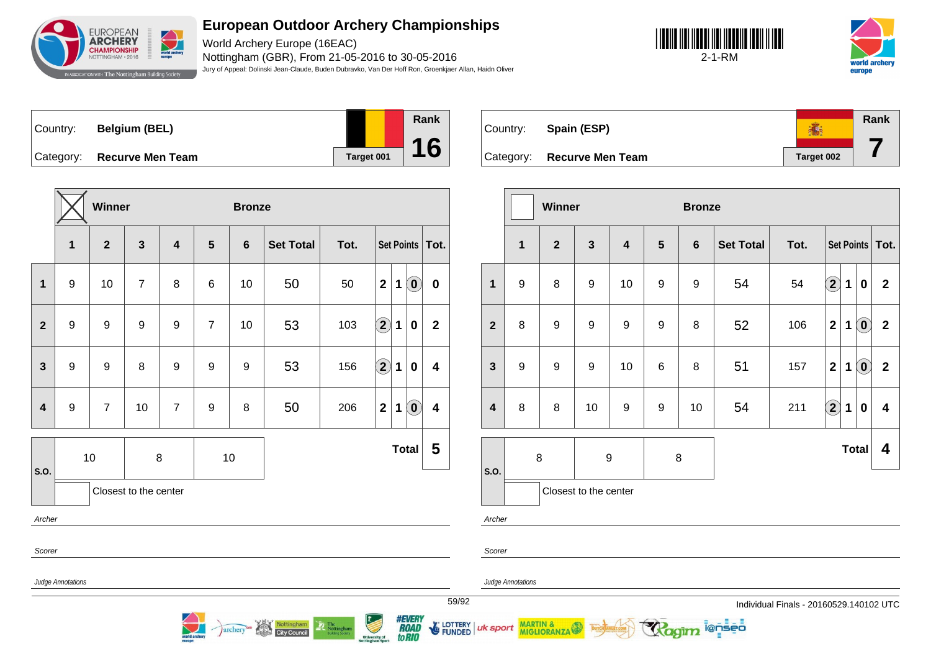

World Archery Europe (16EAC) Nottingham (GBR), From 21-05-2016 to 30-05-2016 Jury of Appeal: Dolinski Jean-Claude, Buden Dubravko, Van Der Hoff Ron, Groenkjaer Allan, Haidn Oliver





|  | Country: Belgium (BEL)     |  |
|--|----------------------------|--|
|  | Category: Recurve Men Team |  |



**Rank** ● Country: **Spain (ESP) 7** Category: **Recurve Men Team Target 002** 

MARTIN & MIGLIORANZA

|                         |                          | Winner           |                       |                  |                 | <b>Bronze</b> |                  |      |                                                |                                                              |                   |                |                   | Winner       |                       |                  |                | <b>Bronze</b>  |                  |                                       |                        |             |                                                         |                         |
|-------------------------|--------------------------|------------------|-----------------------|------------------|-----------------|---------------|------------------|------|------------------------------------------------|--------------------------------------------------------------|-------------------|----------------|-------------------|--------------|-----------------------|------------------|----------------|----------------|------------------|---------------------------------------|------------------------|-------------|---------------------------------------------------------|-------------------------|
|                         | $\mathbf{1}$             | $\mathbf{2}$     | $\mathbf{3}$          | 4                | $5\phantom{.0}$ | 6             | <b>Set Total</b> | Tot. |                                                |                                                              | Set Points   Tot. |                | $\mathbf 1$       | $\mathbf{2}$ | $\mathbf{3}$          | $\boldsymbol{4}$ | $5\phantom{1}$ | $6\phantom{1}$ | <b>Set Total</b> | Tot.                                  |                        |             | $\vert$ Set Points $\vert$ To                           |                         |
| $\mathbf{1}$            | 9                        | 10               | $\overline{7}$        | 8                | 6               | 10            | 50               | 50   | 2 <sup>1</sup>                                 | $\widehat{\mathbf{0}}$<br>1                                  | $\mathbf 0$       | $\mathbf{1}$   | 9                 | 8            | 9                     | 10               | 9              | 9              | 54               | 54                                    | $\widehat{\mathbf{2}}$ | $\mathbf 1$ | 0                                                       | $\overline{2}$          |
| $\overline{2}$          | 9                        | 9                | 9                     | 9                | $\overline{7}$  | 10            | 53               | 103  | $\left( \begin{matrix} 2 \end{matrix} \right)$ | $\mathbf 0$<br>1                                             | $\mathbf{2}$      | $\overline{2}$ | 8                 | 9            | 9                     | 9                | 9              | 8              | 52               | 106                                   | $\boldsymbol{2}$       | 1           | $\left( \begin{matrix} \textbf{0} \end{matrix} \right)$ | $\overline{2}$          |
| $\mathbf{3}$            | 9                        | $\boldsymbol{9}$ | 8                     | $\boldsymbol{9}$ | 9               | 9             | 53               | 156  | $\Large 2$                                     | $\mathbf 0$<br>1                                             | 4                 | $\mathbf{3}$   | 9                 | $\mathsf g$  | $\boldsymbol{9}$      | 10               | $\,6\,$        | 8              | 51               | 157                                   | $\mathbf{2}$           | $\mathbf 1$ | $\left( \begin{matrix} \textbf{0} \end{matrix} \right)$ | $\overline{\mathbf{2}}$ |
| $\overline{\mathbf{4}}$ | 9                        | $\overline{7}$   | 10                    | $\overline{7}$   | 9               | 8             | 50               | 206  | 2 <sup>1</sup>                                 | $\left( \begin{matrix} \textbf{0} \end{matrix} \right)$<br>1 | 4                 | 4              | 8                 | 8            | 10                    | 9                | 9              | 10             | 54               | 211                                   | $\hat{2}$              | $\mathbf 1$ | $\mathbf 0$                                             | $\overline{\mathbf{4}}$ |
| S.O.                    |                          | 10               |                       | 8                |                 | $10$          |                  |      |                                                | <b>Total</b>                                                 | $5\phantom{1}$    | S.O.           | 8                 |              |                       | $\boldsymbol{9}$ |                | 8              |                  |                                       |                        |             | Total $\vert$ 4                                         |                         |
|                         |                          |                  | Closest to the center |                  |                 |               |                  |      |                                                |                                                              |                   |                |                   |              | Closest to the center |                  |                |                |                  |                                       |                        |             |                                                         |                         |
| Archer                  |                          |                  |                       |                  |                 |               |                  |      |                                                |                                                              |                   | Archer         |                   |              |                       |                  |                |                |                  |                                       |                        |             |                                                         |                         |
| Scorer                  |                          |                  |                       |                  |                 |               |                  |      |                                                |                                                              |                   | Scorer         |                   |              |                       |                  |                |                |                  |                                       |                        |             |                                                         |                         |
|                         | <b>Judge Annotations</b> |                  |                       |                  |                 |               |                  |      |                                                |                                                              |                   |                | Judge Annotations |              |                       |                  |                |                |                  |                                       |                        |             |                                                         |                         |
|                         |                          |                  |                       |                  |                 |               |                  |      |                                                |                                                              |                   | 59/92          |                   |              |                       |                  |                |                |                  | Individual Finals - 20160529.140102 U |                        |             |                                                         |                         |

archery<sup>on</sup> Nottingham

59/92 Individual Finals - 20160529.140102 UTC

i@nseo

**Total 4**

*#EVERY<br>ROAD<br>toRIO* LOTTERY | uk sport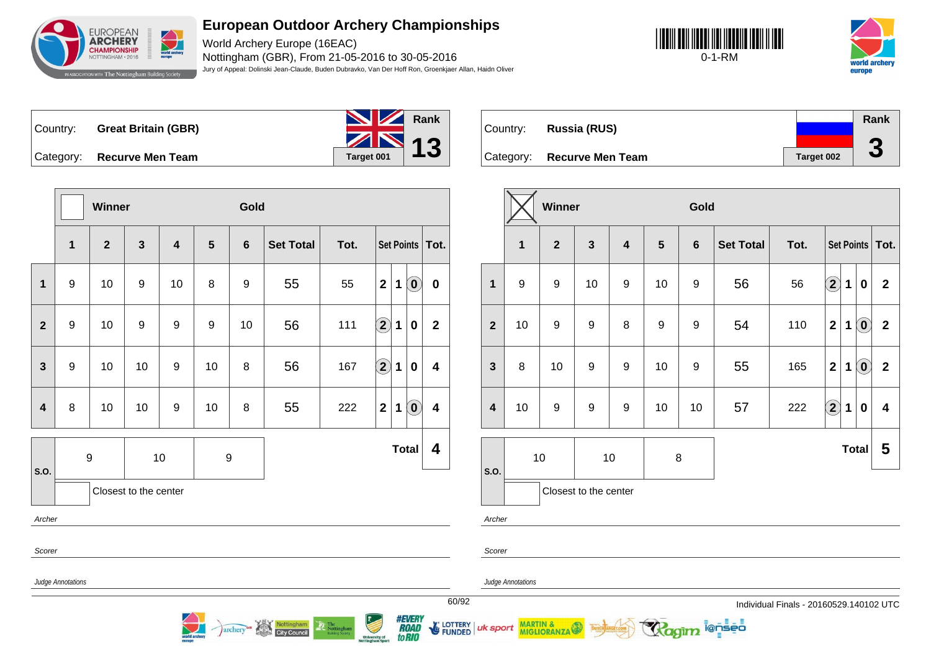

World Archery Europe (16EAC) Nottingham (GBR), From 21-05-2016 to 30-05-2016 Jury of Appeal: Dolinski Jean-Claude, Buden Dubravko, Van Der Hoff Ron, Groenkjaer Allan, Haidn Oliver





Country: **Great Britain (GBR)**

Category: **Recurve Men Team Target 001** 

world archery



Country: **Russia (RUS)** Category: **Recurve Men Team Tanget 002 Rank 3**

|                         |                                                  | Winner                                                                                                                                                                                                                                                                                                                                                                                                   |                       |    |                 | Gold             |                  |      |                   |                                                                        |                  |                         |                          | Winner         |                       |                         |                | Gold           |                  |      |                        |              |                                                         |                   |
|-------------------------|--------------------------------------------------|----------------------------------------------------------------------------------------------------------------------------------------------------------------------------------------------------------------------------------------------------------------------------------------------------------------------------------------------------------------------------------------------------------|-----------------------|----|-----------------|------------------|------------------|------|-------------------|------------------------------------------------------------------------|------------------|-------------------------|--------------------------|----------------|-----------------------|-------------------------|----------------|----------------|------------------|------|------------------------|--------------|---------------------------------------------------------|-------------------|
|                         | $\mathbf{1}$                                     | $\mathbf{2}$                                                                                                                                                                                                                                                                                                                                                                                             | 3                     | 4  | $5\phantom{.0}$ | 6                | <b>Set Total</b> | Tot. |                   | Set Points   Tot.                                                      |                  |                         | $\mathbf{1}$             | $\overline{2}$ | $\mathbf{3}$          | $\overline{\mathbf{4}}$ | $5\phantom{1}$ | $6\phantom{1}$ | <b>Set Total</b> | Tot. |                        |              |                                                         | Set Points   Tot. |
| $\mathbf 1$             | 9                                                | 10                                                                                                                                                                                                                                                                                                                                                                                                       | 9                     | 10 | 8               | 9                | 55               | 55   | $\mathbf{2}$      | $\left( \begin{matrix} \textbf{0} \end{matrix} \right)$<br>$\mathbf 1$ | $\mathbf 0$      | $\mathbf{1}$            | 9                        | 9              | 10                    | 9                       | 10             | 9              | 56               | 56   | $\widehat{\mathbf{2}}$ | $\mathbf{1}$ | $\pmb{0}$                                               | $\overline{2}$    |
| $\mathbf{2}$            | 9                                                | 10                                                                                                                                                                                                                                                                                                                                                                                                       | 9                     | 9  | 9               | 10               | 56               | 111  | $\Omega$          | 1<br>$\bf{0}$                                                          | $\mathbf{2}$     | $\overline{2}$          | 10                       | 9              | 9                     | 8                       | 9              | 9              | 54               | 110  | $\mathbf 2$            | $\mathbf 1$  | $\left( \begin{matrix} \textbf{0} \end{matrix} \right)$ | $\overline{2}$    |
| $\mathbf{3}$            | 9                                                | 10                                                                                                                                                                                                                                                                                                                                                                                                       | 10                    | 9  | 10              | 8                | 56               | 167  | $\left( 2\right)$ | $\mathbf 1$<br>$\mathbf 0$                                             | 4                | $\mathbf{3}$            | 8                        | 10             | 9                     | 9                       | 10             | 9              | 55               | 165  | $\mathbf 2$            | $\mathbf 1$  | $\left( \begin{matrix} \textbf{0} \end{matrix} \right)$ | $\overline{2}$    |
| $\overline{\mathbf{4}}$ | 8                                                | 10                                                                                                                                                                                                                                                                                                                                                                                                       | 10                    | 9  | 10              | 8                | 55               | 222  | $\mathbf{2}$      | $\left( \begin{matrix} \textbf{0} \end{matrix} \right)$<br>1           | 4                | $\overline{\mathbf{4}}$ | 10                       | 9              | $\boldsymbol{9}$      | 9                       | 10             | 10             | 57               | 222  | $\widehat{\mathbf{2}}$ | 1            | $\pmb{0}$                                               | 4                 |
|                         |                                                  | $\boldsymbol{9}$                                                                                                                                                                                                                                                                                                                                                                                         |                       | 10 |                 | $\boldsymbol{9}$ |                  |      |                   | Total                                                                  | $\boldsymbol{4}$ |                         |                          | 10             |                       | $10$                    |                | 8              |                  |      |                        |              | Total                                                   | $5\overline{)}$   |
| <b>S.O.</b>             |                                                  |                                                                                                                                                                                                                                                                                                                                                                                                          | Closest to the center |    |                 |                  |                  |      |                   |                                                                        |                  | <b>S.O.</b>             |                          |                | Closest to the center |                         |                |                |                  |      |                        |              |                                                         |                   |
| Archer                  |                                                  |                                                                                                                                                                                                                                                                                                                                                                                                          |                       |    |                 |                  |                  |      |                   |                                                                        |                  | Archer                  |                          |                |                       |                         |                |                |                  |      |                        |              |                                                         |                   |
| Scorer                  |                                                  |                                                                                                                                                                                                                                                                                                                                                                                                          |                       |    |                 |                  |                  |      |                   |                                                                        |                  | Scorer                  |                          |                |                       |                         |                |                |                  |      |                        |              |                                                         |                   |
|                         | Judge Annotations                                |                                                                                                                                                                                                                                                                                                                                                                                                          |                       |    |                 |                  |                  |      |                   |                                                                        |                  |                         | <b>Judge Annotations</b> |                |                       |                         |                |                |                  |      |                        |              |                                                         |                   |
|                         | 60/92<br>Individual Finals - 20160529.140102 UTC |                                                                                                                                                                                                                                                                                                                                                                                                          |                       |    |                 |                  |                  |      |                   |                                                                        |                  |                         |                          |                |                       |                         |                |                |                  |      |                        |              |                                                         |                   |
|                         |                                                  | <i><b>#EVERY<br/>ROAD<br/>to RIO</b></i><br><b>Property</b><br>FUNDED UK Sport MARTIN & THE TRIANGERSHIP<br>Ragim lenses<br>archery <sup>on</sup><br>Nottingham<br>City Council<br>$\begin{tabular}{ c c } \hline \hline \multicolumn{3}{ c }{\textbf{Re}} \\ \multicolumn{3}{ c }{\textbf{Nottingham}} \\ \multicolumn{3}{ c }{\textbf{Notting shown}} \\ \hline \end{tabular}$<br><b>University of</b> |                       |    |                 |                  |                  |      |                   |                                                                        |                  |                         |                          |                |                       |                         |                |                |                  |      |                        |              |                                                         |                   |

University of **to RIO**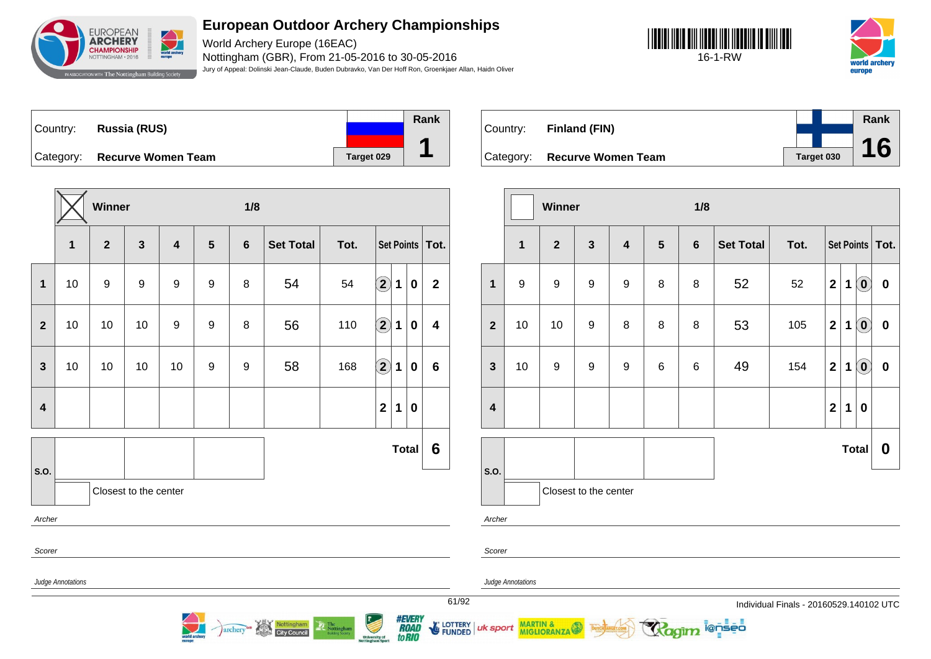

World Archery Europe (16EAC) Nottingham (GBR), From 21-05-2016 to 30-05-2016 Jury of Appeal: Dolinski Jean-Claude, Buden Dubravko, Van Der Hoff Ron, Groenkjaer Allan, Haidn Oliver





Country: **Russia (RUS)** Category: **Recurve Women Team Target 029 Rank 1**

|                                                                                                                                 |    | Winner       |                       |                         |                | 1/8            |                  |      |                    |   |              |                        |
|---------------------------------------------------------------------------------------------------------------------------------|----|--------------|-----------------------|-------------------------|----------------|----------------|------------------|------|--------------------|---|--------------|------------------------|
|                                                                                                                                 | 1  | $\mathbf{2}$ | $\mathbf{3}$          | $\overline{\mathbf{4}}$ | $5\phantom{1}$ | $6\phantom{1}$ | <b>Set Total</b> | Tot. |                    |   |              | Set Points   Tot.      |
| $\mathbf{1}$                                                                                                                    | 10 | 9            | $\boldsymbol{9}$      | 9                       | 9              | 8              | 54               | 54   | $\bf (2)$          | 1 | 0            | $\mathbf{2}$           |
| $\mathbf{2}$                                                                                                                    | 10 | 10           | 10                    | 9                       | 9              | 8              | 56               | 110  | $\bf \overline{2}$ | 1 | $\mathbf 0$  | 4                      |
| 3                                                                                                                               | 10 | 10           | 10                    | 10                      | 9              | 9              | 58               | 168  | $\hat{\mathbf{2}}$ | 1 | 0            | $6\phantom{1}6$        |
| $\overline{\mathbf{4}}$                                                                                                         |    |              |                       |                         |                |                |                  |      | $\mathbf{2}$       | 1 | $\pmb{0}$    |                        |
|                                                                                                                                 |    |              |                       |                         |                |                |                  |      |                    |   | <b>Total</b> | $6\phantom{1}6$        |
| S.O.<br>Archer                                                                                                                  |    |              | Closest to the center |                         |                |                |                  |      |                    |   |              |                        |
| Scorer                                                                                                                          |    |              |                       |                         |                |                |                  |      |                    |   |              |                        |
| Judge Annotations<br>61/9                                                                                                       |    |              |                       |                         |                |                |                  |      |                    |   |              |                        |
| #EVERY<br>Nottingham<br>The Nottingham<br>archery<br><b>City Council</b><br><b>University of<br/>Nottingham Sport</b><br>to RIO |    |              |                       |                         |                |                |                  |      |                    |   |              | <b>LOTTER</b><br>FUNDE |

| Country: | <b>Finland (FIN)</b>         |            | Rank |  |
|----------|------------------------------|------------|------|--|
|          |                              |            | 16   |  |
|          | Category: Recurve Women Team | Target 030 |      |  |

|                         |              | Winner           |                       |                         |                | 1/8            |                  |      |                         |   |                            |                   |
|-------------------------|--------------|------------------|-----------------------|-------------------------|----------------|----------------|------------------|------|-------------------------|---|----------------------------|-------------------|
|                         | $\mathbf{1}$ | $\overline{2}$   | $\mathbf{3}$          | $\overline{\mathbf{4}}$ | $5\phantom{1}$ | $6\phantom{1}$ | <b>Set Total</b> | Tot. |                         |   |                            | Set Points   Tot. |
| $\mathbf{1}$            | 9            | $\boldsymbol{9}$ | $\boldsymbol{9}$      | $\boldsymbol{9}$        | 8              | 8              | 52               | 52   | $\overline{2}$          | 1 | $\overline{0}$             | $\pmb{0}$         |
| $\overline{2}$          | 10           | 10               | $\boldsymbol{9}$      | 8                       | $\, 8$         | 8              | 53               | 105  | $\mathbf{2}$            | 1 | $\odot$                    | $\pmb{0}$         |
| $\mathbf{3}$            | 10           | $\boldsymbol{9}$ | $\boldsymbol{9}$      | $\boldsymbol{9}$        | $\,6$          | 6              | 49               | 154  | $\mathbf{2}$            | 1 | $\left( \mathbf{0}\right)$ | $\pmb{0}$         |
| $\overline{\mathbf{4}}$ |              |                  |                       |                         |                |                |                  |      | $\overline{\mathbf{2}}$ | 1 | $\bf{0}$                   |                   |
|                         |              |                  |                       |                         |                |                |                  |      |                         |   | <b>Total</b>               | 0                 |
| S.O.                    |              |                  | Closest to the center |                         |                |                |                  |      |                         |   |                            |                   |
| Archer                  |              |                  |                       |                         |                |                |                  |      |                         |   |                            |                   |

ionseo

Scorer

uk sport

E LOTTERY

Judge Annotations

MARTIN & MIGLIORANZA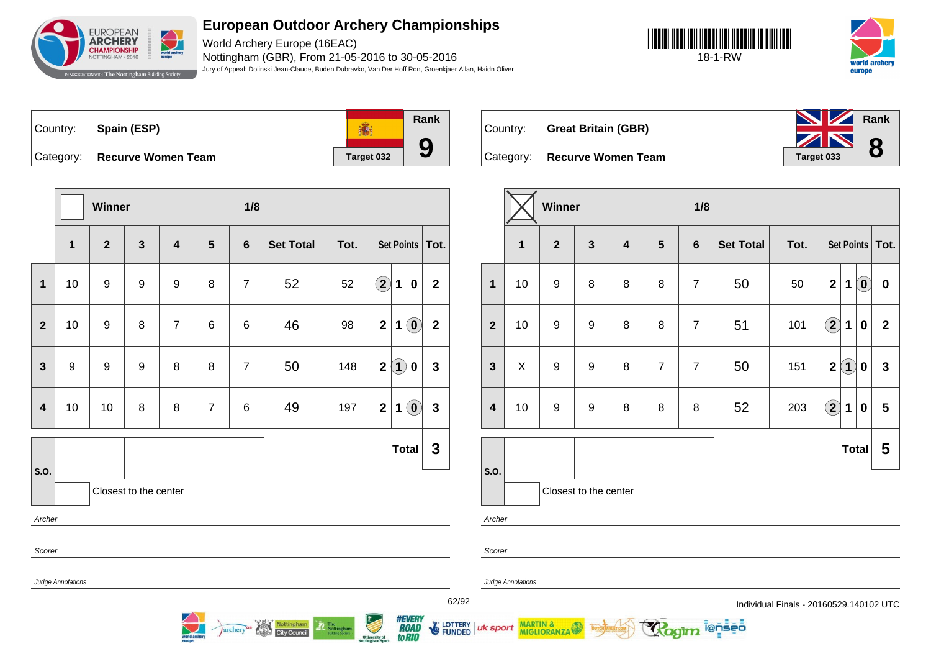

World Archery Europe (16EAC) Nottingham (GBR), From 21-05-2016 to 30-05-2016 Jury of Appeal: Dolinski Jean-Claude, Buden Dubravko, Van Der Hoff Ron, Groenkjaer Allan, Haidn Oliver





**Rank** Country: **Spain (ESP) 高 9** Category: **Recurve Women Team Target 032** 

**Winner 1/8 1 2 3 4 5 6 Set Total Tot. Set Points Tot. 1** 10 9 9 9 8 7 52 52 **2 1 0 2 2** 10 9 8 7 6 6 46 98 **2 1 0 2 3** 9 9 9 8 8 7 50 148 **2 1 0 3 4** 10 10 8 8 7 6 49 197 **2 1 0 3 S.O. Total 3** Closest to the center Archer Scorer Judge Annotations

Nottingham<br>City Council

archery

Country: **Great Britain (GBR)** Category: **Recurve Women Team Team Target 033 Rank 8**

|                  |    | Winner           |                       |                         |                | 1/8             |                  |      |                                           |                                         |
|------------------|----|------------------|-----------------------|-------------------------|----------------|-----------------|------------------|------|-------------------------------------------|-----------------------------------------|
|                  | 1  | $\overline{2}$   | $\mathbf{3}$          | $\overline{\mathbf{4}}$ | $5\phantom{1}$ | $6\phantom{1}6$ | <b>Set Total</b> | Tot. | Set Points   Tot.                         |                                         |
| $\mathbf{1}$     | 10 | 9                | 8                     | 8                       | 8              | $\overline{7}$  | 50               | 50   | $\mathbf{2}$<br>$\mathbf 1$               | $\left( \mathbf{0}\right)$<br>$\pmb{0}$ |
| $\overline{2}$   | 10 | $\boldsymbol{9}$ | 9                     | 8                       | 8              | $\overline{7}$  | 51               | 101  | $\left( \mathbf{2}\right)$<br>$\mathbf 1$ | $\overline{2}$<br>0                     |
| $\mathbf{3}$     | X  | 9                | 9                     | 8                       | $\overline{7}$ | $\overline{7}$  | 50               | 151  | $\left( 1\right)$<br>$\mathbf{2}$         | $\mathbf{3}$<br>0                       |
| $\boldsymbol{4}$ | 10 | 9                | 9                     | 8                       | 8              | 8               | 52               | 203  | $\bigcirc \!\! 2$<br>$\mathbf 1$          | $5\phantom{.0}$<br>$\bf{0}$             |
|                  |    |                  |                       |                         |                |                 |                  |      | <b>Total</b>                              | 5                                       |
| S.O.             |    |                  | Closest to the center |                         |                |                 |                  |      |                                           |                                         |
| Archer           |    |                  |                       |                         |                |                 |                  |      |                                           |                                         |

i@nseo

Scorer

Judge Annotations

uk sport

MARTIN & MIGLIORANZA

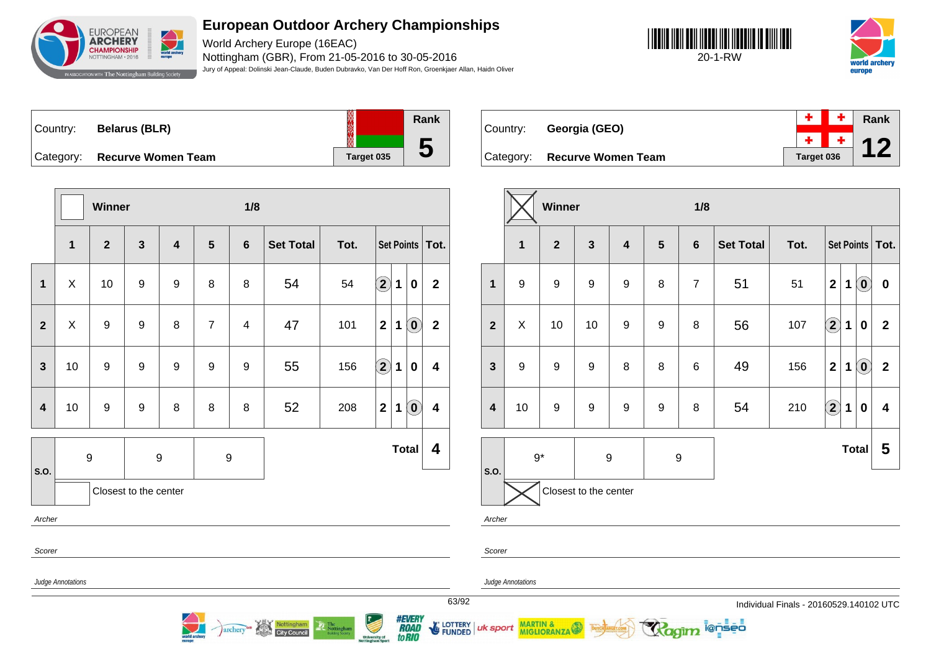

World Archery Europe (16EAC) Nottingham (GBR), From 21-05-2016 to 30-05-2016 Jury of Appeal: Dolinski Jean-Claude, Buden Dubravko, Van Der Hoff Ron, Groenkjaer Allan, Haidn Oliver





| Country:  | <b>Belarus (BLR)</b>      | ▒          | Rank |
|-----------|---------------------------|------------|------|
|           |                           |            |      |
| Category: | <b>Recurve Women Team</b> | Target 035 | U    |

Country:

**Category:** 

| Georgia (GEO)             |            |  | <b>Rank</b> |
|---------------------------|------------|--|-------------|
|                           |            |  |             |
| <b>Recurve Women Team</b> | Target 036 |  |             |

|                         |                   | Winner       |                       |                         |                         | 1/8            |                  |      |                      |             |                                                |                         |
|-------------------------|-------------------|--------------|-----------------------|-------------------------|-------------------------|----------------|------------------|------|----------------------|-------------|------------------------------------------------|-------------------------|
|                         | $\mathbf{1}$      | $\mathbf{2}$ | $\mathbf{3}$          | $\overline{\mathbf{4}}$ | $\overline{\mathbf{5}}$ | $6\phantom{1}$ | <b>Set Total</b> | Tot. | <b>Set Points</b>    |             |                                                | Tot.                    |
| $\mathbf{1}$            | X                 | 10           | 9                     | 9                       | 8                       | 8              | 54               | 54   | $\bigcirc \!\! \! 2$ | $\mathbf 1$ | 0                                              | $\overline{2}$          |
| $\overline{2}$          | X                 | 9            | 9                     | 8                       | $\overline{7}$          | 4              | 47               | 101  | $\mathbf{2}$         | $\mathbf 1$ | $\left( \mathbf{0}\right)$                     | $\overline{\mathbf{2}}$ |
| $\mathbf{3}$            | 10                | 9            | 9                     | $\boldsymbol{9}$        | $\boldsymbol{9}$        | 9              | 55               | 156  | $\bf \overline{2}$   | 1           | 0                                              | $\overline{\mathbf{4}}$ |
| $\overline{\mathbf{4}}$ | 10                | 9            | 9                     | 8                       | 8                       | 8              | 52               | 208  | $\mathbf{2}$         | $\mathbf 1$ | $\left( \begin{matrix} 0 \end{matrix} \right)$ | $\overline{\mathbf{4}}$ |
| S.O.                    |                   | 9            |                       | 9                       | $\boldsymbol{9}$        |                |                  |      |                      |             | <b>Total</b>                                   | 4                       |
|                         |                   |              | Closest to the center |                         |                         |                |                  |      |                      |             |                                                |                         |
| Archer                  |                   |              |                       |                         |                         |                |                  |      |                      |             |                                                |                         |
| Scorer                  |                   |              |                       |                         |                         |                |                  |      |                      |             |                                                |                         |
|                         | Judge Annotations |              |                       |                         |                         |                |                  |      |                      |             |                                                |                         |
|                         |                   |              |                       |                         |                         |                |                  |      |                      |             |                                                |                         |

archery<sup>es</sup> Nottingham

|                         |                       | Winner         |                  |                         |                  | 1/8            |                  |      |                         |                   |                            |                         |
|-------------------------|-----------------------|----------------|------------------|-------------------------|------------------|----------------|------------------|------|-------------------------|-------------------|----------------------------|-------------------------|
|                         | $\mathbf{1}$          | $\overline{2}$ | $\mathbf{3}$     | $\overline{\mathbf{4}}$ | $5\phantom{1}$   | $6\phantom{1}$ | <b>Set Total</b> | Tot. |                         | Set Points   Tot. |                            |                         |
| $\mathbf{1}$            | $\boldsymbol{9}$      | 9              | 9                | 9                       | 8                | $\overline{7}$ | 51               | 51   | $\mathbf 2$             | 1                 | $\left( \mathbf{0}\right)$ | $\pmb{0}$               |
| $\overline{2}$          | X                     | 10             | 10               | $\boldsymbol{9}$        | $\boldsymbol{9}$ | 8              | 56               | 107  | $\Large 2$              | 1                 | $\bf{0}$                   | $\mathbf{2}$            |
| $\mathbf{3}$            | $\boldsymbol{9}$      | 9              | 9                | 8                       | 8                | 6              | 49               | 156  | $\overline{\mathbf{2}}$ | $\mathbf 1$       | $\left( \mathbf{0}\right)$ | $\mathbf 2$             |
| $\overline{\mathbf{4}}$ | 10                    | 9              | 9                | 9                       | 9                | 8              | 54               | 210  | $\mathbf{2}$            | 1                 | 0                          | $\overline{\mathbf{4}}$ |
|                         | $9*$                  |                | $\boldsymbol{9}$ |                         | $\boldsymbol{9}$ |                |                  |      |                         | <b>Total</b>      |                            | 5                       |
| S.O.                    | Closest to the center |                |                  |                         |                  |                |                  |      |                         |                   |                            |                         |
| Archer                  |                       |                |                  |                         |                  |                |                  |      |                         |                   |                            |                         |

**ienseo** 

Scorer

uk sport

*#EVERY<br>ROAD<br>toRIO* 

LOTTERY<br>FUNDED

Judge Annotations

MARTIN & MIGLIORANZA

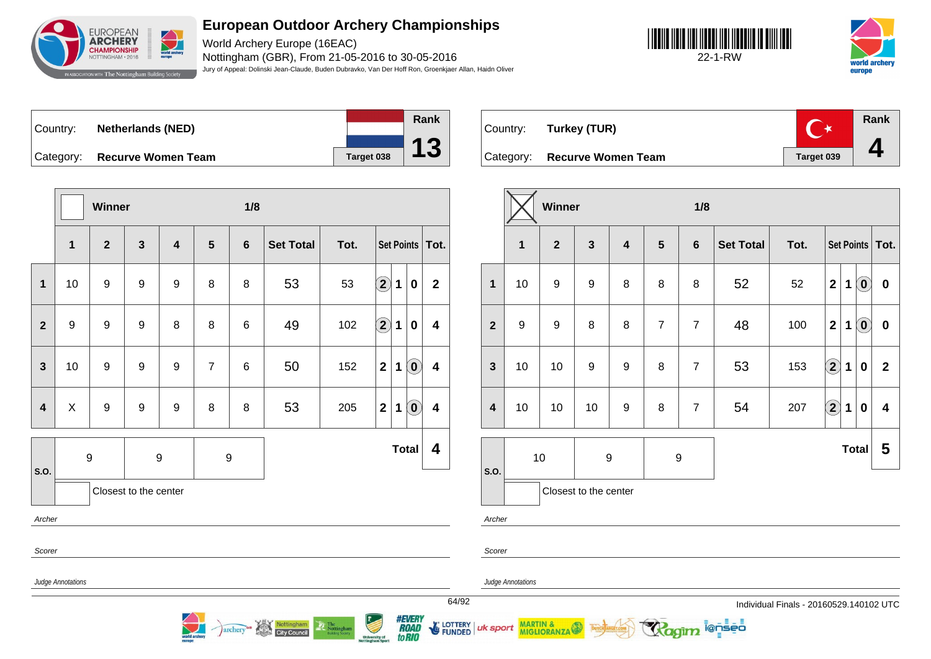

World Archery Europe (16EAC) Nottingham (GBR), From 21-05-2016 to 30-05-2016 Jury of Appeal: Dolinski Jean-Claude, Buden Dubravko, Van Der Hoff Ron, Groenkjaer Allan, Haidn Oliver





Country: **Netherlands (NED)** Category: **Recurve Women Team Target 038** 



**Rank**  $\overline{C^*}$ Country: **Turkey (TUR) 4** Category: **Recurve Women Team Taget 039** 

|                         |                   | Winner           |                         |                         |                | 1/8            |                  |      |                        |             |                                                |                         |
|-------------------------|-------------------|------------------|-------------------------|-------------------------|----------------|----------------|------------------|------|------------------------|-------------|------------------------------------------------|-------------------------|
|                         | 1                 | $\overline{2}$   | $\overline{\mathbf{3}}$ | $\overline{\mathbf{4}}$ | 5              | $6\phantom{1}$ | <b>Set Total</b> | Tot. |                        |             |                                                | Set Points   Tot.       |
| $\mathbf 1$             | 10                | $\boldsymbol{9}$ | 9                       | 9                       | 8              | 8              | 53               | 53   | $\hat{\mathbf{2}}$     | 1           | $\pmb{0}$                                      | $\mathbf{2}$            |
| $\overline{2}$          | $\boldsymbol{9}$  | $\boldsymbol{9}$ | 9                       | 8                       | 8              | 6              | 49               | 102  | $\widehat{\mathbf{2}}$ | $\mathbf 1$ | $\mathbf 0$                                    | $\overline{\mathbf{4}}$ |
| $\mathbf{3}$            | 10                | $\boldsymbol{9}$ | 9                       | 9                       | $\overline{7}$ | 6              | 50               | 152  | $\mathbf{2}$           | $\mathbf 1$ | $\left( \begin{matrix} 0 \end{matrix} \right)$ | $\overline{\mathbf{4}}$ |
| $\overline{\mathbf{4}}$ | $\pmb{\times}$    | $\boldsymbol{9}$ | 9                       | $\boldsymbol{9}$        | 8              | 8              | 53               | 205  | $\mathbf{2}$           | $\mathbf 1$ | $\left( \begin{matrix} 0 \end{matrix} \right)$ | $\overline{\mathbf{4}}$ |
| S.O.                    |                   | $\boldsymbol{9}$ |                         | 9                       | 9              |                |                  |      |                        |             | <b>Total</b>                                   | 4                       |
|                         |                   |                  | Closest to the center   |                         |                |                |                  |      |                        |             |                                                |                         |
| Archer                  |                   |                  |                         |                         |                |                |                  |      |                        |             |                                                |                         |
| Scorer                  |                   |                  |                         |                         |                |                |                  |      |                        |             |                                                |                         |
|                         | Judge Annotations |                  |                         |                         |                |                |                  |      |                        |             |                                                | 64/9                    |

archery<sup>on</sup> Nottingham

|                         |                       | Winner           |                         |                         |                  | 1/8            |                  |      |                   |             |                                   |                         |
|-------------------------|-----------------------|------------------|-------------------------|-------------------------|------------------|----------------|------------------|------|-------------------|-------------|-----------------------------------|-------------------------|
|                         | 1                     | $\overline{2}$   | $\overline{\mathbf{3}}$ | $\overline{\mathbf{4}}$ | $5\phantom{1}$   | $6\phantom{1}$ | <b>Set Total</b> | Tot. |                   |             |                                   | Set Points   Tot.       |
| $\mathbf{1}$            | 10                    | $\boldsymbol{9}$ | $\boldsymbol{9}$        | 8                       | 8                | 8              | 52               | 52   | $\mathbf{2}$      | $\mathbf 1$ | $\left( \mathbf{0}\right)$        | $\pmb{0}$               |
| $\overline{2}$          | 9                     | 9                | 8                       | 8                       | $\overline{7}$   | $\overline{7}$ | 48               | 100  | $\mathbf{2}$      | $\mathbf 1$ | $\left( \text{\textbf{0}}\right)$ | $\pmb{0}$               |
| $\mathbf{3}$            | 10                    | 10               | 9                       | $\boldsymbol{9}$        | 8                | $\overline{7}$ | 53               | 153  | $\bf(2)$          | $\mathbf 1$ | $\bf{0}$                          | $\overline{2}$          |
| $\overline{\mathbf{4}}$ | 10                    | 10               | 10                      | $\boldsymbol{9}$        | 8                | $\overline{7}$ | 54               | 207  | $\left( 2\right)$ | $\mathbf 1$ | $\mathbf 0$                       | $\overline{\mathbf{4}}$ |
| S.O.                    |                       | 10               | $\boldsymbol{9}$        |                         | $\boldsymbol{9}$ |                | <b>Total</b>     |      |                   |             | 5                                 |                         |
| Archer                  | Closest to the center |                  |                         |                         |                  |                |                  |      |                   |             |                                   |                         |

i@nseo

Scorer

Judge Annotations

uk sport

MARTIN & MIGLIORANZA

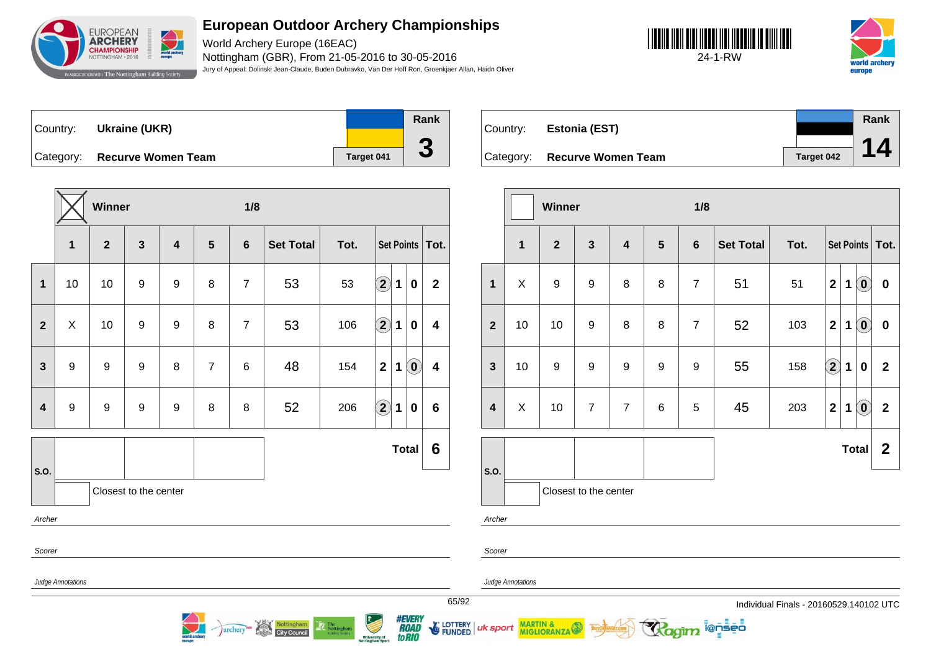

World Archery Europe (16EAC) Nottingham (GBR), From 21-05-2016 to 30-05-2016 Jury of Appeal: Dolinski Jean-Claude, Buden Dubravko, Van Der Hoff Ron, Groenkjaer Allan, Haidn Oliver





| Country:  | Ukraine (UKR)             |            | Rank |
|-----------|---------------------------|------------|------|
|           |                           |            |      |
| Category: | <b>Recurve Women Team</b> | Target 041 | J    |

**Winner 1/8 1 2 3 4 5 6 Set Total Tot. Set Points Tot. 1** 10 10 9 9 8 7 53 53 **2 1 0 2 2** X 10 9 9 8 7 53 106 **2 1 0 4 3** 9 9 9 8 7 6 48 154 **2 1 0 4 4** 9 9 9 9 8 8 52 206 **2 1 0 6 S.O. Total 6** Closest to the center Archer Scorer Judge Annotations

archery<sup>on</sup> Nottingham

| Country:  | Estonia (EST)             |            | Rank |  |
|-----------|---------------------------|------------|------|--|
| Category: | <b>Recurve Women Team</b> | Target 042 | 14   |  |

|                         |                       | Winner           |                         |                         |                | 1/8            |                  |      |                    |             |                                                |                   |  |
|-------------------------|-----------------------|------------------|-------------------------|-------------------------|----------------|----------------|------------------|------|--------------------|-------------|------------------------------------------------|-------------------|--|
|                         | $\mathbf{1}$          | $\overline{2}$   | $\overline{\mathbf{3}}$ | $\overline{\mathbf{4}}$ | $5\phantom{1}$ | $6\phantom{a}$ | <b>Set Total</b> | Tot. |                    |             |                                                | Set Points   Tot. |  |
| $\mathbf{1}$            | X                     | $\boldsymbol{9}$ | $\boldsymbol{9}$        | 8                       | 8              | $\overline{7}$ | 51               | 51   | $\overline{2}$     | $\mathbf 1$ | $\left( \begin{matrix} 0 \end{matrix} \right)$ | $\pmb{0}$         |  |
| $\overline{2}$          | 10                    | 10               | 9                       | 8                       | 8              | $\overline{7}$ | 52               | 103  | $\mathbf{2}$       | 1           | $\left( \mathbf{0}\right)$                     | $\pmb{0}$         |  |
| $\mathbf{3}$            | 10                    | $\boldsymbol{9}$ | 9                       | $\boldsymbol{9}$        | 9              | 9              | 55               | 158  | $\hat{\mathbf{2}}$ | 1           | 0                                              | $\overline{2}$    |  |
| $\overline{\mathbf{4}}$ | X                     | 10               | $\overline{7}$          | $\overline{7}$          | 6              | 5              | 45               | 203  | $\mathbf{2}$       | 1           | $\left( \begin{matrix} 0 \end{matrix} \right)$ | $\overline{2}$    |  |
|                         |                       |                  |                         |                         |                |                |                  |      |                    |             | <b>Total</b>                                   | $\mathbf{2}$      |  |
| S.O.                    | Closest to the center |                  |                         |                         |                |                |                  |      |                    |             |                                                |                   |  |
| Archer                  |                       |                  |                         |                         |                |                |                  |      |                    |             |                                                |                   |  |

i@nseo

Scorer

uk sport

*#EVERY<br>ROAD<br>toRIO* 

**E** LOTTERY

**FUNDED** 

Judge Annotations

MARTIN & MIGLIORANZA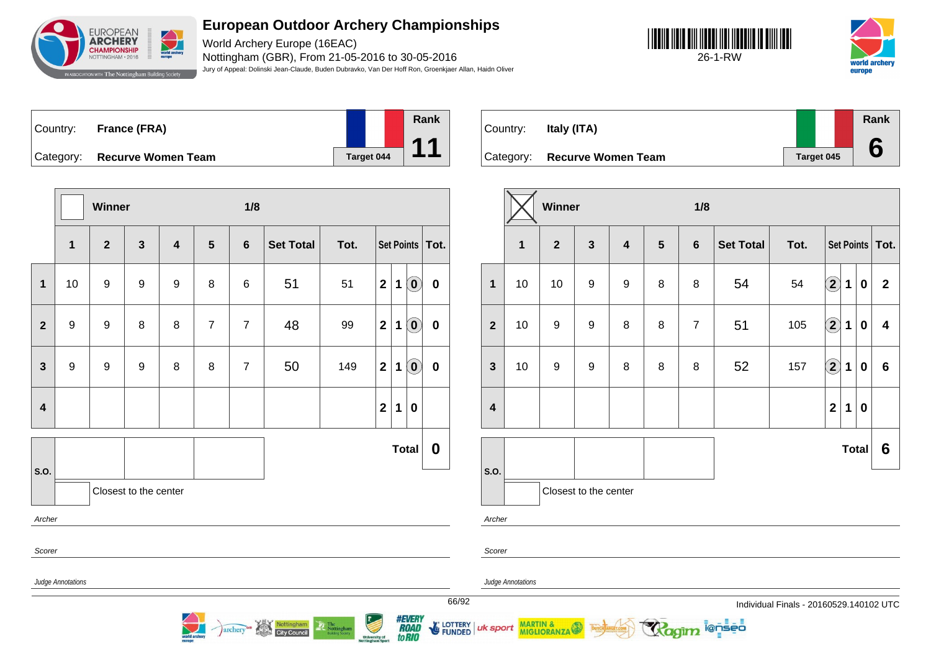

World Archery Europe (16EAC) Nottingham (GBR), From 21-05-2016 to 30-05-2016 Jury of Appeal: Dolinski Jean-Claude, Buden Dubravko, Van Der Hoff Ron, Groenkjaer Allan, Haidn Oliver





| Country: | France (FRA)                 |                   | Rank |
|----------|------------------------------|-------------------|------|
|          | Category: Recurve Women Team | <b>Target 044</b> |      |

**Winner 1/8 1 2 3 4 5 6 Set Total Tot. Set Points Tot. 1** 10 9 9 9 8 6 51 51 **2 1 0 0 2** 9 9 8 8 7 7 48 99 **2 1 0 0 3** 9 9 9 8 8 7 50 149 21 0 0 **4 2 1 0 S.O. Total 0** Closest to the center Archer Scorer Judge Annotations

archery<sup>as</sup> Nottingham

| Country:  | Italy (ITA)               |            | Rank |
|-----------|---------------------------|------------|------|
| Category: | <b>Recurve Women Team</b> | Target 045 |      |

|                         |              | Winner           |                       |                         |                | 1/8            |                  |      |                         |             |              |                         |
|-------------------------|--------------|------------------|-----------------------|-------------------------|----------------|----------------|------------------|------|-------------------------|-------------|--------------|-------------------------|
|                         | $\mathbf{1}$ | $\overline{2}$   | $\mathbf{3}$          | $\overline{\mathbf{4}}$ | $5\phantom{1}$ | $6\phantom{a}$ | <b>Set Total</b> | Tot. |                         |             |              | Set Points   Tot.       |
| $\mathbf{1}$            | 10           | 10               | $\boldsymbol{9}$      | $\boldsymbol{9}$        | 8              | 8              | 54               | 54   | $\left( \bf{2}\right)$  | $\mathbf 1$ | $\bf{0}$     | $\mathbf{2}$            |
| $\overline{2}$          | 10           | $\boldsymbol{9}$ | $\boldsymbol{9}$      | 8                       | 8              | $\overline{7}$ | 51               | 105  | $\bigcirc \!\! 2$       | 1           | $\bf{0}$     | $\overline{\mathbf{4}}$ |
| $\mathbf{3}$            | 10           | 9                | $\boldsymbol{9}$      | 8                       | 8              | 8              | 52               | 157  | $\bigcirc \!\! 2$       | 1           | $\bf{0}$     | $6\phantom{1}$          |
| $\overline{\mathbf{4}}$ |              |                  |                       |                         |                |                |                  |      | $\overline{\mathbf{2}}$ | 1           | $\bf{0}$     |                         |
|                         |              |                  |                       |                         |                |                |                  |      |                         |             | <b>Total</b> | 6                       |
| S.O.                    |              |                  | Closest to the center |                         |                |                |                  |      |                         |             |              |                         |
| Archer                  |              |                  |                       |                         |                |                |                  |      |                         |             |              |                         |

i@nseo

Scorer

uk sport

*#EVERY<br>ROAD<br>toRIO* 

**E** LOTTERY

**FUNDED** 

Judge Annotations

MARTIN & MIGLIORANZA

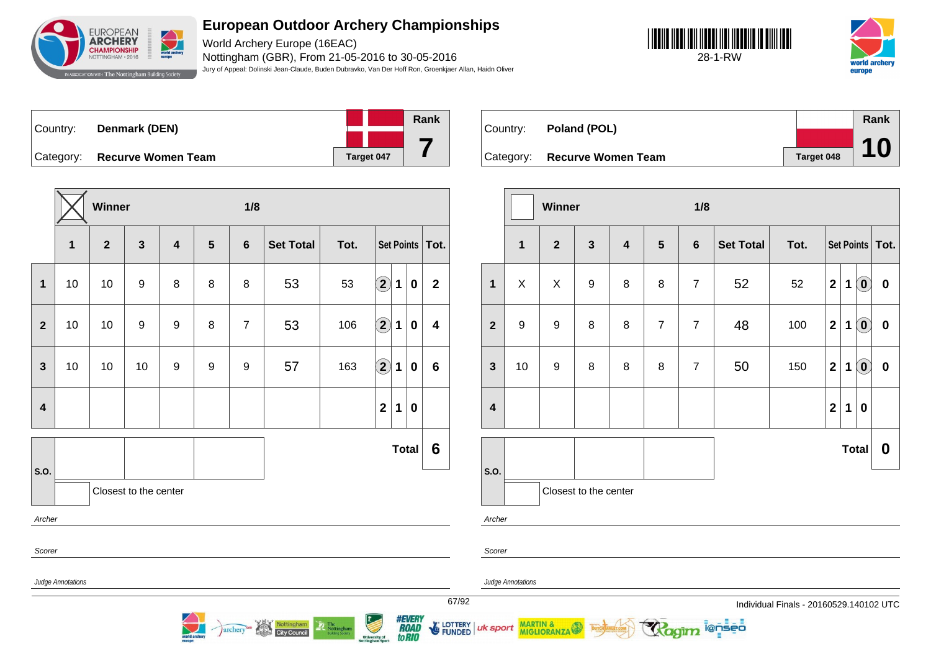

World Archery Europe (16EAC) Nottingham (GBR), From 21-05-2016 to 30-05-2016 Jury of Appeal: Dolinski Jean-Claude, Buden Dubravko, Van Der Hoff Ron, Groenkjaer Allan, Haidn Oliver





| Country: | Denmark (DEN)                |            | Rank |
|----------|------------------------------|------------|------|
|          |                              |            |      |
|          | Category: Recurve Women Team | Target 047 |      |

**Winner 1/8 1 2 3 4 5 6 Set Total Tot. Set Points Tot. 1** 10 10 9 8 8 8 53 53 **2 1 0 2 2** 10 10 9 9 8 7 53 106 **2 1 0 4 3** 10 10 10 9 9 9 57 163 **2 1 0 6 4 2 1 0 S.O. Total 6** Closest to the center Archer Scorer Judge Annotations

archery<sup>on</sup> Nottingham

| Country:  | Poland (POL)              |            | Rank |
|-----------|---------------------------|------------|------|
|           |                           |            |      |
| Category: | <b>Recurve Women Team</b> | Target 048 | 10   |

|                         |              | Winner           |                       |                  |                | 1/8             |                  |      |                         |             |                                                |                   |
|-------------------------|--------------|------------------|-----------------------|------------------|----------------|-----------------|------------------|------|-------------------------|-------------|------------------------------------------------|-------------------|
|                         | $\mathbf{1}$ | $\overline{2}$   | $\mathbf{3}$          | $\boldsymbol{4}$ | $5\phantom{1}$ | $6\phantom{1}6$ | <b>Set Total</b> | Tot. |                         |             |                                                | Set Points   Tot. |
| 1                       | $\mathsf{X}$ | $\mathsf X$      | $\boldsymbol{9}$      | 8                | $\bf 8$        | $\overline{7}$  | 52               | 52   | $\overline{\mathbf{2}}$ | $\mathbf 1$ | $\odot$                                        | $\pmb{0}$         |
| $\mathbf{2}$            | 9            | $\boldsymbol{9}$ | 8                     | 8                | $\overline{7}$ | $\overline{7}$  | 48               | 100  | $\mathbf 2$             | 1           | $\left( 0\right)$                              | $\pmb{0}$         |
| $\mathbf{3}$            | 10           | $\boldsymbol{9}$ | 8                     | 8                | $\bf 8$        | $\overline{7}$  | 50               | 150  | $\mathbf 2$             | $\mathbf 1$ | $\left( \begin{matrix} 0 \end{matrix} \right)$ | $\pmb{0}$         |
| $\overline{\mathbf{4}}$ |              |                  |                       |                  |                |                 |                  |      | $\mathbf 2$             | 1           | $\bf{0}$                                       |                   |
|                         |              |                  |                       |                  |                |                 |                  |      |                         |             | <b>Total</b>                                   | 0                 |
| S.O.                    |              |                  | Closest to the center |                  |                |                 |                  |      |                         |             |                                                |                   |
| Archer                  |              |                  |                       |                  |                |                 |                  |      |                         |             |                                                |                   |

i@nseo

Scorer

Judge Annotations

MARTIN & MIGLIORANZA

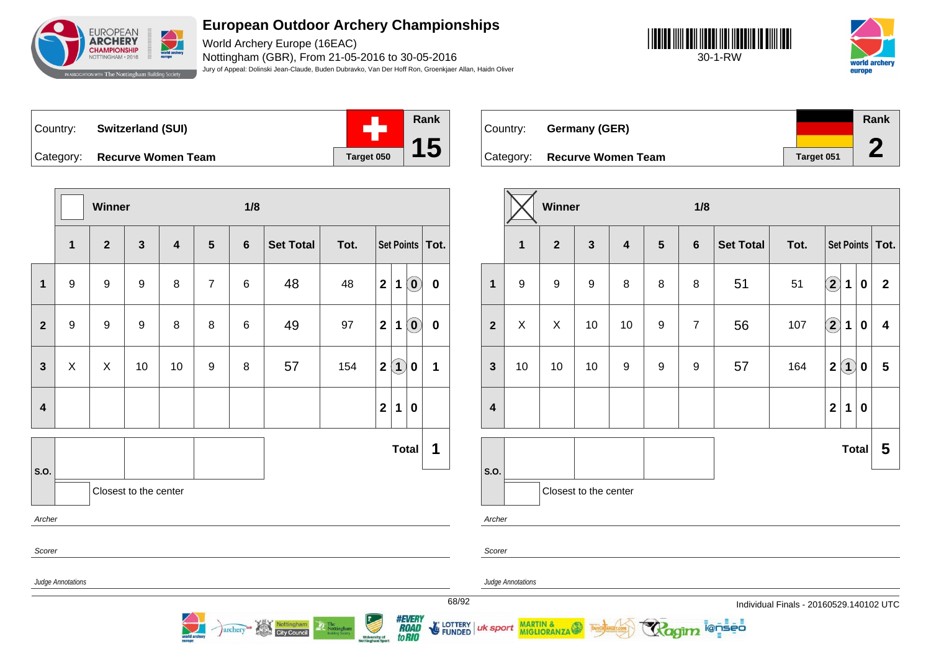

World Archery Europe (16EAC) Nottingham (GBR), From 21-05-2016 to 30-05-2016 Jury of Appeal: Dolinski Jean-Claude, Buden Dubravko, Van Der Hoff Ron, Groenkjaer Allan, Haidn Oliver





Country: **Switzerland (SUI)**



to RIO

University of<br>Iottingham Sport

Country: **Germany (GER)** Category: **Recurve Women Team Target 051 Rank 2**

**MIGLIORANZA** 

|                         |                   | Winner         |                       |        |                       | 1/8            |                                                                |      |                  |             |                               |                   |       |                         |                   | Winner           |                       |                  |                 | 1/8            |                                                    |                                       |              |                   |                 |                         |
|-------------------------|-------------------|----------------|-----------------------|--------|-----------------------|----------------|----------------------------------------------------------------|------|------------------|-------------|-------------------------------|-------------------|-------|-------------------------|-------------------|------------------|-----------------------|------------------|-----------------|----------------|----------------------------------------------------|---------------------------------------|--------------|-------------------|-----------------|-------------------------|
|                         | 1                 | $\overline{2}$ | $\mathbf{3}$          | 4      | $5\phantom{.0}$       | $6\phantom{1}$ | <b>Set Total</b>                                               | Tot. |                  |             |                               | Set Points   Tot. |       |                         | $\mathbf{1}$      | $\mathbf{2}$     | $\mathbf{3}$          | 4                | $5\phantom{.0}$ | $6\phantom{1}$ | <b>Set Total</b>                                   | Tot.                                  |              |                   | Set Points To   |                         |
| $\mathbf{1}$            | $\boldsymbol{9}$  | 9              | $\boldsymbol{9}$      | $\, 8$ | $\overline{7}$        | 6              | 48                                                             | 48   | $\mathbf{2}$     |             | 1(0)                          | $\mathbf 0$       |       | $\mathbf{1}$            | 9                 | $\boldsymbol{9}$ | 9                     | 8                | 8               | 8              | 51                                                 | 51                                    | $\bigcirc$   | $\mathbf 1$       | $\mathbf 0$     | $\overline{2}$          |
| $\mathbf{2}$            | 9                 | 9              | 9                     | 8      | 8                     | 6              | 49                                                             | 97   | $\mathbf{2}$     | $\mathbf 1$ | $\left( \mathbf{0}\right)$    | $\mathbf 0$       |       | $\overline{2}$          | X                 | $\mathsf X$      | 10                    | 10               | 9               | $\overline{7}$ | 56                                                 | 107                                   | $\bigcirc$   | $\mathbf 1$       | $\mathbf 0$     | $\overline{\mathbf{4}}$ |
| $\mathbf{3}$            | $\pmb{\times}$    | Χ              | 10                    | 10     | 9                     | 8              | 57                                                             | 154  |                  | 2(1)        | $\mathbf 0$                   | $\mathbf 1$       |       | $\mathbf{3}$            | 10                | 10               | 10                    | $\boldsymbol{9}$ | 9               | 9              | 57                                                 | 164                                   | $\mathbf{2}$ | $\left( 1\right)$ | $\mathbf 0$     | 5                       |
| $\overline{\mathbf{4}}$ |                   |                |                       |        |                       |                |                                                                |      | $\boldsymbol{2}$ | $\mathbf 1$ | $\bf{0}$                      |                   |       | $\overline{\mathbf{4}}$ |                   |                  |                       |                  |                 |                |                                                    |                                       | $\mathbf{2}$ | $\mathbf 1$       | 0               |                         |
|                         |                   |                |                       |        |                       |                |                                                                |      |                  |             | Total                         | 1                 |       |                         |                   |                  |                       |                  |                 |                |                                                    |                                       |              |                   | Total $\vert 5$ |                         |
| S.O.                    |                   |                | Closest to the center |        |                       |                |                                                                |      |                  |             |                               |                   |       | s.o.                    |                   |                  | Closest to the center |                  |                 |                |                                                    |                                       |              |                   |                 |                         |
| Archer                  |                   |                |                       |        |                       |                |                                                                |      |                  |             |                               |                   |       | Archer                  |                   |                  |                       |                  |                 |                |                                                    |                                       |              |                   |                 |                         |
| Scorer                  |                   |                |                       |        |                       |                |                                                                |      |                  |             |                               |                   |       | Scorer                  |                   |                  |                       |                  |                 |                |                                                    |                                       |              |                   |                 |                         |
|                         | Judge Annotations |                |                       |        |                       |                |                                                                |      |                  |             |                               |                   |       |                         | Judge Annotations |                  |                       |                  |                 |                |                                                    |                                       |              |                   |                 |                         |
|                         |                   |                |                       |        |                       |                |                                                                |      |                  |             |                               |                   | 68/92 |                         |                   |                  |                       |                  |                 |                |                                                    | Individual Finals - 20160529.140102 U |              |                   |                 |                         |
|                         |                   |                |                       |        | $\blacktriangleright$ |                | archery <sup>on</sup> Nottingham The Nottingham The Nottingham |      |                  |             | <i><b>#EVERY<br/>ROAD</b></i> |                   |       |                         |                   |                  |                       |                  |                 |                | FUNDED UK Sport MIGLIORANZA D BROTAGE ROLL TO DEED |                                       |              |                   |                 |                         |

City Council

68/92 Individual Finals - 20160529.140102 UTC

**Total 5**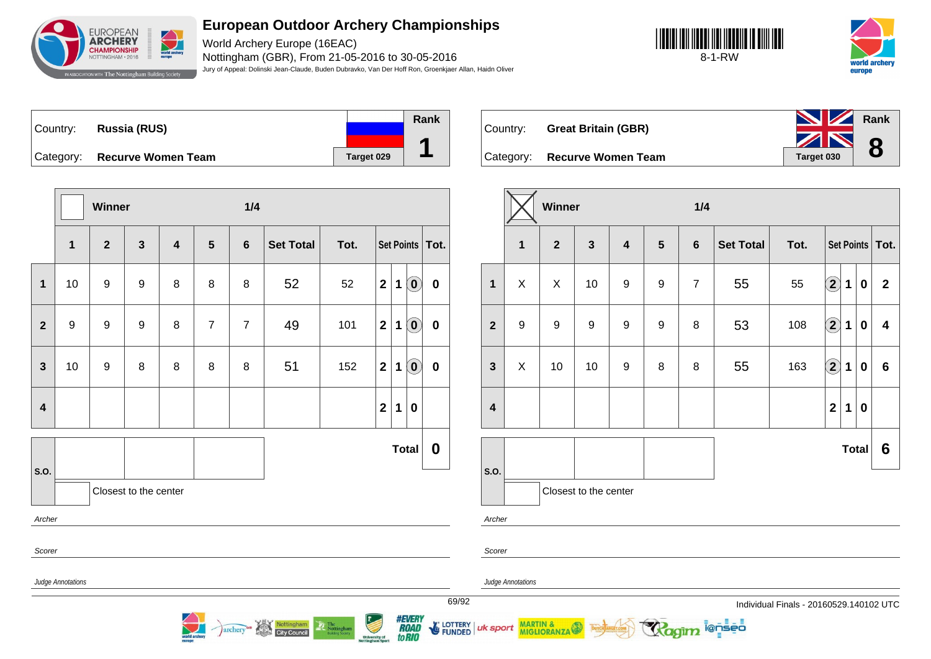

World Archery Europe (16EAC) Nottingham (GBR), From 21-05-2016 to 30-05-2016 Jury of Appeal: Dolinski Jean-Claude, Buden Dubravko, Van Der Hoff Ron, Groenkjaer Allan, Haidn Oliver





| Country: | Russia (RUS)                 |            | Rank |
|----------|------------------------------|------------|------|
|          |                              |            |      |
|          | Category: Recurve Women Team | Target 029 |      |

Country: **Great Britain (GBR)** Category: **Recurve Women Team Taget 030 Rank 8**

|                         |                   | Winner       |                       |                         |                | 1/4             |                                   |                                                                                                             |                                          |   |                            |             |
|-------------------------|-------------------|--------------|-----------------------|-------------------------|----------------|-----------------|-----------------------------------|-------------------------------------------------------------------------------------------------------------|------------------------------------------|---|----------------------------|-------------|
|                         | $\mathbf 1$       | $\mathbf{2}$ | $\mathbf{3}$          | $\overline{\mathbf{4}}$ | 5              | $6\phantom{1}6$ | <b>Set Total</b>                  | Tot.                                                                                                        |                                          |   | <b>Set Points</b>          | Tot.        |
| $\mathbf{1}$            | 10                | 9            | 9                     | 8                       | 8              | 8               | 52                                | 52                                                                                                          | $\mathbf{2}$                             | 1 | $\left[ \mathbf{0}\right]$ | $\bf{0}$    |
| $\overline{2}$          | 9                 | 9            | 9                     | 8                       | $\overline{7}$ | $\overline{7}$  | 49                                | 101                                                                                                         | $\mathbf{2}$                             | 1 | $\left( \mathbf{0}\right)$ | $\mathbf 0$ |
| $\overline{\mathbf{3}}$ | 10                | 9            | 8                     | 8                       | 8              | 8               | 51                                | 152                                                                                                         | $\mathbf{2}$                             | 1 | $\left( \mathbf{0}\right)$ | $\bf{0}$    |
| $\overline{\mathbf{4}}$ |                   |              |                       |                         |                |                 |                                   |                                                                                                             | $\mathbf{2}$                             | 1 | $\bf{0}$                   |             |
| <b>S.O.</b>             |                   |              |                       |                         |                |                 |                                   |                                                                                                             |                                          |   | <b>Total</b>               | 0           |
| Archer                  |                   |              | Closest to the center |                         |                |                 |                                   |                                                                                                             |                                          |   |                            |             |
| Scorer                  |                   |              |                       |                         |                |                 |                                   |                                                                                                             |                                          |   |                            |             |
|                         | Judge Annotations |              |                       |                         |                |                 |                                   |                                                                                                             |                                          |   |                            |             |
|                         |                   |              |                       | orid a                  |                | <i>archery</i>  | Nottingham<br><b>City Council</b> | $\begin{tabular}{ c c } \hline \textbf{The} \\ \textbf{Notingham} \\ \textbf{Bottom Sometry} \end{tabular}$ | <b>University of</b><br>Nottingham Sport |   | 9373A)<br>to RIO           |             |

|                         |              | Winner         |                       |                         |                  | 1/4            |                  |      |                                        |                  |                         |
|-------------------------|--------------|----------------|-----------------------|-------------------------|------------------|----------------|------------------|------|----------------------------------------|------------------|-------------------------|
|                         | $\mathbf{1}$ | $\overline{2}$ | $\mathbf{3}$          | $\overline{\mathbf{4}}$ | $5\phantom{1}$   | $\bf 6$        | <b>Set Total</b> | Tot. |                                        |                  | Set Points   Tot.       |
| $\mathbf{1}$            | X            | X              | 10                    | $\boldsymbol{9}$        | 9                | $\overline{7}$ | 55               | 55   | $\mathbf{2}$<br>$\mathbf 1$            | $\mathbf 0$      | $\overline{\mathbf{2}}$ |
| $\overline{\mathbf{2}}$ | 9            | 9              | 9                     | $\boldsymbol{9}$        | $\boldsymbol{9}$ | 8              | 53               | 108  | $\mathbf{2}$<br>1                      | $\bf{0}$         | 4                       |
| $\mathbf{3}$            | X            | 10             | 10                    | $\boldsymbol{9}$        | 8                | 8              | 55               | 163  | $\boxed{2}$<br>$\mathbf 1$             | $\boldsymbol{0}$ | $6\phantom{1}$          |
| $\overline{\mathbf{4}}$ |              |                |                       |                         |                  |                |                  |      | $\overline{\mathbf{2}}$<br>$\mathbf 1$ | $\pmb{0}$        |                         |
|                         |              |                |                       |                         |                  |                |                  |      |                                        | <b>Total</b>     | 6                       |
| S.O.                    |              |                | Closest to the center |                         |                  |                |                  |      |                                        |                  |                         |
| Archer                  |              |                |                       |                         |                  |                |                  |      |                                        |                  |                         |

69/92 Individual Finals - 20160529.140102 UTC

ionseo

Scorer

LOTTERY | uk sport

Judge Annotations

MARTIN & MIGLIORANZA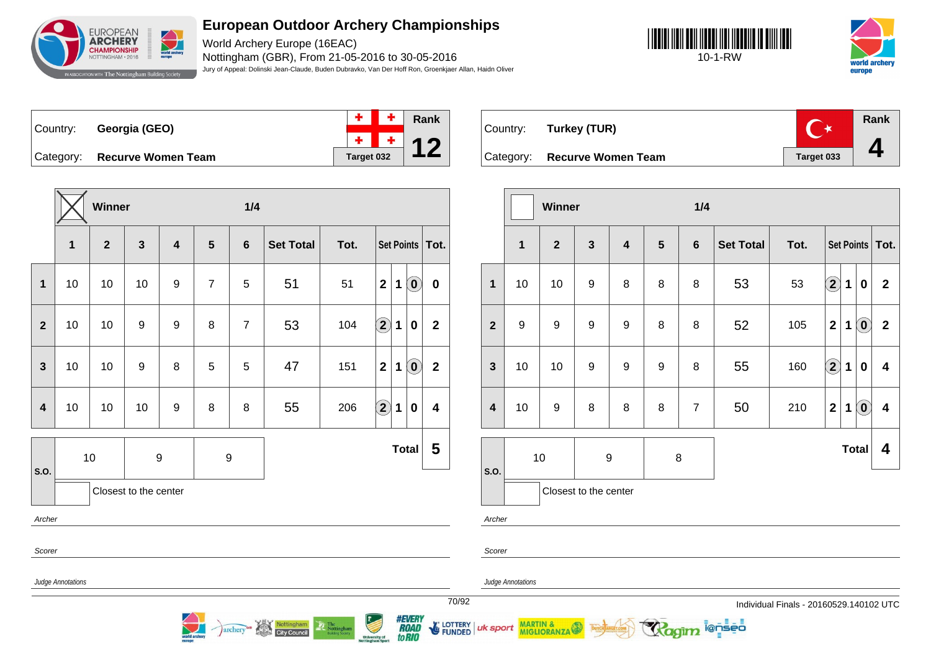

World Archery Europe (16EAC) Nottingham (GBR), From 21-05-2016 to 30-05-2016 Jury of Appeal: Dolinski Jean-Claude, Buden Dubravko, Van Der Hoff Ron, Groenkjaer Allan, Haidn Oliver





Country: **Georgia (GEO)**



Category: **Recurve Women Team Target 032** 

|                         |                   | Winner         |                       |                         |                  | 1/4             |                  |      |                      |   |                                                |                         |
|-------------------------|-------------------|----------------|-----------------------|-------------------------|------------------|-----------------|------------------|------|----------------------|---|------------------------------------------------|-------------------------|
|                         | $\mathbf{1}$      | $\overline{2}$ | $\mathbf{3}$          | $\overline{\mathbf{4}}$ | $5\phantom{1}$   | $6\phantom{1}6$ | <b>Set Total</b> | Tot. |                      |   |                                                | Set Points   Tot.       |
| $\mathbf 1$             | 10                | 10             | 10                    | 9                       | $\overline{7}$   | 5               | 51               | 51   | $\mathbf{2}$         | 1 | $\left( \begin{matrix} 0 \end{matrix} \right)$ | $\pmb{0}$               |
| $\overline{2}$          | 10                | 10             | 9                     | 9                       | 8                | $\overline{7}$  | 53               | 104  | $\Large{\textbf{2}}$ | 1 | $\pmb{0}$                                      | $\mathbf 2$             |
| $\mathbf{3}$            | 10                | 10             | $\boldsymbol{9}$      | 8                       | 5                | 5               | 47               | 151  | $\overline{2}$       | 1 | $\left( \begin{matrix} 0 \end{matrix} \right)$ | $\overline{\mathbf{2}}$ |
| $\overline{\mathbf{4}}$ | 10                | 10             | 10                    | 9                       | 8                | 8               | 55               | 206  | $\Large{\textbf{2}}$ | 1 | $\pmb{0}$                                      | $\overline{\mathbf{4}}$ |
|                         |                   | $10$           | 9                     |                         | $\boldsymbol{9}$ |                 |                  |      |                      |   | <b>Total</b>                                   | 5                       |
| S.O.                    |                   |                | Closest to the center |                         |                  |                 |                  |      |                      |   |                                                |                         |
| Archer                  |                   |                |                       |                         |                  |                 |                  |      |                      |   |                                                |                         |
| Scorer                  |                   |                |                       |                         |                  |                 |                  |      |                      |   |                                                |                         |
|                         | Judge Annotations |                |                       |                         |                  |                 |                  |      |                      |   |                                                |                         |

Nottingham

archery<sup>GB</sup>



|                         |              | Winner         |                       |                         |                 | 1/4            |                  |      |                            |              |                                                     |                         |
|-------------------------|--------------|----------------|-----------------------|-------------------------|-----------------|----------------|------------------|------|----------------------------|--------------|-----------------------------------------------------|-------------------------|
|                         | $\mathbf{1}$ | $\overline{2}$ | $\mathbf{3}$          | $\overline{\mathbf{4}}$ | $5\phantom{.0}$ | $6\phantom{1}$ | <b>Set Total</b> | Tot. |                            |              |                                                     | Set Points   Tot.       |
| $\mathbf{1}$            | 10           | 10             | $\boldsymbol{9}$      | 8                       | 8               | 8              | 53               | 53   | $\left( \mathbf{2}\right)$ | 1            | $\bf{0}$                                            | $\mathbf 2$             |
| $\overline{2}$          | 9            | 9              | $\boldsymbol{9}$      | $\boldsymbol{9}$        | 8               | 8              | 52               | 105  | $\overline{\mathbf{2}}$    | 1            | $\left( \begin{matrix} 0 \\ 0 \end{matrix} \right)$ | $\overline{\mathbf{2}}$ |
| $\mathbf{3}$            | 10           | 10             | $\boldsymbol{9}$      | 9                       | 9               | 8              | 55               | 160  | $\mathbf{\hat{2}}$         | $\mathbf 1$  | $\bf{0}$                                            | $\overline{\mathbf{4}}$ |
| $\overline{\mathbf{4}}$ | 10           | 9              | 8                     | 8                       | 8               | $\overline{7}$ | 50               | 210  | $\overline{2}$             | $\mathbf 1$  | $\left( \mathbf{0}\right)$                          | 4                       |
|                         |              | 10             | 9                     |                         | 8               |                |                  |      |                            | <b>Total</b> |                                                     | 4                       |
| S.O.                    |              |                | Closest to the center |                         |                 |                |                  |      |                            |              |                                                     |                         |

ionseo

Archer

Scorer

Judge Annotations

uk sport

MARTIN &

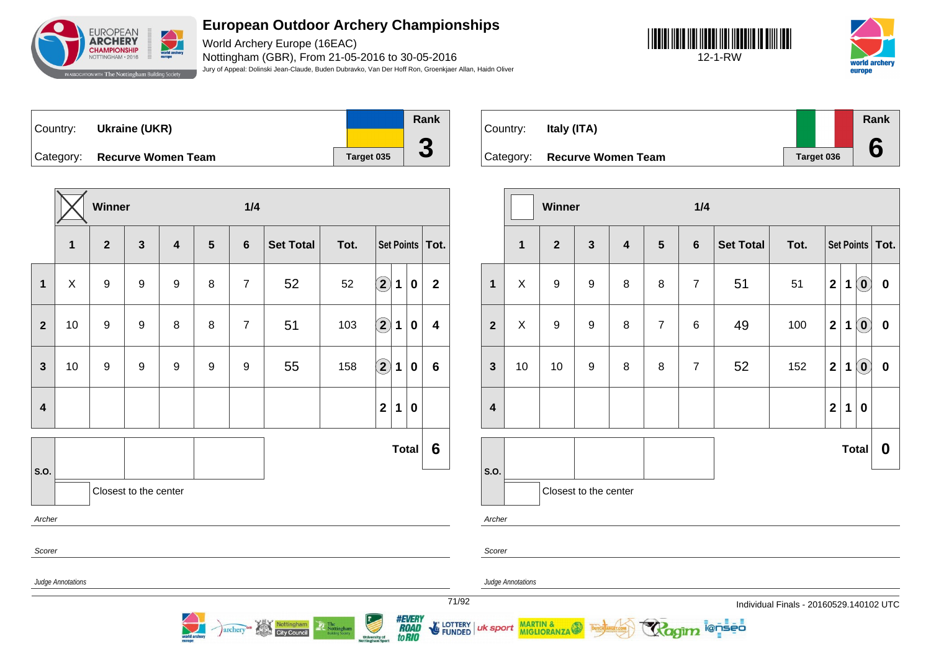

World Archery Europe (16EAC) Nottingham (GBR), From 21-05-2016 to 30-05-2016 Jury of Appeal: Dolinski Jean-Claude, Buden Dubravko, Van Der Hoff Ron, Groenkjaer Allan, Haidn Oliver

**3**





Country: **Ukraine (UKR)** Category: **Recurve Women Team Target 035 Rank**

|                         |                   | Winner           |                       |                         |   | 1/4            |                  |      |                                                                                                                                                                                                                                                                                                                                                                                                                                         |              |                  |                         |
|-------------------------|-------------------|------------------|-----------------------|-------------------------|---|----------------|------------------|------|-----------------------------------------------------------------------------------------------------------------------------------------------------------------------------------------------------------------------------------------------------------------------------------------------------------------------------------------------------------------------------------------------------------------------------------------|--------------|------------------|-------------------------|
|                         | $\mathbf{1}$      | $\mathbf{2}$     | $\mathbf{3}$          | $\overline{\mathbf{4}}$ | 5 | $6\phantom{1}$ | <b>Set Total</b> | Tot. |                                                                                                                                                                                                                                                                                                                                                                                                                                         |              |                  | Set Points   Tot.       |
| 1                       | X                 | $9$              | 9                     | 9                       | 8 | $\overline{7}$ | 52               | 52   | $\Large{\textbf{2}}$                                                                                                                                                                                                                                                                                                                                                                                                                    | 1            | $\boldsymbol{0}$ | $\mathbf{2}$            |
| $\overline{\mathbf{2}}$ | 10                | 9                | $\boldsymbol{9}$      | 8                       | 8 | $\overline{7}$ | 51               | 103  | $\bigcirc \!\! \! 2$                                                                                                                                                                                                                                                                                                                                                                                                                    | 1            | $\bf{0}$         | $\overline{\mathbf{4}}$ |
| $\mathbf{3}$            | 10                | $\boldsymbol{9}$ | 9                     | 9                       | 9 | 9              | 55               | 158  | $\mathbf{2}% \in\mathbb{R}^{2d}\times\mathbb{R}^{2d}\times\mathbb{R}^{2d}\times\mathbb{R}^{2d}\times\mathbb{R}^{2d}\times\mathbb{R}^{2d}\times\mathbb{R}^{2d}\times\mathbb{R}^{2d}\times\mathbb{R}^{2d}\times\mathbb{R}^{2d}\times\mathbb{R}^{2d}\times\mathbb{R}^{2d}\times\mathbb{R}^{2d}\times\mathbb{R}^{2d}\times\mathbb{R}^{2d}\times\mathbb{R}^{2d}\times\mathbb{R}^{2d}\times\mathbb{R}^{2d}\times\mathbb{R}^{2d}\times\mathbb$ | 1            | $\boldsymbol{0}$ | $6\phantom{1}6$         |
| $\overline{\mathbf{4}}$ |                   |                  |                       |                         |   |                |                  |      | $\overline{2}$                                                                                                                                                                                                                                                                                                                                                                                                                          | 1            | $\bf{0}$         |                         |
| S.O.                    |                   |                  |                       |                         |   |                |                  |      |                                                                                                                                                                                                                                                                                                                                                                                                                                         | <b>Total</b> |                  | 6                       |
|                         |                   |                  | Closest to the center |                         |   |                |                  |      |                                                                                                                                                                                                                                                                                                                                                                                                                                         |              |                  |                         |
| Archer                  |                   |                  |                       |                         |   |                |                  |      |                                                                                                                                                                                                                                                                                                                                                                                                                                         |              |                  |                         |
| Scorer                  |                   |                  |                       |                         |   |                |                  |      |                                                                                                                                                                                                                                                                                                                                                                                                                                         |              |                  |                         |
|                         | Judge Annotations |                  |                       |                         |   |                |                  |      |                                                                                                                                                                                                                                                                                                                                                                                                                                         |              |                  |                         |

archery<sup>on</sup> Nottingham



|                         |             | Winner           |                       |                  |                 | 1/4             |                  |      |                         |   |                                                |                   |
|-------------------------|-------------|------------------|-----------------------|------------------|-----------------|-----------------|------------------|------|-------------------------|---|------------------------------------------------|-------------------|
|                         | $\mathbf 1$ | $\overline{2}$   | $\mathbf{3}$          | $\boldsymbol{4}$ | $5\phantom{.0}$ | $6\phantom{1}6$ | <b>Set Total</b> | Tot. |                         |   |                                                | Set Points   Tot. |
| $\mathbf{1}$            | X           | $\boldsymbol{9}$ | $\boldsymbol{9}$      | 8                | 8               | $\overline{7}$  | 51               | 51   | $\overline{\mathbf{2}}$ | 1 | $\left( \begin{matrix} 0 \end{matrix} \right)$ | $\pmb{0}$         |
| $\overline{2}$          | X.          | $\boldsymbol{9}$ | $\boldsymbol{9}$      | 8                | $\overline{7}$  | $6\phantom{1}6$ | 49               | 100  | $\mathbf 2$             | 1 | $\left( \mathbf{0}\right)$                     | $\pmb{0}$         |
| $\mathbf{3}$            | 10          | 10               | 9                     | 8                | 8               | $\overline{7}$  | 52               | 152  | $\mathbf 2$             | 1 | $\odot$                                        | $\pmb{0}$         |
| $\overline{\mathbf{4}}$ |             |                  |                       |                  |                 |                 |                  |      | $\mathbf 2$             | 1 | $\bf{0}$                                       |                   |
|                         |             |                  |                       |                  |                 |                 |                  |      |                         |   | <b>Total</b>                                   | $\boldsymbol{0}$  |
| S.O.                    |             |                  | Closest to the center |                  |                 |                 |                  |      |                         |   |                                                |                   |
| Archer                  |             |                  |                       |                  |                 |                 |                  |      |                         |   |                                                |                   |

ionseo

Scorer

Judge Annotations

uk sport

MARTIN &

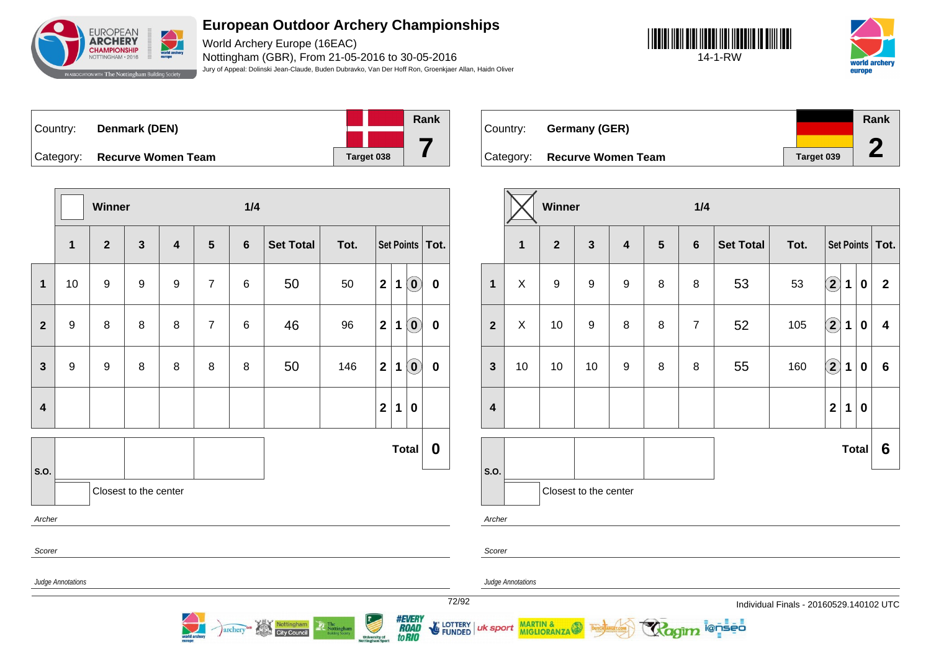

World Archery Europe (16EAC) Nottingham (GBR), From 21-05-2016 to 30-05-2016 Jury of Appeal: Dolinski Jean-Claude, Buden Dubravko, Van Der Hoff Ron, Groenkjaer Allan, Haidn Oliver





| <sup>⊦</sup> Country: ∖ | Denmark (DEN)             |                   | Rank |
|-------------------------|---------------------------|-------------------|------|
|                         |                           |                   |      |
| Category:               | <b>Recurve Women Team</b> | <b>Target 038</b> |      |

**Winner 1/4 1 2 3 4 5 6 Set Total Tot. Set Points Tot. 1** 10 9 9 9 7 6 50 50 **2 1 0 0 2** 9 8 8 8 7 6 46 96 **2 1 0 0 3** 9 9 8 8 8 8 50 146 **2 1 0 0 4 2 1 0 S.O. Total 0** Closest to the center Archer Scorer Judge Annotations

archery<sup>ce</sup> Nottingham

| Country: | Germany (GER)                |            | Rank |
|----------|------------------------------|------------|------|
|          |                              |            | ┏    |
|          | Category: Recurve Women Team | Target 039 |      |

|                         | Winner                          |                  |    |                         |                 | 1/4            |                  |      |                            |             |          |                         |
|-------------------------|---------------------------------|------------------|----|-------------------------|-----------------|----------------|------------------|------|----------------------------|-------------|----------|-------------------------|
|                         | 1                               | $\overline{2}$   |    | $\overline{\mathbf{4}}$ | $5\phantom{.0}$ | $6\phantom{a}$ | <b>Set Total</b> | Tot. | Set Points   Tot.          |             |          |                         |
| 1                       | X                               | $\boldsymbol{9}$ | 9  | $\boldsymbol{9}$        | 8               | 8              | 53               | 53   | $\left( \bf{2}\right)$     | 1           | $\bf{0}$ | $\mathbf{2}$            |
| $\overline{\mathbf{2}}$ | X                               | 10               | 9  | 8                       | 8               | $\overline{7}$ | 52               | 105  | $\left( \mathbf{2}\right)$ | $\mathbf 1$ | $\bf{0}$ | $\overline{\mathbf{4}}$ |
| $\mathbf{3}$            | 10                              | 10               | 10 | $\boldsymbol{9}$        | 8               | 8              | 55               | 160  | $\Large 2$                 | 1           | $\bf{0}$ | $6\phantom{1}$          |
| $\overline{\mathbf{4}}$ |                                 |                  |    |                         |                 |                |                  |      | $\overline{\mathbf{2}}$    | 1           | 0        |                         |
| S.O.                    |                                 |                  |    |                         |                 |                | <b>Total</b>     |      |                            |             | 6        |                         |
|                         | Closest to the center<br>Archer |                  |    |                         |                 |                |                  |      |                            |             |          |                         |

i@nseo

Archer

Scorer

Judge Annotations

uk sport

MARTIN & MIGLIORANZA

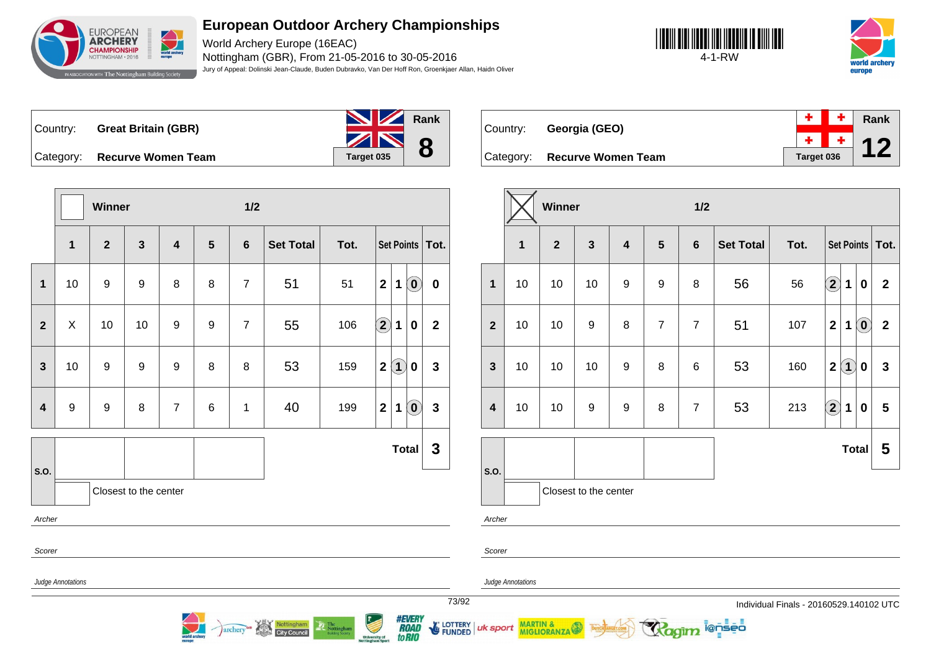

World Archery Europe (16EAC) Nottingham (GBR), From 21-05-2016 to 30-05-2016 Jury of Appeal: Dolinski Jean-Claude, Buden Dubravko, Van Der Hoff Ron, Groenkjaer Allan, Haidn Oliver





Country: **Great Britain (GBR)**



Country: **Georgia (GEO)**

**Category: Recurve Women Team** 

|  |            | Rank |
|--|------------|------|
|  |            |      |
|  | Target 036 |      |

|                         |                                                                                                                                                                                                              | Winner       | $1/2$                 |                |                |                 |                  |      |                      |          |                                                         |              | Winner                  |  |              |                       | $1/2$ |                |                |                |                  |      |                  |                         |                                                         |                   |
|-------------------------|--------------------------------------------------------------------------------------------------------------------------------------------------------------------------------------------------------------|--------------|-----------------------|----------------|----------------|-----------------|------------------|------|----------------------|----------|---------------------------------------------------------|--------------|-------------------------|--|--------------|-----------------------|-------|----------------|----------------|----------------|------------------|------|------------------|-------------------------|---------------------------------------------------------|-------------------|
|                         | $\mathbf{1}$                                                                                                                                                                                                 | $\mathbf{2}$ | 3                     | 4              | $5\phantom{1}$ | $6\phantom{1}6$ | <b>Set Total</b> | Tot. |                      |          | Set Points                                              | $\vert$ Tot. |                         |  | $\mathbf{1}$ | $\boldsymbol{2}$      | 3     | $\overline{4}$ | $5\phantom{1}$ | 6              | <b>Set Total</b> | Tot. |                  |                         |                                                         | Set Points   Tot. |
| $\mathbf 1$             | 10                                                                                                                                                                                                           | 9            | 9                     | 8              | 8              | $\overline{7}$  | 51               | 51   | 2                    |          | $1$ $\odot$                                             | $\mathbf 0$  | $\mathbf 1$             |  | 10           | 10                    | 10    | 9              | 9              | 8              | 56               | 56   | $\boxed{2}$ 1    |                         | 0                                                       | $\overline{2}$    |
| $\mathbf{2}$            | X                                                                                                                                                                                                            | 10           | 10                    | 9              | 9              | $\overline{7}$  | 55               | 106  | $\Large{\textbf{2}}$ | 1        | $\mathbf 0$                                             | $\mathbf{2}$ | $\mathbf{2}$            |  | 10           | 10                    | 9     | 8              | $\overline{7}$ | $\overline{7}$ | 51               | 107  | $\mathbf{2}$     | $\mathbf 1$             | $\left( \begin{matrix} \textbf{0} \end{matrix} \right)$ | $\overline{2}$    |
| $\mathbf{3}$            | 10                                                                                                                                                                                                           | 9            | 9                     | 9              | 8              | 8               | 53               | 159  | 2                    | $\bf(1)$ | $\mathbf 0$                                             | 3            | $\mathbf{3}$            |  | 10           | 10                    | 10    | 9              | 8              | 6              | 53               | 160  |                  | $2\sqrt{1}$             | 0                                                       | $\mathbf{3}$      |
| $\overline{\mathbf{4}}$ | $\boldsymbol{9}$                                                                                                                                                                                             | 9            | 8                     | $\overline{7}$ | 6              | -1              | 40               | 199  | $\mathbf{2}$         | 1        | $\left( \begin{matrix} \textbf{0} \end{matrix} \right)$ | 3            | $\overline{\mathbf{4}}$ |  | 10           | 10                    | 9     | 9              | 8              | $\overline{7}$ | 53               | 213  | $\bigcircled{2}$ | $\overline{\mathbf{1}}$ | $\mathbf 0$                                             | $5\overline{5}$   |
|                         |                                                                                                                                                                                                              |              |                       |                |                |                 |                  |      |                      |          | <b>Total</b>                                            | $\mathbf{3}$ |                         |  |              |                       |       |                |                |                |                  |      |                  |                         | Total                                                   | $5\overline{5}$   |
| S.O.<br>Archer          |                                                                                                                                                                                                              |              | Closest to the center |                |                |                 |                  |      |                      |          |                                                         |              | S.O.<br>Archer          |  |              | Closest to the center |       |                |                |                |                  |      |                  |                         |                                                         |                   |
| Scorer                  |                                                                                                                                                                                                              |              |                       |                |                |                 |                  |      |                      |          |                                                         |              | Scorer                  |  |              |                       |       |                |                |                |                  |      |                  |                         |                                                         |                   |
|                         | Judge Annotations<br><b>Judge Annotations</b><br>73/92<br>Individual Finals - 20160529.140102 UTC                                                                                                            |              |                       |                |                |                 |                  |      |                      |          |                                                         |              |                         |  |              |                       |       |                |                |                |                  |      |                  |                         |                                                         |                   |
|                         | <i><b>#EVERY<br/>ROAD<br/>toRIO</b></i><br>University of<br>Nottingham Sport<br>FUNDED UK Sport MARTIN & THE BURGHAM REAL PROPERTY<br>Nottingham<br>Ragim lensed<br>The Nottingham<br>archery <sup>con</sup> |              |                       |                |                |                 |                  |      |                      |          |                                                         |              |                         |  |              |                       |       |                |                |                |                  |      |                  |                         |                                                         |                   |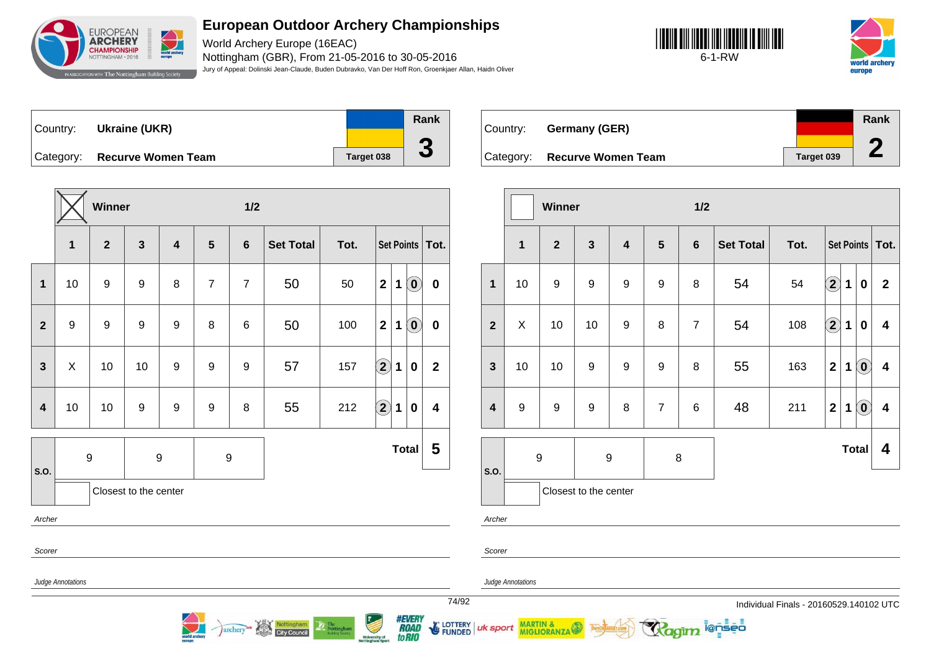

World Archery Europe (16EAC) Nottingham (GBR), From 21-05-2016 to 30-05-2016 Jury of Appeal: Dolinski Jean-Claude, Buden Dubravko, Van Der Hoff Ron, Groenkjaer Allan, Haidn Oliver

**3**





Country: **Ukraine (UKR)** Category: **Recurve Women Team Target 038 Rank**

|                         |                  | <b>Winner</b> |                       |                         |                  | 1/2            |                  |      |                            |   |                                                     |                         |  |  |
|-------------------------|------------------|---------------|-----------------------|-------------------------|------------------|----------------|------------------|------|----------------------------|---|-----------------------------------------------------|-------------------------|--|--|
|                         | 1                | $\mathbf{2}$  | $\mathbf{3}$          | $\overline{\mathbf{4}}$ | 5                | $6\phantom{1}$ | <b>Set Total</b> | Tot. |                            |   |                                                     | Set Points   Tot.       |  |  |
| 1                       | 10               | 9             | $\boldsymbol{9}$      | 8                       | $\overline{7}$   | $\overline{7}$ | 50               | 50   | $\mathbf{2}$               | 1 | $\left( \begin{matrix} 0 \end{matrix} \right)$      | $\pmb{0}$               |  |  |
| $\mathbf{2}$            | $\boldsymbol{9}$ | 9             | $\boldsymbol{9}$      | $\boldsymbol{9}$        | 8                | $\,6$          | 50               | 100  | $\mathbf{2}$               | 1 | $\left( \begin{matrix} 0 \\ 0 \end{matrix} \right)$ | $\pmb{0}$               |  |  |
| $\overline{3}$          | X                | 10            | 10                    | 9                       | 9                | 9              | 57               | 157  | $\Large 2$                 | 1 | $\bf{0}$                                            | $\mathbf{2}$            |  |  |
| $\overline{\mathbf{4}}$ | 10               | 10            | $\boldsymbol{9}$      | $\boldsymbol{9}$        | $\boldsymbol{9}$ | 8              | 55               | 212  | $\left( \mathbf{2}\right)$ | 1 | $\bf{0}$                                            | $\overline{\mathbf{4}}$ |  |  |
|                         | $9$              |               | $\boldsymbol{9}$      |                         | 9                |                |                  |      |                            |   | <b>Total</b>                                        | 5                       |  |  |
| S.O.                    |                  |               | Closest to the center |                         |                  |                |                  |      |                            |   |                                                     |                         |  |  |
|                         | Archer           |               |                       |                         |                  |                |                  |      |                            |   |                                                     |                         |  |  |
| Judge Annotations       | Scorer           |               |                       |                         |                  |                |                  |      |                            |   |                                                     |                         |  |  |

Nottingham

archery

Country: **Germany (GER)** Category: **Recurve Women Team Target 039 Rank 2**

|                         |                       | Winner           |                  |                         |                  | 1/2            |                  |      |                            |   |                                                |                         |
|-------------------------|-----------------------|------------------|------------------|-------------------------|------------------|----------------|------------------|------|----------------------------|---|------------------------------------------------|-------------------------|
|                         | $\mathbf{1}$          | $\overline{2}$   | $\mathbf{3}$     | $\overline{\mathbf{4}}$ | $5\phantom{1}$   | $6\phantom{1}$ | <b>Set Total</b> | Tot. |                            |   |                                                | Set Points   Tot.       |
| $\mathbf{1}$            | 10                    | 9                | $\boldsymbol{9}$ | $\boldsymbol{9}$        | $\boldsymbol{9}$ | 8              | 54               | 54   | $\bf (2)$                  | 1 | $\bf{0}$                                       | $\mathbf{2}$            |
| $\overline{2}$          | X                     | 10               | 10               | $\boldsymbol{9}$        | 8                | $\overline{7}$ | 54               | 108  | $\left( \mathbf{2}\right)$ | 1 | $\pmb{0}$                                      | $\overline{\mathbf{4}}$ |
| $\mathbf{3}$            | 10                    | 10               | $\boldsymbol{9}$ | $\boldsymbol{9}$        | $\boldsymbol{9}$ | 8              | 55               | 163  | $\overline{\mathbf{2}}$    | 1 | $\left( \begin{matrix} 0 \end{matrix} \right)$ | 4                       |
| $\overline{\mathbf{4}}$ | $\boldsymbol{9}$      | 9                | $\boldsymbol{9}$ | 8                       | $\overline{7}$   | 6              | 48               | 211  | $\mathbf 2$                | 1 | $\left( \mathbf{0}\right)$                     | 4                       |
|                         |                       |                  |                  |                         |                  |                |                  |      |                            |   | <b>Total</b>                                   | 4                       |
| S.O.                    |                       | $\boldsymbol{9}$ | $\boldsymbol{9}$ |                         | 8                |                |                  |      |                            |   |                                                |                         |
|                         | Closest to the center |                  |                  |                         |                  |                |                  |      |                            |   |                                                |                         |

ionseo

Archer

Scorer

uk sport

Judge Annotations

MARTIN &

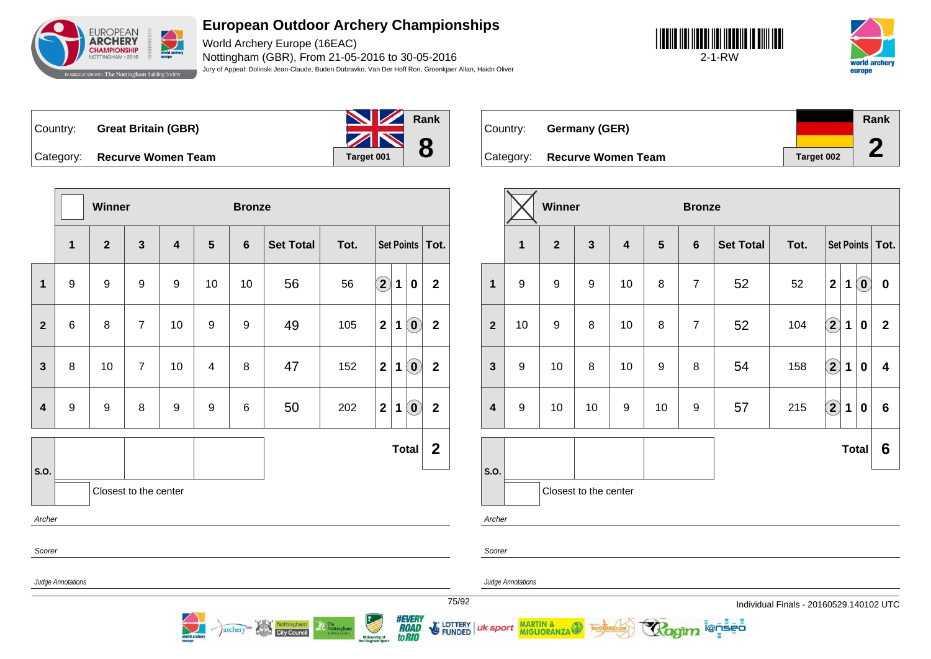

World Archery Europe (16EAC) Nottingham (GBR), From 21-05-2016 to 30-05-2016 Jury of Appeal: Dolinski Jean-Claude, Buden Dubravko, Van Der Hoff Ron, Groenkjaer Allan, Haidn Oliver





Country: **Great Britain (GBR)**

Category: **Recurve Women Team Taget 001 Rank 8**

Country: **Germany (GER)** Category: **Recurve Women Team Taget 002 Rank 2**

|                         |                   | Winner           |                       |                         |                  | <b>Bronze</b>    |                                   |                |                                          |             |                                 |                         |                            |                |                   |
|-------------------------|-------------------|------------------|-----------------------|-------------------------|------------------|------------------|-----------------------------------|----------------|------------------------------------------|-------------|---------------------------------|-------------------------|----------------------------|----------------|-------------------|
|                         | $\mathbf{1}$      | $\overline{2}$   | $\mathbf{3}$          | $\overline{\mathbf{4}}$ | 5                | $6\phantom{1}$   | <b>Set Total</b>                  | Tot.           |                                          |             | <b>Set Points</b>               | Tot.                    |                            |                | 1                 |
| 1                       | $\boldsymbol{9}$  | 9                | 9                     | 9                       | 10               | 10               | 56                                | 56             | $\Large{\textbf{2}}$                     | $\mathbf 1$ | $\mathbf 0$                     | $\mathbf{2}$            |                            | 1              | $\boldsymbol{9}$  |
| $\overline{2}$          | $\,6$             | 8                | $\overline{7}$        | 10                      | $\boldsymbol{9}$ | $\boldsymbol{9}$ | 49                                | 105            | $\mathbf{2}$                             | $\mathbf 1$ | $\left( \mathbf{0}\right)$      | $\overline{\mathbf{2}}$ |                            | $\overline{2}$ | 10                |
| $\mathbf{3}$            | 8                 | 10               | $\overline{7}$        | 10                      | 4                | 8                | 47                                | 152            | $\mathbf{2}$                             | 1           | $\left( \mathbf{0}\right)$      | $\mathbf 2$             |                            | $\mathbf{3}$   | $\boldsymbol{9}$  |
| $\overline{\mathbf{4}}$ | $\boldsymbol{9}$  | $\boldsymbol{9}$ | 8                     | $\boldsymbol{9}$        | $\boldsymbol{9}$ | 6                | 50                                | 202            | $\mathbf{2}$                             | $\mathbf 1$ | $\left( \mathbf{0}\right)$      | $\mathbf{2}$            |                            | 4              | $\boldsymbol{9}$  |
|                         |                   |                  |                       |                         |                  |                  |                                   |                |                                          |             | <b>Total</b>                    | $\boldsymbol{2}$        |                            |                |                   |
| S.O.                    |                   |                  | Closest to the center |                         |                  |                  |                                   |                |                                          |             |                                 |                         |                            | S.O.           |                   |
| Archer                  |                   |                  |                       |                         |                  |                  |                                   |                |                                          |             |                                 |                         |                            | Archer         |                   |
| Scorer                  |                   |                  |                       |                         |                  |                  |                                   |                |                                          |             |                                 |                         |                            | Scorer         |                   |
|                         | Judge Annotations |                  |                       |                         |                  |                  |                                   |                |                                          |             |                                 |                         |                            |                | Judge Annotations |
|                         |                   |                  |                       | orid arcl               |                  | archery          | Nottingham<br><b>City Council</b> | The Nottingham | <b>University of</b><br>Nottingham Sport |             | <b>#EVERY</b><br>XVAD<br>to RIO |                         | 75/92<br>LOTTERY<br>FUNDED | uk sport       | MART<br>MIGL      |

|                         |                  | Winner         |                         |                         |                  | <b>Bronze</b>  |                  |      |              |   |                           |                   |
|-------------------------|------------------|----------------|-------------------------|-------------------------|------------------|----------------|------------------|------|--------------|---|---------------------------|-------------------|
|                         | $\mathbf{1}$     | 2 <sup>2</sup> | $\overline{\mathbf{3}}$ | $\overline{\mathbf{4}}$ | $5\phantom{1}$   | $6\phantom{1}$ | <b>Set Total</b> | Tot. |              |   |                           | Set Points   Tot. |
| $\mathbf{1}$            | $\boldsymbol{9}$ | 9              | $\boldsymbol{9}$        | 10                      | 8                | $\overline{7}$ | 52               | 52   | $\mathbf{2}$ | 1 | $\mathbf{0}^{\mathbf{v}}$ | $\bf{0}$          |
| $\overline{2}$          | 10               | 9              | 8                       | 10                      | 8                | $\overline{7}$ | 52               | 104  | $\bf (2)$    | 1 | 0                         | $\overline{2}$    |
| $\mathbf{3}$            | 9                | 10             | 8                       | 10                      | $\boldsymbol{9}$ | 8              | 54               | 158  | $\bf(2)$     | 1 | 0                         | 4                 |
| $\overline{\mathbf{4}}$ | $\boldsymbol{9}$ | 10             | 10                      | $\boldsymbol{9}$        | 10               | 9              | 57               | 215  | $\bf (2)$    | 1 | 0                         | 6                 |
|                         |                  |                |                         |                         |                  |                |                  |      |              |   | <b>Total</b>              | 6                 |
| S.O.                    |                  |                | Closest to the center   |                         |                  |                |                  |      |              |   |                           |                   |

MARTIN &<br>MIGLIORANZA

i@nseo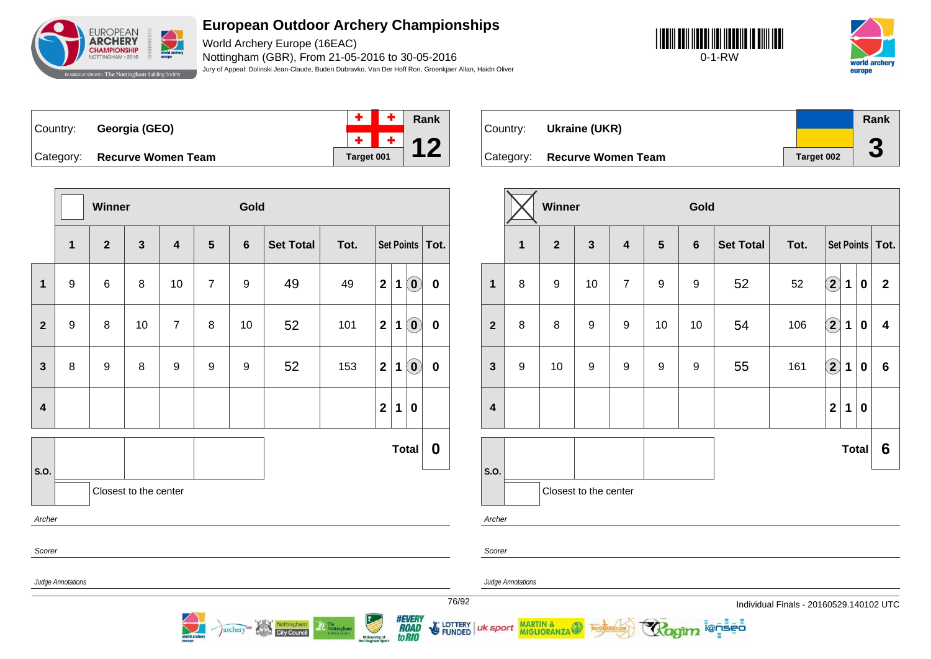

World Archery Europe (16EAC) Nottingham (GBR), From 21-05-2016 to 30-05-2016 Jury of Appeal: Dolinski Jean-Claude, Buden Dubravko, Van Der Hoff Ron, Groenkjaer Allan, Haidn Oliver





Country: **Georgia (GEO)**



Category: **Recurve Women Team Tanget 001** 

|                         |                   | Winner         |                       |                         |                | Gold           |                  |      |                         |             |                                                |                   |  |  |
|-------------------------|-------------------|----------------|-----------------------|-------------------------|----------------|----------------|------------------|------|-------------------------|-------------|------------------------------------------------|-------------------|--|--|
|                         | $\mathbf{1}$      | $\overline{2}$ | $\mathbf{3}$          | $\overline{\mathbf{4}}$ | $5\phantom{1}$ | $6\phantom{1}$ | <b>Set Total</b> | Tot. |                         |             |                                                | Set Points   Tot. |  |  |
| $\mathbf{1}$            | 9                 | $\,6$          | 8                     | 10                      | $\overline{7}$ | 9              | 49               | 49   | $\mathbf{2}$            | $\mathbf 1$ | $\left( \begin{matrix} 0 \end{matrix} \right)$ | $\pmb{0}$         |  |  |
| $\mathbf{2}$            | 9                 | 8              | 10                    | $\overline{7}$          | 8              | 10             | 52               | 101  | $\mathbf 2$             | 1           | $\left( \mathbf{0}\right)$                     | $\pmb{0}$         |  |  |
| $\mathbf{3}$            | 8                 | 9              | 8                     | $\boldsymbol{9}$        | 9              | 9              | 52               | 153  | $\overline{\mathbf{2}}$ | 1           | $\left( \begin{matrix} 0 \end{matrix} \right)$ | $\pmb{0}$         |  |  |
| $\overline{\mathbf{4}}$ |                   |                |                       |                         |                |                |                  |      | $\overline{\mathbf{2}}$ | 1           | $\pmb{0}$                                      |                   |  |  |
|                         |                   |                |                       |                         |                |                |                  |      |                         |             | <b>Total</b>                                   | $\boldsymbol{0}$  |  |  |
| S.O.                    |                   |                | Closest to the center |                         |                |                |                  |      |                         |             |                                                |                   |  |  |
| Archer                  |                   |                |                       |                         |                |                |                  |      |                         |             |                                                |                   |  |  |
|                         | Scorer            |                |                       |                         |                |                |                  |      |                         |             |                                                |                   |  |  |
|                         | Judge Annotations |                |                       |                         |                |                |                  |      |                         |             |                                                |                   |  |  |

archery<sup>on</sup> Nottingham

| Country:  | Ukraine (UKR)             |            | Rank      |
|-----------|---------------------------|------------|-----------|
|           |                           |            |           |
| Category: | <b>Recurve Women Team</b> | Target 002 | $\bullet$ |

|                         |                  | Winner           |                       |                         |                  | Gold           |                  |      |                    |              |              |                         |  |
|-------------------------|------------------|------------------|-----------------------|-------------------------|------------------|----------------|------------------|------|--------------------|--------------|--------------|-------------------------|--|
|                         | $\mathbf{1}$     | $\overline{2}$   | $\mathbf{3}$          | $\overline{\mathbf{4}}$ | $5\phantom{.0}$  | $6\phantom{1}$ | <b>Set Total</b> | Tot. |                    |              |              | Set Points   Tot.       |  |
| $\mathbf{1}$            | 8                | $\boldsymbol{9}$ | 10                    | $\overline{7}$          | $\boldsymbol{9}$ | 9              | 52               | 52   | $\bf(2)$           | $\mathbf{1}$ | $\pmb{0}$    | $\overline{2}$          |  |
| $\boldsymbol{2}$        | 8                | 8                | $\boldsymbol{9}$      | $\boldsymbol{9}$        | 10               | 10             | 54               | 106  | $\bf{(2)}$         | $\mathbf 1$  | $\bf{0}$     | $\overline{\mathbf{4}}$ |  |
| $\mathbf{3}$            | $\boldsymbol{9}$ | 10               | $\boldsymbol{9}$      | $\boldsymbol{9}$        | 9                | 9              | 55               | 161  | $\bf \overline{2}$ | $\mathbf 1$  | $\pmb{0}$    | 6                       |  |
| $\overline{\mathbf{4}}$ |                  |                  |                       |                         |                  |                |                  |      | $\overline{2}$     | 1            | $\pmb{0}$    |                         |  |
|                         |                  |                  |                       |                         |                  |                |                  |      |                    |              | <b>Total</b> | 6                       |  |
| S.O.                    |                  |                  | Closest to the center |                         |                  |                |                  |      |                    |              |              |                         |  |
| Archer                  |                  |                  |                       |                         |                  |                |                  |      |                    |              |              |                         |  |

**ienseo** 

Judge Annotations

MARTIN & MIGLIORANZA

Scorer

uk sport

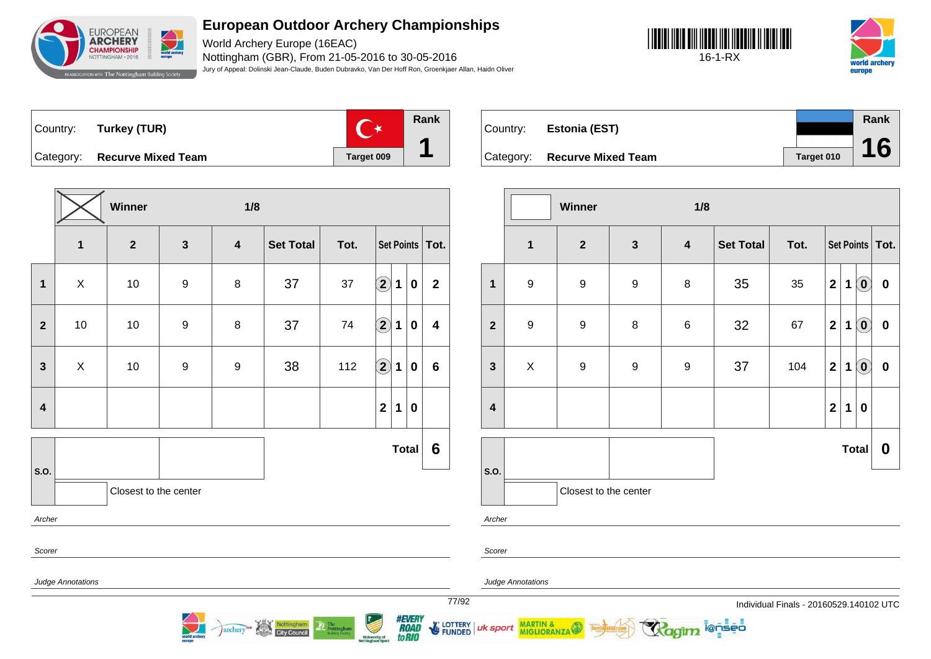

World Archery Europe (16EAC) Nottingham (GBR), From 21-05-2016 to 30-05-2016 Jury of Appeal: Dolinski Jean-Claude, Buden Dubravko, Van Der Hoff Ron, Groenkjaer Allan, Haidn Oliver





Country: **Turkey (TUR)**



Category: **Recurve Mixed Team Target 009** 

|                         |                          | Winner                |                  | 1/8                     |                  |      |                      |              |           |                         |  |  |  |
|-------------------------|--------------------------|-----------------------|------------------|-------------------------|------------------|------|----------------------|--------------|-----------|-------------------------|--|--|--|
|                         | $\mathbf 1$              | $\mathbf{2}$          | $\mathbf{3}$     | $\overline{\mathbf{4}}$ | <b>Set Total</b> | Tot. |                      |              |           | Set Points   Tot.       |  |  |  |
| $\mathbf 1$             | $\mathsf X$              | 10                    | $\boldsymbol{9}$ | 8                       | 37               | 37   | $\bigcirc \!\! \! 2$ | $\mathbf 1$  | $\pmb{0}$ | $\mathbf{2}$            |  |  |  |
| $\mathbf{2}$            | $10$                     | $10$                  | $\boldsymbol{9}$ | 8                       | 37               | 74   | $\bigcirc \!\! 2$    | $\mathbf 1$  | $\pmb{0}$ | $\overline{\mathbf{4}}$ |  |  |  |
| $\mathbf{3}$            | X                        | $10$                  | $\boldsymbol{9}$ | 9                       | 38               | 112  | $\mathbf{2}$         | 1            | 0         | $\bf 6$                 |  |  |  |
| $\overline{\mathbf{4}}$ |                          |                       |                  |                         |                  |      | $\mathbf{2}$         | 1            | $\pmb{0}$ |                         |  |  |  |
|                         |                          |                       |                  |                         |                  |      |                      | <b>Total</b> |           | $6\phantom{1}6$         |  |  |  |
| S.O.                    |                          | Closest to the center |                  |                         |                  |      |                      |              |           |                         |  |  |  |
|                         | Archer                   |                       |                  |                         |                  |      |                      |              |           |                         |  |  |  |
|                         | Scorer                   |                       |                  |                         |                  |      |                      |              |           |                         |  |  |  |
|                         | <b>Judge Annotations</b> |                       |                  |                         |                  |      |                      |              |           |                         |  |  |  |

archery<sup>es</sup> Nottingham

| Country: | Estonia (EST)                |            | Rank |  |
|----------|------------------------------|------------|------|--|
|          | Category: Recurve Mixed Team | Target 010 | 16   |  |

|                         |                  | Winner                |                  | 1/8                     |                  |      |                         |             |                            |                   |
|-------------------------|------------------|-----------------------|------------------|-------------------------|------------------|------|-------------------------|-------------|----------------------------|-------------------|
|                         | $\mathbf{1}$     | $\mathbf{2}$          | $\mathbf{3}$     | $\overline{\mathbf{4}}$ | <b>Set Total</b> | Tot. |                         |             |                            | Set Points   Tot. |
| $\mathbf{1}$            | $\boldsymbol{9}$ | $\boldsymbol{9}$      | $\boldsymbol{9}$ | $\, 8$                  | 35               | 35   | $\mathbf{2}$            | $\mathbf 1$ | $\left( \mathbf{0}\right)$ | $\boldsymbol{0}$  |
| $\overline{2}$          | $\boldsymbol{9}$ | $\boldsymbol{9}$      | $\bf 8$          | $\,6$                   | 32               | 67   | $\mathbf{2}$            | 1           | $\left( \mathbf{0}\right)$ | $\pmb{0}$         |
| $\mathbf{3}$            | $\mathsf X$      | $\boldsymbol{9}$      | $\boldsymbol{9}$ | $\boldsymbol{9}$        | 37               | 104  | $\mathbf{2}$            | 1           | $\ddot{\mathbf{0}}$        | $\bf{0}$          |
| $\overline{\mathbf{4}}$ |                  |                       |                  |                         |                  |      | $\overline{\mathbf{2}}$ | 1           | $\bf{0}$                   |                   |
|                         |                  |                       |                  |                         |                  |      |                         |             | <b>Total</b>               | $\boldsymbol{0}$  |
| S.O.                    |                  | Closest to the center |                  |                         |                  |      |                         |             |                            |                   |

ionseo

Archer

Scorer

uk sport

Judge Annotations

MARTIN & MIGLIORANZA

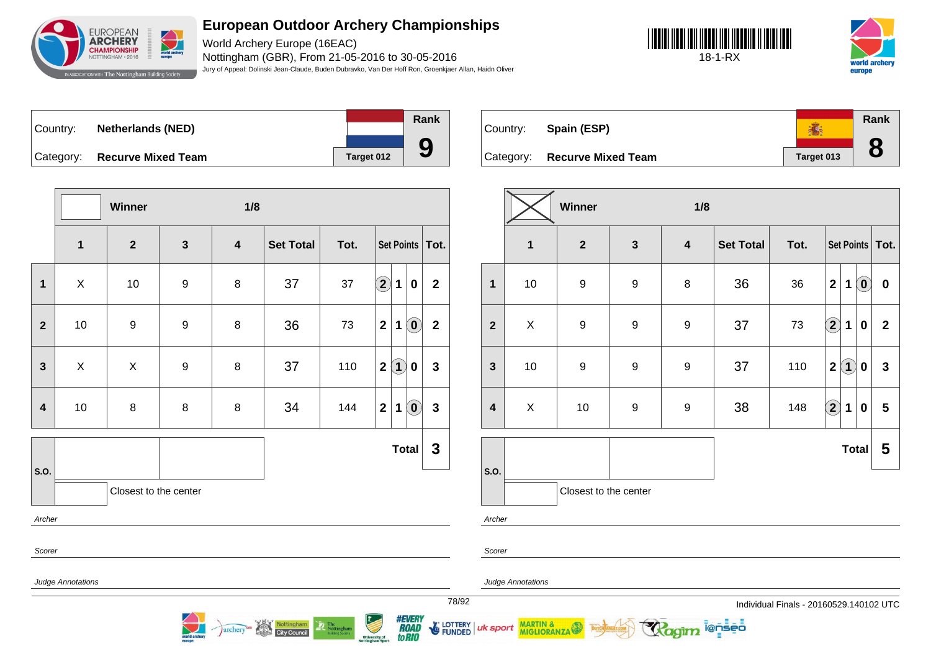

World Archery Europe (16EAC) Nottingham (GBR), From 21-05-2016 to 30-05-2016 Jury of Appeal: Dolinski Jean-Claude, Buden Dubravko, Van Der Hoff Ron, Groenkjaer Allan, Haidn Oliver





| ∣Country: | <b>Netherlands (NED)</b>     |            |
|-----------|------------------------------|------------|
|           | Category: Recurve Mixed Team | Target 012 |



**Rank** 高 Country: **Spain (ESP) 8** Category: **Recurve Mixed Team Target 013** 

|                         |                   | Winner                |                  | 1/8                     |                  |      |                         |              |                            |                         |
|-------------------------|-------------------|-----------------------|------------------|-------------------------|------------------|------|-------------------------|--------------|----------------------------|-------------------------|
|                         | $\mathbf{1}$      | $\overline{2}$        | $\mathbf{3}$     | $\overline{\mathbf{4}}$ | <b>Set Total</b> | Tot. |                         |              |                            | Set Points   Tot.       |
| $\mathbf 1$             | $\mathsf X$       | $10$                  | $\boldsymbol{9}$ | 8                       | 37               | 37   | $\Large{\textbf{2}}$    | $\mathbf{1}$ | 0                          | $\mathbf{2}$            |
| $\mathbf{2}$            | 10                | 9                     | $\boldsymbol{9}$ | 8                       | 36               | 73   | $\overline{\mathbf{2}}$ | $\mathbf 1$  | $\left( \mathbf{0}\right)$ | $\overline{\mathbf{2}}$ |
| $\mathbf{3}$            | X                 | X                     | $\boldsymbol{9}$ | 8                       | 37               | 110  | $\mathbf{2}$            | $\bf(1)$     | 0                          | $\mathbf{3}$            |
| $\overline{\mathbf{4}}$ | 10                | $\bf 8$               | $\, 8$           | 8                       | 34               | 144  | $\mathbf{2}$            | $\mathbf 1$  | $\left( \mathbf{0}\right)$ | $\mathbf{3}$            |
|                         |                   |                       |                  |                         |                  |      |                         | <b>Total</b> |                            | $\mathbf{3}$            |
| S.O.<br>Archer          |                   | Closest to the center |                  |                         |                  |      |                         |              |                            |                         |
| Scorer                  |                   |                       |                  |                         |                  |      |                         |              |                            |                         |
|                         | Judge Annotations |                       |                  |                         |                  |      |                         |              |                            |                         |

archery<sup>es</sup> Nottingham

|                         |                | Winner                |                  | 1/8                     |                  |      |                        |              |                            |                   |
|-------------------------|----------------|-----------------------|------------------|-------------------------|------------------|------|------------------------|--------------|----------------------------|-------------------|
|                         | $\mathbf{1}$   | $\mathbf{2}$          | $\mathbf{3}$     | $\overline{\mathbf{4}}$ | <b>Set Total</b> | Tot. |                        |              |                            | Set Points   Tot. |
| $\mathbf{1}$            | 10             | 9                     | $\boldsymbol{9}$ | 8                       | 36               | 36   | $\mathbf{2}$           | 1            | $\left( \mathbf{0}\right)$ | $\boldsymbol{0}$  |
| $\overline{2}$          | $\pmb{\times}$ | 9                     | $\boldsymbol{9}$ | $\boldsymbol{9}$        | 37               | 73   | $\left( \bf{2}\right)$ | $\mathbf 1$  | $\bf{0}$                   | $\overline{2}$    |
| $\mathbf{3}$            | $10$           | 9                     | 9                | $\boldsymbol{9}$        | 37               | 110  | $\mathbf 2$            | $\bf(1)$     | $\pmb{0}$                  | $\mathbf{3}$      |
| $\overline{\mathbf{4}}$ | X              | 10                    | 9                | $\boldsymbol{9}$        | 38               | 148  | $\Large{\textbf{2}}$   | $\mathbf 1$  | $\pmb{0}$                  | 5                 |
|                         |                |                       |                  |                         |                  |      |                        | <b>Total</b> |                            | 5                 |
| S.O.                    |                | Closest to the center |                  |                         |                  |      |                        |              |                            |                   |
| Arobor                  |                |                       |                  |                         |                  |      |                        |              |                            |                   |

**ienseo** 

Archer

Scorer

uk sport

Judge Annotations

MARTIN & MIGLIORANZA

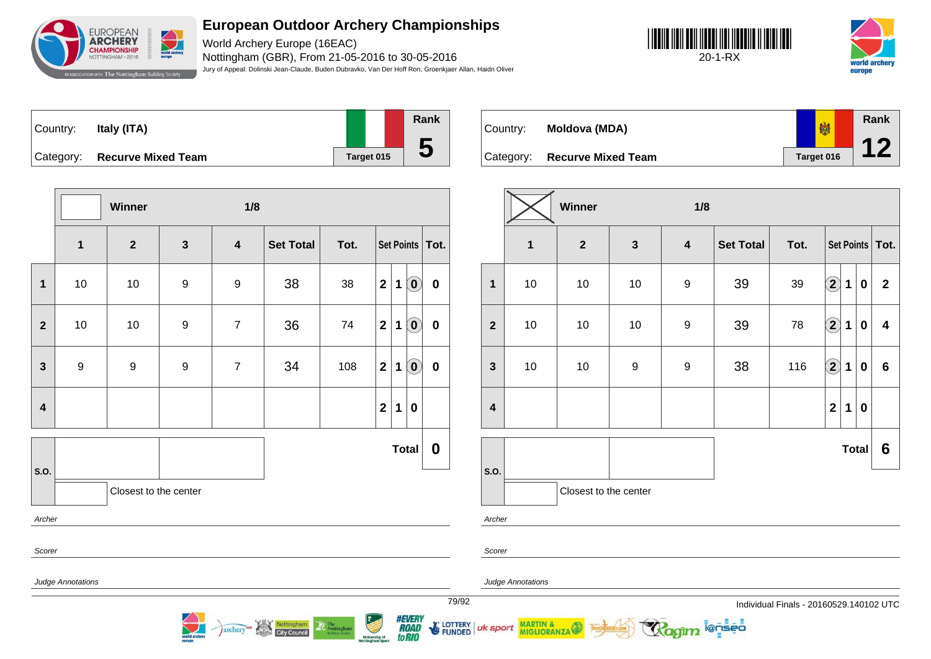

World Archery Europe (16EAC) Nottingham (GBR), From 21-05-2016 to 30-05-2016 Jury of Appeal: Dolinski Jean-Claude, Buden Dubravko, Van Der Hoff Ron, Groenkjaer Allan, Haidn Oliver

**Rank**





| Country: | Italy (ITA)                  |            | Ran |
|----------|------------------------------|------------|-----|
|          | Category: Recurve Mixed Team | Target 015 |     |

**Winner 1/8 1 2 3 4 Set Total Tot. Set Points Tot. 1** 10 10 9 9 38 38 **2 1 0 0 2** 10 10 9 7 36 74 **2 1 0 0 3** | 9 | 9 | 9 | 7 | 34 | 108 | 2 | 1 | 0 | 0 **4 2 1 0 S.O. Total 0** Closest to the center Archer Scorer Judge Annotations

Nottingham

archery

| Country:  | Moldova (MDA)             | 喇          | Rank |
|-----------|---------------------------|------------|------|
|           |                           |            |      |
| Category: | <b>Recurve Mixed Team</b> | Target 016 |      |

|                         |                         | Winner<br>1/8         |                  |                  |                  |      |                         |             |              |                   |
|-------------------------|-------------------------|-----------------------|------------------|------------------|------------------|------|-------------------------|-------------|--------------|-------------------|
|                         | $\overline{\mathbf{1}}$ | $\boldsymbol{2}$      | $\mathbf{3}$     | $\boldsymbol{4}$ | <b>Set Total</b> | Tot. |                         |             |              | Set Points   Tot. |
| 1                       | 10                      | 10                    | $10$             | $\boldsymbol{9}$ | 39               | 39   | $\Large 2$              | $\mathbf 1$ | $\pmb{0}$    | $\overline{2}$    |
| $\overline{2}$          | $10$                    | 10                    | $10$             | $\boldsymbol{9}$ | 39               | 78   | $\left( 2\right) 1$     |             | $\bf{0}$     | 4                 |
| $\mathbf{3}$            | 10                      | 10                    | $\boldsymbol{9}$ | $\boldsymbol{9}$ | 38               | 116  | $\bigcirc \!\! 2$       | $\mathbf 1$ | $\bf{0}$     | $6\phantom{a}$    |
| $\overline{\mathbf{4}}$ |                         |                       |                  |                  |                  |      | $\overline{\mathbf{2}}$ | 1           | $\bf{0}$     |                   |
|                         |                         |                       |                  |                  |                  |      |                         |             | <b>Total</b> | 6                 |
| S.O.                    |                         | Closest to the center |                  |                  |                  |      |                         |             |              |                   |

i@nseo

Archer

Scorer

uk sport

Judge Annotations

MARTIN & MIGLIORANZA

79/92 Individual Finals - 20160529.140102 UTC



**E LOTTERY FUNDED**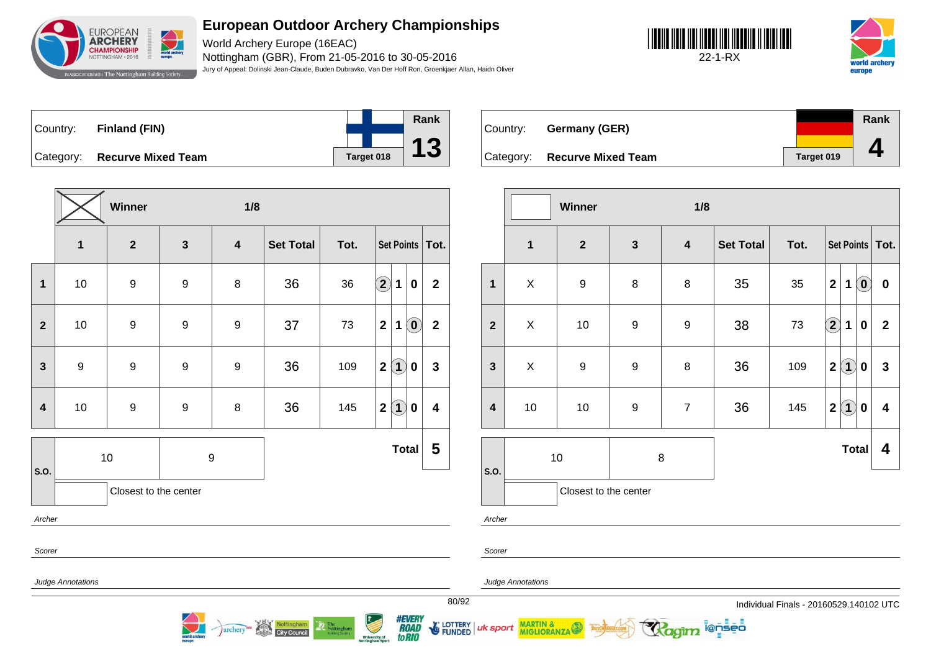

World Archery Europe (16EAC) Nottingham (GBR), From 21-05-2016 to 30-05-2016 Jury of Appeal: Dolinski Jean-Claude, Buden Dubravko, Van Der Hoff Ron, Groenkjaer Allan, Haidn Oliver





| Country: Finland (FIN)       |            | Rank            |
|------------------------------|------------|-----------------|
|                              |            | $\overline{13}$ |
| Category: Recurve Mixed Team | Target 018 |                 |

|                  |                   | Winner                  |                  | 1/8                     |                  |      |                                                |                         |  |  |
|------------------|-------------------|-------------------------|------------------|-------------------------|------------------|------|------------------------------------------------|-------------------------|--|--|
|                  | $\mathbf 1$       | $\overline{\mathbf{2}}$ | $\mathbf{3}$     | $\overline{\mathbf{4}}$ | <b>Set Total</b> | Tot. | Set Points   Tot.                              |                         |  |  |
| 1                | 10                | $\boldsymbol{9}$        | $\boldsymbol{9}$ | 8                       | 36               | 36   | $\Large{\textbf{2}}$<br>1<br>$\boldsymbol{0}$  | $\mathbf{2}$            |  |  |
| $\overline{2}$   | 10                | $\boldsymbol{9}$        | $\boldsymbol{9}$ | $\boldsymbol{9}$        | 37               | 73   | $\left( \mathbf{0}\right)$<br>$\mathbf 2$<br>1 | $\overline{\mathbf{2}}$ |  |  |
| $\mathbf{3}$     | 9                 | $\boldsymbol{9}$        | $\boldsymbol{9}$ | $\boldsymbol{9}$        | 36               | 109  | $\bf(1)$<br>$\mathbf 2$<br>$\bf{0}$            | $\mathbf{3}$            |  |  |
| $\boldsymbol{4}$ | 10                | $\boldsymbol{9}$        | $\boldsymbol{9}$ | 8                       | 36               | 145  | $\bf(1)$<br>$\mathbf 2$<br>0                   | 4                       |  |  |
| S.O.             |                   | 10                      | $\boldsymbol{9}$ |                         |                  |      | <b>Total</b>                                   | 5                       |  |  |
|                  |                   | Closest to the center   |                  |                         |                  |      |                                                |                         |  |  |
|                  | Archer            |                         |                  |                         |                  |      |                                                |                         |  |  |
| Scorer           |                   |                         |                  |                         |                  |      |                                                |                         |  |  |
|                  | Judge Annotations |                         |                  |                         |                  |      |                                                |                         |  |  |

archery<sup>as</sup> Nottingham

| Country: | Germany (GER)                |            | Rank |
|----------|------------------------------|------------|------|
|          | Category: Recurve Mixed Team | Target 019 |      |

|                         |                | Winner                  |                  | 1/8              |                  |      |                                              |                            |                   |
|-------------------------|----------------|-------------------------|------------------|------------------|------------------|------|----------------------------------------------|----------------------------|-------------------|
|                         | $\mathbf 1$    | $\overline{\mathbf{2}}$ | $\mathbf{3}$     | $\boldsymbol{4}$ | <b>Set Total</b> | Tot. |                                              |                            | Set Points   Tot. |
| $\mathbf{1}$            | $\pmb{\times}$ | $\boldsymbol{9}$        | 8                | 8                | 35               | 35   | $\mathbf{2}$<br>1                            | $\left( \mathbf{0}\right)$ | $\bf{0}$          |
| $\overline{2}$          | X              | 10                      | 9                | $\boldsymbol{9}$ | 38               | 73   | $\bf{(2)}$<br>1                              | 0                          | $\overline{2}$    |
| $\mathbf{3}$            | X              | $\boldsymbol{9}$        | $\boldsymbol{9}$ | 8                | 36               | 109  | $\mathbf{1}$<br>$\mathbf{2}$                 | $\boldsymbol{0}$           | 3                 |
| $\overline{\mathbf{4}}$ | 10             | 10                      | $\boldsymbol{9}$ | $\overline{7}$   | 36               | 145  | $\left( 1\right)$<br>$\overline{\mathbf{2}}$ | $\boldsymbol{0}$           | 4                 |
|                         | 10<br>8        |                         |                  |                  |                  |      |                                              | <b>Total</b>               | 4                 |
| S.O.                    |                | Closest to the center   |                  |                  |                  |      |                                              |                            |                   |

ionseo

Archer

Scorer

uk sport

Judge Annotations

MARTIN & MIGLIORANZA

*#EVERY<br>ROAD<br>toRIO* E LOTTERY

**University of**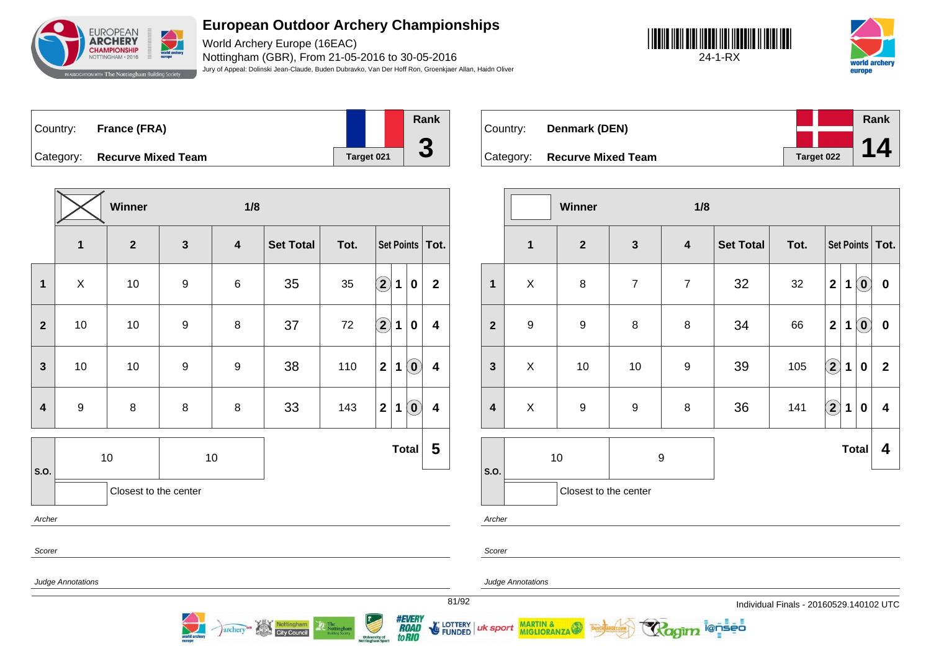

World Archery Europe (16EAC) Nottingham (GBR), From 21-05-2016 to 30-05-2016 Jury of Appeal: Dolinski Jean-Claude, Buden Dubravko, Van Der Hoff Ron, Groenkjaer Allan, Haidn Oliver





| Country: | France (FRA)                 |            | Rank      |
|----------|------------------------------|------------|-----------|
|          |                              |            |           |
|          | Category: Recurve Mixed Team | Target 021 | $\bullet$ |

**Winner 1/8 1 2 3 4 Set Total Tot. Set Points Tot. 1** X 10 9 6 35 35 **2 1 0 2 2** 10 10 9 8 37 72 **2 1 0 4 3** | 10 | 10 | 9 | 9 | 38 | 110  $\boxed{2}$  | 1 | 0 | 4 **4** 9 8 8 8 33 143 **2 1 0 4 S.O.** 10 10 **Total 5** Closest to the center Archer Scorer Judge Annotations

Nottingham

archery

| Country: | Denmark (DEN)                |            | Rank |
|----------|------------------------------|------------|------|
|          |                              |            |      |
|          | Category: Recurve Mixed Team | Target 022 |      |

|                         |                  | Winner                |                  | 1/8                     |                  |      |                         |   |                            |                         |
|-------------------------|------------------|-----------------------|------------------|-------------------------|------------------|------|-------------------------|---|----------------------------|-------------------------|
|                         | $\mathbf{1}$     | $\boldsymbol{2}$      | $\mathbf{3}$     | $\overline{\mathbf{4}}$ | <b>Set Total</b> | Tot. |                         |   |                            | Set Points   Tot.       |
| $\mathbf{1}$            | $\pmb{\times}$   | $\bf8$                | $\overline{7}$   | $\overline{7}$          | 32               | 32   | $\overline{\mathbf{2}}$ | 1 | $\left( \mathbf{0}\right)$ | $\pmb{0}$               |
| $\overline{2}$          | $\boldsymbol{9}$ | 9                     | 8                | 8                       | 34               | 66   | $\overline{\mathbf{2}}$ | 1 | $\left( \mathbf{0}\right)$ | $\pmb{0}$               |
| $\mathbf{3}$            | X                | 10                    | $10$             | $\boldsymbol{9}$        | 39               | 105  | $\mathbf{2}$            | 1 | $\bf{0}$                   | $\overline{2}$          |
| $\overline{\mathbf{4}}$ | X                | $\boldsymbol{9}$      | $\boldsymbol{9}$ | 8                       | 36               | 141  | $\mathbf{2}$            | 1 | $\bf{0}$                   | $\overline{\mathbf{4}}$ |
|                         |                  | 10                    | 9                |                         |                  |      |                         |   | <b>Total</b>               | 4                       |
| S.O.                    |                  | Closest to the center |                  |                         |                  |      |                         |   |                            |                         |

i@nseo

Archer

Scorer

uk sport

Judge Annotations

MARTIN & MIGLIORANZA

81/92 Individual Finals - 20160529.140102 UTC



LOTTERY **FUNDED**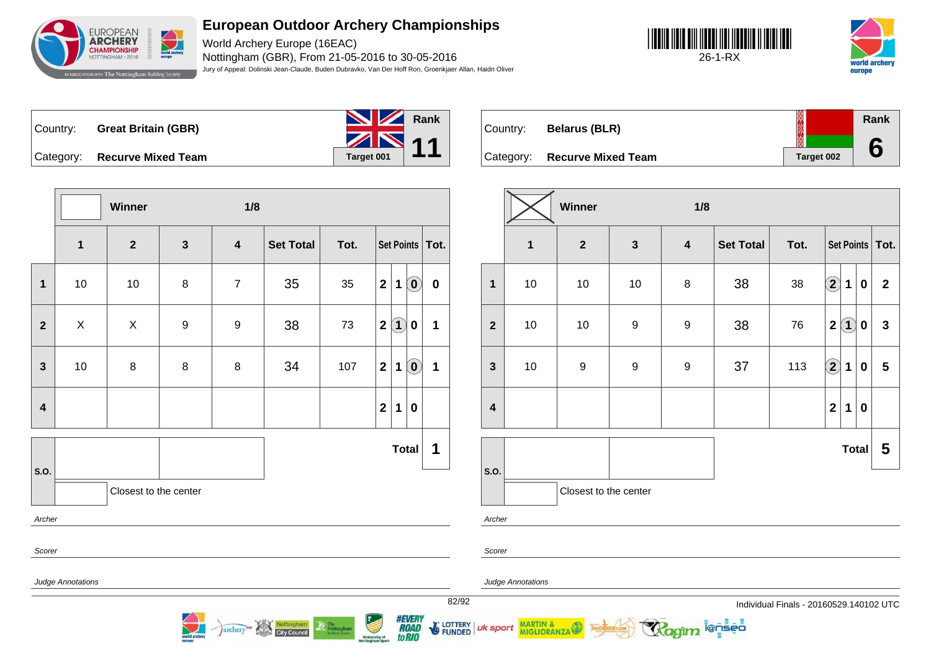

World Archery Europe (16EAC) Nottingham (GBR), From 21-05-2016 to 30-05-2016 Jury of Appeal: Dolinski Jean-Claude, Buden Dubravko, Van Der Hoff Ron, Groenkjaer Allan, Haidn Oliver





Country: **Great Britain (GBR)**



world arche



Country: **Belarus (BLR)** Category: **Recurve Mixed Team Target 002 Rank 6**

|                         | 1/8<br>Winner             |                       |              |                  |                                  |                |                   |                                                         |                   |                         | Winner |                          | 1/8                                 |              |                         |                  |                                         |                        |             |                  |                         |
|-------------------------|---------------------------|-----------------------|--------------|------------------|----------------------------------|----------------|-------------------|---------------------------------------------------------|-------------------|-------------------------|--------|--------------------------|-------------------------------------|--------------|-------------------------|------------------|-----------------------------------------|------------------------|-------------|------------------|-------------------------|
|                         | $\mathbf 1$               | $\overline{2}$        | $\mathbf{3}$ | $\boldsymbol{4}$ | <b>Set Total</b>                 | Tot.           |                   |                                                         | Set Points   Tot. |                         |        | $\mathbf{1}$             | $\mathbf{2}$                        | $\mathbf{3}$ | $\overline{\mathbf{4}}$ | <b>Set Total</b> | Tot.                                    |                        |             |                  | Set Points   Tot.       |
| $\mathbf 1$             | 10                        | 10                    | 8            | $\overline{7}$   | 35                               | 35             | 2 <br>1           | $\left( \begin{matrix} \textbf{0} \end{matrix} \right)$ | $\mathbf 0$       | $\mathbf{1}$            |        | 10                       | 10                                  | 10           | $\,8\,$                 | 38               | 38                                      | $\widehat{\mathbf{2}}$ | $\mathbf 1$ | $\boldsymbol{0}$ | $\overline{2}$          |
| 2 <sup>1</sup>          | $\boldsymbol{\mathsf{X}}$ | X                     | 9            | 9                | 38                               | 73             | $\boxed{1}$<br>2( | $\boldsymbol{0}$                                        | 1                 | $\overline{2}$          |        | 10                       | 10                                  | 9            | $\boldsymbol{9}$        | 38               | 76                                      | $2$ $\odot$            |             | $\mathbf 0$      | $\mathbf{3}$            |
| $\mathbf{3}$            | 10                        | 8                     | 8            | 8                | 34                               | 107            | 2 <br>$\mathbf 1$ | $\left( \begin{matrix} \textbf{0} \end{matrix} \right)$ | $\mathbf 1$       | $\mathbf{3}$            |        | 10                       | $\boldsymbol{9}$                    | 9            | $\boldsymbol{9}$        | 37               | 113                                     | $\widehat{\mathbf{2}}$ | $\mathbf 1$ | $\mathbf 0$      | $5\phantom{.0}$         |
| $\overline{\mathbf{4}}$ |                           |                       |              |                  |                                  |                | 2 <br>$\mathbf 1$ | $\pmb{0}$                                               |                   | $\overline{\mathbf{4}}$ |        |                          |                                     |              |                         |                  |                                         | $\mathbf{2}$           | $\mathbf 1$ | $\mathbf 0$      |                         |
|                         |                           |                       |              |                  |                                  |                |                   | Total                                                   | 1                 |                         |        |                          |                                     |              |                         |                  |                                         |                        | Total       |                  | $\overline{\mathbf{5}}$ |
| <b>S.O.</b>             |                           | Closest to the center |              |                  |                                  |                |                   |                                                         |                   | s.o.                    |        |                          | Closest to the center               |              |                         |                  |                                         |                        |             |                  |                         |
| Archer                  |                           |                       |              |                  |                                  |                |                   |                                                         |                   |                         | Archer |                          |                                     |              |                         |                  |                                         |                        |             |                  |                         |
| Scorer                  |                           |                       |              |                  |                                  |                |                   |                                                         |                   |                         | Scorer |                          |                                     |              |                         |                  |                                         |                        |             |                  |                         |
|                         | <b>Judge Annotations</b>  |                       |              |                  |                                  |                |                   |                                                         |                   |                         |        | <b>Judge Annotations</b> |                                     |              |                         |                  |                                         |                        |             |                  |                         |
|                         |                           |                       |              |                  |                                  |                |                   |                                                         |                   | 82/92                   |        |                          |                                     |              |                         |                  | Individual Finals - 20160529.140102 UTC |                        |             |                  |                         |
|                         |                           |                       |              |                  | archery <sup>es</sup> Nottingham | The Nottingham |                   | <i><b>#EVERY<br/>ROAD<br/>to PIO</b></i>                |                   |                         |        |                          | FUNDED UK Sport MARTIN & DITCHARTES |              | Ragim lensed            |                  |                                         |                        |             |                  |                         |

University of<br>Inttingham Sport

to RIO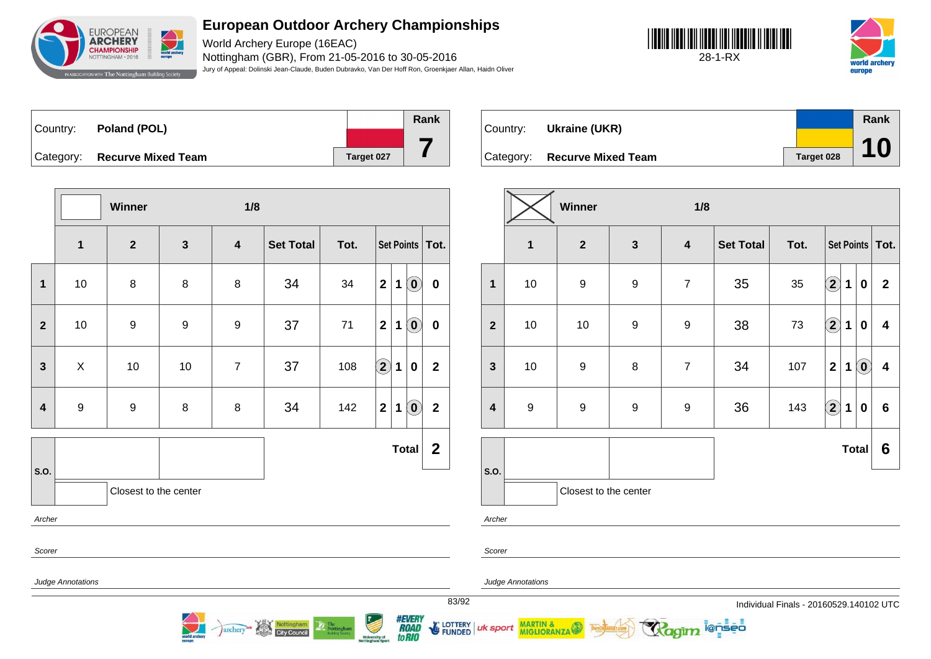

World Archery Europe (16EAC) Nottingham (GBR), From 21-05-2016 to 30-05-2016 Jury of Appeal: Dolinski Jean-Claude, Buden Dubravko, Van Der Hoff Ron, Groenkjaer Allan, Haidn Oliver





Country: **Poland (POL)** Category: **Recurve Mixed Team Target 027 Rank 7**

**Winner 1/8 1 2 3 4 Set Total Tot. Set Points Tot. 1** 10 8 8 8 34 34 **2 1 0 0 2** 10 9 9 9 37 71 **2 1 0 0 3** X 10 10 7 37 108 **2 1 0 2 4** 9 9 8 8 34 142 **2 1 0 2 S.O. Total 2** Closest to the center Archer Scorer Judge Annotations

Nottingham<br>City Council

archery

| Country: | Ukraine (UKR)                |            | Rank |
|----------|------------------------------|------------|------|
|          |                              |            |      |
|          | Category: Recurve Mixed Team | Target 028 | 10   |

|                         | Winner<br>1/8    |                       |                  |                         |                  |      |                        |             |                            |                         |  |  |
|-------------------------|------------------|-----------------------|------------------|-------------------------|------------------|------|------------------------|-------------|----------------------------|-------------------------|--|--|
|                         | $\mathbf{1}$     | $\mathbf{2}$          | $\mathbf{3}$     | $\overline{\mathbf{4}}$ | <b>Set Total</b> | Tot. |                        |             |                            | Set Points   Tot.       |  |  |
| $\mathbf{1}$            | 10               | $\boldsymbol{9}$      | $\boldsymbol{9}$ | $\overline{7}$          | 35               | 35   | $\bf \overline{2}$     | $\mathbf 1$ | $\boldsymbol{0}$           | $\mathbf{2}$            |  |  |
| $\overline{\mathbf{2}}$ | $10\,$           | 10                    | $\boldsymbol{9}$ | $\boldsymbol{9}$        | 38               | 73   | $\bigcirc \!\! 2$      | $\mathbf 1$ | $\boldsymbol{0}$           | 4                       |  |  |
| $\mathbf{3}$            | $10\,$           | $\boldsymbol{9}$      | $\bf 8$          | $\overline{7}$          | 34               | 107  | $\mathbf 2$            | 1           | $\left( \mathbf{0}\right)$ | $\overline{\mathbf{4}}$ |  |  |
| $\overline{\mathbf{4}}$ | $\boldsymbol{9}$ | $\boldsymbol{9}$      | $\boldsymbol{9}$ | $\boldsymbol{9}$        | 36               | 143  | $\mathbf{\widehat{2}}$ | 1           | $\boldsymbol{0}$           | $6\phantom{1}$          |  |  |
|                         |                  |                       |                  |                         |                  |      |                        |             | <b>Total</b>               | $6\phantom{1}6$         |  |  |
| S.O.                    |                  | Closest to the center |                  |                         |                  |      |                        |             |                            |                         |  |  |

i@nseo

Archer

Scorer

uk sport

Judge Annotations

MARTIN & MIGLIORANZA

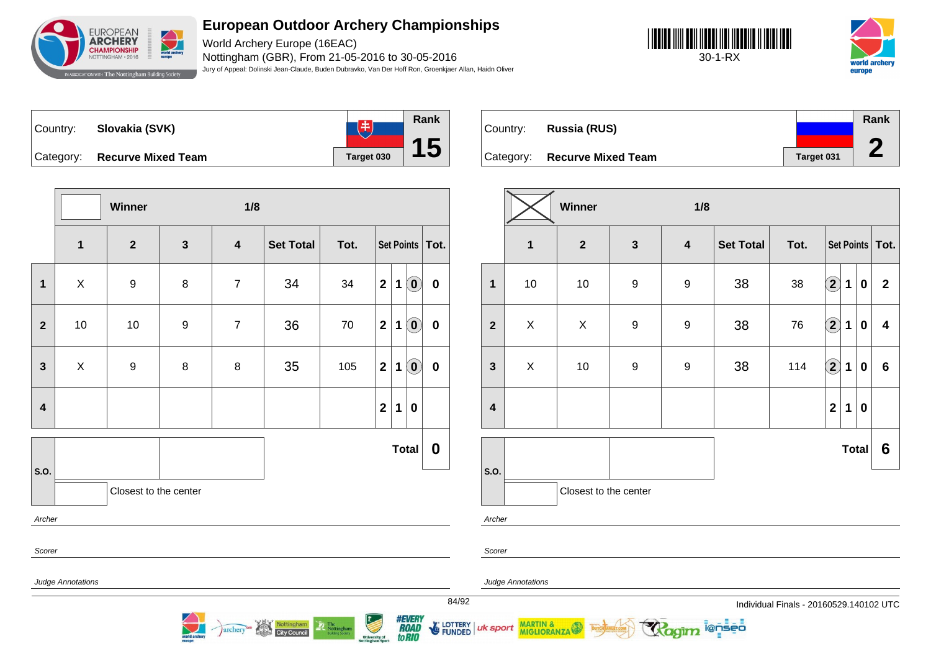

World Archery Europe (16EAC) Nottingham (GBR), From 21-05-2016 to 30-05-2016 Jury of Appeal: Dolinski Jean-Claude, Buden Dubravko, Van Der Hoff Ron, Groenkjaer Allan, Haidn Oliver

**Rank**

**15**





 $\overline{14}$ Country: **Slovakia (SVK)** Category: **Recurve Mixed Team Target 030** 

|                         |                   | Winner                |              | 1/8                     |                  |      |                  |                   |                                                |                  |
|-------------------------|-------------------|-----------------------|--------------|-------------------------|------------------|------|------------------|-------------------|------------------------------------------------|------------------|
|                         | $\mathbf 1$       | $\boldsymbol{2}$      | $\mathbf{3}$ | $\overline{\mathbf{4}}$ | <b>Set Total</b> | Tot. |                  | Set Points   Tot. |                                                |                  |
| $\mathbf 1$             | $\mathsf X$       | $\boldsymbol{9}$      | 8            | $\overline{7}$          | 34               | 34   | $\mathbf 2$      | 1                 | $\left( \begin{matrix} 0 \end{matrix} \right)$ | $\boldsymbol{0}$ |
| $\mathbf{2}$            | 10                | 10                    | 9            | $\overline{7}$          | 36               | 70   | $\mathbf 2$      | 1                 | $\Omega$                                       | $\pmb{0}$        |
| $\mathbf{3}$            | $\pmb{\times}$    | 9                     | 8            | 8                       | 35               | 105  | $\mathbf 2$      | 1                 | $\left( \begin{matrix} 0 \end{matrix} \right)$ | $\pmb{0}$        |
| $\overline{\mathbf{4}}$ |                   |                       |              |                         |                  |      | $\boldsymbol{2}$ | 1                 | $\bf{0}$                                       |                  |
|                         |                   |                       |              |                         |                  |      |                  |                   | <b>Total</b>                                   | $\boldsymbol{0}$ |
| S.O.                    |                   | Closest to the center |              |                         |                  |      |                  |                   |                                                |                  |
| Archer                  |                   |                       |              |                         |                  |      |                  |                   |                                                |                  |
| Scorer                  |                   |                       |              |                         |                  |      |                  |                   |                                                |                  |
|                         | Judge Annotations |                       |              |                         |                  |      |                  |                   |                                                | s                |

archery<sup>as</sup> Nottingham

|          |                              |            | Rank |
|----------|------------------------------|------------|------|
| Country: | <b>Russia (RUS)</b>          |            |      |
|          | Category: Recurve Mixed Team | Target 031 |      |
|          |                              |            |      |

|                         | Winner<br>1/8 |                       |                  |                         |                  |      |                    |             |              |                         |  |
|-------------------------|---------------|-----------------------|------------------|-------------------------|------------------|------|--------------------|-------------|--------------|-------------------------|--|
|                         | $\mathbf 1$   | $\boldsymbol{2}$      | $\mathbf{3}$     | $\overline{\mathbf{4}}$ | <b>Set Total</b> | Tot. |                    |             |              | Set Points   Tot.       |  |
| $\mathbf{1}$            | 10            | 10                    | $\boldsymbol{9}$ | $\boldsymbol{9}$        | 38               | 38   | $\Large 2$         | 1           | $\bf{0}$     | $\overline{2}$          |  |
| $\mathbf{2}$            | X             | X                     | $\boldsymbol{9}$ | 9                       | 38               | 76   | $\bf \Omega$       | 1           | $\bf{0}$     | $\overline{\mathbf{4}}$ |  |
| $\mathbf{3}$            | X             | $10$                  | $\boldsymbol{9}$ | $\boldsymbol{9}$        | 38               | 114  | $\bf \overline{2}$ | $\mathbf 1$ | $\bf{0}$     | $6\phantom{1}$          |  |
| $\overline{\mathbf{4}}$ |               |                       |                  |                         |                  |      | $\mathbf 2$        | 1           | $\bf{0}$     |                         |  |
|                         |               |                       |                  |                         |                  |      |                    |             | <b>Total</b> | 6                       |  |
| S.O.                    |               | Closest to the center |                  |                         |                  |      |                    |             |              |                         |  |

ionseo

Archer

Scorer

uk sport

*#EVERY<br>ROAD<br>toRIO* 

LOTTERY<br>FUNDED

Judge Annotations

MARTIN & MIGLIORANZA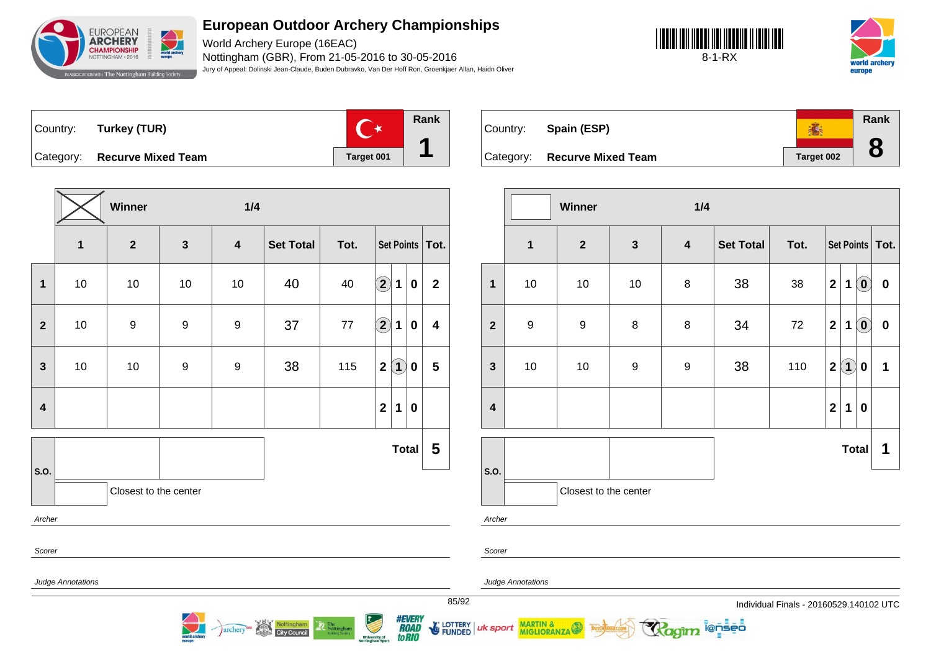

World Archery Europe (16EAC) Nottingham (GBR), From 21-05-2016 to 30-05-2016 Jury of Appeal: Dolinski Jean-Claude, Buden Dubravko, Van Der Hoff Ron, Groenkjaer Allan, Haidn Oliver





Country: **Turkey (TUR)**



Category: **Recurve Mixed Team Target 001** 

|                         |                   | Winner                |                  | 1/4                     |                  |        |                      |              |                  |                         |  |  |  |
|-------------------------|-------------------|-----------------------|------------------|-------------------------|------------------|--------|----------------------|--------------|------------------|-------------------------|--|--|--|
|                         | $\mathbf{1}$      | $\mathbf{2}$          | $\mathbf{3}$     | $\overline{\mathbf{4}}$ | <b>Set Total</b> | Tot.   |                      |              |                  | Set Points   Tot.       |  |  |  |
| $\mathbf 1$             | 10                | 10                    | 10               | $10$                    | 40               | 40     | $\Large{\textbf{2}}$ | 1            | $\boldsymbol{0}$ | $\mathbf{2}$            |  |  |  |
| $\mathbf{2}$            | 10                | 9                     | 9                | 9                       | 37               | $77\,$ | $\bigcirc$           | $\mathbf 1$  | $\boldsymbol{0}$ | 4                       |  |  |  |
| $\mathbf{3}$            | 10                | $10$                  | $\boldsymbol{9}$ | 9                       | 38               | 115    | $\mathbf{2}$         | $\bf(1)$     | $\bf{0}$         | $\overline{\mathbf{5}}$ |  |  |  |
| $\overline{\mathbf{4}}$ |                   |                       |                  |                         |                  |        | $\boldsymbol{2}$     | 1            | $\boldsymbol{0}$ |                         |  |  |  |
|                         |                   |                       |                  |                         |                  |        |                      | <b>Total</b> |                  | 5                       |  |  |  |
| S.O.                    |                   | Closest to the center |                  |                         |                  |        |                      |              |                  |                         |  |  |  |
| Archer                  |                   |                       |                  |                         |                  |        |                      |              |                  |                         |  |  |  |
| Scorer                  |                   |                       |                  |                         |                  |        |                      |              |                  |                         |  |  |  |
|                         | Judge Annotations |                       |                  |                         |                  |        |                      |              |                  |                         |  |  |  |

Nottingham

**City Council** 

archery

**Rank** ● Country: **Spain (ESP) 8** Category: **Recurve Mixed Team Target 002** 

|                  | Winner<br>1/4    |                       |                  |                         |                  |      |                |                   |                            |                   |
|------------------|------------------|-----------------------|------------------|-------------------------|------------------|------|----------------|-------------------|----------------------------|-------------------|
|                  | $\mathbf 1$      | $\mathbf{2}$          | $\mathbf{3}$     | $\overline{\mathbf{4}}$ | <b>Set Total</b> | Tot. |                |                   |                            | Set Points   Tot. |
| $\mathbf{1}$     | 10               | $10$                  | 10               | 8                       | 38               | 38   | $\mathbf{2}$   | $\mathbf 1$       | $\odot$                    | $\pmb{0}$         |
| $\overline{2}$   | $\boldsymbol{9}$ | $\boldsymbol{9}$      | $\bf 8$          | 8                       | 34               | 72   | $\overline{2}$ | $\mathbf 1$       | $\left( \mathbf{0}\right)$ | $\pmb{0}$         |
| $\mathbf{3}$     | 10               | $10$                  | $\boldsymbol{9}$ | $\boldsymbol{9}$        | 38               | 110  | $\mathbf 2$    | $\left( 1\right)$ | 0                          | 1                 |
| $\boldsymbol{4}$ |                  |                       |                  |                         |                  |      | $\overline{2}$ | 1                 | $\bf{0}$                   |                   |
|                  |                  |                       |                  |                         |                  |      |                |                   |                            |                   |
| S.O.             |                  |                       |                  |                         |                  |      |                |                   | <b>Total</b>               | 1                 |
|                  |                  | Closest to the center |                  |                         |                  |      |                |                   |                            |                   |

i@nseo

Archer

Scorer

uk sport

Judge Annotations

Judge Annotations

**MARTIN & MIGLIORANZA** 

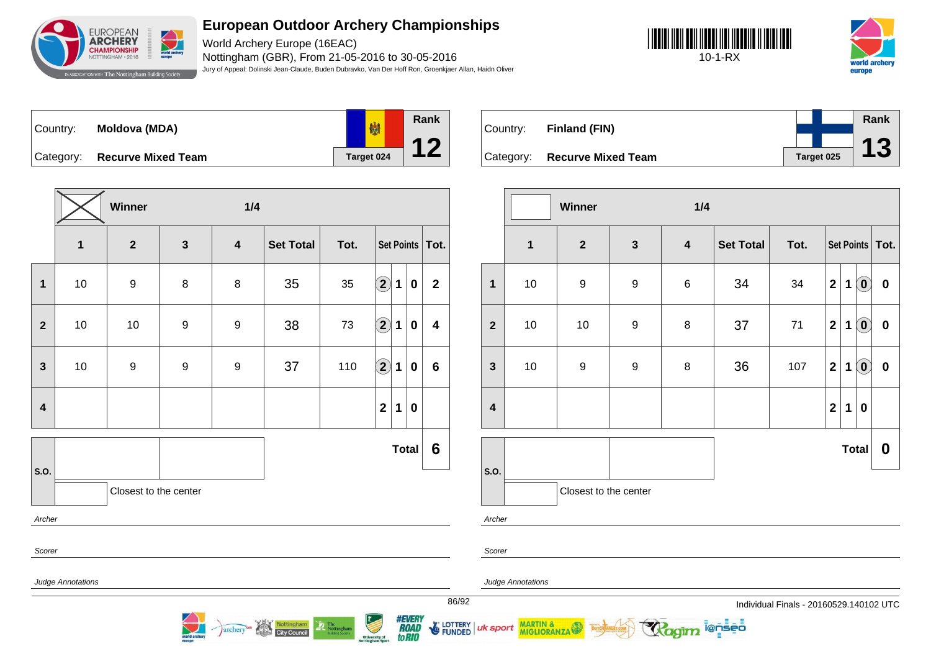

World Archery Europe (16EAC) Nottingham (GBR), From 21-05-2016 to 30-05-2016 Jury of Appeal: Dolinski Jean-Claude, Buden Dubravko, Van Der Hoff Ron, Groenkjaer Allan, Haidn Oliver





Country: **Moldova (MDA)** Category: **Recurve Mixed Team Target 024** 



Country: **Finland (FIN)** Category: **Recurve Mixed Team Target 025 Rank 13**

|                         |                   | Winner                |                  | 1/4                     |                  |      |                                                                                                                                                                                                                                                                                                                                                                                                                                         |             |              |                         |
|-------------------------|-------------------|-----------------------|------------------|-------------------------|------------------|------|-----------------------------------------------------------------------------------------------------------------------------------------------------------------------------------------------------------------------------------------------------------------------------------------------------------------------------------------------------------------------------------------------------------------------------------------|-------------|--------------|-------------------------|
|                         | $\mathbf{1}$      | $\overline{2}$        | $\mathbf{3}$     | $\overline{\mathbf{4}}$ | <b>Set Total</b> | Tot. |                                                                                                                                                                                                                                                                                                                                                                                                                                         |             |              | Set Points Tot.         |
| $\mathbf{1}$            | $10$              | $\boldsymbol{9}$      | 8                | 8                       | 35               | 35   | $\bf \overline{2}$                                                                                                                                                                                                                                                                                                                                                                                                                      | $\mathbf 1$ | $\mathbf 0$  | $\mathbf 2$             |
| $\overline{2}$          | 10                | 10                    | $\boldsymbol{9}$ | $\boldsymbol{9}$        | 38               | 73   | $\mathbf{2}% \in\mathbb{R}^{2d}\times\mathbb{R}^{2d}\times\mathbb{R}^{2d}\times\mathbb{R}^{2d}\times\mathbb{R}^{2d}\times\mathbb{R}^{2d}\times\mathbb{R}^{2d}\times\mathbb{R}^{2d}\times\mathbb{R}^{2d}\times\mathbb{R}^{2d}\times\mathbb{R}^{2d}\times\mathbb{R}^{2d}\times\mathbb{R}^{2d}\times\mathbb{R}^{2d}\times\mathbb{R}^{2d}\times\mathbb{R}^{2d}\times\mathbb{R}^{2d}\times\mathbb{R}^{2d}\times\mathbb{R}^{2d}\times\mathbb$ | 1           | $\pmb{0}$    | $\overline{\mathbf{4}}$ |
| 3                       | 10                | $\boldsymbol{9}$      | $\boldsymbol{9}$ | $\boldsymbol{9}$        | 37               | 110  | $\mathbf{2}$                                                                                                                                                                                                                                                                                                                                                                                                                            | 1           | $\pmb{0}$    | $6\phantom{1}$          |
| $\overline{\mathbf{4}}$ |                   |                       |                  |                         |                  |      | $\mathbf{2}$                                                                                                                                                                                                                                                                                                                                                                                                                            | 1           | $\bf{0}$     |                         |
|                         |                   |                       |                  |                         |                  |      |                                                                                                                                                                                                                                                                                                                                                                                                                                         |             | <b>Total</b> | $6\phantom{1}6$         |
| S.O.                    |                   | Closest to the center |                  |                         |                  |      |                                                                                                                                                                                                                                                                                                                                                                                                                                         |             |              |                         |
| Archer                  |                   |                       |                  |                         |                  |      |                                                                                                                                                                                                                                                                                                                                                                                                                                         |             |              |                         |
| Scorer                  |                   |                       |                  |                         |                  |      |                                                                                                                                                                                                                                                                                                                                                                                                                                         |             |              |                         |
|                         | Judge Annotations |                       |                  |                         |                  |      |                                                                                                                                                                                                                                                                                                                                                                                                                                         |             |              |                         |

archery<sup>on</sup> Nottingham

|                  | Winner<br>1/4 |                         |                  |                         |                  |      |                         |             |                            |                   |
|------------------|---------------|-------------------------|------------------|-------------------------|------------------|------|-------------------------|-------------|----------------------------|-------------------|
|                  | $\mathbf{1}$  | $\overline{\mathbf{2}}$ | $\mathbf{3}$     | $\overline{\mathbf{4}}$ | <b>Set Total</b> | Tot. |                         |             |                            | Set Points   Tot. |
| $\mathbf{1}$     | 10            | $\boldsymbol{9}$        | $\boldsymbol{9}$ | $\,6$                   | 34               | 34   | $\mathbf{2}$            | 1           | $\overline{\mathbf{0}}$    | $\pmb{0}$         |
| $\overline{2}$   | 10            | 10                      | $\boldsymbol{9}$ | 8                       | 37               | $71$ | $\mathbf{2}$            | $\mathbf 1$ | $\odot$                    | $\boldsymbol{0}$  |
| $\mathbf{3}$     | $10$          | $\boldsymbol{9}$        | 9                | 8                       | 36               | 107  | $\mathbf 2$             | 1           | $\left( \mathbf{0}\right)$ | $\pmb{0}$         |
| $\boldsymbol{4}$ |               |                         |                  |                         |                  |      | $\overline{\mathbf{2}}$ | 1           | $\bf{0}$                   |                   |
|                  |               |                         |                  |                         |                  |      |                         |             | <b>Total</b>               | $\boldsymbol{0}$  |
| S.O.             |               | Closest to the center   |                  |                         |                  |      |                         |             |                            |                   |
| Archer           |               |                         |                  |                         |                  |      |                         |             |                            |                   |

ionseo

Scorer

uk sport

*#EVERY<br>ROAD<br>toRIO* 

**E** LOTTERY

**FUNDED** 

Judge Annotations

MARTIN &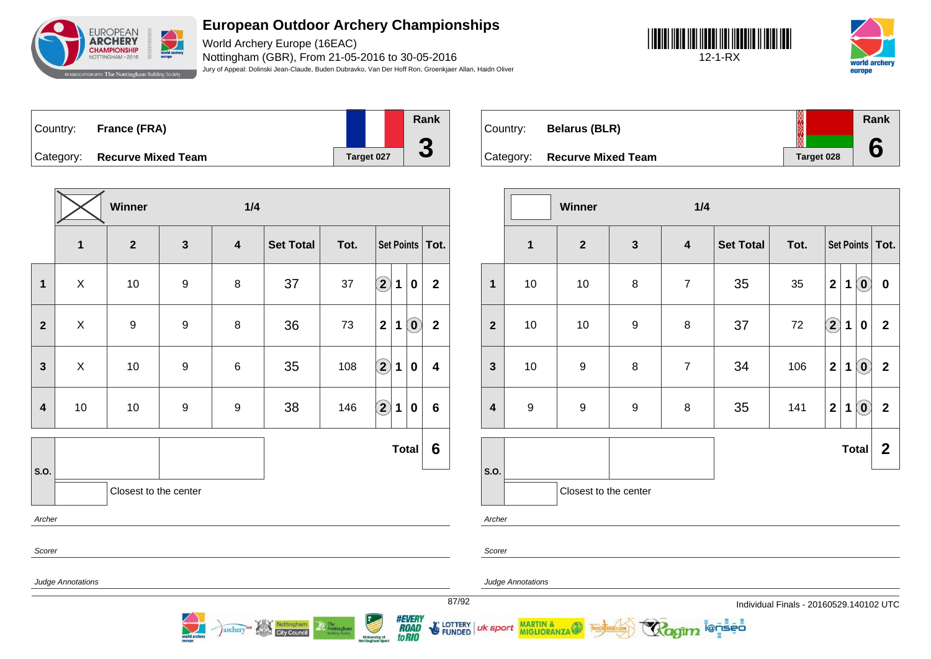

World Archery Europe (16EAC) Nottingham (GBR), From 21-05-2016 to 30-05-2016 Jury of Appeal: Dolinski Jean-Claude, Buden Dubravko, Van Der Hoff Ron, Groenkjaer Allan, Haidn Oliver





| Country: France (FRA)        |            | Rank |
|------------------------------|------------|------|
| Category: Recurve Mixed Team | Target 027 | υ    |

**Winner 1/4 1 2 3 4 Set Total Tot. Set Points Tot. 1** X 10 9 8 37 37 **2 1 0 2 2** X 9 9 8 36 73 **2 1 0 2 3** X 10 9 6 35 108 **2 1 0 4 4** 10 10 9 9 38 146 **2 1 0 6 S.O. Total 6** Closest to the center Archer Scorer Judge Annotations

Nottingham

**City Council** 

archery

| Country: | <b>Belarus (BLR)</b>         |            | Rank |
|----------|------------------------------|------------|------|
|          | Category: Recurve Mixed Team | Target 028 |      |

|                         |                  | Winner                |                  | 1/4                     |                  |      |              |             |                            |                         |
|-------------------------|------------------|-----------------------|------------------|-------------------------|------------------|------|--------------|-------------|----------------------------|-------------------------|
|                         | $\overline{1}$   | $\mathbf{2}$          | $\mathbf{3}$     | $\overline{\mathbf{4}}$ | <b>Set Total</b> | Tot. |              |             |                            | Set Points   Tot.       |
| $\mathbf{1}$            | $10$             | $10$                  | 8                | $\overline{7}$          | 35               | 35   | $\mathbf{2}$ | 1           | $\left( \mathbf{0}\right)$ | $\pmb{0}$               |
| $\overline{2}$          | $10$             | 10                    | $\boldsymbol{9}$ | 8                       | 37               | 72   | $\bf{(2)}$   | $\mathbf 1$ | $\bf{0}$                   | $\overline{2}$          |
| $\mathbf{3}$            | $10$             | $\boldsymbol{9}$      | 8                | $\overline{7}$          | 34               | 106  | $\mathbf{2}$ | 1           | $\left( \mathbf{0}\right)$ | $\mathbf{2}$            |
| $\overline{\mathbf{4}}$ | $\boldsymbol{9}$ | $\boldsymbol{9}$      | $\boldsymbol{9}$ | 8                       | 35               | 141  | $\mathbf 2$  | 1           | $\odot$                    | $\overline{\mathbf{2}}$ |
|                         |                  |                       |                  |                         |                  |      |              |             | <b>Total</b>               | $\boldsymbol{2}$        |
| S.O.                    |                  | Closest to the center |                  |                         |                  |      |              |             |                            |                         |
| Archer                  |                  |                       |                  |                         |                  |      |              |             |                            |                         |

i@nseo

Archer

Scorer

uk sport

Judge Annotations

MARTIN & MIGLIORANZA

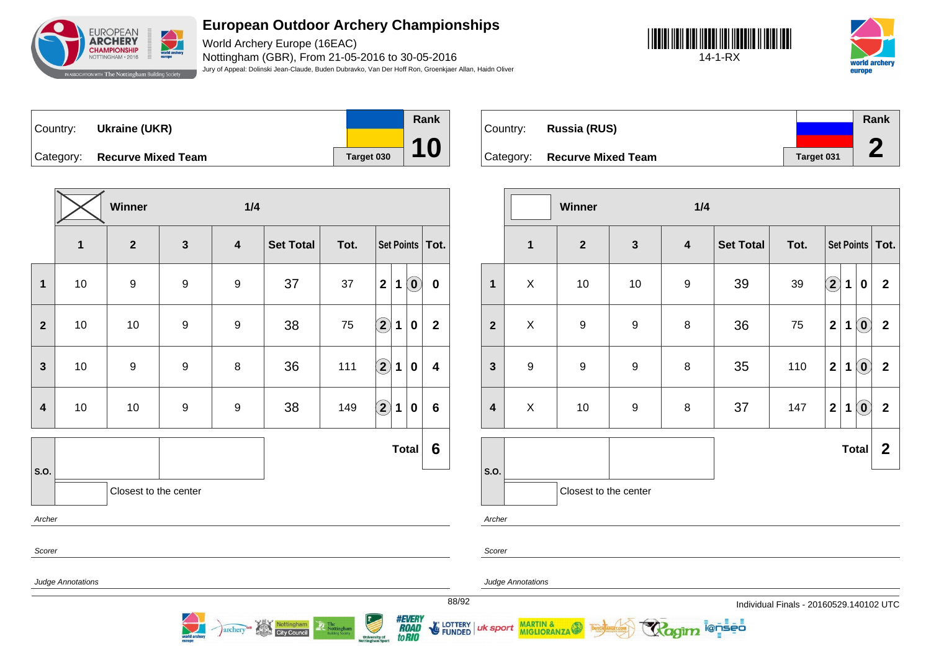

World Archery Europe (16EAC) Nottingham (GBR), From 21-05-2016 to 30-05-2016 Jury of Appeal: Dolinski Jean-Claude, Buden Dubravko, Van Der Hoff Ron, Groenkjaer Allan, Haidn Oliver

**Rank**

**10**





Country: **Ukraine (UKR)** Category: **Recurve Mixed Team Target 030** 

|                         |              | Winner                |                  | 1/4                     |                  |      |                   |              |                            |                         |
|-------------------------|--------------|-----------------------|------------------|-------------------------|------------------|------|-------------------|--------------|----------------------------|-------------------------|
|                         | $\mathbf{1}$ | $\overline{2}$        | $\mathbf{3}$     | $\overline{\mathbf{4}}$ | <b>Set Total</b> | Tot. |                   |              |                            | Set Points   Tot.       |
| $\mathbf{1}$            | 10           | $\boldsymbol{9}$      | $\boldsymbol{9}$ | 9                       | 37               | 37   | $\mathbf{2}$      | 1            | $\left( \mathbf{0}\right)$ | $\mathbf 0$             |
| $\overline{2}$          | 10           | 10                    | $\boldsymbol{9}$ | $\boldsymbol{9}$        | 38               | 75   | $\left( 2\right)$ | 1            | 0                          | $\mathbf{2}$            |
| $\mathbf{3}$            | 10           | $\boldsymbol{9}$      | $\boldsymbol{9}$ | 8                       | 36               | 111  | $\bf(2)$          | 1            | $\bf{0}$                   | $\overline{\mathbf{4}}$ |
| $\overline{\mathbf{4}}$ | 10           | 10                    | $\boldsymbol{9}$ | $\boldsymbol{9}$        | 38               | 149  | $\bf (2)$         | 1            | $\bf{0}$                   | $6\phantom{1}$          |
|                         |              |                       |                  |                         |                  |      |                   | <b>Total</b> |                            | $6\phantom{1}6$         |
| S.O.                    |              | Closest to the center |                  |                         |                  |      |                   |              |                            |                         |
| Archer                  |              |                       |                  |                         |                  |      |                   |              |                            |                         |

archery

**City Council** 

|          |                              |            | Rank |
|----------|------------------------------|------------|------|
| Country: | Russia (RUS)                 |            |      |
|          | Category: Recurve Mixed Team | Target 031 |      |

|                         |                  | Winner                |                  | 1/4                     |                  |      |                         |             |                            |                   |
|-------------------------|------------------|-----------------------|------------------|-------------------------|------------------|------|-------------------------|-------------|----------------------------|-------------------|
|                         | $\mathbf{1}$     | $\mathbf{2}$          | $\mathbf{3}$     | $\overline{\mathbf{4}}$ | <b>Set Total</b> | Tot. |                         |             |                            | Set Points   Tot. |
| 1                       | X                | 10                    | $10$             | $\boldsymbol{9}$        | 39               | 39   | $\bf \Omega$            | 1           | $\pmb{0}$                  | $\mathbf{2}$      |
| $\overline{2}$          | X                | $\boldsymbol{9}$      | $\boldsymbol{9}$ | 8                       | 36               | 75   | $\overline{\mathbf{2}}$ | $\mathbf 1$ | $\left( \mathbf{0}\right)$ | $\mathbf 2$       |
| $\mathbf{3}$            | $\boldsymbol{9}$ | $\boldsymbol{9}$      | 9                | $\bf 8$                 | 35               | 110  | $\mathbf 2$             | 1           | $\left( \mathbf{0}\right)$ | $\mathbf 2$       |
| $\overline{\mathbf{4}}$ | X                | 10                    | $\boldsymbol{9}$ | 8                       | 37               | 147  | $\mathbf 2$             | $\mathbf 1$ | $\odot$                    | $\mathbf 2$       |
|                         |                  |                       |                  |                         |                  |      |                         |             | <b>Total</b>               | $\boldsymbol{2}$  |
| S.O.                    |                  | Closest to the center |                  |                         |                  |      |                         |             |                            |                   |

Scorer

Judge Annotations

Judge Annotations

MARTIN & MIGLIORANZA

88/92 Individual Finals - 20160529.140102 UTC

**ienseo** 



uk sport

Archer

Scorer

E LOTTERY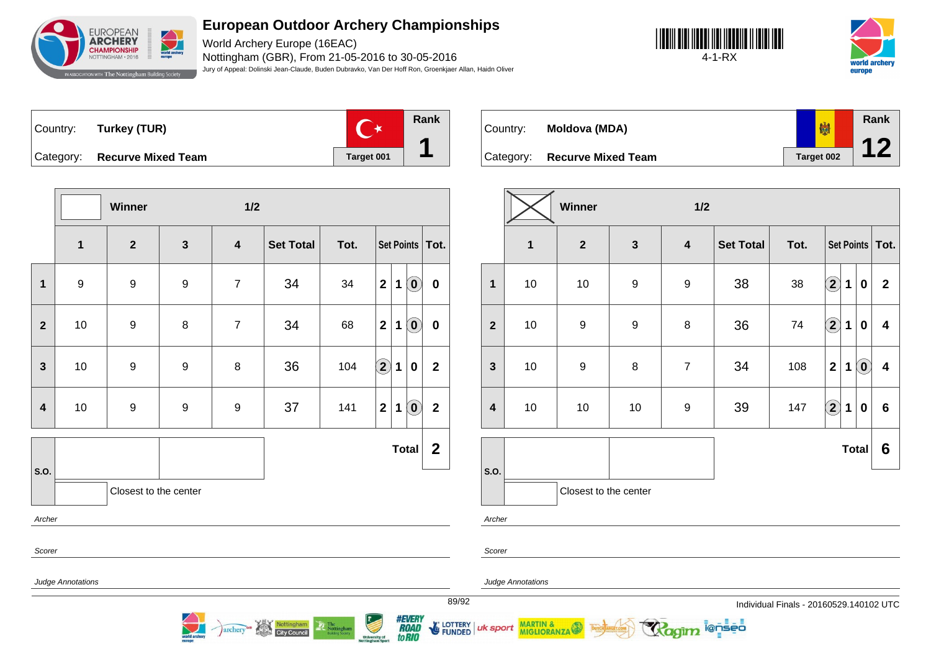

World Archery Europe (16EAC) Nottingham (GBR), From 21-05-2016 to 30-05-2016 Jury of Appeal: Dolinski Jean-Claude, Buden Dubravko, Van Der Hoff Ron, Groenkjaer Allan, Haidn Oliver





Country: **Turkey (TUR)** Category: **Recurve Mixed Team Target 001** 



Country: **Moldova (MDA)**



|                         |                         | Winner                |                  | $1/2$                   |                  |      |                                                                               |                         |  |  |
|-------------------------|-------------------------|-----------------------|------------------|-------------------------|------------------|------|-------------------------------------------------------------------------------|-------------------------|--|--|
|                         | $\overline{\mathbf{1}}$ | $\mathbf{2}$          | $\mathbf{3}$     | $\overline{\mathbf{4}}$ | <b>Set Total</b> | Tot. | Set Points   Tot.                                                             |                         |  |  |
| $\mathbf{1}$            | $\boldsymbol{9}$        | $\boldsymbol{9}$      | $\boldsymbol{9}$ | $\overline{7}$          | 34               | 34   | $\left( \mathbf{0}\right)$<br>$\overline{2}$<br>$\mathbf{1}$                  | $\pmb{0}$               |  |  |
| $\overline{2}$          | 10                      | 9                     | 8                | $\overline{7}$          | 34               | 68   | $\left( \mathbf{0}\right)$<br>$\mathbf{2}$<br>$\mathbf 1$                     | $\pmb{0}$               |  |  |
| $\mathbf{3}$            | $10$                    | $\boldsymbol{9}$      | $\boldsymbol{9}$ | 8                       | 36               | 104  | $\bf \overline{2}$<br>$\mathbf 1$<br>$\bf{0}$                                 | $\mathbf{2}$            |  |  |
| $\overline{\mathbf{4}}$ | 10                      | $\boldsymbol{9}$      | $\boldsymbol{9}$ | $\boldsymbol{9}$        | 37               | 141  | $\left( \begin{matrix} 0 \end{matrix} \right)$<br>$\mathbf{2}$<br>$\mathbf 1$ | $\overline{\mathbf{2}}$ |  |  |
|                         |                         |                       |                  |                         |                  |      | <b>Total</b>                                                                  | $\overline{2}$          |  |  |
| S.O.                    |                         | Closest to the center |                  |                         |                  |      |                                                                               |                         |  |  |
| Archer                  |                         |                       |                  |                         |                  |      |                                                                               |                         |  |  |
| Scorer                  |                         |                       |                  |                         |                  |      |                                                                               |                         |  |  |
|                         | Judge Annotations       |                       |                  |                         |                  |      |                                                                               |                         |  |  |
|                         |                         |                       |                  |                         |                  |      |                                                                               |                         |  |  |

archery<sup>on</sup> Nottingham

|                         | Winner<br>1/2 |                       |                  |                         |                  |      |              |             |                            |                         |
|-------------------------|---------------|-----------------------|------------------|-------------------------|------------------|------|--------------|-------------|----------------------------|-------------------------|
|                         | 1             | $\overline{2}$        | $\mathbf{3}$     | $\overline{\mathbf{4}}$ | <b>Set Total</b> | Tot. |              |             |                            | Set Points   Tot.       |
| $\mathbf{1}$            | 10            | 10                    | $\boldsymbol{9}$ | 9                       | 38               | 38   | $\bf(2)$     | 1           | 0                          | $\mathbf{2}$            |
| $\mathbf{2}$            | 10            | $\boldsymbol{9}$      | $\boldsymbol{9}$ | $\bf 8$                 | 36               | 74   | $\odot$      | $\mathbf 1$ | 0                          | $\overline{\mathbf{4}}$ |
| $\mathbf{3}$            | 10            | 9                     | $\bf 8$          | $\overline{7}$          | 34               | 108  | $\mathbf{2}$ | 1           | $\left( \mathbf{0}\right)$ | $\overline{\mathbf{4}}$ |
| $\overline{\mathbf{4}}$ | $10$          | $10$                  | $10$             | $\boldsymbol{9}$        | 39               | 147  | $\bigcirc$   | $\mathbf 1$ | 0                          | $6\phantom{1}6$         |
|                         |               |                       |                  |                         |                  |      |              |             | <b>Total</b>               | 6                       |
| S.O.                    |               | Closest to the center |                  |                         |                  |      |              |             |                            |                         |
| Archer                  |               |                       |                  |                         |                  |      |              |             |                            |                         |

ionseo

Scorer

uk sport

*#EVERY<br>ROAD<br>toRIO* 

LOTTERY<br>FUNDED

Judge Annotations

MARTIN &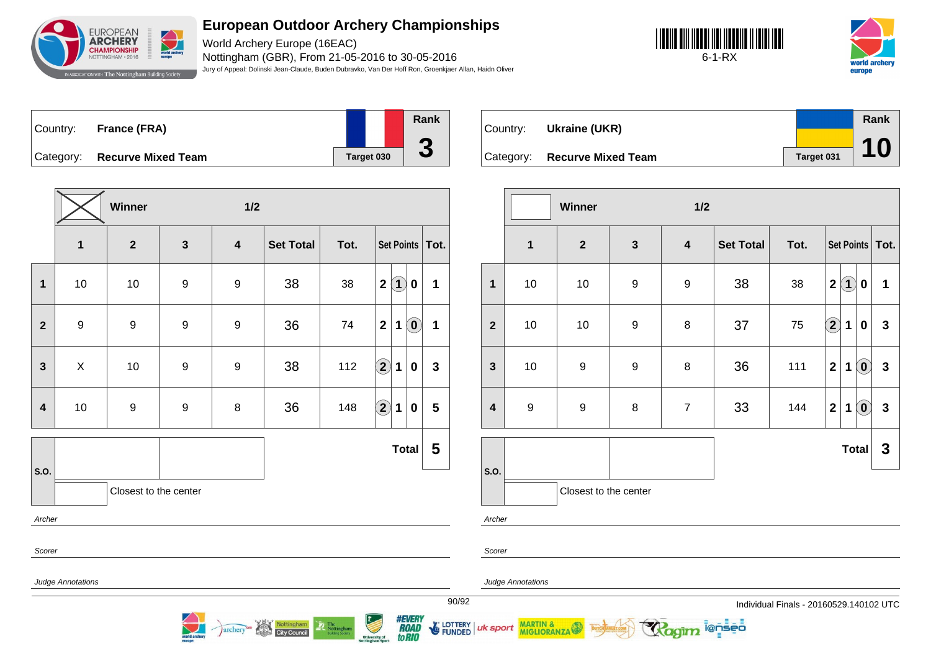

World Archery Europe (16EAC) Nottingham (GBR), From 21-05-2016 to 30-05-2016 Jury of Appeal: Dolinski Jean-Claude, Buden Dubravko, Van Der Hoff Ron, Groenkjaer Allan, Haidn Oliver





| Country: | France (FRA)                 |            | Rank |
|----------|------------------------------|------------|------|
|          |                              |            |      |
|          | Category: Recurve Mixed Team | Target 030 | J    |

**Winner 1/2 1 2 3 4 Set Total Tot. Set Points Tot. 1** 10 10 9 9 38 38 **2 1 0 1 2** 9 9 9 9 36 74 **2 1 0 1 3** X 10 9 9 38 112 **2 1 0 3 4** 10 9 9 8 36 148 **2 1 0 5 S.O. Total 5** Closest to the center Archer Scorer Judge Annotations

Nottingham

archery

| Country: | Ukraine (UKR)                |            | Rank |
|----------|------------------------------|------------|------|
|          |                              |            |      |
|          | Category: Recurve Mixed Team | Target 031 | 10   |

|                         |                  | Winner                |                  | 1/2                     |                  |      |                                                           |              |
|-------------------------|------------------|-----------------------|------------------|-------------------------|------------------|------|-----------------------------------------------------------|--------------|
|                         | $\mathbf{1}$     | $\mathbf{2}$          | $\mathbf{3}$     | $\overline{\mathbf{4}}$ | <b>Set Total</b> | Tot. | Set Points   Tot.                                         |              |
| $\mathbf{1}$            | $10$             | 10                    | 9                | $\boldsymbol{9}$        | 38               | 38   | $\mathbf{2}$<br>$\bf(1)$<br>0                             | 1            |
| $\overline{2}$          | $10$             | 10                    | 9                | $\bf 8$                 | 37               | 75   | $\bf \Omega$<br>$\mathbf 1$<br>$\bf{0}$                   | $\mathbf{3}$ |
| $\mathbf{3}$            | 10               | $\boldsymbol{9}$      | $\boldsymbol{9}$ | $\, 8$                  | 36               | 111  | $\odot$<br>$\mathbf{2}$<br>$\mathbf 1$                    | $\mathbf{3}$ |
| $\overline{\mathbf{4}}$ | $\boldsymbol{9}$ | $\boldsymbol{9}$      | 8                | $\overline{7}$          | 33               | 144  | $\mathbf{2}$<br>$\left( \mathbf{0}\right)$<br>$\mathbf 1$ | $\mathbf{3}$ |
|                         |                  |                       |                  |                         |                  |      | <b>Total</b>                                              | $\mathbf{3}$ |
| S.O.                    |                  | Closest to the center |                  |                         |                  |      |                                                           |              |

i@nseo

Archer

Scorer

uk sport

Judge Annotations

MARTIN & MIGLIORANZA

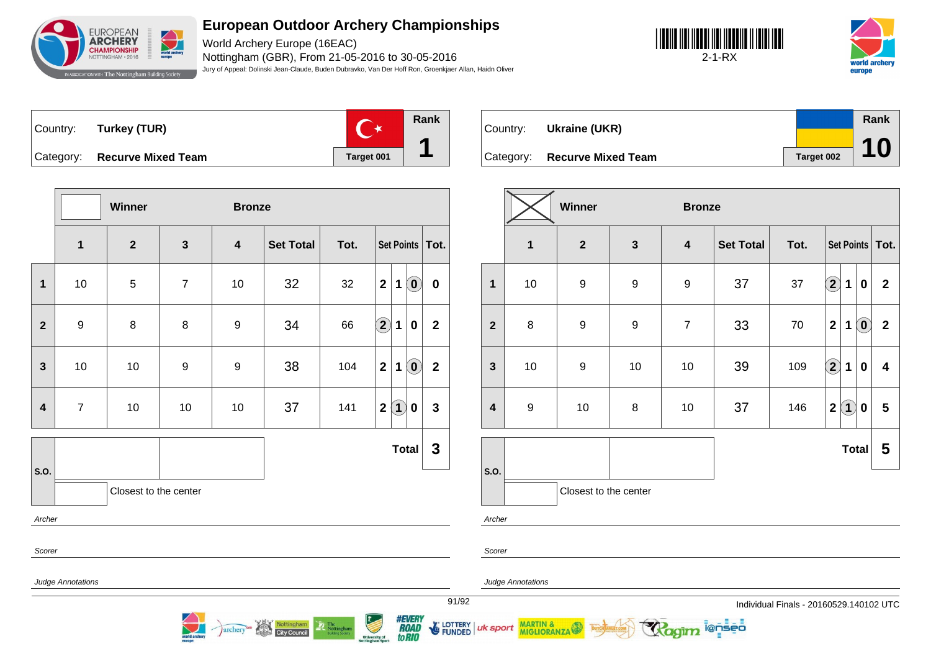

World Archery Europe (16EAC) Nottingham (GBR), From 21-05-2016 to 30-05-2016 Jury of Appeal: Dolinski Jean-Claude, Buden Dubravko, Van Der Hoff Ron, Groenkjaer Allan, Haidn Oliver





|  | Country: Turkey (TUR)        |  |
|--|------------------------------|--|
|  | Category: Recurve Mixed Team |  |





|                         |                          | Winner                |                  | <b>Bronze</b>           |                  |      |                                                           |                         |  |  |
|-------------------------|--------------------------|-----------------------|------------------|-------------------------|------------------|------|-----------------------------------------------------------|-------------------------|--|--|
|                         | $\mathbf 1$              | $\mathbf{2}$          | $\mathbf{3}$     | $\overline{\mathbf{4}}$ | <b>Set Total</b> | Tot. | Set Points   Tot.                                         |                         |  |  |
| 1                       | 10                       | 5                     | $\overline{7}$   | 10                      | 32               | 32   | $\left( \mathbf{0}\right)$<br>$\mathbf{2}$<br>$\mathbf 1$ | $\pmb{0}$               |  |  |
| $\overline{2}$          | $9$                      | 8                     | 8                | $\boldsymbol{9}$        | 34               | 66   | $\Large{\textbf{2}}$<br>$\mathbf 1$<br>$\bf{0}$           | $\mathbf{2}$            |  |  |
| $\mathbf{3}$            | 10                       | 10                    | $\boldsymbol{9}$ | 9                       | 38               | 104  | $\mathbf{2}$<br>$\mathbf{1}$<br>$\hat{(\mathbf{0})}$      | $\overline{\mathbf{2}}$ |  |  |
| $\overline{\mathbf{4}}$ | $\overline{7}$           | 10                    | 10               | 10                      | 37               | 141  | $\bf(1)$<br>$\mathbf{2}$<br>$\mathbf 0$                   | $\mathbf{3}$            |  |  |
|                         |                          |                       |                  |                         |                  |      | <b>Total</b>                                              | $\mathbf{3}$            |  |  |
| S.O.                    |                          | Closest to the center |                  |                         |                  |      |                                                           |                         |  |  |
| Archer                  |                          |                       |                  |                         |                  |      |                                                           |                         |  |  |
| Scorer                  |                          |                       |                  |                         |                  |      |                                                           |                         |  |  |
|                         | <b>Judge Annotations</b> |                       |                  |                         |                  |      |                                                           | 91/                     |  |  |

archery<sup>on</sup> Nottingham

|                         |                  | Winner<br><b>Bronze</b><br>$\mathbf{3}$<br>$\boldsymbol{2}$<br><b>Set Total</b><br>Tot.<br>Set Points   Tot.<br>4<br>$\bf \overline{2}$<br>$\boldsymbol{9}$<br>$\boldsymbol{9}$<br>37<br>37<br>$\boldsymbol{9}$<br>1<br>$\mathbf{2}$<br>$\mathbf 0$ |                  |                |    |     |                    |                   |                            |                  |
|-------------------------|------------------|-----------------------------------------------------------------------------------------------------------------------------------------------------------------------------------------------------------------------------------------------------|------------------|----------------|----|-----|--------------------|-------------------|----------------------------|------------------|
|                         | $\mathbf{1}$     |                                                                                                                                                                                                                                                     |                  |                |    |     |                    |                   |                            |                  |
| $\mathbf{1}$            | 10               |                                                                                                                                                                                                                                                     |                  |                |    |     |                    |                   |                            |                  |
| $\overline{2}$          | 8                | $\boldsymbol{9}$                                                                                                                                                                                                                                    | $\boldsymbol{9}$ | $\overline{7}$ | 33 | 70  | $\mathbf{2}$       | 1                 | $\left( \mathbf{0}\right)$ | $\boldsymbol{2}$ |
| $\mathbf{3}$            | 10               | 9                                                                                                                                                                                                                                                   | 10               | 10             | 39 | 109 | $\bf \overline{2}$ | 1                 | 0                          | 4                |
| $\overline{\mathbf{4}}$ | $\boldsymbol{9}$ | 10                                                                                                                                                                                                                                                  | 8                | 10             | 37 | 146 | $\mathbf{2}$       | $\left( 1\right)$ | 0                          | 5                |
|                         |                  |                                                                                                                                                                                                                                                     |                  |                |    |     |                    | <b>Total</b>      |                            | 5                |
| S.O.                    |                  | Closest to the center                                                                                                                                                                                                                               |                  |                |    |     |                    |                   |                            |                  |
| Archer                  |                  |                                                                                                                                                                                                                                                     |                  |                |    |     |                    |                   |                            |                  |

ionseo

Scorer

uk sport

*#EVERY<br>ROAD<br>toRIO* 

LOTTERY<br>FUNDED

Judge Annotations

MARTIN & MIGLIORANZA